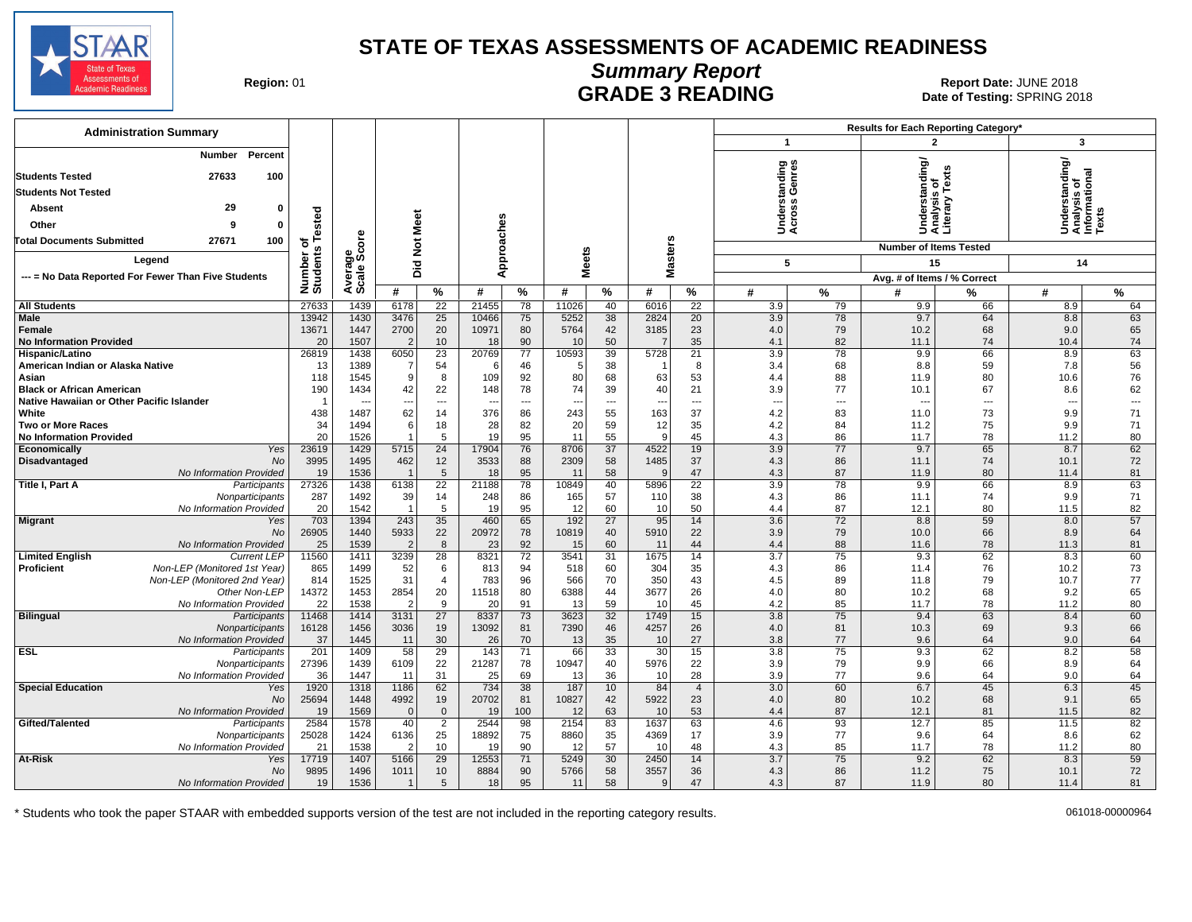

# **Summary Report**

Region: 01 **Region: 01 CALL CONSISTS AND CONTROLL SETS ARE ADING Date of Testing: SPRING 2018**<br>Date of Testing: SPRING 20 Date of Testing: SPRING 2018

| <b>Administration Summary</b>                               |                       |                      |                 |                          |                          |                          |              |                          |                          |                      |                          |                          | Results for Each Reporting Category* |          |                                                |          |
|-------------------------------------------------------------|-----------------------|----------------------|-----------------|--------------------------|--------------------------|--------------------------|--------------|--------------------------|--------------------------|----------------------|--------------------------|--------------------------|--------------------------------------|----------|------------------------------------------------|----------|
|                                                             |                       |                      |                 |                          |                          |                          |              |                          |                          |                      | $\mathbf{1}$             |                          | 2                                    |          | 3                                              |          |
| Percent<br>Number<br><b>Students Tested</b><br>27633<br>100 |                       |                      |                 |                          |                          |                          |              |                          |                          |                      | tanding<br>Genres        |                          | rstanding/<br>/sis_of                | exts     | Understanding/<br>Analysis of<br>Informational |          |
| <b>Students Not Tested</b>                                  |                       |                      |                 |                          |                          |                          |              |                          |                          |                      | ថ ឆ្ន                    |                          |                                      | ≿        |                                                |          |
| 29<br>$\mathbf{0}$<br>Absent                                |                       |                      |                 |                          |                          |                          |              |                          |                          |                      | g<br>흥                   |                          |                                      |          |                                                |          |
| 9<br>Other<br>0                                             | ested                 |                      |                 |                          |                          |                          |              |                          |                          |                      | šğ                       |                          | Under<br>Analy<br>Litera             |          |                                                |          |
| <b>Total Documents Submitted</b><br>27671<br>100            | ۳<br>ठ                |                      | <b>Not Meet</b> |                          |                          |                          |              |                          |                          |                      |                          |                          | <b>Number of Items Tested</b>        |          |                                                |          |
| Leaend                                                      | Number of<br>Students | verage<br>cale Score |                 |                          | Approaches               |                          | <b>Meets</b> |                          | <b>Masters</b>           |                      | 5                        |                          | 15                                   |          | 14                                             |          |
| --- = No Data Reported For Fewer Than Five Students         |                       |                      | Did             |                          |                          |                          |              |                          |                          |                      |                          |                          | Avg. # of Items / % Correct          |          |                                                |          |
|                                                             |                       | ∢ທັ                  | #               | %                        | #                        | $\frac{9}{6}$            | #            | $\%$                     | #                        | $\%$                 | #                        | $\%$                     | #                                    | %        | #                                              | $\%$     |
| <b>All Students</b>                                         | 27633                 | 1439                 | 6178            | 22                       | 21455                    | 78                       | 11026        | 40                       | 6016                     | 22                   | 3.9                      | 79                       | 9.9                                  | 66       | 8.9                                            | 64       |
| <b>Male</b>                                                 | 13942                 | 1430                 | 3476            | 25                       | 10466                    | 75                       | 5252         | 38                       | 2824                     | 20                   | 3.9                      | 78                       | 9.7                                  | 64       | 8.8                                            | 63       |
| <b>Female</b>                                               | 13671                 | 1447                 | 2700            | 20                       | 10971                    | 80                       | 5764         | 42                       | 3185                     | 23                   | 4.0                      | 79                       | 10.2                                 | 68       | 9.0                                            | 65       |
| <b>No Information Provided</b>                              | 20                    | 1507                 | $\overline{2}$  | 10                       | 18                       | 90                       | 10           | 50                       | $\overline{7}$           | 35                   | 4.1                      | 82                       | 11.1                                 | 74       | 10.4                                           | 74       |
| Hispanic/Latino                                             | 26819                 | 1438                 | 6050            | 23                       | 20769                    | 77                       | 10593        | 39                       | 5728                     | 21                   | 3.9                      | 78                       | 9.9                                  | 66       | 8.9                                            | 63       |
| American Indian or Alaska Native                            | 13                    | 1389                 |                 | 54                       | -6                       | 46                       |              | 38                       | - 1                      | 8                    | 3.4                      | 68                       | 8.8                                  | 59       | 7.8                                            | 56       |
| Asian<br><b>Black or African American</b>                   | 118<br>190            | 1545<br>1434         | 9<br>42         | 8<br>22                  | 109<br>148               | 92<br>78                 | 80<br>74     | 68<br>39                 | 63<br>40                 | 53<br>21             | 4.4<br>3.9               | 88<br>77                 | 11.9<br>10.1                         | 80<br>67 | 10.6<br>8.6                                    | 76<br>62 |
| Native Hawaiian or Other Pacific Islander                   | $\overline{1}$        |                      | ---             | $\overline{\phantom{a}}$ | $\overline{\phantom{a}}$ | $\overline{\phantom{a}}$ | ---          | $\overline{\phantom{a}}$ | $\overline{\phantom{a}}$ | ---                  | $\overline{\phantom{a}}$ | $\overline{\phantom{a}}$ | $\overline{\phantom{a}}$             | ---      | $\overline{\phantom{a}}$                       | ---      |
| White                                                       | 438                   | 1487                 | 62              | 14                       | 376                      | 86                       | 243          | 55                       | 163                      | 37                   | 4.2                      | 83                       | 11.0                                 | 73       | 9.9                                            | 71       |
| <b>Two or More Races</b>                                    | 34                    | 1494                 | 6               | 18                       | 28                       | 82                       | 20           | 59                       | 12                       | 35                   | 4.2                      | 84                       | 11.2                                 | 75       | 9.9                                            | 71       |
| <b>No Information Provided</b>                              | 20                    | 1526                 | $\overline{1}$  | 5                        | 19                       | 95                       | 11           | 55                       | $\mathbf{q}$             | 45                   | 4.3                      | 86                       | 11.7                                 | 78       | 11.2                                           | 80       |
| Yes<br>Economically                                         | 23619                 | 1429                 | 5715            | $\overline{24}$          | 17904                    | 76                       | 8706         | $\overline{37}$          | 4522                     | 19                   | 3.9                      | $\overline{77}$          | 9.7                                  | 65       | 8.7                                            | 62       |
| Disadvantaged<br>No                                         | 3995                  | 1495                 | 462             | 12                       | 3533                     | 88                       | 2309         | 58                       | 1485                     | 37                   | 4.3                      | 86                       | 11.1                                 | 74       | 10.1                                           | 72       |
| No Information Provided                                     | 19                    | 1536                 |                 | $5\overline{)}$          | 18                       | 95                       | 11           | 58                       | $\alpha$                 | 47                   | 4.3                      | 87                       | 11.9                                 | 80       | 11.4                                           | 81       |
| Title I, Part A<br>Participants<br>Nonparticipants          | 27326<br>287          | 1438<br>1492         | 6138<br>39      | 22<br>14                 | 21188<br>248             | 78<br>86                 | 10849<br>165 | 40<br>57                 | 5896<br>110              | 22<br>38             | 3.9<br>4.3               | 78<br>86                 | 9.9<br>11.1                          | 66<br>74 | 8.9<br>9.9                                     | 63<br>71 |
| No Information Provided                                     | 20                    | 1542                 | $\overline{1}$  | 5                        | 19                       | 95                       | 12           | 60                       | 10                       | 50                   | 4.4                      | 87                       | 12.1                                 | 80       | 11.5                                           | 82       |
| <b>Migrant</b><br>Yes                                       | 703                   | 1394                 | 243             | 35                       | 460                      | 65                       | 192          | 27                       | 95                       | 14                   | 3.6                      | 72                       | 8.8                                  | 59       | 8.0                                            | 57       |
| <b>No</b>                                                   | 26905                 | 1440                 | 5933            | 22                       | 20972                    | 78                       | 10819        | 40                       | 5910                     | 22                   | 3.9                      | 79                       | 10.0                                 | 66       | 8.9                                            | 64       |
| No Information Provided                                     | 25                    | 1539                 | $\overline{2}$  | 8                        | 23                       | 92                       | 15           | 60                       | 11                       | 44                   | 4.4                      | 88                       | 11.6                                 | 78       | 11.3                                           | 81       |
| <b>Limited English</b><br><b>Current LEP</b>                | 11560                 | 1411                 | 3239            | 28                       | 8321                     | 72                       | 3541         | 31                       | 1675                     | 14                   | $\overline{3.7}$         | 75                       | 9.3                                  | 62       | 8.3                                            | 60       |
| Non-LEP (Monitored 1st Year)<br><b>Proficient</b>           | 865                   | 1499                 | 52<br>31        | 6                        | 813<br>783               | 94                       | 518          | 60                       | 304<br>350               | 35                   | 4.3                      | 86                       | 11.4                                 | 76       | 10.2                                           | 73<br>77 |
| Non-LEP (Monitored 2nd Year)<br>Other Non-LEP               | 814<br>14372          | 1525<br>1453         | 2854            | 4<br>20                  | 11518                    | 96<br>80                 | 566<br>6388  | 70<br>44                 | 3677                     | 43<br>26             | 4.5<br>4.0               | 89<br>80                 | 11.8<br>10.2                         | 79<br>68 | 10.7<br>9.2                                    | 65       |
| No Information Provided                                     | 22                    | 1538                 | $\overline{2}$  | 9                        | 20                       | 91                       | 13           | 59                       | 10                       | 45                   | 4.2                      | 85                       | 11.7                                 | 78       | 11.2                                           | 80       |
| <b>Bilingual</b><br>Participants                            | 11468                 | 1414                 | 3131            | 27                       | 8337                     | 73                       | 3623         | 32                       | 1749                     | 15                   | 3.8                      | 75                       | 9.4                                  | 63       | 8.4                                            | 60       |
| Nonparticipants                                             | 16128                 | 1456                 | 3036            | 19                       | 13092                    | 81                       | 7390         | 46                       | 4257                     | 26                   | 4.0                      | 81                       | 10.3                                 | 69       | 9.3                                            | 66       |
| No Information Provided                                     | 37                    | 1445                 | 11              | 30                       | 26                       | 70                       | 13           | 35                       | 10                       | 27                   | 3.8                      | 77                       | 9.6                                  | 64       | 9.0                                            | 64       |
| ESL<br>Participants                                         | 201                   | 1409                 | 58              | 29                       | 143                      | 71                       | 66           | 33                       | 30                       | 15                   | 3.8                      | 75                       | 9.3                                  | 62       | 8.2                                            | 58       |
| Nonparticipants                                             | 27396                 | 1439                 | 6109            | 22                       | 21287                    | 78                       | 10947        | 40                       | 5976                     | 22                   | 3.9                      | 79                       | 9.9                                  | 66       | 8.9                                            | 64       |
| No Information Provided<br><b>Special Education</b><br>Yes  | 36<br>1920            | 1447<br>1318         | 11<br>1186      | 31<br>62                 | 25<br>734                | 69<br>38                 | 13<br>187    | 36<br>10                 | 10<br>84                 | 28<br>$\overline{4}$ | 3.9<br>3.0               | 77<br>60                 | 9.6<br>6.7                           | 64<br>45 | 9.0<br>6.3                                     | 64<br>45 |
| No                                                          | 25694                 | 1448                 | 4992            | 19                       | 20702                    | 81                       | 10827        | 42                       | 5922                     | 23                   | 4.0                      | 80                       | 10.2                                 | 68       | 9.1                                            | 65       |
| No Information Provided                                     | 19                    | 1569                 | $\mathbf{0}$    | $\mathbf 0$              | 19                       | 100                      | 12           | 63                       | 10                       | 53                   | 4.4                      | 87                       | 12.1                                 | 81       | 11.5                                           | 82       |
| Gifted/Talented<br>Participants                             | 2584                  | 1578                 | 40              | $\overline{2}$           | 2544                     | 98                       | 2154         | 83                       | 1637                     | 63                   | 4.6                      | 93                       | 12.7                                 | 85       | 11.5                                           | 82       |
| Nonparticipants                                             | 25028                 | 1424                 | 6136            | 25                       | 18892                    | 75                       | 8860         | 35                       | 4369                     | 17                   | 3.9                      | 77                       | 9.6                                  | 64       | 8.6                                            | 62       |
| No Information Provided                                     | 21                    | 1538                 | $\overline{2}$  | 10                       | 19                       | 90                       | 12           | 57                       | 10                       | 48                   | 4.3                      | 85                       | 11.7                                 | 78       | 11.2                                           | 80       |
| At-Risk<br>Yes                                              | 17719                 | 1407                 | 5166            | 29                       | 12553                    | 71                       | 5249         | 30                       | 2450                     | 14                   | 3.7                      | 75                       | 9.2                                  | 62       | 8.3                                            | 59       |
| No                                                          | 9895                  | 1496                 | 1011            | 10 <sup>°</sup>          | 8884                     | 90                       | 5766         | 58                       | 3557                     | 36                   | 4.3                      | 86                       | 11.2                                 | 75       | 10.1                                           | 72       |
| No Information Provided                                     | 19                    | 1536                 | $\overline{1}$  | 5                        | 18                       | 95                       | 11           | 58                       | 9                        | 47                   | 4.3                      | 87                       | 11.9                                 | 80       | 11.4                                           | 81       |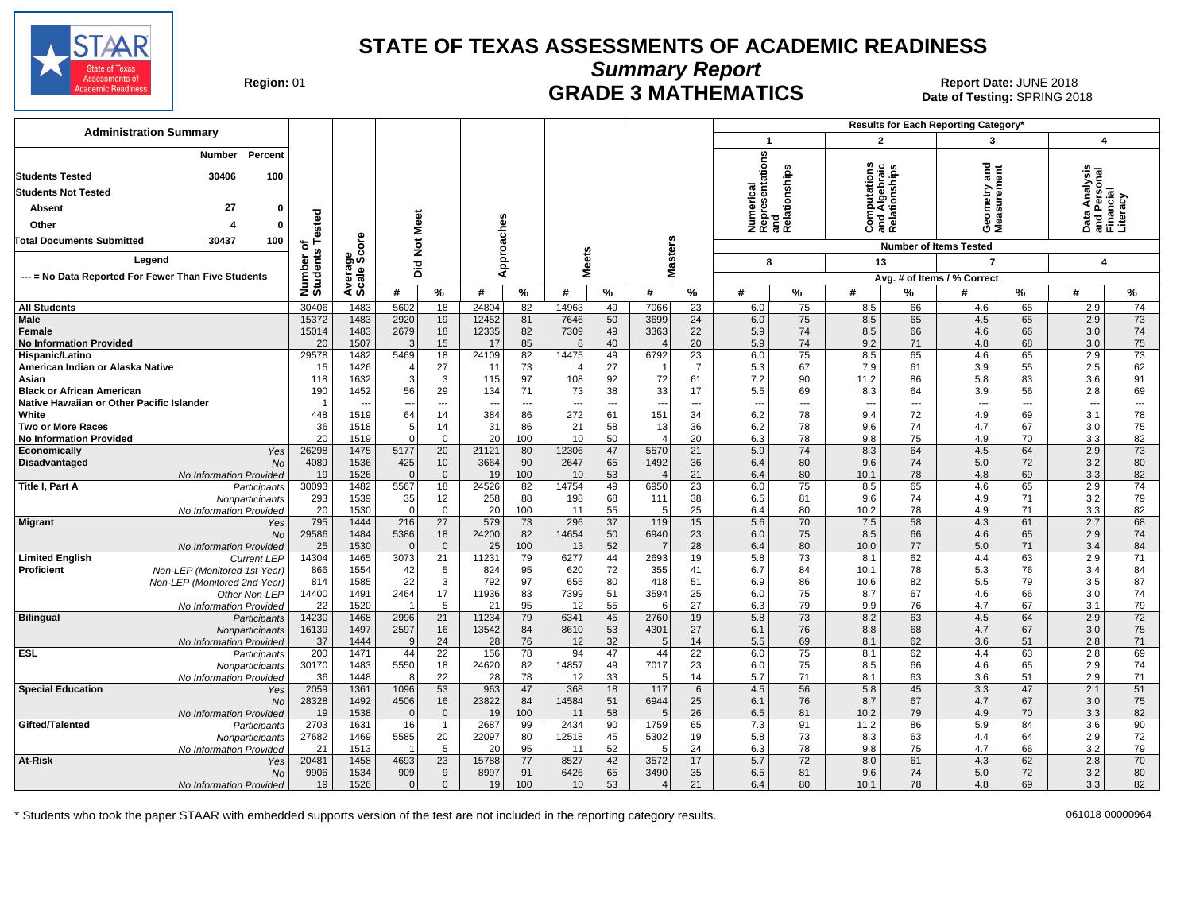

**Summary Report**

Region: 01 **Region: 01 CRADE 3 MATHEMATICS Date: JUNE 2018 Report Date: JUNE 2018** Date of Testing: SPRING 2018

| <b>Administration Summary</b><br>$\overline{2}$<br>3<br>$\blacktriangleleft$<br>Numerical<br>Representations<br>Percent<br>Number<br>and<br>and<br>Relationships<br>Computations<br>and Algebraic<br>Relationships<br>Geometry and<br>Measurement<br>30406<br><b>Students Tested</b><br>100                                      | 4<br>Data Analysis<br>and Personal<br>Financial<br>Literacy |
|----------------------------------------------------------------------------------------------------------------------------------------------------------------------------------------------------------------------------------------------------------------------------------------------------------------------------------|-------------------------------------------------------------|
|                                                                                                                                                                                                                                                                                                                                  |                                                             |
| <b>Students Not Tested</b>                                                                                                                                                                                                                                                                                                       |                                                             |
| 27<br>Absent<br>0                                                                                                                                                                                                                                                                                                                |                                                             |
| ested<br>Meet                                                                                                                                                                                                                                                                                                                    |                                                             |
| Other<br>$\Omega$                                                                                                                                                                                                                                                                                                                |                                                             |
| <b>ore</b><br>$\breve{\mathbf{z}}$<br><b>Total Documents Submitted</b><br>30437<br>100<br>৳<br><b>Number of Items Tested</b><br><b>SC</b>                                                                                                                                                                                        |                                                             |
| Approaches<br><b>Masters</b><br><b>Meets</b><br>န္တပ္တိ<br>Number<br>Students<br>Legend<br>13<br>$\overline{7}$<br>Did<br>8                                                                                                                                                                                                      | 4                                                           |
| Avera<br>Scale<br>--- = No Data Reported For Fewer Than Five Students<br>Avg. # of Items / % Correct                                                                                                                                                                                                                             |                                                             |
| %<br>%<br>%<br>%<br>#<br>%<br>#<br>%<br>%<br>#<br>#<br>#<br>#<br>#<br>#                                                                                                                                                                                                                                                          | %                                                           |
| 1483<br>5602<br>$\overline{18}$<br>24804<br>82<br>14963<br>7066<br>$\overline{23}$<br>75<br>65<br><b>All Students</b><br>30406<br>49<br>6.0<br>8.5<br>66<br>4.6<br>2.9                                                                                                                                                           | 74                                                          |
| 15372<br>1483<br>2920<br>19<br>12452<br>81<br>7646<br>50<br>3699<br>24<br>6.0<br>75<br>4.5<br>65<br>2.9<br><b>Male</b><br>8.5<br>65                                                                                                                                                                                              | 73                                                          |
| 1483<br>2679<br>18<br>12335<br>82<br>49<br>3363<br>22<br>74<br>4.6<br>66<br>3.0<br>Female<br>15014<br>7309<br>5.9<br>8.5<br>66                                                                                                                                                                                                   | 74                                                          |
| <b>No Information Provided</b><br>20<br>1507<br>15<br>17<br>85<br>40<br>20<br>5.9<br>74<br>9.2<br>71<br>4.8<br>68<br>3.0<br>З<br>8                                                                                                                                                                                               | 75                                                          |
| 18<br>6792<br>75<br>2.9<br>29578<br>1482<br>5469<br>24109<br>82<br>14475<br>49<br>23<br>6.0<br>8.5<br>65<br>4.6<br>65<br>Hispanic/Latino                                                                                                                                                                                         | 73                                                          |
| 1426<br>27<br>73<br>27<br>$\overline{7}$<br>67<br>3.9<br>55<br>2.5<br>American Indian or Alaska Native<br>11<br>5.3<br>7.9<br>15<br>- 1<br>61                                                                                                                                                                                    | 62                                                          |
| 3<br>83<br>118<br>1632<br>3<br>115<br>97<br>108<br>92<br>72<br>61<br>7.2<br>90<br>11.2<br>86<br>5.8<br>3.6<br>Asian<br>29<br>38<br>33<br>190<br>1452<br>56<br>134<br>71<br>73<br>17<br>5.5<br>69<br>8.3<br>64<br>3.9<br>56<br>2.8                                                                                                | 91<br>69                                                    |
| <b>Black or African American</b><br>Native Hawaiian or Other Pacific Islander<br>$\cdots$<br>---<br>---<br>---<br>$\overline{\phantom{a}}$<br>$\overline{\phantom{a}}$<br>$\overline{\phantom{a}}$<br>---<br>$\overline{\phantom{a}}$<br>---<br>---<br>---<br>$\overline{\phantom{a}}$<br>$\overline{\phantom{a}}$<br>---<br>--- | $\overline{\phantom{a}}$                                    |
| White<br>448<br>1519<br>14<br>384<br>272<br>61<br>151<br>34<br>78<br>72<br>4.9<br>69<br>3.1<br>64<br>86<br>6.2<br>9.4                                                                                                                                                                                                            | 78                                                          |
| 36<br>1518<br>14<br>31<br>86<br>21<br>58<br>13<br>36<br>6.2<br>78<br>9.6<br>74<br>4.7<br>67<br>3.0<br><b>Two or More Races</b><br>5                                                                                                                                                                                              | 75                                                          |
| 20<br>20<br>1519<br>$\Omega$<br>$\overline{0}$<br>100<br>10<br>50<br>20<br>6.3<br>78<br>9.8<br>75<br>70<br>3.3<br><b>No Information Provided</b><br>4.9<br>$\overline{4}$                                                                                                                                                        | 82                                                          |
| 74<br>26298<br>1475<br>20<br>21121<br>47<br>5570<br>21<br>5.9<br>8.3<br>64<br>4.5<br>64<br>2.9<br>Economically<br>5177<br>80<br>12306<br>Yes                                                                                                                                                                                     | 73                                                          |
| 1536<br>36<br>80<br>Disadvantaged<br>4089<br>425<br>10<br>3664<br>90<br>2647<br>65<br>1492<br>6.4<br>9.6<br>74<br>5.0<br>72<br>3.2<br><b>No</b>                                                                                                                                                                                  | 80                                                          |
| 1526<br>$\overline{0}$<br>53<br>21<br>80<br>78<br>69<br>3.3<br>19<br>$\Omega$<br>19<br>100<br>6.4<br>10.1<br>4.8<br>No Information Provided<br>10<br>$\overline{\mathcal{L}}$                                                                                                                                                    | 82                                                          |
| $\overline{75}$<br>65<br>30093<br>1482<br>5567<br>18<br>24526<br>82<br>49<br>6950<br>$\overline{23}$<br>6.0<br>8.5<br>65<br>4.6<br>2.9<br>Title I, Part A<br>14754<br>Participants                                                                                                                                               | 74                                                          |
| 1539<br>293<br>35<br>12<br>258<br>88<br>198<br>68<br>38<br>6.5<br>81<br>9.6<br>4.9<br>71<br>3.2<br>111<br>74<br>Nonparticipants                                                                                                                                                                                                  | 79                                                          |
| 20<br>$\mathsf 0$<br>25<br>1530<br>$\mathbf 0$<br>20<br>100<br>55<br>80<br>10.2<br>78<br>4.9<br>71<br>3.3<br>11<br>5<br>6.4<br>No Information Provided                                                                                                                                                                           | 82                                                          |
| $\overline{37}$<br>70<br>795<br>1444<br>27<br>579<br>73<br>119<br>15<br>5.6<br>7.5<br>58<br>4.3<br>61<br>2.7<br><b>Migrant</b><br>216<br>296<br>Yes                                                                                                                                                                              | 68                                                          |
| 29586<br>1484<br>18<br>24200<br>82<br>6940<br>23<br>75<br>8.5<br>5386<br>14654<br>50<br>6.0<br>66<br>4.6<br>65<br>2.9<br>No<br>77<br>$\Omega$<br>$\overline{7}$                                                                                                                                                                  | 74                                                          |
| 25<br>1530<br>$\overline{0}$<br>25<br>100<br>52<br>28<br>80<br>10.0<br>71<br>13<br>6.4<br>5.0<br>3.4<br>No Information Provided<br>44<br>73<br>2.9<br>14304<br>1465<br>21<br>11231<br>79<br>2693<br>19<br>5.8<br>8.1<br>62<br>4.4<br>63<br><b>Limited English</b><br>3073<br>6277                                                | 84<br>71                                                    |
| <b>Current LEP</b><br>1554<br>$5\phantom{.0}$<br>Proficient<br>866<br>42<br>824<br>95<br>620<br>72<br>355<br>6.7<br>84<br>10.1<br>78<br>5.3<br>76<br>3.4<br>Non-LEP (Monitored 1st Year)<br>41                                                                                                                                   | 84                                                          |
| 22<br>3<br>792<br>814<br>1585<br>97<br>655<br>80<br>418<br>51<br>86<br>10.6<br>82<br>5.5<br>79<br>3.5<br>Non-LEP (Monitored 2nd Year)<br>6.9                                                                                                                                                                                     | 87                                                          |
| 17<br>11936<br>3594<br>25<br>75<br>14400<br>2464<br>83<br>7399<br>51<br>8.7<br>67<br>4.6<br>66<br>3.0<br>1491<br>6.0<br>Other Non-LEP                                                                                                                                                                                            | 74                                                          |
| 5<br>95<br>27<br>1520<br>21<br>55<br>79<br>4.7<br>67<br>22<br>12<br>6.3<br>9.9<br>76<br>3.1<br>No Information Provided<br>6                                                                                                                                                                                                      | 79                                                          |
| 21<br>11234<br>73<br>4.5<br><b>Bilingual</b><br>14230<br>1468<br>2996<br>79<br>6341<br>45<br>2760<br>19<br>5.8<br>8.2<br>63<br>64<br>2.9<br>Participants                                                                                                                                                                         | 72                                                          |
| 53<br>27<br>76<br>67<br>16139<br>1497<br>2597<br>16<br>13542<br>84<br>4301<br>6.1<br>8.8<br>68<br>4.7<br>3.0<br>8610<br>Nonparticipants                                                                                                                                                                                          | 75                                                          |
| 24<br>28<br>32<br>37<br>1444<br>76<br>12<br>14<br>5.5<br>69<br>8.1<br>62<br>3.6<br>51<br>2.8<br>No Information Provided<br>$\mathbf{Q}$<br>$\overline{5}$                                                                                                                                                                        | 71                                                          |
| <b>ESL</b><br>200<br>1471<br>22<br>156<br>78<br>47<br>44<br>22<br>75<br>4.4<br>63<br>2.8<br>44<br>94<br>6.0<br>8.1<br>62<br>Participants                                                                                                                                                                                         | 69                                                          |
| 18<br>24620<br>7017<br>23<br>75<br>65<br>30170<br>1483<br>5550<br>82<br>14857<br>49<br>8.5<br>66<br>4.6<br>2.9<br>6.0<br>Nonparticipants                                                                                                                                                                                         | 74                                                          |
| 22<br>36<br>1448<br>28<br>78<br>33<br>5.7<br>71<br>3.6<br>51<br>2.9<br>No Information Provided<br>12<br>5<br>14<br>8.1<br>63<br>8                                                                                                                                                                                                | 71                                                          |
| 53<br><b>Special Education</b><br>2059<br>1361<br>1096<br>963<br>47<br>368<br>18<br>117<br>4.5<br>56<br>5.8<br>45<br>3.3<br>47<br>2.1<br>6<br>Yes                                                                                                                                                                                | 51                                                          |
| 28328<br>1492<br>16<br>23822<br>84<br>14584<br>51<br>6944<br>25<br>76<br>8.7<br>4.7<br>67<br>4506<br>6.1<br>67<br>3.0<br>No                                                                                                                                                                                                      | 75                                                          |
| 1538<br>$\mathbf{0}$<br>19<br>58<br>26<br>81<br>3.3<br>19<br>$\Omega$<br>100<br>6.5<br>10.2<br>79<br>4.9<br>70<br>No Information Provided<br>11<br>5<br>2703<br>1631<br>16<br>2687<br>2434<br>90<br>1759<br>65<br>7.3<br>91<br>86<br>5.9<br>84<br>3.6<br>Gifted/Talented<br>$\overline{1}$<br>99<br>11.2                         | 82<br>90                                                    |
| Participants<br>27682<br>20<br>22097<br>45<br>5302<br>19<br>73<br>64<br>2.9<br>1469<br>5585<br>80<br>12518<br>5.8<br>8.3<br>63<br>4.4                                                                                                                                                                                            | 72                                                          |
| Nonparticipants<br>1513<br>5<br>20<br>95<br>52<br>24<br>6.3<br>78<br>75<br>66<br>3.2<br>No Information Provided<br>21<br>11<br>5<br>9.8<br>4.7                                                                                                                                                                                   | 79                                                          |
| 23<br>72<br>At-Risk<br>20481<br>1458<br>4693<br>15788<br>77<br>8527<br>42<br>3572<br>17<br>5.7<br>8.0<br>4.3<br>62<br>2.8<br>61<br>Yes                                                                                                                                                                                           | 70                                                          |
| 9<br>9906<br>1534<br>909<br>8997<br>91<br>6426<br>65<br>3490<br>35<br>81<br>9.6<br>5.0<br>72<br>3.2<br>6.5<br>74<br>No                                                                                                                                                                                                           | 80                                                          |
| 53<br>1526<br>$\mathbf 0$<br>19<br>100<br>10<br>21<br>80<br>69<br>3.3<br>19<br>$\mathbf 0$<br>6.4<br>10.1<br>78<br>4.8<br>No Information Provided<br>$\overline{\mathcal{L}}$                                                                                                                                                    | 82                                                          |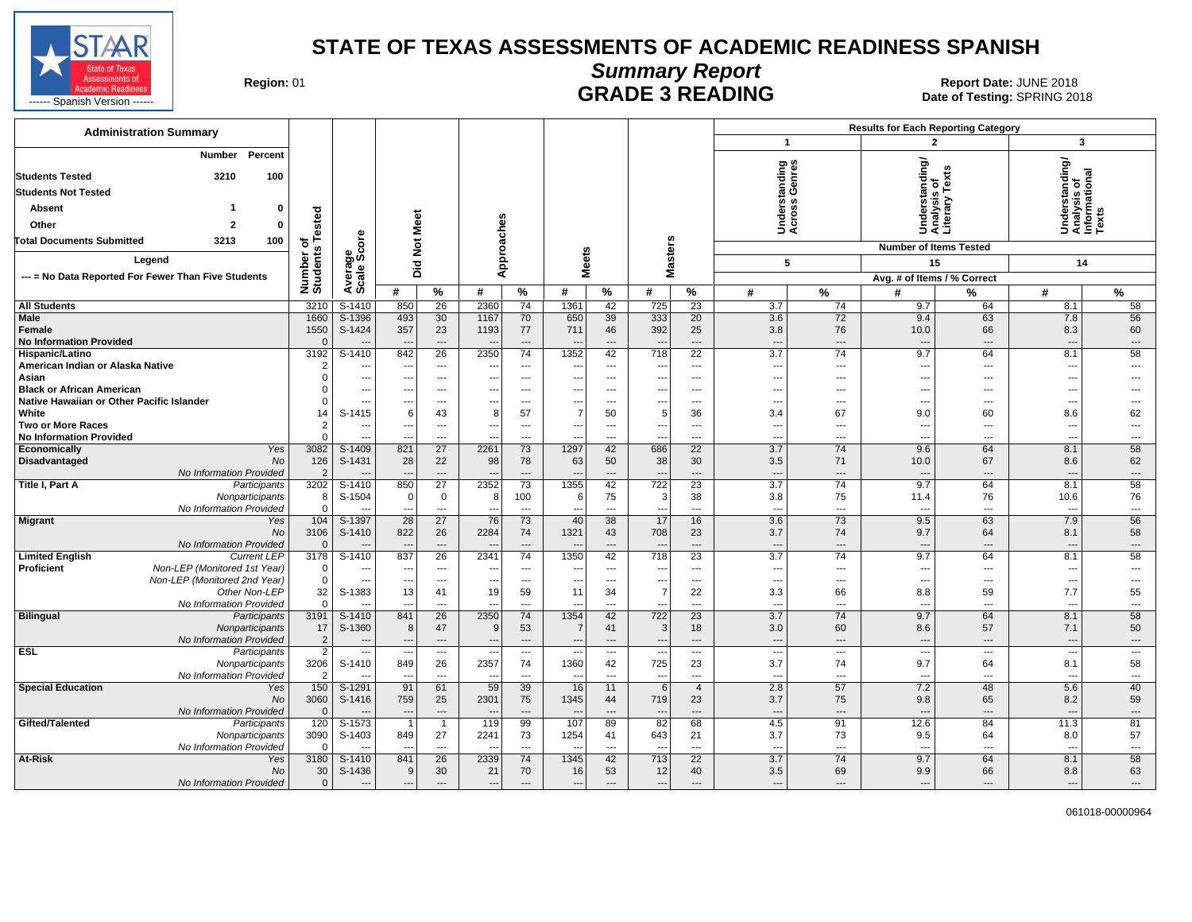

# **Summary Report**

Region: 01 **Region: 01 CALL CONSISTS AND CONTROLL SETS ARE ADING Date of Testing: SPRING 2018**<br>Date of Testing: SPRING 20

| <b>Administration Summary</b>                                                                   |                        |                                      |                                 |                                   |                                  |                                             |                          |                                |                                                      |                        |                                              |                                | <b>Results for Each Reporting Category</b>      |                                |                                                         |                                             |
|-------------------------------------------------------------------------------------------------|------------------------|--------------------------------------|---------------------------------|-----------------------------------|----------------------------------|---------------------------------------------|--------------------------|--------------------------------|------------------------------------------------------|------------------------|----------------------------------------------|--------------------------------|-------------------------------------------------|--------------------------------|---------------------------------------------------------|---------------------------------------------|
|                                                                                                 |                        |                                      |                                 |                                   |                                  |                                             |                          |                                |                                                      |                        | $\mathbf{1}$                                 |                                | $\overline{\mathbf{z}}$                         |                                | 3                                                       |                                             |
| Percent<br><b>Number</b><br><b>Students Tested</b><br>3210<br>100<br><b>Students Not Tested</b> |                        |                                      |                                 |                                   |                                  |                                             |                          |                                |                                                      |                        | tanding<br>Genres                            |                                | Understanding/<br>Analysis of<br>Literary Texts |                                | Understanding/<br>Analysis of<br>Informational<br>Texts |                                             |
|                                                                                                 |                        |                                      |                                 |                                   |                                  |                                             |                          |                                |                                                      |                        |                                              |                                |                                                 |                                |                                                         |                                             |
| Absent<br>$\mathbf{0}$                                                                          | ested                  |                                      |                                 |                                   |                                  |                                             |                          |                                |                                                      |                        | derst<br>ross                                |                                |                                                 |                                |                                                         |                                             |
| $\overline{2}$<br>Other<br>$\mathbf{0}$                                                         |                        | Φ                                    | Meet                            |                                   |                                  |                                             |                          |                                |                                                      |                        | 5ğ                                           |                                |                                                 |                                |                                                         |                                             |
| <b>Total Documents Submitted</b><br>3213<br>100                                                 | ⊢<br>৳                 |                                      |                                 |                                   |                                  |                                             |                          |                                |                                                      |                        |                                              |                                | <b>Number of Items Tested</b>                   |                                |                                                         |                                             |
| Legend                                                                                          | Number or<br>Students  | Average<br>Scale Score               | <b>Did Not</b>                  |                                   |                                  | Approaches                                  | <b>Meets</b>             |                                |                                                      | <b>Masters</b>         | 5                                            |                                | 15                                              |                                | 14                                                      |                                             |
| --- = No Data Reported For Fewer Than Five Students                                             |                        |                                      |                                 |                                   |                                  |                                             |                          |                                |                                                      |                        |                                              |                                | Avg. # of Items / % Correct                     |                                |                                                         |                                             |
|                                                                                                 |                        |                                      | #                               | $\frac{9}{6}$                     | #                                | %                                           | #                        | $\%$                           | #                                                    | $\%$                   | #                                            | %                              | #                                               | %                              | #                                                       | %                                           |
| <b>All Students</b>                                                                             | 3210                   | S-1410                               | 850                             | 26                                | 2360                             | 74                                          | 1361                     | 42                             | 725                                                  | 23                     | 3.7                                          | 74                             | 9.7                                             | 64                             | 8.1                                                     | 58                                          |
| <b>Male</b>                                                                                     | 1660                   | S-1396                               | 493                             | 30                                | 1167                             | 70                                          | 650                      | 39                             | 333                                                  | 20                     | 3.6                                          | 72                             | 9.4                                             | 63                             | 7.8                                                     | 56                                          |
| Female                                                                                          | 1550                   | S-1424                               | 357                             | 23                                | 1193                             | 77                                          | 711                      | 46                             | 392                                                  | 25                     | 3.8                                          | 76                             | 10.0                                            | 66                             | 8.3                                                     | 60                                          |
| <b>No Information Provided</b>                                                                  | $\Omega$               |                                      | $\overline{\phantom{a}}$<br>842 | $\overline{a}$<br>$\overline{26}$ | $\overline{\phantom{a}}$         | $\overline{\phantom{a}}$<br>$\overline{74}$ | 1352                     | $\overline{\phantom{a}}$<br>42 | $\overline{a}$                                       | ---                    | $\overline{a}$<br>3.7                        | $\overline{\phantom{a}}$<br>74 | $\overline{a}$                                  | $\overline{\phantom{a}}$<br>64 | $\overline{\phantom{a}}$<br>8.1                         | $\overline{\phantom{a}}$<br>$\overline{58}$ |
| Hispanic/Latino<br>American Indian or Alaska Native                                             | 3192<br>$\overline{2}$ | $S-1410$<br>$\overline{\phantom{a}}$ |                                 | ---                               | 2350<br>$\overline{\phantom{a}}$ | $\overline{\phantom{a}}$                    | ---                      | ---                            | 718                                                  | $\overline{22}$<br>--- | $\overline{\phantom{a}}$                     | ---                            | 9.7<br>---                                      | $\overline{\phantom{a}}$       | ---                                                     | $\qquad \qquad \cdots$                      |
| Asian                                                                                           | $\Omega$               | $\overline{\phantom{a}}$             | ---                             | ---                               | $\overline{\phantom{a}}$         | ---                                         | ---                      | ---                            | $\overline{\phantom{a}}$<br>$\overline{\phantom{a}}$ | ---                    | $\overline{\phantom{a}}$                     | $\overline{a}$                 | ---                                             | $---$                          | ---                                                     | $---$                                       |
| <b>Black or African American</b>                                                                | $\Omega$               | $\overline{\phantom{a}}$             | $---$                           | $---$                             | ---                              | $\sim$                                      | $\overline{a}$           | $---$                          | ---                                                  | $---$                  | $- - -$                                      | $---$                          | ---                                             | $\overline{\phantom{a}}$       | $\overline{a}$                                          | $\overline{a}$                              |
| Native Hawaiian or Other Pacific Islander                                                       | $\Omega$               | $\overline{\phantom{a}}$             |                                 | ---                               | ---                              | $\overline{\phantom{a}}$                    | ---                      | $---$                          |                                                      | ---                    | $\overline{\phantom{a}}$                     | ---                            | ---                                             | $\overline{\phantom{a}}$       | ---                                                     | $\overline{\phantom{a}}$                    |
| White                                                                                           | 14                     | S-1415                               | 6                               | 43                                | 8                                | 57                                          | $\overline{7}$           | 50                             | 5                                                    | 36                     | 3.4                                          | 67                             | 9.0                                             | 60                             | 8.6                                                     | 62                                          |
| <b>Two or More Races</b>                                                                        | $\overline{2}$         | $---$                                | $---$                           | ---                               | ---                              | ---                                         | $\overline{\phantom{a}}$ | ---                            | $\overline{\phantom{a}}$                             | $\cdots$               | $\sim$                                       | $---$                          | ---                                             | $---$                          | ---                                                     | $\overline{\phantom{a}}$                    |
| <b>No Information Provided</b>                                                                  | $\Omega$               | $\overline{a}$                       | $-$                             | $---$                             | ---                              | $\sim$                                      | ---                      | $---$                          | $\overline{a}$                                       | $---$                  | $- - -$                                      | $---$                          | ---                                             | $\overline{\phantom{a}}$       | $\overline{\phantom{a}}$                                | $---$                                       |
| Economically<br>Yes                                                                             | 3082                   | S-1409                               | 821                             | 27                                | 2261                             | 73                                          | 1297                     | 42                             | 686                                                  | 22                     | 3.7                                          | 74                             | 9.6                                             | 64                             | 8.1                                                     | 58                                          |
| <b>Disadvantaged</b><br><b>No</b>                                                               | 126                    | S-1431                               | 28                              | 22                                | 98                               | 78                                          | 63                       | 50                             | 38                                                   | 30                     | 3.5                                          | 71                             | 10.0                                            | 67                             | 8.6                                                     | 62                                          |
| No Information Provided<br>Title I, Part A<br>Participants                                      | 3202                   | S-1410                               | 850                             | $\overline{a}$<br>27              | 2352                             | $\overline{a}$<br>73                        | 1355                     | $\overline{a}$<br>42           | $\overline{a}$<br>722                                | $---$<br>23            | $\overline{\phantom{a}}$<br>$\overline{3.7}$ | $\sim$<br>74                   | 9.7                                             | $\overline{a}$<br>64           | $\overline{a}$<br>8.1                                   | $\hspace{1.5cm} \ldots$<br>58               |
| Nonparticipants                                                                                 | 8                      | S-1504                               | $\Omega$                        | $\mathbf 0$                       | 8                                | 100                                         | 6                        | 75                             | 3                                                    | 38                     | 3.8                                          | 75                             | 11.4                                            | 76                             | 10.6                                                    | 76                                          |
| No Information Provided                                                                         | $\mathbf 0$            |                                      | $\overline{\phantom{a}}$        | $\overline{a}$                    | $\overline{\phantom{a}}$         | $\overline{a}$                              | ---                      | $-$                            | $\overline{a}$                                       | $\overline{a}$         | $\overline{a}$                               | $\overline{\phantom{a}}$       | $\overline{a}$                                  | $\overline{\phantom{a}}$       | $\sim$                                                  | $\overline{a}$                              |
| <b>Migrant</b><br>Yes                                                                           | 104                    | S-1397                               | 28                              | 27                                | 76                               | 73                                          | 40                       | 38                             | 17                                                   | 16                     | 3.6                                          | 73                             | 9.5                                             | 63                             | 7.9                                                     | 56                                          |
| <b>No</b>                                                                                       | 3106                   | S-1410                               | 822                             | 26                                | 2284                             | 74                                          | 1321                     | 43                             | 708                                                  | 23                     | 3.7                                          | 74                             | 9.7                                             | 64                             | 8.1                                                     | 58                                          |
| No Information Provided                                                                         | $\Omega$               |                                      |                                 | $\overline{a}$                    |                                  | $\overline{\phantom{a}}$                    |                          | $\overline{a}$                 | $\overline{\phantom{a}}$                             | $---$                  | $\overline{a}$                               | $\qquad \qquad \cdots$         | $\overline{\phantom{a}}$                        | $\overline{\phantom{a}}$       | $\overline{\phantom{a}}$                                | $\overline{\phantom{a}}$                    |
| <b>Limited English</b><br><b>Current LEP</b>                                                    | 3178                   | S-1410                               | 837                             | 26                                | 2341                             | 74                                          | 1350                     | 42                             | 718                                                  | 23                     | 3.7                                          | 74                             | 9.7                                             | 64                             | 8.1                                                     | 58                                          |
| Non-LEP (Monitored 1st Year)<br><b>Proficient</b>                                               | $\Omega$               | $\overline{\phantom{a}}$             | $\overline{\phantom{a}}$        | ---                               | ---                              | $\cdots$                                    | ---                      | $\hspace{0.05cm} \ldots$       | $\overline{\phantom{a}}$                             | $\cdots$               | $\hspace{0.05cm} \cdots$                     | ---                            | ---                                             | $\hspace{0.05cm} \cdots$       | $\overline{\phantom{a}}$                                | ---                                         |
| Non-LEP (Monitored 2nd Year)<br>Other Non-LEP                                                   | $\mathbf 0$<br>32      | $\overline{a}$<br>S-1383             | $-$<br>13                       | $---$<br>41                       | ---<br>19                        | $\sim$<br>59                                | ---<br>11                | $\sim$<br>34                   | ---<br>$\overline{7}$                                | $---$<br>22            | $\overline{a}$<br>3.3                        | $---$<br>66                    | ---<br>8.8                                      | $\sim$<br>59                   | $\overline{\phantom{a}}$<br>7.7                         | $\overline{a}$<br>55                        |
| No Information Provided                                                                         | $\Omega$               |                                      | $\overline{a}$                  | $\overline{a}$                    | $\overline{a}$                   | $\overline{a}$                              | --                       | $\overline{a}$                 | ---                                                  | $\overline{a}$         | $\overline{\phantom{a}}$                     | $\overline{a}$                 | ---                                             | $\overline{\phantom{a}}$       | ---                                                     | $\qquad \qquad \cdots$                      |
| <b>Bilingual</b><br>Participants                                                                | 3191                   | $S-1410$                             | 841                             | 26                                | 2350                             | 74                                          | 1354                     | 42                             | 722                                                  | 23                     | 3.7                                          | 74                             | 9.7                                             | 64                             | 8.1                                                     | 58                                          |
| Nonparticipants                                                                                 | 17                     | S-1360                               | 8                               | 47                                | 9                                | 53                                          | -7                       | 41                             | $\mathbf{3}$                                         | 18                     | 3.0                                          | 60                             | 8.6                                             | 57                             | 7.1                                                     | 50                                          |
| No Information Provided                                                                         | $\overline{2}$         |                                      | $\overline{\phantom{a}}$        | $\overline{a}$                    | $\overline{\phantom{a}}$         | $\overline{\phantom{a}}$                    | ---                      | $\overline{\phantom{a}}$       | ---                                                  | ---                    | $\overline{\phantom{a}}$                     | $\overline{\phantom{a}}$       | $\qquad \qquad \cdots$                          | $\overline{\phantom{a}}$       | $\overline{\phantom{a}}$                                | $\overline{\phantom{a}}$                    |
| <b>ESL</b><br>Participants                                                                      | $\overline{2}$         | $\overline{\phantom{a}}$             | $\overline{\phantom{a}}$        | ---                               | $\overline{\phantom{a}}$         | ---                                         | ---                      | $\overline{\phantom{a}}$       | $\overline{\phantom{a}}$                             | ---                    | $\overline{\phantom{a}}$                     | $\overline{\phantom{a}}$       | $\overline{\phantom{a}}$                        | $\overline{\phantom{a}}$       | $\overline{\phantom{a}}$                                | ---                                         |
| Nonparticipants                                                                                 | 3206                   | S-1410                               | 849                             | 26                                | 2357                             | 74                                          | 1360                     | 42                             | 725                                                  | 23                     | 3.7                                          | 74                             | 9.7                                             | 64                             | 8.1                                                     | 58                                          |
| No Information Provided                                                                         | $\overline{2}$         |                                      |                                 | ---                               | $\overline{\phantom{a}}$         | $\overline{\phantom{a}}$                    |                          | $\overline{a}$                 | --                                                   | ---                    | $\overline{\phantom{a}}$                     | $---$                          | ---                                             | ---                            | $\overline{\phantom{a}}$                                | $\overline{\phantom{a}}$                    |
| <b>Special Education</b><br>Yes                                                                 | 150                    | S-1291                               | 91                              | 61                                | 59                               | 39                                          | 16                       | 11                             | 6                                                    | $\overline{4}$         | 2.8                                          | 57                             | 7.2                                             | 48                             | 5.6                                                     | 40                                          |
| No                                                                                              | 3060<br>$\Omega$       | S-1416                               | 759                             | 25                                | 2301                             | 75                                          | 1345                     | 44<br>$\overline{a}$           | 719                                                  | 23                     | 3.7                                          | 75                             | 9.8                                             | 65<br>$\overline{a}$           | 8.2                                                     | 59                                          |
| No Information Provided<br>Gifted/Talented<br>Participants                                      | 120                    | $S-1573$                             | $\overline{\phantom{a}}$        | $\overline{a}$<br>$\mathbf{1}$    | $\overline{\phantom{a}}$<br>119  | $\overline{\phantom{a}}$<br>99              | --<br>107                | 89                             | $\cdots$<br>82                                       | $---$<br>68            | $\overline{\phantom{a}}$<br>4.5              | $---$<br>91                    | 12.6                                            | 84                             | ---<br>11.3                                             | $\overline{\phantom{a}}$<br>81              |
| Nonparticipants                                                                                 | 3090                   | S-1403                               | 849                             | 27                                | 2241                             | 73                                          | 1254                     | 41                             | 643                                                  | 21                     | 3.7                                          | 73                             | 9.5                                             | 64                             | 8.0                                                     | 57                                          |
| No Information Provided                                                                         | $\Omega$               |                                      | $\sim$                          | $---$                             | $\sim$                           | $\overline{\phantom{a}}$                    | $\overline{a}$           | $---$                          | $\overline{a}$                                       | $---$                  | $\overline{a}$                               | $\sim$                         | $\overline{a}$                                  | $---$                          | $\sim$                                                  | $---$                                       |
| At-Risk<br>Yes                                                                                  | 3180                   | S-1410                               | 841                             | 26                                | 2339                             | 74                                          | 1345                     | 42                             | 713                                                  | 22                     | 3.7                                          | 74                             | 9.7                                             | 64                             | 8.1                                                     | 58                                          |
| No                                                                                              | 30                     | S-1436                               | 9                               | 30                                | 21                               | 70                                          | 16                       | 53                             | 12                                                   | 40                     | 3.5                                          | 69                             | 9.9                                             | 66                             | 8.8                                                     | 63                                          |
| No Information Provided                                                                         | $\mathbf 0$            | $\overline{a}$                       | $---$                           | $---$                             | $\overline{\phantom{a}}$         | $\overline{\phantom{a}}$                    | $\overline{a}$           | $\overline{a}$                 | ---                                                  | $---$                  | $\overline{a}$                               | $---$                          | $\overline{a}$                                  | $---$                          | $\overline{\phantom{a}}$                                | $---$                                       |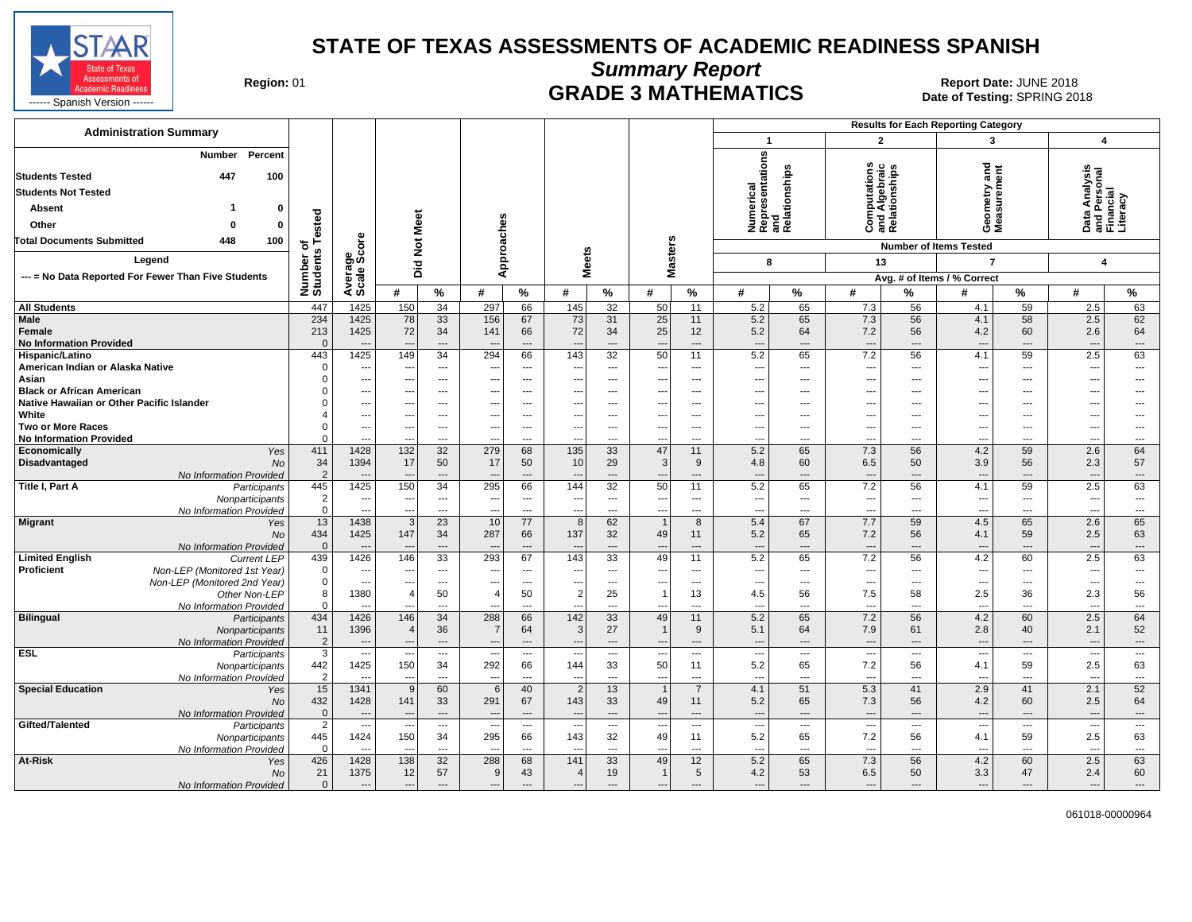

**Summary Report**

Region: 01 **Region: 01 CRADE 3 MATHEMATICS Date: JUNE 2018 Report Date: JUNE 2018** 

| <b>Administration Summary</b>                                                                                                                                                                       |                                      |                                                              |                                            |                                                            |                                                             |                                         |                                                   |                                    |                                                             |                               |                                                             |                                                            |                                                             |                                                            | <b>Results for Each Reporting Category</b>                   |                                                  |                                                             |                                       |
|-----------------------------------------------------------------------------------------------------------------------------------------------------------------------------------------------------|--------------------------------------|--------------------------------------------------------------|--------------------------------------------|------------------------------------------------------------|-------------------------------------------------------------|-----------------------------------------|---------------------------------------------------|------------------------------------|-------------------------------------------------------------|-------------------------------|-------------------------------------------------------------|------------------------------------------------------------|-------------------------------------------------------------|------------------------------------------------------------|--------------------------------------------------------------|--------------------------------------------------|-------------------------------------------------------------|---------------------------------------|
|                                                                                                                                                                                                     |                                      |                                                              |                                            |                                                            |                                                             |                                         |                                                   |                                    |                                                             |                               | $\mathbf{1}$                                                |                                                            | $\overline{2}$                                              |                                                            | 3                                                            |                                                  | $\overline{\mathbf{4}}$                                     |                                       |
| Percent<br><b>Number</b><br><b>Students Tested</b><br>447<br>100<br><b>Students Not Tested</b><br>Absent<br>0<br>Other<br>$\mathbf 0$<br>$\Omega$<br><b>Total Documents Submitted</b><br>448<br>100 | ested<br>н<br>৳                      | Average<br>Scale Score                                       | <b>Not Meet</b>                            |                                                            | Approaches                                                  |                                         |                                                   |                                    | <b>Masters</b>                                              |                               | resentations<br>Numerical<br>Representa                     | and<br>Relationships                                       | <b>Computations</b><br>and Algebraic<br>Relationships       |                                                            | Geometry and<br>Measurement<br><b>Number of Items Tested</b> |                                                  | Data Analysis<br>and Personal<br>Financial<br>Literacy      |                                       |
| Legend                                                                                                                                                                                              | Number o'<br>Students                |                                                              |                                            |                                                            |                                                             |                                         | <b>Meets</b>                                      |                                    |                                                             |                               | 8                                                           |                                                            | 13                                                          |                                                            | $\overline{7}$                                               |                                                  | 4                                                           |                                       |
| --- = No Data Reported For Fewer Than Five Students                                                                                                                                                 |                                      |                                                              | Did                                        |                                                            |                                                             |                                         |                                                   |                                    |                                                             |                               |                                                             |                                                            |                                                             |                                                            | Avg. # of Items / % Correct                                  |                                                  |                                                             |                                       |
|                                                                                                                                                                                                     |                                      |                                                              | #                                          | $\frac{9}{6}$                                              | #                                                           | $\%$                                    | #                                                 | $\%$                               | #                                                           | %                             | #                                                           | %                                                          | #                                                           | %                                                          | #                                                            | $\%$                                             | #                                                           | %                                     |
| <b>All Students</b>                                                                                                                                                                                 | 447                                  | 1425                                                         | 150                                        | $\overline{34}$                                            | 297                                                         | 66                                      | 145                                               | $\overline{32}$                    | 50                                                          | $\overline{11}$               | 5.2                                                         | 65                                                         | 7.3                                                         | 56                                                         | 4.1                                                          | 59                                               | 2.5                                                         | 63                                    |
| Male<br>Female<br><b>No Information Provided</b>                                                                                                                                                    | 234<br>213<br>$\Omega$               | 1425<br>1425                                                 | 78<br>72                                   | 33<br>34<br>---                                            | 156<br>141<br>---                                           | 67<br>66<br>$\overline{a}$              | 73<br>72                                          | 31<br>34<br>---                    | 25<br>25<br>--                                              | 11<br>12<br>---               | 5.2<br>5.2<br>$\overline{\phantom{a}}$                      | 65<br>64<br>$\overline{\phantom{a}}$                       | 7.3<br>7.2<br>$\overline{\phantom{a}}$                      | 56<br>56<br>$\overline{a}$                                 | 4.1<br>4.2<br>$\overline{\phantom{a}}$                       | 58<br>60<br>$---$                                | 2.5<br>2.6<br>$\overline{\phantom{a}}$                      | 62<br>64<br>$\qquad \qquad \cdots$    |
| Hispanic/Latino<br>American Indian or Alaska Native<br>Asian                                                                                                                                        | 443<br>$\Omega$<br>$\Omega$          | 1425<br>$\overline{\phantom{a}}$<br>$\overline{\phantom{a}}$ | 149<br>$\sim$<br>---                       | 34<br>$\overline{a}$<br>$---$                              | 294<br>$\overline{\phantom{a}}$<br>---                      | 66<br>$---$<br>$---$                    | 143<br>---                                        | 32<br>---<br>---                   | 50<br>$\overline{a}$<br>$\overline{a}$                      | 11<br>$---$<br>---            | 5.2<br>$---$<br>$\overline{\phantom{a}}$                    | 65<br>$\overline{\phantom{a}}$<br>$---$                    | 7.2<br>$\overline{\phantom{a}}$<br>---                      | 56<br>$---$<br>$\overline{a}$                              | 4.1<br>$---$<br>---                                          | 59<br>$---$<br>$\overline{a}$                    | 2.5<br>$\overline{\phantom{a}}$<br>---                      | 63<br>$\overline{\phantom{a}}$<br>--- |
| <b>Black or African American</b><br>Native Hawaiian or Other Pacific Islander                                                                                                                       |                                      | ---<br>$\overline{\phantom{a}}$                              | ---                                        | $---$                                                      | $\ddotsc$                                                   | $---$                                   | $---$                                             | ---<br>---                         | ---                                                         | $---$                         | $\overline{\phantom{a}}$<br>---                             | $\overline{\phantom{a}}$<br>$\overline{\phantom{a}}$       | ---<br>$\overline{\phantom{a}}$                             | ---                                                        | $---$                                                        | $---$                                            | --<br>---                                                   | ---<br>---                            |
| White<br><b>Two or More Races</b><br><b>No Information Provided</b>                                                                                                                                 | $\Omega$                             | ---<br>$\overline{\phantom{a}}$<br>$---$                     | ---<br>--                                  | ---<br>---<br>---                                          | ---<br>---<br>$\overline{\phantom{a}}$                      | ---<br>$\overline{\phantom{a}}$<br>---  | $\overline{a}$                                    | ---<br>---<br>---                  | $\overline{\phantom{a}}$<br>---<br>$\overline{\phantom{a}}$ | ---<br>---<br>---             | $\overline{\phantom{a}}$<br>$\overline{\phantom{a}}$<br>--- | ---<br>---<br>---                                          | ---<br>---<br>$\ddotsc$                                     | ---<br>---<br>---                                          | ---<br>$---$                                                 | $---$<br>$\overline{a}$<br>$---$                 | $\sim$<br>--<br>---                                         | ---<br>---<br>$---$                   |
| Economically<br>Yes<br><b>Disadvantaged</b><br><b>No</b><br>No Information Provided                                                                                                                 | 411<br>34<br>$\overline{2}$          | 1428<br>1394<br>$\overline{a}$                               | 132<br>17                                  | 32<br>50<br>$---$                                          | 279<br>17<br>$\overline{\phantom{a}}$                       | 68<br>50<br>$\overline{a}$              | 135<br>10                                         | 33<br>29<br>$\overline{a}$         | 47<br>3<br>---                                              | 11<br>9<br>---                | 5.2<br>4.8<br>$\overline{\phantom{a}}$                      | 65<br>60<br>$\cdots$                                       | 7.3<br>6.5<br>$\overline{\phantom{a}}$                      | 56<br>50<br>$\overline{a}$                                 | 4.2<br>3.9<br>$\overline{\phantom{a}}$                       | 59<br>56<br>$---$                                | 2.6<br>2.3<br>---                                           | 64<br>57<br>$\qquad \qquad \cdots$    |
| Title I, Part A<br>Participants<br>Nonparticipants<br>No Information Provided                                                                                                                       | 445<br>$\overline{2}$<br>$\mathbf 0$ | 1425<br>$\overline{\phantom{a}}$<br>$\overline{\phantom{a}}$ | 150<br>$\overline{\phantom{a}}$            | 34<br>---<br>---                                           | 295<br>$\overline{\phantom{a}}$<br>$\overline{\phantom{a}}$ | 66<br>---<br>---                        | 144<br>--<br>$\overline{a}$                       | $\overline{32}$<br>$\cdots$<br>--- | 50<br>---<br>---                                            | 11<br>---<br>---              | 5.2<br>$\overline{\phantom{a}}$<br>$\overline{\phantom{a}}$ | 65<br>$\overline{\phantom{a}}$<br>$\overline{\phantom{a}}$ | 7.2<br>$\overline{\phantom{a}}$<br>---                      | 56<br>---<br>---                                           | 4.1<br>$\overline{a}$<br>---                                 | 59<br>$\overline{\phantom{a}}$<br>$\overline{a}$ | 2.5<br>$\overline{\phantom{a}}$<br>--                       | 63<br>$\ldots$<br>---                 |
| <b>Migrant</b><br>Yes<br><b>No</b><br>No Information Provided                                                                                                                                       | 13<br>434<br>$\mathbf{0}$            | 1438<br>1425<br>$\overline{\phantom{a}}$                     | 3<br>147                                   | 23<br>34<br>---                                            | 10<br>287<br>$\overline{\phantom{a}}$                       | 77<br>66<br>---                         | 8<br>137                                          | 62<br>32<br>---                    | $\overline{1}$<br>49<br>---                                 | 8<br>11<br>---                | 5.4<br>5.2<br>$\overline{\phantom{a}}$                      | 67<br>65<br>$\overline{\phantom{a}}$                       | 7.7<br>7.2<br>$\hspace{1.5cm} \cdots$                       | 59<br>56<br>$\overline{\phantom{a}}$                       | 4.5<br>4.1<br>$\overline{\phantom{a}}$                       | 65<br>59<br>$\overline{\phantom{a}}$             | 2.6<br>2.5<br>---                                           | 65<br>63<br>$\cdots$                  |
| <b>Limited English</b><br><b>Current LEP</b><br><b>Proficient</b><br>Non-LEP (Monitored 1st Year)<br>Non-LEP (Monitored 2nd Year)                                                                   | 439<br>$\mathbf 0$<br>$\mathbf 0$    | 1426<br>$\overline{\phantom{a}}$<br>$\overline{\phantom{a}}$ | 146<br>--<br>---                           | 33<br>$---$<br>$\cdots$                                    | 293<br>$\overline{\phantom{a}}$<br>$\overline{\phantom{a}}$ | 67<br>$---$<br>$\overline{\phantom{a}}$ | 143<br>$\overline{a}$                             | 33<br>---<br>---                   | 49<br>---<br>---                                            | 11<br>---<br>---              | 5.2<br>$\sim$<br>$\overline{\phantom{a}}$                   | 65<br>$\overline{\phantom{a}}$<br>---                      | 7.2<br>$\ddotsc$<br>$\overline{\phantom{a}}$                | 56<br>$---$<br>$---$                                       | 4.2<br>---<br>---                                            | 60<br>$\overline{a}$<br>$\overline{\phantom{a}}$ | 2.5<br>---<br>μ.                                            | 63<br>$\cdots$<br>---                 |
| Other Non-LEP<br>No Information Provided<br><b>Bilingual</b><br>Participants                                                                                                                        | 8<br>$\Omega$<br>434                 | 1380<br>$---$<br>1426                                        | 4<br>$\overline{a}$<br>146                 | 50<br>$\overline{a}$<br>34                                 | $\overline{4}$<br>$-$<br>288                                | 50<br>$\overline{\phantom{a}}$<br>66    | $\overline{2}$<br>---<br>142                      | 25<br>$\overline{a}$<br>33         | $\mathbf{1}$<br>$-$<br>49                                   | 13<br>$---$<br>11             | 4.5<br>$\sim$<br>5.2                                        | 56<br>$\overline{\phantom{a}}$<br>65                       | 7.5<br>$\overline{\phantom{a}}$<br>7.2                      | 58<br>$\overline{a}$<br>56                                 | 2.5<br>$\overline{a}$<br>4.2                                 | 36<br>$---$<br>60                                | 2.3<br>---<br>2.5                                           | 56<br>---<br>64                       |
| Nonparticipants<br>No Information Provided<br><b>ESL</b>                                                                                                                                            | 11<br>$\overline{2}$<br>3            | 1396<br>$---$                                                | $\overline{4}$<br>$\overline{\phantom{a}}$ | 36<br>$\qquad \qquad -\qquad$                              | $\overline{7}$<br>$---$                                     | 64<br>$---$                             | 3<br>$\overline{\phantom{a}}$                     | 27<br>$\cdots$                     | $\mathbf{1}$<br>$\overline{\phantom{a}}$                    | 9<br>$---$                    | 5.1<br>$\overline{\phantom{a}}$                             | 64<br>$---$                                                | 7.9<br>$\overline{\phantom{a}}$                             | 61<br>$---$                                                | 2.8<br>$---$                                                 | 40<br>$\cdots$                                   | 2.1<br>$\overline{\phantom{a}}$                             | 52<br>$\cdots$<br>$\cdots$            |
| Participants<br>Nonparticipants<br>No Information Provided                                                                                                                                          | 442<br>$\overline{2}$                | $\overline{\phantom{a}}$<br>1425<br>$---$                    | 150<br>$\overline{\phantom{a}}$            | $\qquad \qquad \cdots$<br>34<br>---                        | $\overline{\phantom{a}}$<br>292<br>$\overline{\phantom{a}}$ | $\overline{\phantom{a}}$<br>66<br>---   | 144<br>$\overline{a}$                             | ---<br>33<br>---                   | --<br>50<br>$\overline{\phantom{a}}$                        | ---<br>11<br>---              | $\overline{\phantom{a}}$<br>5.2<br>$\overline{\phantom{a}}$ | $\hspace{0.05cm} \ldots$<br>65<br>---                      | $\overline{\phantom{a}}$<br>7.2<br>$\overline{\phantom{a}}$ | $\hspace{0.05cm} \ldots$<br>56<br>$\overline{\phantom{a}}$ | $\overline{\phantom{a}}$<br>4.1<br>$\overline{a}$            | $\scriptstyle\cdots$<br>59<br>$---$              | --<br>2.5<br>$\overline{\phantom{a}}$                       | 63<br>---                             |
| <b>Special Education</b><br>Yes<br><b>No</b><br>No Information Provided                                                                                                                             | 15<br>432<br>$\mathbf{0}$            | 1341<br>1428<br>$---$                                        | 9<br>141<br>$\overline{\phantom{a}}$       | 60<br>33<br>$\overline{a}$                                 | 6<br>291<br>$---$                                           | 40<br>67<br>$\overline{\phantom{a}}$    | $\overline{2}$<br>143<br>$\overline{\phantom{a}}$ | 13<br>33<br>$---$                  | $\overline{1}$<br>49<br>$\overline{\phantom{a}}$            | $\overline{7}$<br>11<br>$---$ | 4.1<br>5.2<br>$\sim$                                        | 51<br>65<br>$---$                                          | 5.3<br>7.3<br>$---$                                         | 41<br>56<br>$---$                                          | 2.9<br>4.2<br>$---$                                          | 41<br>60<br>$---$                                | 2.1<br>2.5<br>---                                           | 52<br>64<br>$\cdots$                  |
| Gifted/Talented<br>Participants<br>Nonparticipants<br>No Information Provided                                                                                                                       | $\overline{2}$<br>445<br>$\Omega$    | $\overline{\phantom{a}}$<br>1424<br>$\sim$                   | 150<br>$\overline{\phantom{a}}$            | $\overline{\phantom{a}}$<br>34<br>$\overline{\phantom{a}}$ | $\overline{\phantom{a}}$<br>295<br>$\ddotsc$                | $\overline{\phantom{a}}$<br>66<br>---   | 143<br>$-$                                        | ---<br>32<br>---                   | --<br>49<br>$\overline{\phantom{a}}$                        | ---<br>11<br>---              | $\overline{\phantom{a}}$<br>5.2<br>$\overline{\phantom{a}}$ | $\overline{\phantom{a}}$<br>65<br>---                      | $\overline{\phantom{a}}$<br>7.2<br>$\overline{\phantom{a}}$ | ---<br>56<br>$\overline{a}$                                | $\overline{a}$<br>4.1<br>$\overline{a}$                      | $\overline{\phantom{a}}$<br>59<br>$\cdots$       | $\overline{\phantom{a}}$<br>2.5<br>$\overline{\phantom{a}}$ | $\overline{\phantom{a}}$<br>63<br>--- |
| At-Risk<br>Yes<br>No<br>No Information Provided                                                                                                                                                     | 426<br>21<br>$\mathbf 0$             | 1428<br>1375<br>$\overline{\phantom{a}}$                     | 138<br>12<br>$\overline{\phantom{a}}$      | 32<br>57<br>$\qquad \qquad \cdots$                         | 288<br>9<br>$\overline{\phantom{a}}$                        | 68<br>43<br>---                         | 141<br>4<br>$\overline{\phantom{a}}$              | 33<br>19<br>---                    | 49<br>$\mathbf{1}$<br>---                                   | 12<br>5<br>---                | 5.2<br>4.2<br>$\overline{\phantom{a}}$                      | 65<br>53<br>$\overline{\phantom{a}}$                       | 7.3<br>6.5<br>$\overline{\phantom{a}}$                      | 56<br>50<br>$\overline{\phantom{a}}$                       | 4.2<br>3.3<br>$\overline{\phantom{a}}$                       | 60<br>47<br>$\cdots$                             | 2.5<br>2.4<br>$\overline{\phantom{a}}$                      | 63<br>60<br>---                       |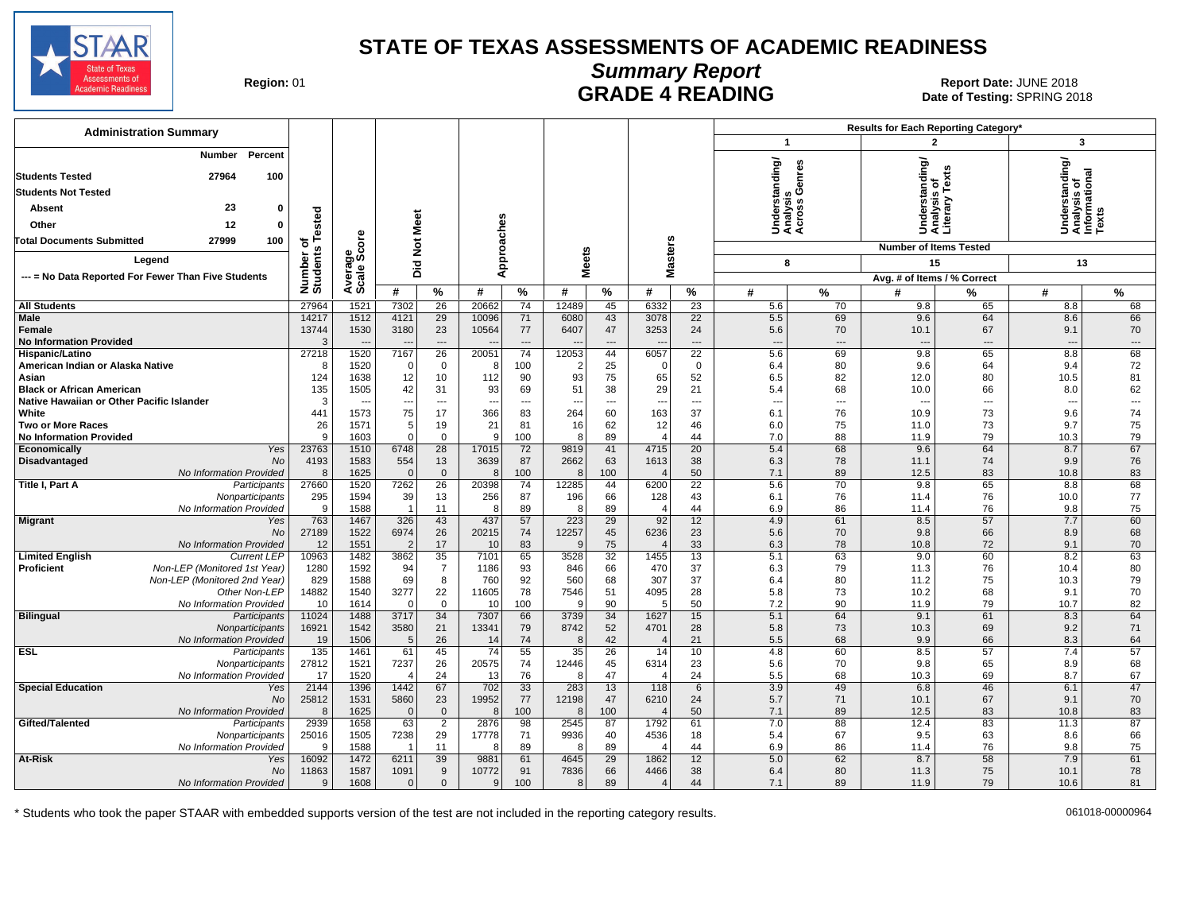

### **Summary Report** Region: 01 **Region: 01 CALL CONSISTS AND READING Report Date: JUNE 2018**<br>Date of Testing: SPRING 20

Date of Testing: SPRING 2018

| <b>Administration Summary</b>                                      |                       |              |                                |                        |                                 |                                |              |                                |                                  |                          |                                          |                                | Results for Each Reporting Category* |                                |                                                |                                |
|--------------------------------------------------------------------|-----------------------|--------------|--------------------------------|------------------------|---------------------------------|--------------------------------|--------------|--------------------------------|----------------------------------|--------------------------|------------------------------------------|--------------------------------|--------------------------------------|--------------------------------|------------------------------------------------|--------------------------------|
|                                                                    |                       |              |                                |                        |                                 |                                |              |                                |                                  |                          | $\mathbf{1}$                             |                                | 2                                    |                                | 3                                              |                                |
| Percent<br><b>Number</b><br>27964<br>100<br><b>Students Tested</b> |                       |              |                                |                        |                                 |                                |              |                                |                                  |                          | nderstanding/<br>nalysis<br>;ross Genres |                                | rstanding/<br>ysis of                | Tex                            | Understanding/<br>Analysis of<br>Informational |                                |
| <b>Students Not Tested</b>                                         |                       |              |                                |                        |                                 |                                |              |                                |                                  |                          |                                          |                                |                                      | ≧                              |                                                |                                |
| 23<br>$\mathbf{0}$<br>Absent                                       |                       |              |                                |                        |                                 |                                |              |                                |                                  |                          |                                          |                                |                                      |                                |                                                |                                |
| 12<br>Other<br>$\Omega$                                            | Tested                |              | Meet                           |                        |                                 |                                |              |                                |                                  |                          | <b>Under</b><br>Analys<br>Acros          |                                | Under<br>Analys<br>Literar           |                                |                                                | č                              |
| <b>Total Documents Submitted</b><br>27999<br>100                   | ৳                     | Φ            |                                |                        |                                 |                                |              |                                |                                  |                          |                                          |                                | <b>Number of Items Tested</b>        |                                |                                                |                                |
| Legend                                                             |                       | ತ್ತ್ತ<br>ಹಿಂ | Did Not                        |                        |                                 | Approaches                     |              | <b>Meets</b>                   |                                  | <b>Masters</b>           | 8                                        |                                | 15                                   |                                | 13                                             |                                |
| --- = No Data Reported For Fewer Than Five Students                |                       |              |                                |                        |                                 |                                |              |                                |                                  |                          |                                          |                                | Avg. # of Items / % Correct          |                                |                                                |                                |
|                                                                    | Number o'<br>Students | Average:     | #                              | %                      | #                               | %                              | #            | $\%$                           | #                                | %                        | #                                        | $\%$                           | #                                    | %                              | #                                              | %                              |
| <b>All Students</b>                                                | 27964                 | 1521         | 7302                           | 26                     | 20662                           | 74                             | 12489        | 45                             | 6332                             | 23                       | 5.6                                      | 70                             | 9.8                                  | 65                             | 8.8                                            | 68                             |
| <b>Male</b>                                                        | 14217                 | 1512         | 4121                           | 29                     | 10096                           | 71                             | 6080         | 43                             | 3078                             | 22                       | 5.5                                      | 69                             | 9.6                                  | 64                             | 8.6                                            | 66                             |
| Female                                                             | 13744                 | 1530         | 3180                           | 23                     | 10564                           | 77                             | 6407         | 47                             | 3253                             | 24                       | 5.6                                      | 70                             | 10.1                                 | 67                             | 9.1                                            | 70                             |
| <b>No Information Provided</b>                                     | 3                     |              |                                | $\qquad \qquad \cdots$ | $\overline{\phantom{a}}$        | $\overline{\phantom{a}}$       |              | $\overline{a}$                 | $\overline{a}$                   | $\overline{\phantom{a}}$ | $---$                                    | $\cdots$                       | $\overline{a}$                       | $---$                          | ---                                            | $\qquad \qquad \cdots$         |
| Hispanic/Latino                                                    | 27218                 | 1520         | 7167                           | $\overline{26}$        | 20051                           | 74                             | 12053        | 44                             | 6057                             | $\overline{22}$          | 5.6                                      | 69                             | 9.8                                  | 65                             | 8.8                                            | 68                             |
| American Indian or Alaska Native                                   | 8                     | 1520         | $\Omega$                       | $\mathbf 0$            |                                 | 100                            |              | 25                             | $\overline{0}$                   | $\mathbf 0$              | 6.4                                      | 80                             | 9.6                                  | 64                             | 9.4                                            | 72                             |
| Asian                                                              | 124                   | 1638         | 12                             | 10                     | 112                             | 90                             | 93           | 75                             | 65                               | 52                       | 6.5                                      | 82                             | 12.0                                 | 80                             | 10.5                                           | 81                             |
| <b>Black or African American</b>                                   | 135                   | 1505         | 42                             | 31                     | 93                              | 69                             | 51           | 38                             | 29                               | 21                       | 5.4                                      | 68                             | 10.0                                 | 66                             | 8.0                                            | 62                             |
| Native Hawaiian or Other Pacific Islander<br>White                 | 3<br>441              | 1573         | $\overline{\phantom{a}}$<br>75 | $\cdots$<br>17         | $\overline{\phantom{a}}$<br>366 | $\overline{\phantom{a}}$<br>83 | --<br>264    | $\overline{\phantom{a}}$<br>60 | $\overline{\phantom{a}}$<br>163  | ---<br>37                | $\overline{\phantom{a}}$<br>6.1          | $\hspace{0.05cm} \ldots$<br>76 | 10.9                                 | $\overline{\phantom{a}}$<br>73 | $\sim$<br>9.6                                  | $\hspace{0.05cm} \ldots$<br>74 |
| <b>Two or More Races</b>                                           | 26                    | 1571         | 5                              | 19                     | 21                              | 81                             | 16           | 62                             | 12                               | 46                       | 6.0                                      | 75                             | 11.0                                 | 73                             | 9.7                                            | 75                             |
| <b>No Information Provided</b>                                     | 9                     | 1603         | $\Omega$                       | $\mathbf 0$            | <b>c</b>                        | 100                            | 8            | 89                             | $\overline{4}$                   | 44                       | 7.0                                      | 88                             | 11.9                                 | 79                             | 10.3                                           | 79                             |
| Yes<br>Economically                                                | 23763                 | 1510         | 6748                           | $\overline{28}$        | 17015                           | 72                             | 9819         | 41                             | 4715                             | $\overline{20}$          | 5.4                                      | 68                             | 9.6                                  | 64                             | 8.7                                            | 67                             |
| No<br>Disadvantaged                                                | 4193                  | 1583         | 554                            | 13                     | 3639                            | 87                             | 2662         | 63                             | 1613                             | 38                       | 6.3                                      | 78                             | 11.1                                 | 74                             | 9.9                                            | 76                             |
| No Information Provided                                            | 8                     | 1625         | $\Omega$                       | $\mathbf{0}$           | 8                               | 100                            | 8            | 100                            |                                  | 50                       | 7.1                                      | 89                             | 12.5                                 | 83                             | 10.8                                           | 83                             |
| Title I, Part A<br>Participants                                    | 27660                 | 1520         | 7262                           | 26                     | 20398                           | 74                             | 12285        | 44                             | 6200                             | 22                       | 5.6                                      | 70                             | 9.8                                  | 65                             | 8.8                                            | 68                             |
| Nonparticipants                                                    | 295                   | 1594         | 39<br>$\overline{1}$           | 13                     | 256                             | 87                             | 196          | 66                             | 128                              | 43                       | 6.1                                      | 76                             | 11.4                                 | 76                             | 10.0                                           | 77                             |
| No Information Provided<br>Yes                                     | 9<br>763              | 1588<br>1467 | 326                            | 11<br>43               | -8<br>437                       | 89<br>57                       | 8<br>223     | 89<br>29                       | $\overline{\phantom{a}}$<br>92   | 44<br>12                 | 6.9<br>4.9                               | 86<br>61                       | 11.4<br>8.5                          | 76<br>57                       | 9.8<br>7.7                                     | 75<br>60                       |
| <b>Migrant</b><br><b>No</b>                                        | 27189                 | 1522         | 6974                           | 26                     | 20215                           | 74                             | 12257        | 45                             | 6236                             | 23                       | 5.6                                      | 70                             | 9.8                                  | 66                             | 8.9                                            | 68                             |
| No Information Provided                                            | 12                    | 1551         | $\overline{2}$                 | 17                     | 10                              | 83                             | $\alpha$     | 75                             | $\sqrt{2}$                       | 33                       | 6.3                                      | 78                             | 10.8                                 | 72                             | 9.1                                            | 70                             |
| <b>Limited English</b><br><b>Current LEP</b>                       | 10963                 | 1482         | 3862                           | 35                     | 7101                            | 65                             | 3528         | 32                             | 1455                             | 13                       | 5.1                                      | 63                             | 9.0                                  | 60                             | 8.2                                            | 63                             |
| Non-LEP (Monitored 1st Year)<br>Proficient                         | 1280                  | 1592         | 94                             | $\overline{7}$         | 1186                            | 93                             | 846          | 66                             | 470                              | 37                       | 6.3                                      | 79                             | 11.3                                 | 76                             | 10.4                                           | 80                             |
| Non-LEP (Monitored 2nd Year)                                       | 829                   | 1588         | 69                             | 8                      | 760                             | 92                             | 560          | 68                             | 307                              | 37                       | 6.4                                      | 80                             | 11.2                                 | 75                             | 10.3                                           | 79                             |
| Other Non-LEP                                                      | 14882                 | 1540         | 3277                           | 22                     | 11605                           | 78                             | 7546         | 51                             | 4095                             | 28                       | 5.8                                      | 73                             | 10.2                                 | 68                             | 9.1                                            | 70                             |
| No Information Provided                                            | 10                    | 1614         | $\Omega$                       | $\Omega$               | 10                              | 100                            |              | 90                             | .5                               | 50                       | 7.2                                      | 90                             | 11.9                                 | 79                             | 10.7                                           | 82                             |
| <b>Bilingual</b><br>Participants                                   | 11024<br>16921        | 1488<br>1542 | 3717                           | 34<br>21               | 7307<br>13341                   | 66<br>79                       | 3739<br>8742 | 34<br>52                       | 1627<br>4701                     | 15<br>28                 | 5.1<br>5.8                               | 64<br>73                       | 9.1<br>10.3                          | 61<br>69                       | 8.3<br>9.2                                     | 64<br>71                       |
| Nonparticipants<br>No Information Provided                         | 19                    | 1506         | 3580<br>5                      | 26                     | 14                              | 74                             | 8            | 42                             | $\sqrt{2}$                       | 21                       | 5.5                                      | 68                             | 9.9                                  | 66                             | 8.3                                            | 64                             |
| ESL<br>Participants                                                | $\overline{135}$      | 1461         | 61                             | 45                     | 74                              | 55                             | 35           | 26                             | 14                               | 10                       | 4.8                                      | 60                             | 8.5                                  | 57                             | 7.4                                            | 57                             |
| Nonparticipants                                                    | 27812                 | 1521         | 7237                           | 26                     | 20575                           | 74                             | 12446        | 45                             | 6314                             | 23                       | 5.6                                      | 70                             | 9.8                                  | 65                             | 8.9                                            | 68                             |
| No Information Provided                                            | 17                    | 1520         | $\overline{4}$                 | 24                     | 13                              | 76                             | 3            | 47                             | $\sqrt{2}$                       | 24                       | 5.5                                      | 68                             | 10.3                                 | 69                             | 8.7                                            | 67                             |
| <b>Special Education</b><br>Yes                                    | 2144                  | 1396         | 1442                           | 67                     | 702                             | 33                             | 283          | 13                             | 118                              | 6                        | 3.9                                      | 49                             | 6.8                                  | 46                             | 6.1                                            | 47                             |
| <b>No</b>                                                          | 25812                 | 1531         | 5860                           | 23                     | 19952                           | 77                             | 12198        | 47                             | 6210                             | 24                       | 5.7                                      | 71                             | 10.1                                 | 67                             | 9.1                                            | 70                             |
| No Information Provided                                            | 8                     | 1625         | $\Omega$                       | $\overline{0}$         | -8                              | 100                            | ε            | 100                            | $\sqrt{2}$                       | 50                       | 7.1                                      | 89                             | 12.5                                 | 83                             | 10.8                                           | 83                             |
| Gifted/Talented<br>Participants                                    | 2939                  | 1658         | 63                             | $\overline{2}$         | 2876                            | 98                             | 2545         | 87                             | 1792                             | 61                       | 7.0                                      | 88                             | 12.4                                 | 83                             | 11.3                                           | 87                             |
| Nonparticipants                                                    | 25016<br>9            | 1505         | 7238<br>-1                     | 29                     | 17778<br>-8                     | 71<br>89                       | 9936<br>8    | 40                             | 4536                             | 18                       | 5.4                                      | 67                             | 9.5                                  | 63                             | 8.6                                            | 66                             |
| No Information Provided<br>At-Risk<br>Yes                          | 16092                 | 1588<br>1472 | 6211                           | 11<br>39               | 9881                            | 61                             | 4645         | 89<br>29                       | $\overline{\phantom{a}}$<br>1862 | 44<br>12                 | 6.9<br>5.0                               | 86<br>62                       | 11.4<br>8.7                          | 76<br>58                       | 9.8<br>7.9                                     | 75<br>61                       |
| No                                                                 | 11863                 | 1587         | 1091                           | 9                      | 10772                           | 91                             | 7836         | 66                             | 4466                             | 38                       | 6.4                                      | 80                             | 11.3                                 | 75                             | 10.1                                           | 78                             |
| No Information Provided                                            | 9                     | 1608         | $\mathbf{0}$                   | $\mathbf{0}$           | $\mathbf{Q}$                    | 100                            | 8            | 89                             | $\overline{4}$                   | 44                       | 7.1                                      | 89                             | 11.9                                 | 79                             | 10.6                                           | 81                             |
|                                                                    |                       |              |                                |                        |                                 |                                |              |                                |                                  |                          |                                          |                                |                                      |                                |                                                |                                |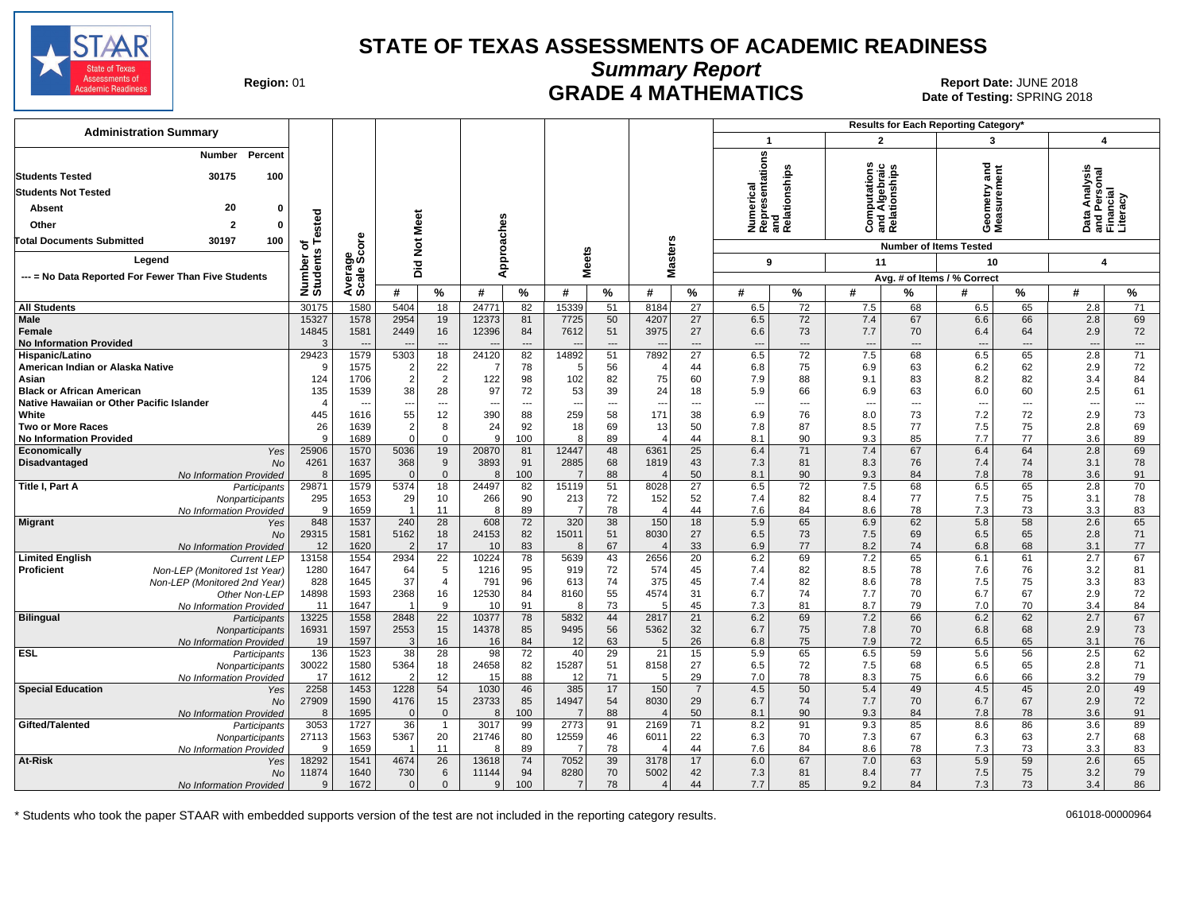

**Summary Report**

Region: 01 **Region: 01 CRADE 4 MATHEMATICS Date: JUNE 2018 Report Date: JUNE 2018** Date of Testing: SPRING 2018

| $\mathbf{2}$<br>$\mathbf{1}$<br>3<br>$\overline{\mathbf{4}}$<br>Numerical<br>Representations<br>and<br>Relationships<br>Percent<br><b>Number</b><br>ठ<br>Analysis<br>Ĕ<br>高<br><b>Ta</b><br>Àlgebraic<br>tionships<br>30175<br><b>Students Tested</b><br>100<br>urem<br>Geometry<br>Measurem<br>Perso<br>ncial<br><b>Students Not Tested</b><br>Literacy<br>20<br>Absent<br>$\Omega$<br>ested<br>Meet<br>and A<br>$\overline{z}$ .<br>Approaches<br>ಕ<br>Other<br>$\overline{\mathbf{c}}$<br>$\Omega$<br>o<br>ᅀᅙᄔ<br><b>ore</b><br><b>Masters</b><br><b>Total Documents Submitted</b><br>30197<br>100<br>$\frac{5}{2}$<br>하<br><b>Number of Items Tested</b><br>leets<br>$\boldsymbol{a}$<br>န္တပ္တိ<br>Number<br>Students<br>Legend<br>11<br>Did<br>9<br>10<br>$\overline{\mathbf{4}}$<br>Averag<br>Scale<br>ż<br>--- = No Data Reported For Fewer Than Five Students<br>Avg. # of Items / % Correct<br>#<br>%<br>#<br>%<br>#<br>%<br>#<br>%<br>#<br>%<br>#<br>%<br>#<br>$\%$<br>%<br>#<br>5404<br>15339<br>$\overline{27}$<br><b>All Students</b><br>30175<br>1580<br>18<br>24771<br>82<br>51<br>8184<br>6.5<br>72<br>7.5<br>68<br>6.5<br>65<br>2.8<br>71<br>$\overline{72}$<br>69<br>15327<br>1578<br>2954<br>19<br>7725<br>50<br>4207<br>27<br>67<br>6.6<br>66<br><b>Male</b><br>12373<br>81<br>6.5<br>7.4<br>2.8<br>14845<br>1581<br>2449<br>16<br>12396<br>84<br>7612<br>51<br>3975<br>27<br>6.6<br>73<br>7.7<br>6.4<br>64<br>2.9<br>72<br>Female<br>70<br><b>No Information Provided</b><br>3<br>$\cdots$<br>$\overline{a}$<br>$\overline{\phantom{a}}$<br>$\overline{a}$<br>$\overline{\phantom{a}}$<br>$\overline{a}$<br>$\overline{\phantom{a}}$<br>$\overline{\phantom{a}}$<br>$\overline{a}$<br>$\overline{\phantom{a}}$<br>$---$<br>$\overline{\phantom{a}}$<br>29423<br>5303<br>18<br>24120<br>82<br>51<br>7892<br>27<br>6.5<br>72<br>7.5<br>6.5<br>65<br>2.8<br>71<br>1579<br>14892<br>68<br>Hispanic/Latino<br>1575<br>22<br>56<br>75<br>6.2<br>62<br>2.9<br>72<br>American Indian or Alaska Native<br>c<br>$\overline{2}$<br>78<br>5<br>$\overline{4}$<br>44<br>6.8<br>6.9<br>63<br>7<br>124<br>$\overline{2}$<br>$\overline{2}$<br>122<br>82<br>75<br>88<br>9.1<br>8.2<br>82<br>3.4<br>84<br>Asian<br>1706<br>98<br>102<br>60<br>7.9<br>83<br>135<br>38<br>28<br>97<br>72<br>53<br>39<br>24<br>5.9<br>66<br>6.9<br>6.0<br>60<br>2.5<br>61<br><b>Black or African American</b><br>1539<br>18<br>63<br>Native Hawaiian or Other Pacific Islander<br>$\cdots$<br>---<br>---<br>$\overline{\phantom{a}}$<br>$\overline{\phantom{a}}$<br>---<br>$\overline{\phantom{a}}$<br>---<br>$\overline{\phantom{a}}$<br>$\qquad \qquad \cdots$<br>$\overline{\phantom{a}}$<br>$\cdots$<br>$\overline{\phantom{a}}$<br>$\overline{\phantom{a}}$<br>---<br>$\overline{\phantom{a}}$<br>$\overline{\phantom{a}}$<br>White<br>445<br>55<br>12<br>390<br>58<br>171<br>76<br>7.2<br>72<br>2.9<br>73<br>1616<br>88<br>259<br>38<br>6.9<br>8.0<br>73<br>26<br>$\overline{2}$<br>8<br>24<br>92<br>69<br>87<br>69<br><b>Two or More Races</b><br>1639<br>18<br>13<br>50<br>7.8<br>8.5<br>77<br>7.5<br>75<br>2.8<br>89<br>7.7<br>77<br>q<br>1689<br>$\Omega$<br>9<br>100<br>44<br>8.1<br>90<br>9.3<br>85<br>3.6<br>89<br><b>No Information Provided</b><br>$\mathbf 0$<br>8<br>$\overline{4}$<br>6.4<br>69<br>25906<br>1570<br>5036<br>19<br>20870<br>81<br>12447<br>48<br>6361<br>25<br>6.4<br>71<br>7.4<br>67<br>64<br>2.8<br>Economically<br>Yes<br>4261<br>1637<br>368<br>9<br>3893<br>91<br>2885<br>68<br>43<br>7.3<br>81<br>8.3<br>7.4<br>74<br>3.1<br>78<br>Disadvantaged<br><b>No</b><br>1819<br>76<br>50<br>78<br>1695<br>$\mathbf 0$<br>100<br>88<br>90<br>9.3<br>7.8<br>3.6<br>91<br>8<br>$\Omega$<br>8<br>8.1<br>84<br>No Information Provided<br>$\overline{4}$<br>29871<br>18<br>51<br>$\overline{27}$<br>72<br>7.5<br>6.5<br>65<br>70<br>1579<br>24497<br>82<br>8028<br>6.5<br>68<br>2.8<br>Title I, Part A<br>5374<br>15119<br>Participants<br>295<br>1653<br>29<br>90<br>52<br>82<br>75<br>3.1<br>78<br>10<br>266<br>213<br>72<br>152<br>7.4<br>8.4<br>77<br>7.5<br>Nonparticipants<br>9<br>1659<br>89<br>78<br>44<br>7.6<br>84<br>8.6<br>78<br>7.3<br>73<br>3.3<br>83<br>11<br>8<br>$\overline{7}$<br>$\overline{4}$<br>$\overline{\mathbf{1}}$<br>No Information Provided<br>65<br>$\overline{28}$<br>38<br>18<br>5.9<br>65<br>6.9<br>62<br>5.8<br>58<br>2.6<br>848<br>1537<br>240<br>608<br>72<br>150<br><b>Migrant</b><br>320<br>Yes<br>29315<br>1581<br>5162<br>18<br>24153<br>82<br>15011<br>51<br>8030<br>27<br>6.5<br>73<br>7.5<br>69<br>6.5<br>65<br>2.8<br>71<br><b>No</b><br>2<br>17<br>83<br>67<br>33<br>77<br>68<br>77<br>12<br>1620<br>10<br>8<br>6.9<br>8.2<br>74<br>6.8<br>3.1<br>No Information Provided<br>$\overline{4}$<br>$\overline{22}$<br>43<br>67<br>13158<br>10224<br>78<br>2656<br>20<br>6.2<br>69<br>7.2<br>65<br>6.1<br>61<br>2.7<br><b>Limited English</b><br>1554<br>2934<br>5639<br><b>Current LEP</b><br>Proficient<br>1280<br>1647<br>64<br>5<br>95<br>72<br>574<br>45<br>82<br>8.5<br>76<br>3.2<br>81<br>Non-LEP (Monitored 1st Year)<br>1216<br>919<br>7.4<br>78<br>7.6<br>37<br>83<br>828<br>1645<br>$\overline{4}$<br>791<br>96<br>613<br>74<br>375<br>45<br>7.4<br>82<br>8.6<br>78<br>7.5<br>75<br>3.3<br>Non-LEP (Monitored 2nd Year)<br>55<br>72<br>14898<br>16<br>12530<br>84<br>4574<br>31<br>6.7<br>74<br>7.7<br>70<br>6.7<br>67<br>2.9<br>1593<br>2368<br>8160<br>Other Non-LEP<br>84<br>73<br>1647<br>9<br>10<br>91<br>5<br>45<br>7.3<br>81<br>8.7<br>79<br>7.0<br>70<br>3.4<br>11<br>No Information Provided<br>8<br>$\overline{22}$<br>67<br><b>Bilingual</b><br>13225<br>1558<br>2848<br>10377<br>78<br>5832<br>44<br>2817<br>21<br>6.2<br>69<br>7.2<br>66<br>6.2<br>62<br>2.7<br>Participants<br>56<br>32<br>75<br>68<br>2.9<br>16931<br>1597<br>2553<br>15<br>14378<br>85<br>5362<br>6.7<br>7.8<br>70<br>6.8<br>73<br>9495<br>Nonparticipants<br>26<br>76<br>19<br>1597<br>16<br>84<br>63<br>6.8<br>75<br>7.9<br>72<br>6.5<br>65<br>3.1<br>No Information Provided<br>3<br>16<br>12<br>5<br><b>ESL</b><br>136<br>1523<br>28<br>98<br>72<br>29<br>21<br>15<br>65<br>6.5<br>56<br>2.5<br>62<br>38<br>40<br>5.9<br>59<br>5.6<br>Participants<br>24658<br>72<br>7.5<br>71<br>30022<br>1580<br>5364<br>18<br>82<br>15287<br>51<br>8158<br>27<br>6.5<br>68<br>6.5<br>65<br>2.8<br>Nonparticipants<br>12<br>88<br>29<br>78<br>8.3<br>66<br>79<br>No Information Provided<br>17<br>1612<br>$\overline{2}$<br>15<br>12<br>71<br>5<br>7.0<br>75<br>6.6<br>3.2<br>49<br><b>Special Education</b><br>2258<br>1453<br>1228<br>54<br>1030<br>46<br>385<br>17<br>150<br>$\overline{7}$<br>4.5<br>50<br>5.4<br>49<br>4.5<br>45<br>2.0<br>Yes<br>27909<br>1590<br>15<br>23733<br>54<br>8030<br>29<br>74<br>7.7<br>6.7<br>67<br>2.9<br>72<br>4176<br>85<br>14947<br>6.7<br>70<br><b>No</b><br>91<br>1695<br>88<br>50<br>90<br>78<br>$\Omega$<br>$\mathbf{0}$<br>100<br>8.1<br>9.3<br>84<br>7.8<br>3.6<br>No Information Provided<br>8<br>8<br>$\Delta$<br>Gifted/Talented<br>3053<br>1727<br>36<br>3017<br>99<br>2773<br>71<br>91<br>9.3<br>85<br>8.6<br>86<br>3.6<br>89<br>$\mathbf{1}$<br>91<br>2169<br>8.2<br>Participants<br>46<br>22<br>7.3<br>67<br>63<br>2.7<br>68<br>27113<br>1563<br>5367<br>20<br>21746<br>80<br>12559<br>6011<br>6.3<br>70<br>6.3<br>Nonparticipants<br>89<br>78<br>44<br>84<br>8.6<br>73<br>3.3<br>83<br>No Information Provided<br><b>q</b><br>1659<br>11<br>8<br>7.6<br>78<br>7.3<br>4<br>26<br>39<br>67<br>59<br>65<br>At-Risk<br>18292<br>1541<br>4674<br>13618<br>74<br>7052<br>3178<br>17<br>6.0<br>7.0<br>63<br>5.9<br>2.6<br>Yes<br>11874<br>1640<br>730<br>6<br>94<br>8280<br>70<br>5002<br>42<br>7.3<br>81<br>77<br>7.5<br>75<br>3.2<br>79<br>11144<br>8.4<br>No<br>78<br>1672<br>100<br>44<br>7.7<br>85<br>73<br>86<br>$\mathbf 0$<br>$\mathbf 0$<br>9<br>9.2<br>84<br>7.3<br>3.4<br>No Information Provided<br>g<br>7<br>$\overline{4}$ | <b>Administration Summary</b> |  |  |  |  |  |  |  | Results for Each Reporting Category* |  |  |
|----------------------------------------------------------------------------------------------------------------------------------------------------------------------------------------------------------------------------------------------------------------------------------------------------------------------------------------------------------------------------------------------------------------------------------------------------------------------------------------------------------------------------------------------------------------------------------------------------------------------------------------------------------------------------------------------------------------------------------------------------------------------------------------------------------------------------------------------------------------------------------------------------------------------------------------------------------------------------------------------------------------------------------------------------------------------------------------------------------------------------------------------------------------------------------------------------------------------------------------------------------------------------------------------------------------------------------------------------------------------------------------------------------------------------------------------------------------------------------------------------------------------------------------------------------------------------------------------------------------------------------------------------------------------------------------------------------------------------------------------------------------------------------------------------------------------------------------------------------------------------------------------------------------------------------------------------------------------------------------------------------------------------------------------------------------------------------------------------------------------------------------------------------------------------------------------------------------------------------------------------------------------------------------------------------------------------------------------------------------------------------------------------------------------------------------------------------------------------------------------------------------------------------------------------------------------------------------------------------------------------------------------------------------------------------------------------------------------------------------------------------------------------------------------------------------------------------------------------------------------------------------------------------------------------------------------------------------------------------------------------------------------------------------------------------------------------------------------------------------------------------------------------------------------------------------------------------------------------------------------------------------------------------------------------------------------------------------------------------------------------------------------------------------------------------------------------------------------------------------------------------------------------------------------------------------------------------------------------------------------------------------------------------------------------------------------------------------------------------------------------------------------------------------------------------------------------------------------------------------------------------------------------------------------------------------------------------------------------------------------------------------------------------------------------------------------------------------------------------------------------------------------------------------------------------------------------------------------------------------------------------------------------------------------------------------------------------------------------------------------------------------------------------------------------------------------------------------------------------------------------------------------------------------------------------------------------------------------------------------------------------------------------------------------------------------------------------------------------------------------------------------------------------------------------------------------------------------------------------------------------------------------------------------------------------------------------------------------------------------------------------------------------------------------------------------------------------------------------------------------------------------------------------------------------------------------------------------------------------------------------------------------------------------------------------------------------------------------------------------------------------------------------------------------------------------------------------------------------------------------------------------------------------------------------------------------------------------------------------------------------------------------------------------------------------------------------------------------------------------------------------------------------------------------------------------------------------------------------------------------------------------------------------------------------------------------------------------------------------------------------------------------------------------------------------------------------------------------------------------------------------------------------------------------------------------------------------------------------------------------------------------------------------------------------------------------------------------------------------------------------------------------------------------------------------------------------------------------------------------------------------------------------------------------------------------------------------------------------------------------------------------------------------------------------------------------------------------------------------------------------------------------------------------------------------------------------------------------------------------------------------------------------------------------------------------------------------------------------------------------------------------------------------------------------------------------------------------------------------------------------------------------------------------------------------------------------------------------------------------------------------------------------------------------------------------------------------------------------------------------------------------------------------------------------------------------------------------------------------------------------------------------------------------------------------------------------------------------------------------------------------------------------------------------------------------------------------------------------------------------------------------------------------------------------------------------------------------------------------------------------------------------------------------------------|-------------------------------|--|--|--|--|--|--|--|--------------------------------------|--|--|
|                                                                                                                                                                                                                                                                                                                                                                                                                                                                                                                                                                                                                                                                                                                                                                                                                                                                                                                                                                                                                                                                                                                                                                                                                                                                                                                                                                                                                                                                                                                                                                                                                                                                                                                                                                                                                                                                                                                                                                                                                                                                                                                                                                                                                                                                                                                                                                                                                                                                                                                                                                                                                                                                                                                                                                                                                                                                                                                                                                                                                                                                                                                                                                                                                                                                                                                                                                                                                                                                                                                                                                                                                                                                                                                                                                                                                                                                                                                                                                                                                                                                                                                                                                                                                                                                                                                                                                                                                                                                                                                                                                                                                                                                                                                                                                                                                                                                                                                                                                                                                                                                                                                                                                                                                                                                                                                                                                                                                                                                                                                                                                                                                                                                                                                                                                                                                                                                                                                                                                                                                                                                                                                                                                                                                                                                                                                                                                                                                                                                                                                                                                                                                                                                                                                                                                                                                                                                                                                                                                                                                                                                                                                                                                                                                                                                                                                                                                                                                                                                                                                                                                                                                                                                                                                                                                                                                                                                                                                            |                               |  |  |  |  |  |  |  |                                      |  |  |
|                                                                                                                                                                                                                                                                                                                                                                                                                                                                                                                                                                                                                                                                                                                                                                                                                                                                                                                                                                                                                                                                                                                                                                                                                                                                                                                                                                                                                                                                                                                                                                                                                                                                                                                                                                                                                                                                                                                                                                                                                                                                                                                                                                                                                                                                                                                                                                                                                                                                                                                                                                                                                                                                                                                                                                                                                                                                                                                                                                                                                                                                                                                                                                                                                                                                                                                                                                                                                                                                                                                                                                                                                                                                                                                                                                                                                                                                                                                                                                                                                                                                                                                                                                                                                                                                                                                                                                                                                                                                                                                                                                                                                                                                                                                                                                                                                                                                                                                                                                                                                                                                                                                                                                                                                                                                                                                                                                                                                                                                                                                                                                                                                                                                                                                                                                                                                                                                                                                                                                                                                                                                                                                                                                                                                                                                                                                                                                                                                                                                                                                                                                                                                                                                                                                                                                                                                                                                                                                                                                                                                                                                                                                                                                                                                                                                                                                                                                                                                                                                                                                                                                                                                                                                                                                                                                                                                                                                                                                            |                               |  |  |  |  |  |  |  |                                      |  |  |
|                                                                                                                                                                                                                                                                                                                                                                                                                                                                                                                                                                                                                                                                                                                                                                                                                                                                                                                                                                                                                                                                                                                                                                                                                                                                                                                                                                                                                                                                                                                                                                                                                                                                                                                                                                                                                                                                                                                                                                                                                                                                                                                                                                                                                                                                                                                                                                                                                                                                                                                                                                                                                                                                                                                                                                                                                                                                                                                                                                                                                                                                                                                                                                                                                                                                                                                                                                                                                                                                                                                                                                                                                                                                                                                                                                                                                                                                                                                                                                                                                                                                                                                                                                                                                                                                                                                                                                                                                                                                                                                                                                                                                                                                                                                                                                                                                                                                                                                                                                                                                                                                                                                                                                                                                                                                                                                                                                                                                                                                                                                                                                                                                                                                                                                                                                                                                                                                                                                                                                                                                                                                                                                                                                                                                                                                                                                                                                                                                                                                                                                                                                                                                                                                                                                                                                                                                                                                                                                                                                                                                                                                                                                                                                                                                                                                                                                                                                                                                                                                                                                                                                                                                                                                                                                                                                                                                                                                                                                            |                               |  |  |  |  |  |  |  |                                      |  |  |
|                                                                                                                                                                                                                                                                                                                                                                                                                                                                                                                                                                                                                                                                                                                                                                                                                                                                                                                                                                                                                                                                                                                                                                                                                                                                                                                                                                                                                                                                                                                                                                                                                                                                                                                                                                                                                                                                                                                                                                                                                                                                                                                                                                                                                                                                                                                                                                                                                                                                                                                                                                                                                                                                                                                                                                                                                                                                                                                                                                                                                                                                                                                                                                                                                                                                                                                                                                                                                                                                                                                                                                                                                                                                                                                                                                                                                                                                                                                                                                                                                                                                                                                                                                                                                                                                                                                                                                                                                                                                                                                                                                                                                                                                                                                                                                                                                                                                                                                                                                                                                                                                                                                                                                                                                                                                                                                                                                                                                                                                                                                                                                                                                                                                                                                                                                                                                                                                                                                                                                                                                                                                                                                                                                                                                                                                                                                                                                                                                                                                                                                                                                                                                                                                                                                                                                                                                                                                                                                                                                                                                                                                                                                                                                                                                                                                                                                                                                                                                                                                                                                                                                                                                                                                                                                                                                                                                                                                                                                            |                               |  |  |  |  |  |  |  |                                      |  |  |
|                                                                                                                                                                                                                                                                                                                                                                                                                                                                                                                                                                                                                                                                                                                                                                                                                                                                                                                                                                                                                                                                                                                                                                                                                                                                                                                                                                                                                                                                                                                                                                                                                                                                                                                                                                                                                                                                                                                                                                                                                                                                                                                                                                                                                                                                                                                                                                                                                                                                                                                                                                                                                                                                                                                                                                                                                                                                                                                                                                                                                                                                                                                                                                                                                                                                                                                                                                                                                                                                                                                                                                                                                                                                                                                                                                                                                                                                                                                                                                                                                                                                                                                                                                                                                                                                                                                                                                                                                                                                                                                                                                                                                                                                                                                                                                                                                                                                                                                                                                                                                                                                                                                                                                                                                                                                                                                                                                                                                                                                                                                                                                                                                                                                                                                                                                                                                                                                                                                                                                                                                                                                                                                                                                                                                                                                                                                                                                                                                                                                                                                                                                                                                                                                                                                                                                                                                                                                                                                                                                                                                                                                                                                                                                                                                                                                                                                                                                                                                                                                                                                                                                                                                                                                                                                                                                                                                                                                                                                            |                               |  |  |  |  |  |  |  |                                      |  |  |
|                                                                                                                                                                                                                                                                                                                                                                                                                                                                                                                                                                                                                                                                                                                                                                                                                                                                                                                                                                                                                                                                                                                                                                                                                                                                                                                                                                                                                                                                                                                                                                                                                                                                                                                                                                                                                                                                                                                                                                                                                                                                                                                                                                                                                                                                                                                                                                                                                                                                                                                                                                                                                                                                                                                                                                                                                                                                                                                                                                                                                                                                                                                                                                                                                                                                                                                                                                                                                                                                                                                                                                                                                                                                                                                                                                                                                                                                                                                                                                                                                                                                                                                                                                                                                                                                                                                                                                                                                                                                                                                                                                                                                                                                                                                                                                                                                                                                                                                                                                                                                                                                                                                                                                                                                                                                                                                                                                                                                                                                                                                                                                                                                                                                                                                                                                                                                                                                                                                                                                                                                                                                                                                                                                                                                                                                                                                                                                                                                                                                                                                                                                                                                                                                                                                                                                                                                                                                                                                                                                                                                                                                                                                                                                                                                                                                                                                                                                                                                                                                                                                                                                                                                                                                                                                                                                                                                                                                                                                            |                               |  |  |  |  |  |  |  |                                      |  |  |
|                                                                                                                                                                                                                                                                                                                                                                                                                                                                                                                                                                                                                                                                                                                                                                                                                                                                                                                                                                                                                                                                                                                                                                                                                                                                                                                                                                                                                                                                                                                                                                                                                                                                                                                                                                                                                                                                                                                                                                                                                                                                                                                                                                                                                                                                                                                                                                                                                                                                                                                                                                                                                                                                                                                                                                                                                                                                                                                                                                                                                                                                                                                                                                                                                                                                                                                                                                                                                                                                                                                                                                                                                                                                                                                                                                                                                                                                                                                                                                                                                                                                                                                                                                                                                                                                                                                                                                                                                                                                                                                                                                                                                                                                                                                                                                                                                                                                                                                                                                                                                                                                                                                                                                                                                                                                                                                                                                                                                                                                                                                                                                                                                                                                                                                                                                                                                                                                                                                                                                                                                                                                                                                                                                                                                                                                                                                                                                                                                                                                                                                                                                                                                                                                                                                                                                                                                                                                                                                                                                                                                                                                                                                                                                                                                                                                                                                                                                                                                                                                                                                                                                                                                                                                                                                                                                                                                                                                                                                            |                               |  |  |  |  |  |  |  |                                      |  |  |
|                                                                                                                                                                                                                                                                                                                                                                                                                                                                                                                                                                                                                                                                                                                                                                                                                                                                                                                                                                                                                                                                                                                                                                                                                                                                                                                                                                                                                                                                                                                                                                                                                                                                                                                                                                                                                                                                                                                                                                                                                                                                                                                                                                                                                                                                                                                                                                                                                                                                                                                                                                                                                                                                                                                                                                                                                                                                                                                                                                                                                                                                                                                                                                                                                                                                                                                                                                                                                                                                                                                                                                                                                                                                                                                                                                                                                                                                                                                                                                                                                                                                                                                                                                                                                                                                                                                                                                                                                                                                                                                                                                                                                                                                                                                                                                                                                                                                                                                                                                                                                                                                                                                                                                                                                                                                                                                                                                                                                                                                                                                                                                                                                                                                                                                                                                                                                                                                                                                                                                                                                                                                                                                                                                                                                                                                                                                                                                                                                                                                                                                                                                                                                                                                                                                                                                                                                                                                                                                                                                                                                                                                                                                                                                                                                                                                                                                                                                                                                                                                                                                                                                                                                                                                                                                                                                                                                                                                                                                            |                               |  |  |  |  |  |  |  |                                      |  |  |
|                                                                                                                                                                                                                                                                                                                                                                                                                                                                                                                                                                                                                                                                                                                                                                                                                                                                                                                                                                                                                                                                                                                                                                                                                                                                                                                                                                                                                                                                                                                                                                                                                                                                                                                                                                                                                                                                                                                                                                                                                                                                                                                                                                                                                                                                                                                                                                                                                                                                                                                                                                                                                                                                                                                                                                                                                                                                                                                                                                                                                                                                                                                                                                                                                                                                                                                                                                                                                                                                                                                                                                                                                                                                                                                                                                                                                                                                                                                                                                                                                                                                                                                                                                                                                                                                                                                                                                                                                                                                                                                                                                                                                                                                                                                                                                                                                                                                                                                                                                                                                                                                                                                                                                                                                                                                                                                                                                                                                                                                                                                                                                                                                                                                                                                                                                                                                                                                                                                                                                                                                                                                                                                                                                                                                                                                                                                                                                                                                                                                                                                                                                                                                                                                                                                                                                                                                                                                                                                                                                                                                                                                                                                                                                                                                                                                                                                                                                                                                                                                                                                                                                                                                                                                                                                                                                                                                                                                                                                            |                               |  |  |  |  |  |  |  |                                      |  |  |
|                                                                                                                                                                                                                                                                                                                                                                                                                                                                                                                                                                                                                                                                                                                                                                                                                                                                                                                                                                                                                                                                                                                                                                                                                                                                                                                                                                                                                                                                                                                                                                                                                                                                                                                                                                                                                                                                                                                                                                                                                                                                                                                                                                                                                                                                                                                                                                                                                                                                                                                                                                                                                                                                                                                                                                                                                                                                                                                                                                                                                                                                                                                                                                                                                                                                                                                                                                                                                                                                                                                                                                                                                                                                                                                                                                                                                                                                                                                                                                                                                                                                                                                                                                                                                                                                                                                                                                                                                                                                                                                                                                                                                                                                                                                                                                                                                                                                                                                                                                                                                                                                                                                                                                                                                                                                                                                                                                                                                                                                                                                                                                                                                                                                                                                                                                                                                                                                                                                                                                                                                                                                                                                                                                                                                                                                                                                                                                                                                                                                                                                                                                                                                                                                                                                                                                                                                                                                                                                                                                                                                                                                                                                                                                                                                                                                                                                                                                                                                                                                                                                                                                                                                                                                                                                                                                                                                                                                                                                            |                               |  |  |  |  |  |  |  |                                      |  |  |
|                                                                                                                                                                                                                                                                                                                                                                                                                                                                                                                                                                                                                                                                                                                                                                                                                                                                                                                                                                                                                                                                                                                                                                                                                                                                                                                                                                                                                                                                                                                                                                                                                                                                                                                                                                                                                                                                                                                                                                                                                                                                                                                                                                                                                                                                                                                                                                                                                                                                                                                                                                                                                                                                                                                                                                                                                                                                                                                                                                                                                                                                                                                                                                                                                                                                                                                                                                                                                                                                                                                                                                                                                                                                                                                                                                                                                                                                                                                                                                                                                                                                                                                                                                                                                                                                                                                                                                                                                                                                                                                                                                                                                                                                                                                                                                                                                                                                                                                                                                                                                                                                                                                                                                                                                                                                                                                                                                                                                                                                                                                                                                                                                                                                                                                                                                                                                                                                                                                                                                                                                                                                                                                                                                                                                                                                                                                                                                                                                                                                                                                                                                                                                                                                                                                                                                                                                                                                                                                                                                                                                                                                                                                                                                                                                                                                                                                                                                                                                                                                                                                                                                                                                                                                                                                                                                                                                                                                                                                            |                               |  |  |  |  |  |  |  |                                      |  |  |
|                                                                                                                                                                                                                                                                                                                                                                                                                                                                                                                                                                                                                                                                                                                                                                                                                                                                                                                                                                                                                                                                                                                                                                                                                                                                                                                                                                                                                                                                                                                                                                                                                                                                                                                                                                                                                                                                                                                                                                                                                                                                                                                                                                                                                                                                                                                                                                                                                                                                                                                                                                                                                                                                                                                                                                                                                                                                                                                                                                                                                                                                                                                                                                                                                                                                                                                                                                                                                                                                                                                                                                                                                                                                                                                                                                                                                                                                                                                                                                                                                                                                                                                                                                                                                                                                                                                                                                                                                                                                                                                                                                                                                                                                                                                                                                                                                                                                                                                                                                                                                                                                                                                                                                                                                                                                                                                                                                                                                                                                                                                                                                                                                                                                                                                                                                                                                                                                                                                                                                                                                                                                                                                                                                                                                                                                                                                                                                                                                                                                                                                                                                                                                                                                                                                                                                                                                                                                                                                                                                                                                                                                                                                                                                                                                                                                                                                                                                                                                                                                                                                                                                                                                                                                                                                                                                                                                                                                                                                            |                               |  |  |  |  |  |  |  |                                      |  |  |
|                                                                                                                                                                                                                                                                                                                                                                                                                                                                                                                                                                                                                                                                                                                                                                                                                                                                                                                                                                                                                                                                                                                                                                                                                                                                                                                                                                                                                                                                                                                                                                                                                                                                                                                                                                                                                                                                                                                                                                                                                                                                                                                                                                                                                                                                                                                                                                                                                                                                                                                                                                                                                                                                                                                                                                                                                                                                                                                                                                                                                                                                                                                                                                                                                                                                                                                                                                                                                                                                                                                                                                                                                                                                                                                                                                                                                                                                                                                                                                                                                                                                                                                                                                                                                                                                                                                                                                                                                                                                                                                                                                                                                                                                                                                                                                                                                                                                                                                                                                                                                                                                                                                                                                                                                                                                                                                                                                                                                                                                                                                                                                                                                                                                                                                                                                                                                                                                                                                                                                                                                                                                                                                                                                                                                                                                                                                                                                                                                                                                                                                                                                                                                                                                                                                                                                                                                                                                                                                                                                                                                                                                                                                                                                                                                                                                                                                                                                                                                                                                                                                                                                                                                                                                                                                                                                                                                                                                                                                            |                               |  |  |  |  |  |  |  |                                      |  |  |
|                                                                                                                                                                                                                                                                                                                                                                                                                                                                                                                                                                                                                                                                                                                                                                                                                                                                                                                                                                                                                                                                                                                                                                                                                                                                                                                                                                                                                                                                                                                                                                                                                                                                                                                                                                                                                                                                                                                                                                                                                                                                                                                                                                                                                                                                                                                                                                                                                                                                                                                                                                                                                                                                                                                                                                                                                                                                                                                                                                                                                                                                                                                                                                                                                                                                                                                                                                                                                                                                                                                                                                                                                                                                                                                                                                                                                                                                                                                                                                                                                                                                                                                                                                                                                                                                                                                                                                                                                                                                                                                                                                                                                                                                                                                                                                                                                                                                                                                                                                                                                                                                                                                                                                                                                                                                                                                                                                                                                                                                                                                                                                                                                                                                                                                                                                                                                                                                                                                                                                                                                                                                                                                                                                                                                                                                                                                                                                                                                                                                                                                                                                                                                                                                                                                                                                                                                                                                                                                                                                                                                                                                                                                                                                                                                                                                                                                                                                                                                                                                                                                                                                                                                                                                                                                                                                                                                                                                                                                            |                               |  |  |  |  |  |  |  |                                      |  |  |
|                                                                                                                                                                                                                                                                                                                                                                                                                                                                                                                                                                                                                                                                                                                                                                                                                                                                                                                                                                                                                                                                                                                                                                                                                                                                                                                                                                                                                                                                                                                                                                                                                                                                                                                                                                                                                                                                                                                                                                                                                                                                                                                                                                                                                                                                                                                                                                                                                                                                                                                                                                                                                                                                                                                                                                                                                                                                                                                                                                                                                                                                                                                                                                                                                                                                                                                                                                                                                                                                                                                                                                                                                                                                                                                                                                                                                                                                                                                                                                                                                                                                                                                                                                                                                                                                                                                                                                                                                                                                                                                                                                                                                                                                                                                                                                                                                                                                                                                                                                                                                                                                                                                                                                                                                                                                                                                                                                                                                                                                                                                                                                                                                                                                                                                                                                                                                                                                                                                                                                                                                                                                                                                                                                                                                                                                                                                                                                                                                                                                                                                                                                                                                                                                                                                                                                                                                                                                                                                                                                                                                                                                                                                                                                                                                                                                                                                                                                                                                                                                                                                                                                                                                                                                                                                                                                                                                                                                                                                            |                               |  |  |  |  |  |  |  |                                      |  |  |
|                                                                                                                                                                                                                                                                                                                                                                                                                                                                                                                                                                                                                                                                                                                                                                                                                                                                                                                                                                                                                                                                                                                                                                                                                                                                                                                                                                                                                                                                                                                                                                                                                                                                                                                                                                                                                                                                                                                                                                                                                                                                                                                                                                                                                                                                                                                                                                                                                                                                                                                                                                                                                                                                                                                                                                                                                                                                                                                                                                                                                                                                                                                                                                                                                                                                                                                                                                                                                                                                                                                                                                                                                                                                                                                                                                                                                                                                                                                                                                                                                                                                                                                                                                                                                                                                                                                                                                                                                                                                                                                                                                                                                                                                                                                                                                                                                                                                                                                                                                                                                                                                                                                                                                                                                                                                                                                                                                                                                                                                                                                                                                                                                                                                                                                                                                                                                                                                                                                                                                                                                                                                                                                                                                                                                                                                                                                                                                                                                                                                                                                                                                                                                                                                                                                                                                                                                                                                                                                                                                                                                                                                                                                                                                                                                                                                                                                                                                                                                                                                                                                                                                                                                                                                                                                                                                                                                                                                                                                            |                               |  |  |  |  |  |  |  |                                      |  |  |
|                                                                                                                                                                                                                                                                                                                                                                                                                                                                                                                                                                                                                                                                                                                                                                                                                                                                                                                                                                                                                                                                                                                                                                                                                                                                                                                                                                                                                                                                                                                                                                                                                                                                                                                                                                                                                                                                                                                                                                                                                                                                                                                                                                                                                                                                                                                                                                                                                                                                                                                                                                                                                                                                                                                                                                                                                                                                                                                                                                                                                                                                                                                                                                                                                                                                                                                                                                                                                                                                                                                                                                                                                                                                                                                                                                                                                                                                                                                                                                                                                                                                                                                                                                                                                                                                                                                                                                                                                                                                                                                                                                                                                                                                                                                                                                                                                                                                                                                                                                                                                                                                                                                                                                                                                                                                                                                                                                                                                                                                                                                                                                                                                                                                                                                                                                                                                                                                                                                                                                                                                                                                                                                                                                                                                                                                                                                                                                                                                                                                                                                                                                                                                                                                                                                                                                                                                                                                                                                                                                                                                                                                                                                                                                                                                                                                                                                                                                                                                                                                                                                                                                                                                                                                                                                                                                                                                                                                                                                            |                               |  |  |  |  |  |  |  |                                      |  |  |
|                                                                                                                                                                                                                                                                                                                                                                                                                                                                                                                                                                                                                                                                                                                                                                                                                                                                                                                                                                                                                                                                                                                                                                                                                                                                                                                                                                                                                                                                                                                                                                                                                                                                                                                                                                                                                                                                                                                                                                                                                                                                                                                                                                                                                                                                                                                                                                                                                                                                                                                                                                                                                                                                                                                                                                                                                                                                                                                                                                                                                                                                                                                                                                                                                                                                                                                                                                                                                                                                                                                                                                                                                                                                                                                                                                                                                                                                                                                                                                                                                                                                                                                                                                                                                                                                                                                                                                                                                                                                                                                                                                                                                                                                                                                                                                                                                                                                                                                                                                                                                                                                                                                                                                                                                                                                                                                                                                                                                                                                                                                                                                                                                                                                                                                                                                                                                                                                                                                                                                                                                                                                                                                                                                                                                                                                                                                                                                                                                                                                                                                                                                                                                                                                                                                                                                                                                                                                                                                                                                                                                                                                                                                                                                                                                                                                                                                                                                                                                                                                                                                                                                                                                                                                                                                                                                                                                                                                                                                            |                               |  |  |  |  |  |  |  |                                      |  |  |
|                                                                                                                                                                                                                                                                                                                                                                                                                                                                                                                                                                                                                                                                                                                                                                                                                                                                                                                                                                                                                                                                                                                                                                                                                                                                                                                                                                                                                                                                                                                                                                                                                                                                                                                                                                                                                                                                                                                                                                                                                                                                                                                                                                                                                                                                                                                                                                                                                                                                                                                                                                                                                                                                                                                                                                                                                                                                                                                                                                                                                                                                                                                                                                                                                                                                                                                                                                                                                                                                                                                                                                                                                                                                                                                                                                                                                                                                                                                                                                                                                                                                                                                                                                                                                                                                                                                                                                                                                                                                                                                                                                                                                                                                                                                                                                                                                                                                                                                                                                                                                                                                                                                                                                                                                                                                                                                                                                                                                                                                                                                                                                                                                                                                                                                                                                                                                                                                                                                                                                                                                                                                                                                                                                                                                                                                                                                                                                                                                                                                                                                                                                                                                                                                                                                                                                                                                                                                                                                                                                                                                                                                                                                                                                                                                                                                                                                                                                                                                                                                                                                                                                                                                                                                                                                                                                                                                                                                                                                            |                               |  |  |  |  |  |  |  |                                      |  |  |
|                                                                                                                                                                                                                                                                                                                                                                                                                                                                                                                                                                                                                                                                                                                                                                                                                                                                                                                                                                                                                                                                                                                                                                                                                                                                                                                                                                                                                                                                                                                                                                                                                                                                                                                                                                                                                                                                                                                                                                                                                                                                                                                                                                                                                                                                                                                                                                                                                                                                                                                                                                                                                                                                                                                                                                                                                                                                                                                                                                                                                                                                                                                                                                                                                                                                                                                                                                                                                                                                                                                                                                                                                                                                                                                                                                                                                                                                                                                                                                                                                                                                                                                                                                                                                                                                                                                                                                                                                                                                                                                                                                                                                                                                                                                                                                                                                                                                                                                                                                                                                                                                                                                                                                                                                                                                                                                                                                                                                                                                                                                                                                                                                                                                                                                                                                                                                                                                                                                                                                                                                                                                                                                                                                                                                                                                                                                                                                                                                                                                                                                                                                                                                                                                                                                                                                                                                                                                                                                                                                                                                                                                                                                                                                                                                                                                                                                                                                                                                                                                                                                                                                                                                                                                                                                                                                                                                                                                                                                            |                               |  |  |  |  |  |  |  |                                      |  |  |
|                                                                                                                                                                                                                                                                                                                                                                                                                                                                                                                                                                                                                                                                                                                                                                                                                                                                                                                                                                                                                                                                                                                                                                                                                                                                                                                                                                                                                                                                                                                                                                                                                                                                                                                                                                                                                                                                                                                                                                                                                                                                                                                                                                                                                                                                                                                                                                                                                                                                                                                                                                                                                                                                                                                                                                                                                                                                                                                                                                                                                                                                                                                                                                                                                                                                                                                                                                                                                                                                                                                                                                                                                                                                                                                                                                                                                                                                                                                                                                                                                                                                                                                                                                                                                                                                                                                                                                                                                                                                                                                                                                                                                                                                                                                                                                                                                                                                                                                                                                                                                                                                                                                                                                                                                                                                                                                                                                                                                                                                                                                                                                                                                                                                                                                                                                                                                                                                                                                                                                                                                                                                                                                                                                                                                                                                                                                                                                                                                                                                                                                                                                                                                                                                                                                                                                                                                                                                                                                                                                                                                                                                                                                                                                                                                                                                                                                                                                                                                                                                                                                                                                                                                                                                                                                                                                                                                                                                                                                            |                               |  |  |  |  |  |  |  |                                      |  |  |
|                                                                                                                                                                                                                                                                                                                                                                                                                                                                                                                                                                                                                                                                                                                                                                                                                                                                                                                                                                                                                                                                                                                                                                                                                                                                                                                                                                                                                                                                                                                                                                                                                                                                                                                                                                                                                                                                                                                                                                                                                                                                                                                                                                                                                                                                                                                                                                                                                                                                                                                                                                                                                                                                                                                                                                                                                                                                                                                                                                                                                                                                                                                                                                                                                                                                                                                                                                                                                                                                                                                                                                                                                                                                                                                                                                                                                                                                                                                                                                                                                                                                                                                                                                                                                                                                                                                                                                                                                                                                                                                                                                                                                                                                                                                                                                                                                                                                                                                                                                                                                                                                                                                                                                                                                                                                                                                                                                                                                                                                                                                                                                                                                                                                                                                                                                                                                                                                                                                                                                                                                                                                                                                                                                                                                                                                                                                                                                                                                                                                                                                                                                                                                                                                                                                                                                                                                                                                                                                                                                                                                                                                                                                                                                                                                                                                                                                                                                                                                                                                                                                                                                                                                                                                                                                                                                                                                                                                                                                            |                               |  |  |  |  |  |  |  |                                      |  |  |
|                                                                                                                                                                                                                                                                                                                                                                                                                                                                                                                                                                                                                                                                                                                                                                                                                                                                                                                                                                                                                                                                                                                                                                                                                                                                                                                                                                                                                                                                                                                                                                                                                                                                                                                                                                                                                                                                                                                                                                                                                                                                                                                                                                                                                                                                                                                                                                                                                                                                                                                                                                                                                                                                                                                                                                                                                                                                                                                                                                                                                                                                                                                                                                                                                                                                                                                                                                                                                                                                                                                                                                                                                                                                                                                                                                                                                                                                                                                                                                                                                                                                                                                                                                                                                                                                                                                                                                                                                                                                                                                                                                                                                                                                                                                                                                                                                                                                                                                                                                                                                                                                                                                                                                                                                                                                                                                                                                                                                                                                                                                                                                                                                                                                                                                                                                                                                                                                                                                                                                                                                                                                                                                                                                                                                                                                                                                                                                                                                                                                                                                                                                                                                                                                                                                                                                                                                                                                                                                                                                                                                                                                                                                                                                                                                                                                                                                                                                                                                                                                                                                                                                                                                                                                                                                                                                                                                                                                                                                            |                               |  |  |  |  |  |  |  |                                      |  |  |
|                                                                                                                                                                                                                                                                                                                                                                                                                                                                                                                                                                                                                                                                                                                                                                                                                                                                                                                                                                                                                                                                                                                                                                                                                                                                                                                                                                                                                                                                                                                                                                                                                                                                                                                                                                                                                                                                                                                                                                                                                                                                                                                                                                                                                                                                                                                                                                                                                                                                                                                                                                                                                                                                                                                                                                                                                                                                                                                                                                                                                                                                                                                                                                                                                                                                                                                                                                                                                                                                                                                                                                                                                                                                                                                                                                                                                                                                                                                                                                                                                                                                                                                                                                                                                                                                                                                                                                                                                                                                                                                                                                                                                                                                                                                                                                                                                                                                                                                                                                                                                                                                                                                                                                                                                                                                                                                                                                                                                                                                                                                                                                                                                                                                                                                                                                                                                                                                                                                                                                                                                                                                                                                                                                                                                                                                                                                                                                                                                                                                                                                                                                                                                                                                                                                                                                                                                                                                                                                                                                                                                                                                                                                                                                                                                                                                                                                                                                                                                                                                                                                                                                                                                                                                                                                                                                                                                                                                                                                            |                               |  |  |  |  |  |  |  |                                      |  |  |
|                                                                                                                                                                                                                                                                                                                                                                                                                                                                                                                                                                                                                                                                                                                                                                                                                                                                                                                                                                                                                                                                                                                                                                                                                                                                                                                                                                                                                                                                                                                                                                                                                                                                                                                                                                                                                                                                                                                                                                                                                                                                                                                                                                                                                                                                                                                                                                                                                                                                                                                                                                                                                                                                                                                                                                                                                                                                                                                                                                                                                                                                                                                                                                                                                                                                                                                                                                                                                                                                                                                                                                                                                                                                                                                                                                                                                                                                                                                                                                                                                                                                                                                                                                                                                                                                                                                                                                                                                                                                                                                                                                                                                                                                                                                                                                                                                                                                                                                                                                                                                                                                                                                                                                                                                                                                                                                                                                                                                                                                                                                                                                                                                                                                                                                                                                                                                                                                                                                                                                                                                                                                                                                                                                                                                                                                                                                                                                                                                                                                                                                                                                                                                                                                                                                                                                                                                                                                                                                                                                                                                                                                                                                                                                                                                                                                                                                                                                                                                                                                                                                                                                                                                                                                                                                                                                                                                                                                                                                            |                               |  |  |  |  |  |  |  |                                      |  |  |
|                                                                                                                                                                                                                                                                                                                                                                                                                                                                                                                                                                                                                                                                                                                                                                                                                                                                                                                                                                                                                                                                                                                                                                                                                                                                                                                                                                                                                                                                                                                                                                                                                                                                                                                                                                                                                                                                                                                                                                                                                                                                                                                                                                                                                                                                                                                                                                                                                                                                                                                                                                                                                                                                                                                                                                                                                                                                                                                                                                                                                                                                                                                                                                                                                                                                                                                                                                                                                                                                                                                                                                                                                                                                                                                                                                                                                                                                                                                                                                                                                                                                                                                                                                                                                                                                                                                                                                                                                                                                                                                                                                                                                                                                                                                                                                                                                                                                                                                                                                                                                                                                                                                                                                                                                                                                                                                                                                                                                                                                                                                                                                                                                                                                                                                                                                                                                                                                                                                                                                                                                                                                                                                                                                                                                                                                                                                                                                                                                                                                                                                                                                                                                                                                                                                                                                                                                                                                                                                                                                                                                                                                                                                                                                                                                                                                                                                                                                                                                                                                                                                                                                                                                                                                                                                                                                                                                                                                                                                            |                               |  |  |  |  |  |  |  |                                      |  |  |
|                                                                                                                                                                                                                                                                                                                                                                                                                                                                                                                                                                                                                                                                                                                                                                                                                                                                                                                                                                                                                                                                                                                                                                                                                                                                                                                                                                                                                                                                                                                                                                                                                                                                                                                                                                                                                                                                                                                                                                                                                                                                                                                                                                                                                                                                                                                                                                                                                                                                                                                                                                                                                                                                                                                                                                                                                                                                                                                                                                                                                                                                                                                                                                                                                                                                                                                                                                                                                                                                                                                                                                                                                                                                                                                                                                                                                                                                                                                                                                                                                                                                                                                                                                                                                                                                                                                                                                                                                                                                                                                                                                                                                                                                                                                                                                                                                                                                                                                                                                                                                                                                                                                                                                                                                                                                                                                                                                                                                                                                                                                                                                                                                                                                                                                                                                                                                                                                                                                                                                                                                                                                                                                                                                                                                                                                                                                                                                                                                                                                                                                                                                                                                                                                                                                                                                                                                                                                                                                                                                                                                                                                                                                                                                                                                                                                                                                                                                                                                                                                                                                                                                                                                                                                                                                                                                                                                                                                                                                            |                               |  |  |  |  |  |  |  |                                      |  |  |
|                                                                                                                                                                                                                                                                                                                                                                                                                                                                                                                                                                                                                                                                                                                                                                                                                                                                                                                                                                                                                                                                                                                                                                                                                                                                                                                                                                                                                                                                                                                                                                                                                                                                                                                                                                                                                                                                                                                                                                                                                                                                                                                                                                                                                                                                                                                                                                                                                                                                                                                                                                                                                                                                                                                                                                                                                                                                                                                                                                                                                                                                                                                                                                                                                                                                                                                                                                                                                                                                                                                                                                                                                                                                                                                                                                                                                                                                                                                                                                                                                                                                                                                                                                                                                                                                                                                                                                                                                                                                                                                                                                                                                                                                                                                                                                                                                                                                                                                                                                                                                                                                                                                                                                                                                                                                                                                                                                                                                                                                                                                                                                                                                                                                                                                                                                                                                                                                                                                                                                                                                                                                                                                                                                                                                                                                                                                                                                                                                                                                                                                                                                                                                                                                                                                                                                                                                                                                                                                                                                                                                                                                                                                                                                                                                                                                                                                                                                                                                                                                                                                                                                                                                                                                                                                                                                                                                                                                                                                            |                               |  |  |  |  |  |  |  |                                      |  |  |
|                                                                                                                                                                                                                                                                                                                                                                                                                                                                                                                                                                                                                                                                                                                                                                                                                                                                                                                                                                                                                                                                                                                                                                                                                                                                                                                                                                                                                                                                                                                                                                                                                                                                                                                                                                                                                                                                                                                                                                                                                                                                                                                                                                                                                                                                                                                                                                                                                                                                                                                                                                                                                                                                                                                                                                                                                                                                                                                                                                                                                                                                                                                                                                                                                                                                                                                                                                                                                                                                                                                                                                                                                                                                                                                                                                                                                                                                                                                                                                                                                                                                                                                                                                                                                                                                                                                                                                                                                                                                                                                                                                                                                                                                                                                                                                                                                                                                                                                                                                                                                                                                                                                                                                                                                                                                                                                                                                                                                                                                                                                                                                                                                                                                                                                                                                                                                                                                                                                                                                                                                                                                                                                                                                                                                                                                                                                                                                                                                                                                                                                                                                                                                                                                                                                                                                                                                                                                                                                                                                                                                                                                                                                                                                                                                                                                                                                                                                                                                                                                                                                                                                                                                                                                                                                                                                                                                                                                                                                            |                               |  |  |  |  |  |  |  |                                      |  |  |
|                                                                                                                                                                                                                                                                                                                                                                                                                                                                                                                                                                                                                                                                                                                                                                                                                                                                                                                                                                                                                                                                                                                                                                                                                                                                                                                                                                                                                                                                                                                                                                                                                                                                                                                                                                                                                                                                                                                                                                                                                                                                                                                                                                                                                                                                                                                                                                                                                                                                                                                                                                                                                                                                                                                                                                                                                                                                                                                                                                                                                                                                                                                                                                                                                                                                                                                                                                                                                                                                                                                                                                                                                                                                                                                                                                                                                                                                                                                                                                                                                                                                                                                                                                                                                                                                                                                                                                                                                                                                                                                                                                                                                                                                                                                                                                                                                                                                                                                                                                                                                                                                                                                                                                                                                                                                                                                                                                                                                                                                                                                                                                                                                                                                                                                                                                                                                                                                                                                                                                                                                                                                                                                                                                                                                                                                                                                                                                                                                                                                                                                                                                                                                                                                                                                                                                                                                                                                                                                                                                                                                                                                                                                                                                                                                                                                                                                                                                                                                                                                                                                                                                                                                                                                                                                                                                                                                                                                                                                            |                               |  |  |  |  |  |  |  |                                      |  |  |
|                                                                                                                                                                                                                                                                                                                                                                                                                                                                                                                                                                                                                                                                                                                                                                                                                                                                                                                                                                                                                                                                                                                                                                                                                                                                                                                                                                                                                                                                                                                                                                                                                                                                                                                                                                                                                                                                                                                                                                                                                                                                                                                                                                                                                                                                                                                                                                                                                                                                                                                                                                                                                                                                                                                                                                                                                                                                                                                                                                                                                                                                                                                                                                                                                                                                                                                                                                                                                                                                                                                                                                                                                                                                                                                                                                                                                                                                                                                                                                                                                                                                                                                                                                                                                                                                                                                                                                                                                                                                                                                                                                                                                                                                                                                                                                                                                                                                                                                                                                                                                                                                                                                                                                                                                                                                                                                                                                                                                                                                                                                                                                                                                                                                                                                                                                                                                                                                                                                                                                                                                                                                                                                                                                                                                                                                                                                                                                                                                                                                                                                                                                                                                                                                                                                                                                                                                                                                                                                                                                                                                                                                                                                                                                                                                                                                                                                                                                                                                                                                                                                                                                                                                                                                                                                                                                                                                                                                                                                            |                               |  |  |  |  |  |  |  |                                      |  |  |
|                                                                                                                                                                                                                                                                                                                                                                                                                                                                                                                                                                                                                                                                                                                                                                                                                                                                                                                                                                                                                                                                                                                                                                                                                                                                                                                                                                                                                                                                                                                                                                                                                                                                                                                                                                                                                                                                                                                                                                                                                                                                                                                                                                                                                                                                                                                                                                                                                                                                                                                                                                                                                                                                                                                                                                                                                                                                                                                                                                                                                                                                                                                                                                                                                                                                                                                                                                                                                                                                                                                                                                                                                                                                                                                                                                                                                                                                                                                                                                                                                                                                                                                                                                                                                                                                                                                                                                                                                                                                                                                                                                                                                                                                                                                                                                                                                                                                                                                                                                                                                                                                                                                                                                                                                                                                                                                                                                                                                                                                                                                                                                                                                                                                                                                                                                                                                                                                                                                                                                                                                                                                                                                                                                                                                                                                                                                                                                                                                                                                                                                                                                                                                                                                                                                                                                                                                                                                                                                                                                                                                                                                                                                                                                                                                                                                                                                                                                                                                                                                                                                                                                                                                                                                                                                                                                                                                                                                                                                            |                               |  |  |  |  |  |  |  |                                      |  |  |
|                                                                                                                                                                                                                                                                                                                                                                                                                                                                                                                                                                                                                                                                                                                                                                                                                                                                                                                                                                                                                                                                                                                                                                                                                                                                                                                                                                                                                                                                                                                                                                                                                                                                                                                                                                                                                                                                                                                                                                                                                                                                                                                                                                                                                                                                                                                                                                                                                                                                                                                                                                                                                                                                                                                                                                                                                                                                                                                                                                                                                                                                                                                                                                                                                                                                                                                                                                                                                                                                                                                                                                                                                                                                                                                                                                                                                                                                                                                                                                                                                                                                                                                                                                                                                                                                                                                                                                                                                                                                                                                                                                                                                                                                                                                                                                                                                                                                                                                                                                                                                                                                                                                                                                                                                                                                                                                                                                                                                                                                                                                                                                                                                                                                                                                                                                                                                                                                                                                                                                                                                                                                                                                                                                                                                                                                                                                                                                                                                                                                                                                                                                                                                                                                                                                                                                                                                                                                                                                                                                                                                                                                                                                                                                                                                                                                                                                                                                                                                                                                                                                                                                                                                                                                                                                                                                                                                                                                                                                            |                               |  |  |  |  |  |  |  |                                      |  |  |
|                                                                                                                                                                                                                                                                                                                                                                                                                                                                                                                                                                                                                                                                                                                                                                                                                                                                                                                                                                                                                                                                                                                                                                                                                                                                                                                                                                                                                                                                                                                                                                                                                                                                                                                                                                                                                                                                                                                                                                                                                                                                                                                                                                                                                                                                                                                                                                                                                                                                                                                                                                                                                                                                                                                                                                                                                                                                                                                                                                                                                                                                                                                                                                                                                                                                                                                                                                                                                                                                                                                                                                                                                                                                                                                                                                                                                                                                                                                                                                                                                                                                                                                                                                                                                                                                                                                                                                                                                                                                                                                                                                                                                                                                                                                                                                                                                                                                                                                                                                                                                                                                                                                                                                                                                                                                                                                                                                                                                                                                                                                                                                                                                                                                                                                                                                                                                                                                                                                                                                                                                                                                                                                                                                                                                                                                                                                                                                                                                                                                                                                                                                                                                                                                                                                                                                                                                                                                                                                                                                                                                                                                                                                                                                                                                                                                                                                                                                                                                                                                                                                                                                                                                                                                                                                                                                                                                                                                                                                            |                               |  |  |  |  |  |  |  |                                      |  |  |
|                                                                                                                                                                                                                                                                                                                                                                                                                                                                                                                                                                                                                                                                                                                                                                                                                                                                                                                                                                                                                                                                                                                                                                                                                                                                                                                                                                                                                                                                                                                                                                                                                                                                                                                                                                                                                                                                                                                                                                                                                                                                                                                                                                                                                                                                                                                                                                                                                                                                                                                                                                                                                                                                                                                                                                                                                                                                                                                                                                                                                                                                                                                                                                                                                                                                                                                                                                                                                                                                                                                                                                                                                                                                                                                                                                                                                                                                                                                                                                                                                                                                                                                                                                                                                                                                                                                                                                                                                                                                                                                                                                                                                                                                                                                                                                                                                                                                                                                                                                                                                                                                                                                                                                                                                                                                                                                                                                                                                                                                                                                                                                                                                                                                                                                                                                                                                                                                                                                                                                                                                                                                                                                                                                                                                                                                                                                                                                                                                                                                                                                                                                                                                                                                                                                                                                                                                                                                                                                                                                                                                                                                                                                                                                                                                                                                                                                                                                                                                                                                                                                                                                                                                                                                                                                                                                                                                                                                                                                            |                               |  |  |  |  |  |  |  |                                      |  |  |
|                                                                                                                                                                                                                                                                                                                                                                                                                                                                                                                                                                                                                                                                                                                                                                                                                                                                                                                                                                                                                                                                                                                                                                                                                                                                                                                                                                                                                                                                                                                                                                                                                                                                                                                                                                                                                                                                                                                                                                                                                                                                                                                                                                                                                                                                                                                                                                                                                                                                                                                                                                                                                                                                                                                                                                                                                                                                                                                                                                                                                                                                                                                                                                                                                                                                                                                                                                                                                                                                                                                                                                                                                                                                                                                                                                                                                                                                                                                                                                                                                                                                                                                                                                                                                                                                                                                                                                                                                                                                                                                                                                                                                                                                                                                                                                                                                                                                                                                                                                                                                                                                                                                                                                                                                                                                                                                                                                                                                                                                                                                                                                                                                                                                                                                                                                                                                                                                                                                                                                                                                                                                                                                                                                                                                                                                                                                                                                                                                                                                                                                                                                                                                                                                                                                                                                                                                                                                                                                                                                                                                                                                                                                                                                                                                                                                                                                                                                                                                                                                                                                                                                                                                                                                                                                                                                                                                                                                                                                            |                               |  |  |  |  |  |  |  |                                      |  |  |
|                                                                                                                                                                                                                                                                                                                                                                                                                                                                                                                                                                                                                                                                                                                                                                                                                                                                                                                                                                                                                                                                                                                                                                                                                                                                                                                                                                                                                                                                                                                                                                                                                                                                                                                                                                                                                                                                                                                                                                                                                                                                                                                                                                                                                                                                                                                                                                                                                                                                                                                                                                                                                                                                                                                                                                                                                                                                                                                                                                                                                                                                                                                                                                                                                                                                                                                                                                                                                                                                                                                                                                                                                                                                                                                                                                                                                                                                                                                                                                                                                                                                                                                                                                                                                                                                                                                                                                                                                                                                                                                                                                                                                                                                                                                                                                                                                                                                                                                                                                                                                                                                                                                                                                                                                                                                                                                                                                                                                                                                                                                                                                                                                                                                                                                                                                                                                                                                                                                                                                                                                                                                                                                                                                                                                                                                                                                                                                                                                                                                                                                                                                                                                                                                                                                                                                                                                                                                                                                                                                                                                                                                                                                                                                                                                                                                                                                                                                                                                                                                                                                                                                                                                                                                                                                                                                                                                                                                                                                            |                               |  |  |  |  |  |  |  |                                      |  |  |
|                                                                                                                                                                                                                                                                                                                                                                                                                                                                                                                                                                                                                                                                                                                                                                                                                                                                                                                                                                                                                                                                                                                                                                                                                                                                                                                                                                                                                                                                                                                                                                                                                                                                                                                                                                                                                                                                                                                                                                                                                                                                                                                                                                                                                                                                                                                                                                                                                                                                                                                                                                                                                                                                                                                                                                                                                                                                                                                                                                                                                                                                                                                                                                                                                                                                                                                                                                                                                                                                                                                                                                                                                                                                                                                                                                                                                                                                                                                                                                                                                                                                                                                                                                                                                                                                                                                                                                                                                                                                                                                                                                                                                                                                                                                                                                                                                                                                                                                                                                                                                                                                                                                                                                                                                                                                                                                                                                                                                                                                                                                                                                                                                                                                                                                                                                                                                                                                                                                                                                                                                                                                                                                                                                                                                                                                                                                                                                                                                                                                                                                                                                                                                                                                                                                                                                                                                                                                                                                                                                                                                                                                                                                                                                                                                                                                                                                                                                                                                                                                                                                                                                                                                                                                                                                                                                                                                                                                                                                            |                               |  |  |  |  |  |  |  |                                      |  |  |
|                                                                                                                                                                                                                                                                                                                                                                                                                                                                                                                                                                                                                                                                                                                                                                                                                                                                                                                                                                                                                                                                                                                                                                                                                                                                                                                                                                                                                                                                                                                                                                                                                                                                                                                                                                                                                                                                                                                                                                                                                                                                                                                                                                                                                                                                                                                                                                                                                                                                                                                                                                                                                                                                                                                                                                                                                                                                                                                                                                                                                                                                                                                                                                                                                                                                                                                                                                                                                                                                                                                                                                                                                                                                                                                                                                                                                                                                                                                                                                                                                                                                                                                                                                                                                                                                                                                                                                                                                                                                                                                                                                                                                                                                                                                                                                                                                                                                                                                                                                                                                                                                                                                                                                                                                                                                                                                                                                                                                                                                                                                                                                                                                                                                                                                                                                                                                                                                                                                                                                                                                                                                                                                                                                                                                                                                                                                                                                                                                                                                                                                                                                                                                                                                                                                                                                                                                                                                                                                                                                                                                                                                                                                                                                                                                                                                                                                                                                                                                                                                                                                                                                                                                                                                                                                                                                                                                                                                                                                            |                               |  |  |  |  |  |  |  |                                      |  |  |
|                                                                                                                                                                                                                                                                                                                                                                                                                                                                                                                                                                                                                                                                                                                                                                                                                                                                                                                                                                                                                                                                                                                                                                                                                                                                                                                                                                                                                                                                                                                                                                                                                                                                                                                                                                                                                                                                                                                                                                                                                                                                                                                                                                                                                                                                                                                                                                                                                                                                                                                                                                                                                                                                                                                                                                                                                                                                                                                                                                                                                                                                                                                                                                                                                                                                                                                                                                                                                                                                                                                                                                                                                                                                                                                                                                                                                                                                                                                                                                                                                                                                                                                                                                                                                                                                                                                                                                                                                                                                                                                                                                                                                                                                                                                                                                                                                                                                                                                                                                                                                                                                                                                                                                                                                                                                                                                                                                                                                                                                                                                                                                                                                                                                                                                                                                                                                                                                                                                                                                                                                                                                                                                                                                                                                                                                                                                                                                                                                                                                                                                                                                                                                                                                                                                                                                                                                                                                                                                                                                                                                                                                                                                                                                                                                                                                                                                                                                                                                                                                                                                                                                                                                                                                                                                                                                                                                                                                                                                            |                               |  |  |  |  |  |  |  |                                      |  |  |
|                                                                                                                                                                                                                                                                                                                                                                                                                                                                                                                                                                                                                                                                                                                                                                                                                                                                                                                                                                                                                                                                                                                                                                                                                                                                                                                                                                                                                                                                                                                                                                                                                                                                                                                                                                                                                                                                                                                                                                                                                                                                                                                                                                                                                                                                                                                                                                                                                                                                                                                                                                                                                                                                                                                                                                                                                                                                                                                                                                                                                                                                                                                                                                                                                                                                                                                                                                                                                                                                                                                                                                                                                                                                                                                                                                                                                                                                                                                                                                                                                                                                                                                                                                                                                                                                                                                                                                                                                                                                                                                                                                                                                                                                                                                                                                                                                                                                                                                                                                                                                                                                                                                                                                                                                                                                                                                                                                                                                                                                                                                                                                                                                                                                                                                                                                                                                                                                                                                                                                                                                                                                                                                                                                                                                                                                                                                                                                                                                                                                                                                                                                                                                                                                                                                                                                                                                                                                                                                                                                                                                                                                                                                                                                                                                                                                                                                                                                                                                                                                                                                                                                                                                                                                                                                                                                                                                                                                                                                            |                               |  |  |  |  |  |  |  |                                      |  |  |
|                                                                                                                                                                                                                                                                                                                                                                                                                                                                                                                                                                                                                                                                                                                                                                                                                                                                                                                                                                                                                                                                                                                                                                                                                                                                                                                                                                                                                                                                                                                                                                                                                                                                                                                                                                                                                                                                                                                                                                                                                                                                                                                                                                                                                                                                                                                                                                                                                                                                                                                                                                                                                                                                                                                                                                                                                                                                                                                                                                                                                                                                                                                                                                                                                                                                                                                                                                                                                                                                                                                                                                                                                                                                                                                                                                                                                                                                                                                                                                                                                                                                                                                                                                                                                                                                                                                                                                                                                                                                                                                                                                                                                                                                                                                                                                                                                                                                                                                                                                                                                                                                                                                                                                                                                                                                                                                                                                                                                                                                                                                                                                                                                                                                                                                                                                                                                                                                                                                                                                                                                                                                                                                                                                                                                                                                                                                                                                                                                                                                                                                                                                                                                                                                                                                                                                                                                                                                                                                                                                                                                                                                                                                                                                                                                                                                                                                                                                                                                                                                                                                                                                                                                                                                                                                                                                                                                                                                                                                            |                               |  |  |  |  |  |  |  |                                      |  |  |
|                                                                                                                                                                                                                                                                                                                                                                                                                                                                                                                                                                                                                                                                                                                                                                                                                                                                                                                                                                                                                                                                                                                                                                                                                                                                                                                                                                                                                                                                                                                                                                                                                                                                                                                                                                                                                                                                                                                                                                                                                                                                                                                                                                                                                                                                                                                                                                                                                                                                                                                                                                                                                                                                                                                                                                                                                                                                                                                                                                                                                                                                                                                                                                                                                                                                                                                                                                                                                                                                                                                                                                                                                                                                                                                                                                                                                                                                                                                                                                                                                                                                                                                                                                                                                                                                                                                                                                                                                                                                                                                                                                                                                                                                                                                                                                                                                                                                                                                                                                                                                                                                                                                                                                                                                                                                                                                                                                                                                                                                                                                                                                                                                                                                                                                                                                                                                                                                                                                                                                                                                                                                                                                                                                                                                                                                                                                                                                                                                                                                                                                                                                                                                                                                                                                                                                                                                                                                                                                                                                                                                                                                                                                                                                                                                                                                                                                                                                                                                                                                                                                                                                                                                                                                                                                                                                                                                                                                                                                            |                               |  |  |  |  |  |  |  |                                      |  |  |
|                                                                                                                                                                                                                                                                                                                                                                                                                                                                                                                                                                                                                                                                                                                                                                                                                                                                                                                                                                                                                                                                                                                                                                                                                                                                                                                                                                                                                                                                                                                                                                                                                                                                                                                                                                                                                                                                                                                                                                                                                                                                                                                                                                                                                                                                                                                                                                                                                                                                                                                                                                                                                                                                                                                                                                                                                                                                                                                                                                                                                                                                                                                                                                                                                                                                                                                                                                                                                                                                                                                                                                                                                                                                                                                                                                                                                                                                                                                                                                                                                                                                                                                                                                                                                                                                                                                                                                                                                                                                                                                                                                                                                                                                                                                                                                                                                                                                                                                                                                                                                                                                                                                                                                                                                                                                                                                                                                                                                                                                                                                                                                                                                                                                                                                                                                                                                                                                                                                                                                                                                                                                                                                                                                                                                                                                                                                                                                                                                                                                                                                                                                                                                                                                                                                                                                                                                                                                                                                                                                                                                                                                                                                                                                                                                                                                                                                                                                                                                                                                                                                                                                                                                                                                                                                                                                                                                                                                                                                            |                               |  |  |  |  |  |  |  |                                      |  |  |
|                                                                                                                                                                                                                                                                                                                                                                                                                                                                                                                                                                                                                                                                                                                                                                                                                                                                                                                                                                                                                                                                                                                                                                                                                                                                                                                                                                                                                                                                                                                                                                                                                                                                                                                                                                                                                                                                                                                                                                                                                                                                                                                                                                                                                                                                                                                                                                                                                                                                                                                                                                                                                                                                                                                                                                                                                                                                                                                                                                                                                                                                                                                                                                                                                                                                                                                                                                                                                                                                                                                                                                                                                                                                                                                                                                                                                                                                                                                                                                                                                                                                                                                                                                                                                                                                                                                                                                                                                                                                                                                                                                                                                                                                                                                                                                                                                                                                                                                                                                                                                                                                                                                                                                                                                                                                                                                                                                                                                                                                                                                                                                                                                                                                                                                                                                                                                                                                                                                                                                                                                                                                                                                                                                                                                                                                                                                                                                                                                                                                                                                                                                                                                                                                                                                                                                                                                                                                                                                                                                                                                                                                                                                                                                                                                                                                                                                                                                                                                                                                                                                                                                                                                                                                                                                                                                                                                                                                                                                            |                               |  |  |  |  |  |  |  |                                      |  |  |
|                                                                                                                                                                                                                                                                                                                                                                                                                                                                                                                                                                                                                                                                                                                                                                                                                                                                                                                                                                                                                                                                                                                                                                                                                                                                                                                                                                                                                                                                                                                                                                                                                                                                                                                                                                                                                                                                                                                                                                                                                                                                                                                                                                                                                                                                                                                                                                                                                                                                                                                                                                                                                                                                                                                                                                                                                                                                                                                                                                                                                                                                                                                                                                                                                                                                                                                                                                                                                                                                                                                                                                                                                                                                                                                                                                                                                                                                                                                                                                                                                                                                                                                                                                                                                                                                                                                                                                                                                                                                                                                                                                                                                                                                                                                                                                                                                                                                                                                                                                                                                                                                                                                                                                                                                                                                                                                                                                                                                                                                                                                                                                                                                                                                                                                                                                                                                                                                                                                                                                                                                                                                                                                                                                                                                                                                                                                                                                                                                                                                                                                                                                                                                                                                                                                                                                                                                                                                                                                                                                                                                                                                                                                                                                                                                                                                                                                                                                                                                                                                                                                                                                                                                                                                                                                                                                                                                                                                                                                            |                               |  |  |  |  |  |  |  |                                      |  |  |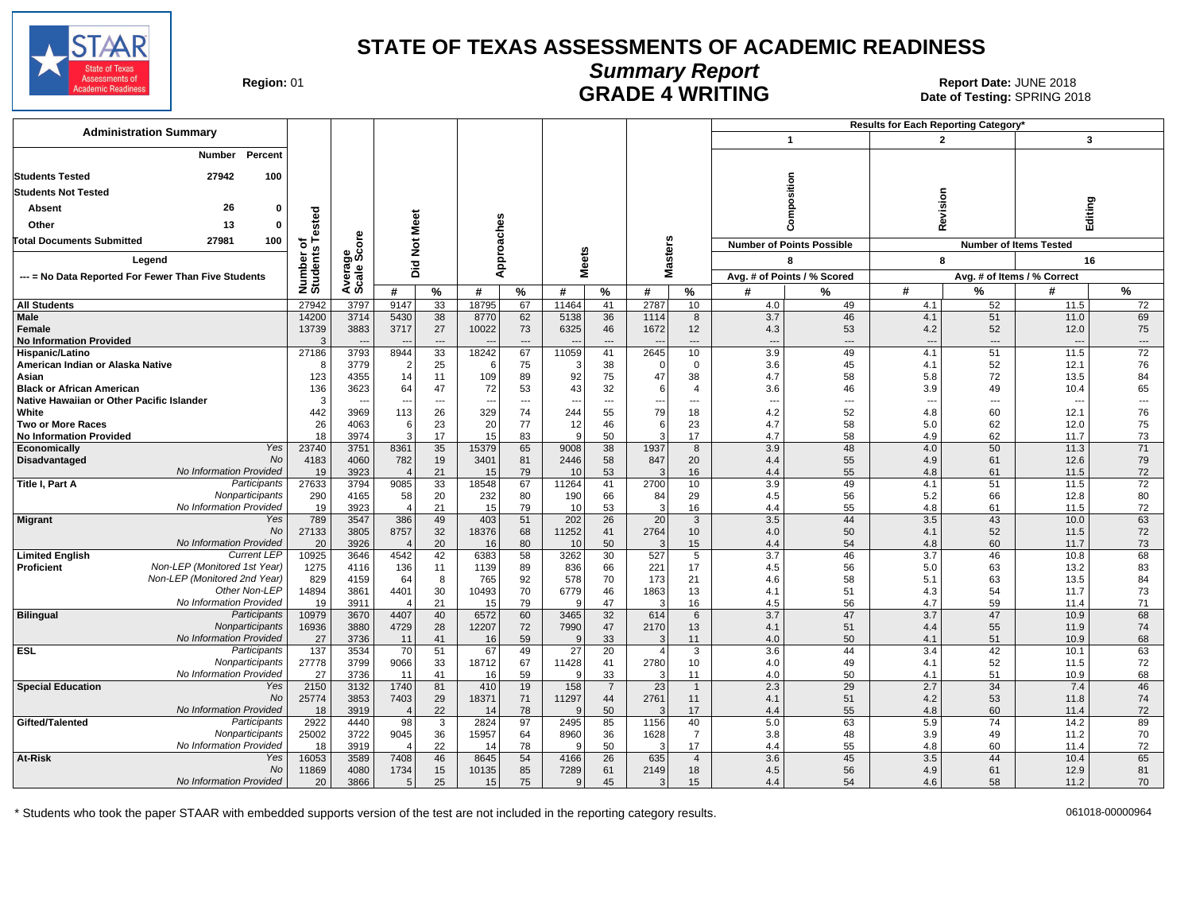

Date of Testing: SPRING 2018

| Region: 01 |  |
|------------|--|
|------------|--|

# **Summary Report** Region: 01 **Region: 01 CALL CONSISTS OF A SET OF A REPORT DATE: JUNE 2018**<br>Date of Testing: SPRING 2018

**Results for Each Reporting Category\* Administration Summary 1 2 3 Number Percent Students Tested 27942 100 Composition Revision Editing Students Not Tested 26 0 Absent Number of Students Tested** Meet **Did Not Meet Approaches Other 13 0 Average Scale Score Total Documents Submitted 27981 100 Masters**  $\breve{\mathbf{z}}$ **Number of Points Possible <b>Number of Items Tested Meets Legend 8 8 16 Pic --- = No Data Reported For Fewer Than Five Students Avg. # of Points / % Scored Avg. # of Items / % Correct # % # % # % # % # % # % # % All Students** 2000 2001 2004 2004 2009 127942 3797 3797 9147 33 18795 67 11464 41 2787 10 2007 2001 2001 2001 20 **Male** 11.0 11.0 11.0 14200 3714 5430 38 8770 62 5138 36 1114 8 3.7 46 4.1 51 11.0 69 **Female** 1373 1383 3883 3717 27 10022 73 6325 46 1672 12 4.3 53 4.3 4.2 52 12.0 12.0 75 **No Information Provided** 3 --- --- --- --- --- --- --- --- --- --- --- --- --- --- --- **Hispanic/Latino** 27186 3793 8944 33 18242 67 11059 41 2645 10 3.9 49 4.1 51 11.5 72 **American Indian or Alaska Native** 8 3779 2 25 6 75 3 38 0 0 3.6 45 4.1 52 12.1 76 Asian | 123 | 4355 | 14 | 11 | 109 | 89 | 92 | 75 | 47 | 38 | 4.7 | 58 | 5.8 | 72 | 13.5 | 84 **Black or African American | 136 | 3623 | 64 | 72 | 53 | 43 | 3 | 46 | 46 | 3.9 | 49 | 10.4 | 65 Native Hawaiian or Other Pacific Islander** 3 --- --- --- --- --- --- --- --- --- --- --- --- --- --- --- **White** | 442 | 3969 | 113 | 26 | 329 | 74 | 244 | 55 | 79 | 18 | 42 | 52 | 4.8 | 60 | 12.1 | 76 **Two or More Races** 26 4063 6 23 20 77 12 46 6 23 4.7 58 5.0 62 12.0 75 **No Information Provided** | 18 | 3974 | 3 | 17 | 18 | 5 | 47 | 53 | 4.9 | 62 | 11.7 | 73 Yes **Economically** 232 23740 3751 8361 375 13539 65 9008 38 1937 8 39 38 3.9 48 3.9 40 50 11.3 71  $Nc$ **Disadvantaged** 4183 4060 782 19 3401 81 2446 58 847 20 4.4 55 4.9 61 12.6 79 No Information Provided 19 3923 4 21 15 79 10 53 3 16 4.4 55 4.8 61 11.5 72 **Participants Title I, Part A** 2000 2011 27631 27633 2794 9085 33 18548 67 11264 41 2700 10 3.9 49 4.1 51 51 11.5 72 **Nonparticipants** 290 4165 58 20 232 80 190 66 84 29 4.5 56 58 52 66 13.8 12.8 80 No Information Provided 19 3923 4 21 15 79 10 53 3 16 4.4 55 4.8 61 11.5 72 Yes **Migrant** 789 3647 386 49 403 51 202 26 20 3.5 44 3.5 43 43 10.0 63 No 27133 3805 8757 32 18376 68 11252 41 2764 10 4.0 50 50 4.1 52 1.5 1.5 72 No Information Provided 20 3926 4 20 16 80 10 50 3 15 4.4 54 4.8 60 11.7 73 **Current LEF Limited English C**urrent LEP | 10925 | 3646 | 4542 | 42 | 6383 | 58 | 3262 | 30 | 527 | 13.7 | 46 | 10.8 | 68 Non-LEP (Monitored 1st Year) **Proficient** Mon-LEP (Monitored 1st Year) | 1275 | 4116 | 136 | 11 | 1139 | 89 | 836 | 66 | 221 | 17 | 4.5 | 56 | 5.0 | 63 | 13.2 | 83 Non-LEP (Monitored 2nd Year) 829 4159 64 8 765 92 578 70 173 21 4.6 58 5.1 63 13.5 13.5 84 Other Non-LEP 14894 3861 4401 30 10493 70 6779 46 1863 13 4.1 51 4.3 54 54 11.7 73 No Information Provided 19 3911 4 21 15 79 9 47 3 16 45 56 4.7 59 11.4 71 **Participants Bilingual** 10979 3670 4407 40 6572 60 3465 32 614 6 3.7 47 3.7 47 10.9 68 **Nonparticipants** 16936 | 3880 | 4729 | 28 | 12207 | 72 | 7990 | 47 | 2170 | 13 | 1.9 | 11.9 | 51 | 11.9 | 11.9 | 74 No Information Provided 27 3736 11 41 16 59 9 33 3 11 4.0 50 4.1 51 10.9 68 **Participants ESL** 137 3534 70 51 67 49 27 20 4 3 3.6 44 3.4 42 10.1 63 **Nonparticipants** 27778| 3799| 9066| 33 | 18712| 67 | 11428| 41 | 2780| 10 | 4.0| 49 | 4.1| 52 | 11.5| 72 No Information Provided 27 3736 11 41 16 59 9 33 3 11 40 50 4.1 51 10.9 68 Yes **Special Education** 2150 3132 1740 81 410 19 158 7 23 1 2.3 29 2.7 34 7.4 46 No 25774 | 3853 | 7403 | 29 | 18371 | 71 | 11297 | 44 | 2761 | 11 | 4.1 | 51 | 4.2 | 53 | 11.8 | 74 No Information Provided 18 3919 4 22 14 78 9 50 3 17 4.4 55 3 4.8 60 11.4 72 **Participants Gifted/Talented** *Participants* | 2922 | 4440 | 98 | 3 | 2824 | 97 | 2495 | 85 | 1156 | 40 | 5.0 | 63 | 5.9 | 74 | 14.2 | 89 **Nonparticipants** 25002 | 3722 | 9045 | 36 | 15957 | 64 | 8960 | 36 | 1628 | 7 | 3.8 | 38 | 39 | 39 | 39 | 3722 | 9045 | 36 | 1 No Information Provided 18 3919 4 22 14 78 9 50 3 17 4.4 55 3 4.8 60 11.4 72 Yes **At-Risk** 1605 16053 16053 3589 7408 46 8645 54 4166 26 635 4 3.6 45 3.6 3.5 44 10.4 65 No 11869 4080 1734 15 10135 85 7289 61 2149 18 4.5 56 4.9 61 61 12.9 81 No Information Provided20 3866 5 25 15 75 9 45 3 15 4.4 54 4.6 58 11.2 70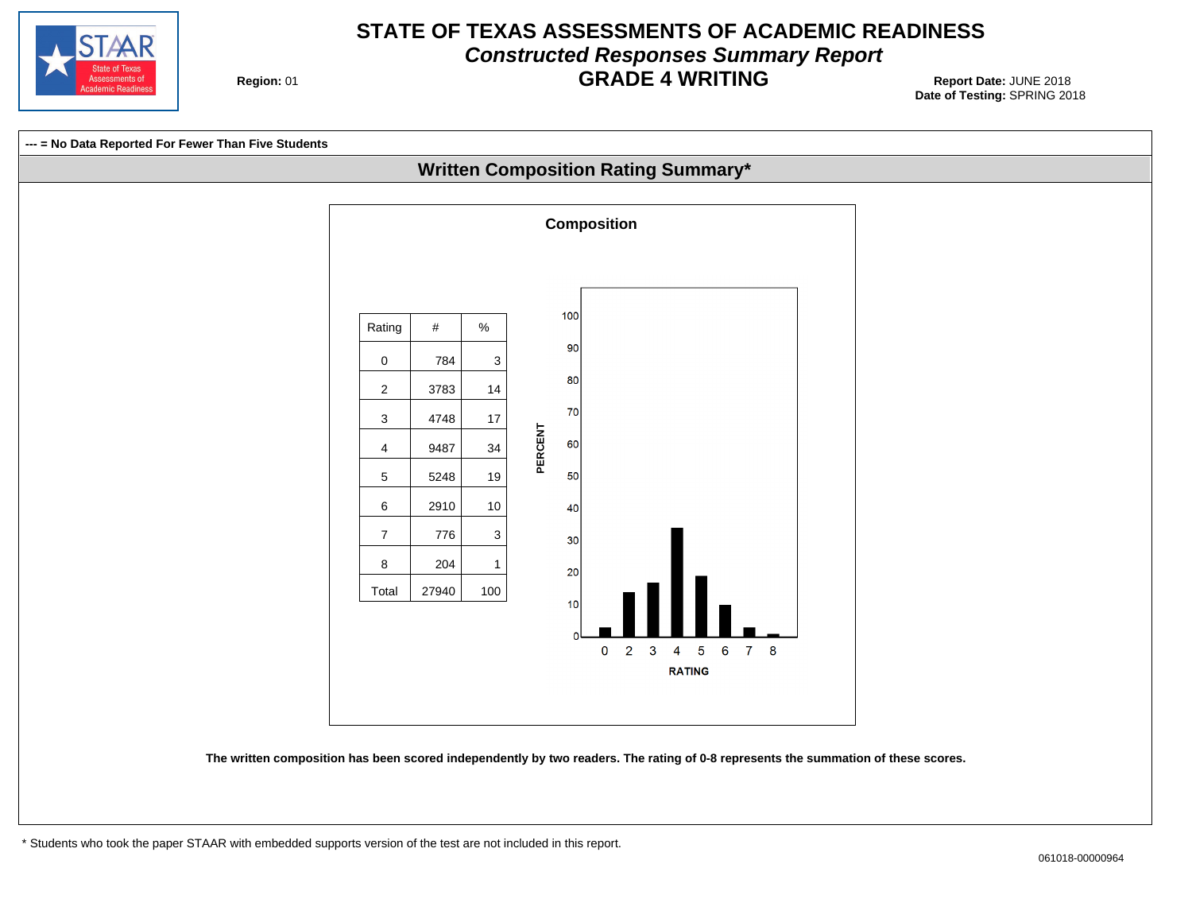

# **STATE OF TEXAS ASSESSMENTS OF ACADEMIC READINESS Constructed Responses Summary Report GRADE 4 WRITING** Report Date: JUNE 2018

**Region: 01** 

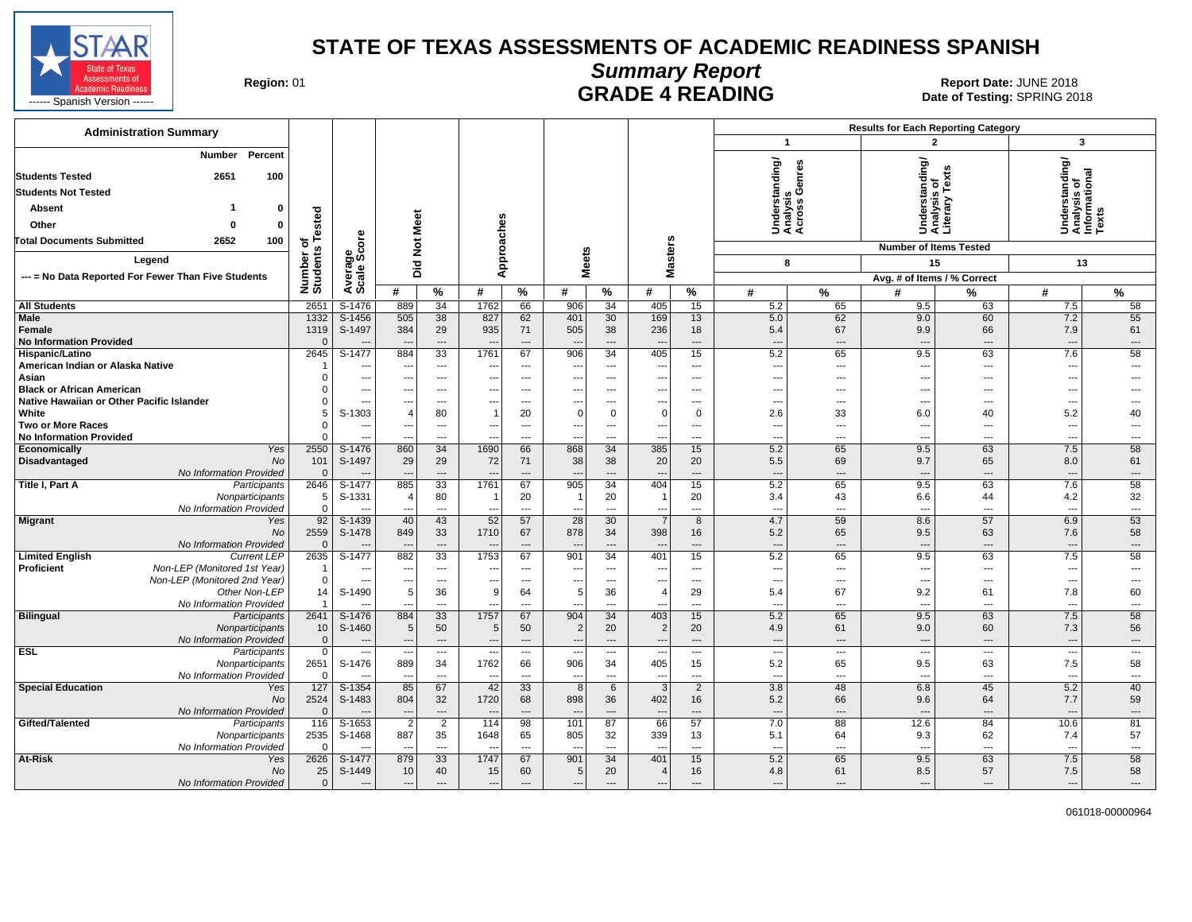

**Summary Report**

Region: 01 **Region: 01 CALL CONSISTS AND READING Report Date: JUNE 2018**<br>Date of Testing: SPRING 20

| <b>Administration Summary</b>                                           |                      |                          |                                 |                          |                          |                                            |                               |                                  |                          |                               |                                                      |                            | <b>Results for Each Reporting Category</b> |                                                 |                                                         |                        |
|-------------------------------------------------------------------------|----------------------|--------------------------|---------------------------------|--------------------------|--------------------------|--------------------------------------------|-------------------------------|----------------------------------|--------------------------|-------------------------------|------------------------------------------------------|----------------------------|--------------------------------------------|-------------------------------------------------|---------------------------------------------------------|------------------------|
|                                                                         |                      |                          |                                 |                          |                          |                                            |                               |                                  |                          |                               | $\mathbf{1}$                                         |                            | $\overline{2}$                             |                                                 | 3                                                       |                        |
| Percent<br>Number<br><b>Students Tested</b><br>2651<br>100              |                      |                          |                                 |                          |                          |                                            |                               |                                  |                          |                               | standing/                                            | anres                      |                                            | Understanding/<br>Analysis of<br>Literary Texts | Understanding/<br>Analysis of<br>Informational<br>Texts |                        |
| <b>Students Not Tested</b>                                              |                      |                          |                                 |                          |                          |                                            |                               |                                  |                          |                               |                                                      | ပ<br>sis                   |                                            |                                                 |                                                         |                        |
| <b>Absent</b><br>$\Omega$                                               |                      |                          |                                 |                          |                          |                                            |                               |                                  |                          |                               |                                                      | s                          |                                            |                                                 |                                                         |                        |
| Other<br>$\Omega$<br>ŋ                                                  | ested                |                          | Meet                            |                          |                          |                                            |                               |                                  |                          |                               |                                                      | Unders<br>Analys<br>Across |                                            |                                                 |                                                         |                        |
| 2652<br><b>Total Documents Submitted</b><br>100                         | 하                    | δe                       |                                 |                          |                          |                                            |                               |                                  |                          |                               |                                                      |                            |                                            |                                                 |                                                         |                        |
| Legend                                                                  | Number o<br>Students | န္တပ္ကိ                  | $\frac{\texttt{d}}{\texttt{d}}$ |                          | Approaches               |                                            | <b>Meets</b>                  |                                  | <b>Masters</b>           |                               |                                                      |                            | <b>Number of Items Tested</b>              |                                                 |                                                         |                        |
|                                                                         |                      |                          | Did                             |                          |                          |                                            |                               |                                  |                          |                               |                                                      | 8                          | 15                                         |                                                 | 13                                                      |                        |
| --- = No Data Reported For Fewer Than Five Students                     |                      | Average                  | #                               | $\%$                     | #                        | %                                          | #                             | %                                | #                        | %                             | #                                                    | %                          | Avg. # of Items / % Correct<br>Ħ           |                                                 | #                                                       | %                      |
| <b>All Students</b>                                                     | 2651                 | S-1476                   | 889                             | 34                       | 1762                     | 66                                         | 906                           | 34                               | 405                      | 15                            | 5.2                                                  | 65                         | 9.5                                        | %<br>63                                         | 7.5                                                     | 58                     |
| Male                                                                    | 1332                 | S-1456                   | 505                             | 38                       | 827                      | 62                                         | 401                           | 30                               | 169                      | 13                            | 5.0                                                  | 62                         | 9.0                                        | 60                                              | 7.2                                                     | 55                     |
| Female                                                                  | 1319                 | S-1497                   | 384                             | 29                       | 935                      | 71                                         | 505                           | 38                               | 236                      | 18                            | 5.4                                                  | 67                         | 9.9                                        | 66                                              | 7.9                                                     | 61                     |
| <b>No Information Provided</b>                                          | $\Omega$             |                          |                                 | $\overline{a}$           |                          | ---                                        |                               | ---                              |                          | ---                           | $\overline{a}$                                       | ---                        | $\overline{a}$                             | $\overline{\phantom{a}}$                        | $\overline{\phantom{a}}$                                | ---                    |
| Hispanic/Latino                                                         | 2645                 | S-1477                   | 884                             | 33                       | 1761                     | 67                                         | 906                           | $\overline{34}$                  | 405                      | 15                            | 5.2                                                  | 65                         | 9.5                                        | 63                                              | 7.6                                                     | 58                     |
| American Indian or Alaska Native                                        |                      | ---                      | $\sim$                          | $\overline{\phantom{a}}$ |                          | ---                                        |                               | $\hspace{0.05cm} \ldots$         | ---                      | ---                           | $\hspace{0.05cm} \ldots$                             | ---                        | $\overline{\phantom{a}}$                   | $\overline{\phantom{a}}$                        | $\overline{\phantom{a}}$                                | ---                    |
| Asian                                                                   |                      | $\overline{a}$           | $\overline{\phantom{a}}$        | $---$                    | ---                      | $\overline{\phantom{a}}$                   | ---                           | ---                              | ---                      | ---                           | $\overline{\phantom{a}}$                             | ---                        | ---                                        | $\overline{\phantom{a}}$                        | $\overline{\phantom{a}}$                                | ---                    |
| <b>Black or African American</b>                                        |                      | ---                      | --                              | $---$                    |                          | $\overline{\phantom{a}}$                   |                               | $\sim$                           | ---                      | $---$                         | $---$                                                | $---$                      | ---                                        | $\sim$                                          | ---                                                     |                        |
| Native Hawaiian or Other Pacific Islander                               |                      | ---                      |                                 | ---                      |                          | ---                                        | ---                           | ---                              | ---                      | ---                           | $\hspace{0.05cm} \cdots$                             | ---                        | ---                                        | $\overline{\phantom{a}}$                        | $\overline{\phantom{a}}$                                | ---                    |
| White                                                                   |                      | S-1303                   | $\overline{4}$                  | 80                       | -1                       | 20                                         | $\mathbf 0$                   | $\mathbf 0$                      | 0                        | $\mathbf 0$                   | 2.6                                                  | 33                         | 6.0                                        | 40                                              | 5.2                                                     | 40                     |
| <b>Two or More Races</b>                                                |                      | ---                      | $\overline{\phantom{a}}$        | $---$<br>$---$           | ---                      | $\overline{\phantom{a}}$<br>$\overline{a}$ | $---$                         | ---<br>---                       | ---                      | ---<br>---                    | $\overline{\phantom{a}}$<br>$\overline{\phantom{a}}$ | $---$<br>$\overline{a}$    | $\overline{\phantom{a}}$<br>---            | $\sim$<br>$\overline{\phantom{a}}$              | ---<br>$\overline{\phantom{a}}$                         | $---$<br>$---$         |
| <b>No Information Provided</b><br>Economically<br>Yes                   | 2550                 | S-1476                   | 860                             | 34                       | ---<br>1690              | 66                                         | 868                           | 34                               | ---<br>385               | 15                            | 5.2                                                  | 65                         | 9.5                                        | 63                                              | 7.5                                                     | 58                     |
| Disadvantaged<br><b>No</b>                                              | 101                  | S-1497                   | 29                              | 29                       | 72                       | 71                                         | 38                            | 38                               | 20                       | 20                            | 5.5                                                  | 69                         | 9.7                                        | 65                                              | 8.0                                                     | 61                     |
| No Information Provided                                                 | $\Omega$             |                          |                                 | $\overline{a}$           |                          | ---                                        |                               | ---                              | $\overline{\phantom{a}}$ | ---                           | $\overline{a}$                                       | ---                        | $\overline{a}$                             | $\overline{\phantom{a}}$                        | $\overline{\phantom{a}}$                                | ---                    |
| Title I, Part A<br>Participants                                         | 2646                 | S-1477                   | 885                             | 33                       | 1761                     | 67                                         | 905                           | 34                               | 404                      | 15                            | 5.2                                                  | 65                         | 9.5                                        | 63                                              | 7.6                                                     | 58                     |
| Nonparticipants                                                         | 5                    | S-1331                   | $\overline{4}$                  | 80                       | -1                       | 20                                         | -1                            | 20                               | $\overline{1}$           | 20                            | 3.4                                                  | 43                         | 6.6                                        | 44                                              | 4.2                                                     | 32                     |
| No Information Provided                                                 | $\Omega$             |                          |                                 | $\overline{\phantom{a}}$ |                          | ---                                        |                               | ---                              | ---                      | ---                           | $\overline{\phantom{a}}$                             | ---                        | ---                                        | $\overline{\phantom{a}}$                        | $\overline{\phantom{a}}$                                | ---                    |
| <b>Migrant</b><br>Yes                                                   | 92                   | $S-1439$                 | 40                              | 43                       | 52                       | 57                                         | $\overline{28}$               | 30                               | $\overline{7}$           | 8                             | 4.7                                                  | 59                         | 8.6                                        | 57                                              | 6.9                                                     | 53                     |
| No                                                                      | 2559                 | S-1478                   | 849                             | 33                       | 1710                     | 67                                         | 878                           | 34                               | 398                      | 16                            | 5.2                                                  | 65                         | 9.5                                        | 63                                              | 7.6                                                     | 58                     |
| No Information Provided<br><b>Limited English</b><br><b>Current LEP</b> | $\Omega$<br>2635     | $S-1477$                 | 882                             | $\overline{a}$<br>33     | 1753                     | ---<br>67                                  | 901                           | $\overline{a}$<br>34             | 401                      | ---<br>15                     | $\overline{a}$<br>5.2                                | $\cdots$<br>65             | $\overline{a}$<br>9.5                      | $---$<br>63                                     | $\overline{\phantom{a}}$<br>7.5                         | $\overline{a}$<br>58   |
| Proficient<br>Non-LEP (Monitored 1st Year)                              | -1                   | ---                      | $\sim$                          | $---$                    |                          | $---$                                      |                               | $---$                            | ---                      | ---                           | $---$                                                | $---$                      | $\overline{\phantom{a}}$                   | $\sim$                                          | ---                                                     | $---$                  |
| Non-LEP (Monitored 2nd Year)                                            | $\Omega$             | ---                      | $\overline{\phantom{a}}$        | $\overline{\phantom{a}}$ | ---                      | $\overline{\phantom{a}}$                   |                               | $\overline{\phantom{a}}$         | ---                      | ---                           | $\overline{\phantom{a}}$                             | ---                        | ---                                        | $\overline{\phantom{a}}$                        | $\overline{\phantom{a}}$                                | ---                    |
| Other Non-LEP                                                           | 14                   | S-1490                   | 5                               | 36                       | 9                        | 64                                         | 5                             | 36                               | $\overline{4}$           | 29                            | 5.4                                                  | 67                         | 9.2                                        | 61                                              | 7.8                                                     | 60                     |
| No Information Provided                                                 |                      | $- - -$                  | $\sim$ $\sim$                   | $---$                    | $\sim$                   | $\sim$                                     | ---                           | $---$                            | $\sim$                   | $---$                         | $---$                                                | $---$                      | $\overline{a}$                             | $\sim$                                          | $\sim$                                                  | $---$                  |
| <b>Bilingual</b><br>Participants                                        | 2641                 | S-1476                   | 884                             | 33                       | 1757                     | 67                                         | 904                           | 34                               | 403                      | 15                            | 5.2                                                  | 65                         | 9.5                                        | 63                                              | 7.5                                                     | 58                     |
| Nonparticipants                                                         | 10                   | S-1460                   | 5                               | 50                       | 5                        | 50                                         | $\overline{2}$                | 20                               | 2                        | 20                            | 4.9                                                  | 61                         | 9.0                                        | 60                                              | 7.3                                                     | 56                     |
| No Information Provided                                                 | $\mathbf{0}$         | $\overline{\phantom{a}}$ | $\overline{\phantom{a}}$        | $---$                    | $\overline{\phantom{a}}$ | $\overline{\phantom{a}}$                   | $\overline{a}$                | $---$                            | $---$                    | $\overline{a}$                | $---$                                                | $---$                      | $\overline{\phantom{a}}$                   | $---$                                           | $---$                                                   | $---$                  |
| <b>ESL</b><br>Participants                                              | $\mathbf 0$          |                          |                                 | $\hspace{0.05cm} \ldots$ | $\overline{\phantom{a}}$ | $\hspace{0.05cm} \ldots$                   |                               | $\scriptstyle\cdots$             | $\overline{\phantom{a}}$ | ---                           | $\hspace{0.05cm} \ldots$                             | $\qquad \qquad -$          | $\overline{\phantom{a}}$                   | $\hspace{0.05cm} \ldots$                        | $\overline{\phantom{a}}$                                | $\qquad \qquad \cdots$ |
| Nonparticipants                                                         | 2651                 | S-1476                   | 889                             | 34                       | 1762                     | 66                                         | 906                           | 34                               | 405                      | 15                            | 5.2                                                  | 65                         | 9.5                                        | 63                                              | 7.5                                                     | 58                     |
| No Information Provided<br><b>Special Education</b><br>Yes              | 127                  | $\overline{a}$<br>S-1354 | $\sim$<br>85                    | $---$<br>67              | $\sim$<br>42             | $\sim$<br>33                               | $\overline{\phantom{a}}$<br>8 | $\overline{a}$<br>$6\phantom{1}$ | $\sim$<br>$\overline{3}$ | $\overline{\phantom{a}}$<br>2 | $---$<br>3.8                                         | $\cdots$<br>48             | $\overline{a}$<br>6.8                      | $\sim$<br>45                                    | $\sim$<br>5.2                                           | $---$<br>40            |
| No                                                                      | 2524                 | S-1483                   | 804                             | 32                       | 1720                     | 68                                         | 898                           | 36                               | 402                      | 16                            | 5.2                                                  | 66                         | 9.6                                        | 64                                              | 7.7                                                     | 59                     |
| No Information Provided                                                 |                      | $\overline{a}$           | $-$                             | $\sim$                   | $\overline{\phantom{a}}$ | $---$                                      |                               | $\overline{a}$                   | $\overline{\phantom{a}}$ | $---$                         | $---$                                                | $---$                      | $\overline{\phantom{a}}$                   | $---$                                           | $\overline{\phantom{a}}$                                | $---$                  |
| Gifted/Talented<br>Participants                                         | 116                  | S-1653                   | $\overline{2}$                  | $\overline{2}$           | 114                      | 98                                         | 101                           | 87                               | 66                       | 57                            | 7.0                                                  | 88                         | 12.6                                       | 84                                              | 10.6                                                    | 81                     |
| Nonparticipants                                                         | 2535                 | S-1468                   | 887                             | 35                       | 1648                     | 65                                         | 805                           | 32                               | 339                      | 13                            | 5.1                                                  | 64                         | 9.3                                        | 62                                              | 7.4                                                     | 57                     |
| No Information Provided                                                 |                      |                          | --                              | $\overline{a}$           |                          | $\overline{\phantom{a}}$                   |                               | $\overline{a}$                   | $\overline{a}$           | $\overline{a}$                | $\overline{a}$                                       | $\overline{a}$             | $\overline{a}$                             | $\overline{\phantom{a}}$                        | ---                                                     | $---$                  |
| At-Risk<br>Yes                                                          | 2626                 | S-1477                   | 879                             | 33                       | 1747                     | 67                                         | 901                           | 34                               | 401                      | 15                            | 5.2                                                  | 65                         | 9.5                                        | 63                                              | 7.5                                                     | 58                     |
| No                                                                      | 25                   | S-1449                   | 10                              | 40                       | 15                       | 60                                         | 5                             | 20                               | $\overline{4}$           | 16                            | 4.8                                                  | 61                         | 8.5                                        | 57                                              | 7.5                                                     | 58                     |
| No Information Provided                                                 | $\mathbf{0}$         | $\overline{\phantom{a}}$ | $\overline{\phantom{a}}$        | $---$                    | $\overline{\phantom{a}}$ | $---$                                      | $---$                         | $\overline{a}$                   | $\overline{a}$           | $\overline{a}$                | $---$                                                | $---$                      | $\overline{a}$                             | $---$                                           | $\overline{\phantom{a}}$                                | $---$                  |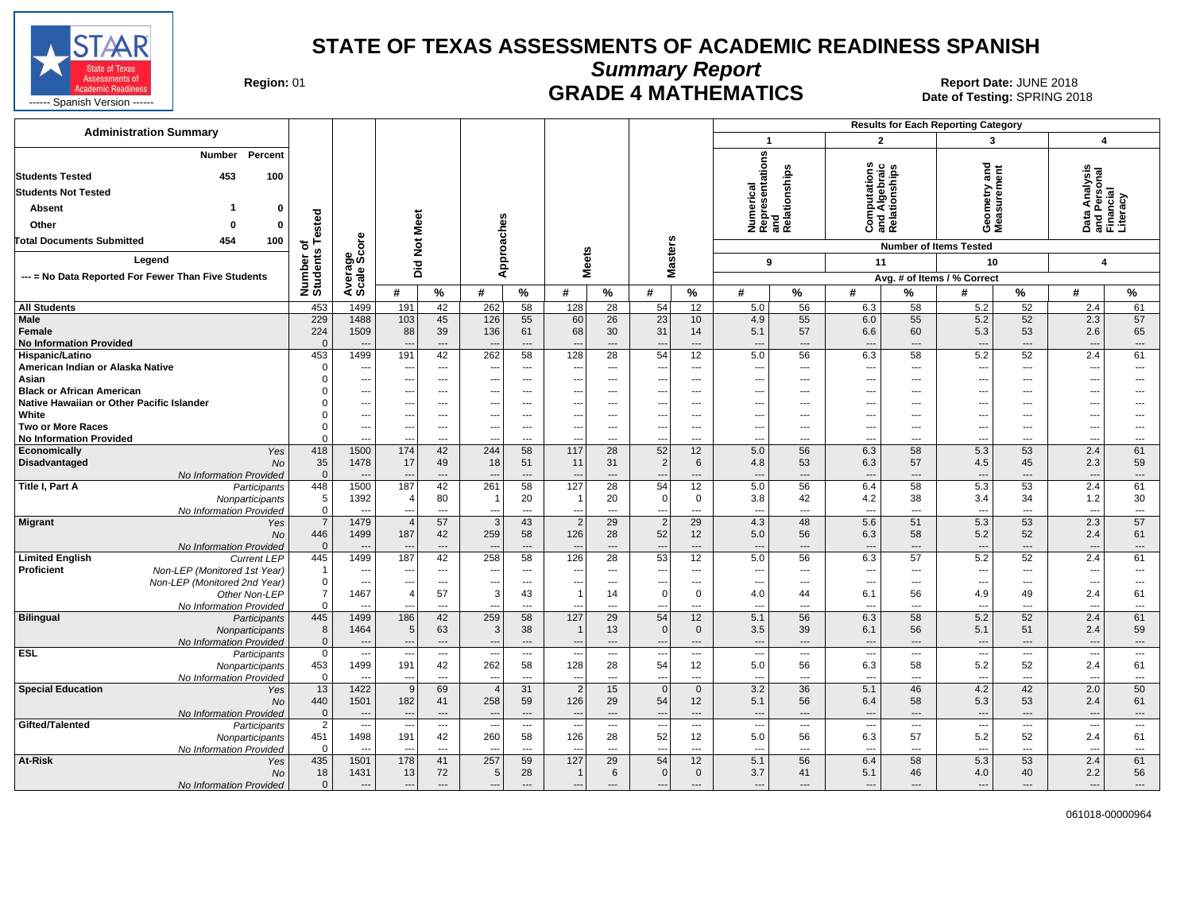

**Summary Report**

Region: 01 **Region: 01 CRADE 4 MATHEMATICS Date: JUNE 2018 Report Date: JUNE 2018** 

| $\overline{2}$<br>3<br>$\boldsymbol{4}$<br>$\blacktriangleleft$<br>Numerical<br>Representations<br>Number<br>Percent<br>ometry and<br>ssurement<br>Computation<br>and Algebraic<br>Relationships<br>and<br>Relationships<br>Data Analysis<br>and Personal<br>Financial<br>Literacy<br>453<br>100<br>Absent<br>0<br>ested<br>Meet<br>Gea<br>Nea<br>Approaches<br>Other<br>$\Omega$<br>$\Omega$<br><b>ore</b><br><b>Masters</b><br>$\frac{5}{2}$<br>454<br>100<br>⊢<br>৳<br><b>Number of Items Tested</b><br><b>Meets</b><br>w<br>န္တပ္ကိ<br>Number<br>Students<br>Legend<br>11<br>10<br>Did<br>9<br>$\overline{\mathbf{4}}$<br>Average<br>--- = No Data Reported For Fewer Than Five Students<br>Avg. # of Items / % Correct<br>$\%$<br>$\%$<br>$\%$<br>#<br>#<br>$\%$<br>%<br>#<br>#<br>#<br>%<br>#<br>%<br>%<br>#<br>#<br>42<br>58<br>$\overline{28}$<br>52<br><b>All Students</b><br>453<br>1499<br>191<br>262<br>128<br>54<br>12<br>5.0<br>56<br>6.3<br>58<br>5.2<br>2.4<br>61<br>229<br>103<br>45<br>$\overline{26}$<br>$\overline{23}$<br>55<br>55<br>5.2<br>52<br>57<br>Male<br>1488<br>126<br>55<br>60<br>10<br>4.9<br>6.0<br>2.3<br>224<br>88<br>39<br>136<br>31<br>65<br>Female<br>1509<br>61<br>68<br>30<br>14<br>5.1<br>57<br>6.6<br>60<br>5.3<br>53<br>2.6<br><b>No Information Provided</b><br>$\Omega$<br>$\overline{a}$<br>$\sim$<br>$\overline{a}$<br>$\sim$<br>$\sim$<br>$\overline{\phantom{a}}$<br>$\overline{a}$<br>$\overline{\phantom{a}}$<br>$\overline{\phantom{a}}$<br>$\overline{\phantom{a}}$<br>$\overline{a}$<br>$\overline{a}$<br>$\overline{a}$<br>$\overline{\phantom{a}}$<br>262<br>453<br>1499<br>191<br>42<br>58<br>128<br>28<br>54<br>12<br>5.0<br>56<br>6.3<br>58<br>5.2<br>52<br>61<br>2.4<br>American Indian or Alaska Native<br>$\Omega$<br>$\overline{\phantom{a}}$<br>$\overline{\phantom{a}}$<br>---<br>---<br>---<br>$\overline{\phantom{a}}$<br>$\cdots$<br>---<br>$\overline{\phantom{a}}$<br>---<br>---<br>$\overline{\phantom{a}}$<br>$\overline{\phantom{a}}$<br>$\overline{a}$<br>$\overline{\phantom{a}}$<br>$\overline{\phantom{a}}$<br>---<br>Asian<br>$\Omega$<br>$\overline{\phantom{a}}$<br>---<br>$\overline{a}$<br>$\overline{a}$<br>$\overline{\phantom{a}}$<br>$---$<br>$\sim$<br>$\sim$<br>---<br>$\ddotsc$<br>$\overline{\phantom{a}}$<br>$---$<br>$---$<br>---<br>$---$<br>---<br>$- -$<br><b>Black or African American</b><br>$\Omega$<br>---<br>---<br>---<br>---<br>---<br>---<br>⊷<br>---<br>$\overline{\phantom{a}}$<br>---<br>---<br>---<br>---<br>---<br>Native Hawaiian or Other Pacific Islander<br>$\cdots$<br>---<br>$\overline{\phantom{a}}$<br>---<br>---<br>$\hspace{0.05cm} \ldots$<br>$\overline{\phantom{a}}$<br>---<br>---<br>$\overline{\phantom{a}}$<br>$---$<br>$---$<br>---<br>$\overline{\phantom{a}}$<br>---<br>---<br>---<br>White<br>$\Omega$<br>$\overline{\phantom{a}}$<br>$\overline{a}$<br>$\sim$<br>$\overline{a}$<br>$\overline{a}$<br>$\overline{a}$<br>$\overline{a}$<br>$\overline{a}$<br>$\overline{\phantom{a}}$<br>$\overline{a}$<br>---<br>$\overline{a}$<br>---<br>$\overline{a}$<br>--<br>$\overline{a}$<br>---<br><b>Two or More Races</b><br>$\Omega$<br>$---$<br>---<br>---<br>---<br>---<br>---<br>---<br>---<br>⊷<br>$\overline{\phantom{a}}$<br>$\overline{\phantom{a}}$<br>---<br>---<br>$\overline{a}$<br>---<br>$\Omega$<br>$\overline{a}$<br>---<br>$\overline{\phantom{a}}$<br>---<br>---<br>$---$<br>$\overline{a}$<br>$\overline{a}$<br>---<br>$\overline{\phantom{a}}$<br>$\overline{\phantom{a}}$<br>$---$<br>$\overline{a}$<br>---<br>$\overline{\phantom{a}}$<br>$---$<br>418<br>1500<br>42<br>244<br>52<br>5.3<br>174<br>58<br>117<br>28<br>12<br>5.0<br>56<br>6.3<br>58<br>53<br>2.4<br>61<br>Yes<br>Disadvantaged<br>35<br>1478<br>17<br>49<br>18<br>51<br>31<br>$\overline{2}$<br>6<br>53<br>6.3<br>57<br>4.5<br>45<br>2.3<br>59<br><b>No</b><br>11<br>4.8<br>$\mathbf{0}$<br>No Information Provided<br>---<br>$\overline{\phantom{a}}$<br>---<br>$\overline{a}$<br>---<br>---<br>---<br>$\overline{\phantom{a}}$<br>$\overline{\phantom{a}}$<br>---<br>$\overline{\phantom{a}}$<br>$\overline{\phantom{a}}$<br>$\overline{\phantom{a}}$<br>$\overline{\phantom{a}}$<br>54<br>448<br>187<br>261<br>5.3<br>Title I, Part A<br>1500<br>42<br>58<br>127<br>28<br>12<br>5.0<br>56<br>6.4<br>58<br>53<br>2.4<br>61<br>Participants<br>5<br>1392<br>80<br>$\mathbf 0$<br>42<br>30<br>20<br>20<br>$\mathbf 0$<br>3.8<br>4.2<br>38<br>3.4<br>34<br>1.2<br>Nonparticipants<br>$\overline{1}$<br>-1<br>4<br>$\mathbf 0$<br>No Information Provided<br>$\overline{\phantom{a}}$<br>$\overline{a}$<br>$\overline{\phantom{a}}$<br>$\overline{a}$<br>---<br>---<br>---<br>$\overline{\phantom{a}}$<br>$\overline{\phantom{a}}$<br>---<br>$\overline{a}$<br>$\overline{\phantom{a}}$<br>$\overline{\phantom{a}}$<br>---<br>$\overline{57}$<br>$\overline{2}$<br>$\overline{7}$<br>1479<br>57<br>3<br>43<br>29<br>29<br>4.3<br>48<br>5.6<br>5.3<br>53<br><b>Migrant</b><br>$\overline{2}$<br>51<br>2.3<br>$\overline{4}$<br>Yes<br>446<br>259<br>126<br>52<br>56<br>52<br>1499<br>187<br>42<br>58<br>28<br>12<br>5.0<br>6.3<br>58<br>5.2<br>2.4<br>61<br><b>No</b><br>$\mathbf{0}$<br>No Information Provided<br>---<br>$\overline{a}$<br>---<br>---<br>---<br>---<br>$\overline{\phantom{a}}$<br>$\qquad \qquad \cdots$<br>---<br>$\overline{\phantom{a}}$<br>---<br>$\overline{\phantom{a}}$<br>$\overline{\phantom{a}}$<br>---<br>445<br>187<br>42<br>258<br>53<br>5.2<br><b>Limited English</b><br>1499<br>58<br>126<br>28<br>12<br>5.0<br>56<br>6.3<br>57<br>52<br>2.4<br>61<br><b>Current LEP</b><br>Proficient<br>Non-LEP (Monitored 1st Year)<br>$\overline{1}$<br>---<br>$\overline{\phantom{a}}$<br>---<br>---<br>$---$<br>$\overline{\phantom{a}}$<br>$\overline{\phantom{a}}$<br>$---$<br>$\overline{a}$<br>$---$<br>---<br>---<br>---<br>$\overline{\phantom{a}}$<br>$---$<br>$---$<br>$\overline{\phantom{a}}$<br>Non-LEP (Monitored 2nd Year)<br>$\mathbf 0$<br>---<br>$\overline{\phantom{a}}$<br>$\qquad \qquad \cdots$<br>---<br>$\overline{\phantom{a}}$<br>---<br>---<br>$\overline{\phantom{a}}$<br>$\hspace{0.05cm} \ldots$<br>$\overline{\phantom{a}}$<br>---<br>$\overline{\phantom{a}}$<br>$\qquad \qquad \cdots$<br>---<br>1467<br>57<br>$\mathbf{3}$<br>43<br>14<br>0<br>6.1<br>56<br>61<br>7<br>$\mathbf 0$<br>4.0<br>44<br>4.9<br>49<br>2.4<br>Other Non-LEP<br>-1<br>4<br>$\Omega$<br>No Information Provided<br>$\overline{a}$<br>$\overline{a}$<br>$\overline{a}$<br>$\overline{a}$<br>$\overline{a}$<br>$\overline{\phantom{a}}$<br>$\overline{a}$<br>$\overline{a}$<br>$\overline{a}$<br>$\overline{a}$<br>$---$<br>$\overline{a}$<br>$\overline{a}$<br>$\sim$<br>$\overline{a}$<br>$\sim$<br>$\overline{a}$<br>259<br>5.2<br><b>Bilingual</b><br>445<br>1499<br>186<br>42<br>58<br>127<br>29<br>54<br>12<br>5.1<br>56<br>6.3<br>58<br>52<br>2.4<br>61<br>Participants<br>63<br>38<br>13<br>39<br>59<br>8<br>1464<br>5<br>3<br>$\mathbf 0$<br>3.5<br>6.1<br>56<br>5.1<br>51<br>Nonparticipants<br>$\overline{0}$<br>2.4<br>$\overline{1}$<br>$\mathbf{0}$<br>No Information Provided<br>$---$<br>$---$<br>$\qquad \qquad \cdots$<br>$\hspace{0.05cm} \ldots$<br>$---$<br>---<br>$\overline{\phantom{a}}$<br>$---$<br>$---$<br>$---$<br>$\hspace{1.5cm} \textbf{---}$<br>$\overline{\phantom{a}}$<br>$\overline{\phantom{a}}$<br>$\overline{\phantom{a}}$<br>$\overline{\phantom{a}}$<br>$---$<br>$---$<br><b>ESL</b><br>$\mathbf 0$<br>$\overline{\phantom{a}}$<br>Participants<br>$\overline{\phantom{a}}$<br>$\sim$<br>---<br>$\overline{\phantom{a}}$<br>$\overline{\phantom{a}}$<br>$\overline{\phantom{a}}$<br>$\overline{\phantom{a}}$<br>$\overline{\phantom{a}}$<br>$\overline{\phantom{a}}$<br>$\overline{\phantom{a}}$<br>$\overline{\phantom{a}}$<br>---<br>$\overline{\phantom{a}}$<br>---<br>262<br>453<br>1499<br>42<br>58<br>54<br>12<br>5.2<br>61<br>191<br>128<br>28<br>5.0<br>56<br>6.3<br>58<br>52<br>2.4<br>Nonparticipants<br>No Information Provided<br>$\mathbf 0$<br>---<br>$\overline{\phantom{a}}$<br>---<br>---<br>$\overline{\phantom{a}}$<br>$\overline{\phantom{a}}$<br>$\overline{\phantom{a}}$<br>$\overline{\phantom{a}}$<br>$\overline{\phantom{a}}$<br>$\overline{\phantom{a}}$<br>---<br>---<br>$\overline{\phantom{a}}$<br>$\overline{\phantom{a}}$<br>---<br>$\overline{\phantom{a}}$<br>$\overline{\phantom{a}}$<br>50<br>1422<br>13<br>69<br>$\overline{4}$<br>31<br>$\overline{2}$<br>15<br>$\mathbf 0$<br>3.2<br>36<br>5.1<br>46<br>4.2<br>42<br>2.0<br>9<br>$\mathbf{0}$<br>Yes<br>440<br>1501<br>182<br>41<br>258<br>59<br>126<br>29<br>54<br>12<br>5.1<br>56<br>58<br>5.3<br>53<br>61<br>6.4<br>2.4<br><b>No</b><br>$\mathbf{0}$<br>No Information Provided<br>$\overline{\phantom{a}}$<br>$\overline{\phantom{a}}$<br>$\overline{a}$<br>$\overline{a}$<br>$---$<br>$\hspace{0.05cm} \ldots$<br>$\overline{\phantom{a}}$<br>$---$<br>$---$<br>$\overline{\phantom{a}}$<br>$---$<br>$---$<br>$---$<br>$\overline{\phantom{a}}$<br>$\sim$<br>$\overline{\phantom{a}}$<br>$---$<br>Gifted/Talented<br>2<br><br>Participants<br>---<br>---<br>---<br>$\overline{\phantom{a}}$<br>---<br>$\overline{\phantom{a}}$<br>---<br>$\overline{\phantom{a}}$<br>$\overline{\phantom{a}}$<br>---<br>Ξ.<br>$\overline{\phantom{a}}$<br>$\overline{\phantom{a}}$<br>---<br>260<br>451<br>1498<br>42<br>58<br>52<br>12<br>56<br>57<br>5.2<br>52<br>61<br>191<br>126<br>28<br>5.0<br>6.3<br>2.4<br>Nonparticipants<br>No Information Provided<br>$\Omega$<br>---<br>---<br>---<br>$\overline{\phantom{a}}$<br>$\overline{a}$<br>$\overline{\phantom{a}}$<br>$\overline{\phantom{a}}$<br>---<br>---<br>$\overline{\phantom{a}}$<br>$\overline{\phantom{a}}$<br>$\overline{\phantom{a}}$<br>$\overline{\phantom{a}}$<br>$\overline{\phantom{a}}$<br>---<br>$\overline{\phantom{a}}$<br>--<br>257<br>61<br>At-Risk<br>435<br>1501<br>178<br>41<br>59<br>127<br>29<br>54<br>12<br>5.1<br>56<br>6.4<br>58<br>5.3<br>53<br>2.4<br>Yes | <b>Administration Summary</b>                                                            |    |      |    |    |   |    |    |   |             |             |     |    |     |    | <b>Results for Each Reporting Category</b> |    |     |    |
|-------------------------------------------------------------------------------------------------------------------------------------------------------------------------------------------------------------------------------------------------------------------------------------------------------------------------------------------------------------------------------------------------------------------------------------------------------------------------------------------------------------------------------------------------------------------------------------------------------------------------------------------------------------------------------------------------------------------------------------------------------------------------------------------------------------------------------------------------------------------------------------------------------------------------------------------------------------------------------------------------------------------------------------------------------------------------------------------------------------------------------------------------------------------------------------------------------------------------------------------------------------------------------------------------------------------------------------------------------------------------------------------------------------------------------------------------------------------------------------------------------------------------------------------------------------------------------------------------------------------------------------------------------------------------------------------------------------------------------------------------------------------------------------------------------------------------------------------------------------------------------------------------------------------------------------------------------------------------------------------------------------------------------------------------------------------------------------------------------------------------------------------------------------------------------------------------------------------------------------------------------------------------------------------------------------------------------------------------------------------------------------------------------------------------------------------------------------------------------------------------------------------------------------------------------------------------------------------------------------------------------------------------------------------------------------------------------------------------------------------------------------------------------------------------------------------------------------------------------------------------------------------------------------------------------------------------------------------------------------------------------------------------------------------------------------------------------------------------------------------------------------------------------------------------------------------------------------------------------------------------------------------------------------------------------------------------------------------------------------------------------------------------------------------------------------------------------------------------------------------------------------------------------------------------------------------------------------------------------------------------------------------------------------------------------------------------------------------------------------------------------------------------------------------------------------------------------------------------------------------------------------------------------------------------------------------------------------------------------------------------------------------------------------------------------------------------------------------------------------------------------------------------------------------------------------------------------------------------------------------------------------------------------------------------------------------------------------------------------------------------------------------------------------------------------------------------------------------------------------------------------------------------------------------------------------------------------------------------------------------------------------------------------------------------------------------------------------------------------------------------------------------------------------------------------------------------------------------------------------------------------------------------------------------------------------------------------------------------------------------------------------------------------------------------------------------------------------------------------------------------------------------------------------------------------------------------------------------------------------------------------------------------------------------------------------------------------------------------------------------------------------------------------------------------------------------------------------------------------------------------------------------------------------------------------------------------------------------------------------------------------------------------------------------------------------------------------------------------------------------------------------------------------------------------------------------------------------------------------------------------------------------------------------------------------------------------------------------------------------------------------------------------------------------------------------------------------------------------------------------------------------------------------------------------------------------------------------------------------------------------------------------------------------------------------------------------------------------------------------------------------------------------------------------------------------------------------------------------------------------------------------------------------------------------------------------------------------------------------------------------------------------------------------------------------------------------------------------------------------------------------------------------------------------------------------------------------------------------------------------------------------------------------------------------------------------------------------------------------------------------------------------------------------------------------------------------------------------------------------------------------------------------------------------------------------------------------------------------------------------------------------------------------------------------------------------------------------------------------------------------------------------------------------------------------------------------------------------------------------------------------------------------------------------------------------------------------------------------------------------------------------------------------------------------------------------------------------------------------------------------------------------------------------------------------------------------------------------------------------------------------------------------------------------------------------------------------------------------------------------------------------------------------------------------------------------------------------------------------------------------------------------------------------------------------------------------------------------------------------------------------------------------------------------------------------------------------------------------------------------------------------------------------------------------------------------------------------------------------------------------------------------------------------------------------------------------------------------------------------------------------------------------------------------------------------------------------------------------------------------------------------------------------------------------------------------------------------------------------------------------------------------------------------------------------------------------------------------------------------------------------------------------------------------------------------------------------------------------------------------------------------------------------------------------------------------------------------------------------------------------------------------------------------------------------------------------------------------------------------------------------------------------------------------------------------------------------------------------------------------------------------------------------------------------------------------------------------------------------------------------------------------------------------------------------------------------------------------------------------------------------------------------------------------------------------------------------------------------------------------------------------------------------------------------------------------------------------------------------------------------------------|------------------------------------------------------------------------------------------|----|------|----|----|---|----|----|---|-------------|-------------|-----|----|-----|----|--------------------------------------------|----|-----|----|
|                                                                                                                                                                                                                                                                                                                                                                                                                                                                                                                                                                                                                                                                                                                                                                                                                                                                                                                                                                                                                                                                                                                                                                                                                                                                                                                                                                                                                                                                                                                                                                                                                                                                                                                                                                                                                                                                                                                                                                                                                                                                                                                                                                                                                                                                                                                                                                                                                                                                                                                                                                                                                                                                                                                                                                                                                                                                                                                                                                                                                                                                                                                                                                                                                                                                                                                                                                                                                                                                                                                                                                                                                                                                                                                                                                                                                                                                                                                                                                                                                                                                                                                                                                                                                                                                                                                                                                                                                                                                                                                                                                                                                                                                                                                                                                                                                                                                                                                                                                                                                                                                                                                                                                                                                                                                                                                                                                                                                                                                                                                                                                                                                                                                                                                                                                                                                                                                                                                                                                                                                                                                                                                                                                                                                                                                                                                                                                                                                                                                                                                                                                                                                                                                                                                                                                                                                                                                                                                                                                                                                                                                                                                                                                                                                                                                                                                                                                                                                                                                                                                                                                                                                                                                                                                                                                                                                                                                                                                                                                                                                                                                                                                                                                                                                                                                                                                                                                                                                                                                                                                                                                                                                                                                                                                                                                                                                                                                                                                                                                                                                                                                                                                                                                                                                                                                                                                                                                                                                                                                                                                                                                                                                                                                                                                                                                                                                                                                                                                                                                                                             |                                                                                          |    |      |    |    |   |    |    |   |             |             |     |    |     |    |                                            |    |     |    |
|                                                                                                                                                                                                                                                                                                                                                                                                                                                                                                                                                                                                                                                                                                                                                                                                                                                                                                                                                                                                                                                                                                                                                                                                                                                                                                                                                                                                                                                                                                                                                                                                                                                                                                                                                                                                                                                                                                                                                                                                                                                                                                                                                                                                                                                                                                                                                                                                                                                                                                                                                                                                                                                                                                                                                                                                                                                                                                                                                                                                                                                                                                                                                                                                                                                                                                                                                                                                                                                                                                                                                                                                                                                                                                                                                                                                                                                                                                                                                                                                                                                                                                                                                                                                                                                                                                                                                                                                                                                                                                                                                                                                                                                                                                                                                                                                                                                                                                                                                                                                                                                                                                                                                                                                                                                                                                                                                                                                                                                                                                                                                                                                                                                                                                                                                                                                                                                                                                                                                                                                                                                                                                                                                                                                                                                                                                                                                                                                                                                                                                                                                                                                                                                                                                                                                                                                                                                                                                                                                                                                                                                                                                                                                                                                                                                                                                                                                                                                                                                                                                                                                                                                                                                                                                                                                                                                                                                                                                                                                                                                                                                                                                                                                                                                                                                                                                                                                                                                                                                                                                                                                                                                                                                                                                                                                                                                                                                                                                                                                                                                                                                                                                                                                                                                                                                                                                                                                                                                                                                                                                                                                                                                                                                                                                                                                                                                                                                                                                                                                                                                             | <b>Students Tested</b><br><b>Students Not Tested</b><br><b>Total Documents Submitted</b> |    |      |    |    |   |    |    |   |             |             |     |    |     |    |                                            |    |     |    |
|                                                                                                                                                                                                                                                                                                                                                                                                                                                                                                                                                                                                                                                                                                                                                                                                                                                                                                                                                                                                                                                                                                                                                                                                                                                                                                                                                                                                                                                                                                                                                                                                                                                                                                                                                                                                                                                                                                                                                                                                                                                                                                                                                                                                                                                                                                                                                                                                                                                                                                                                                                                                                                                                                                                                                                                                                                                                                                                                                                                                                                                                                                                                                                                                                                                                                                                                                                                                                                                                                                                                                                                                                                                                                                                                                                                                                                                                                                                                                                                                                                                                                                                                                                                                                                                                                                                                                                                                                                                                                                                                                                                                                                                                                                                                                                                                                                                                                                                                                                                                                                                                                                                                                                                                                                                                                                                                                                                                                                                                                                                                                                                                                                                                                                                                                                                                                                                                                                                                                                                                                                                                                                                                                                                                                                                                                                                                                                                                                                                                                                                                                                                                                                                                                                                                                                                                                                                                                                                                                                                                                                                                                                                                                                                                                                                                                                                                                                                                                                                                                                                                                                                                                                                                                                                                                                                                                                                                                                                                                                                                                                                                                                                                                                                                                                                                                                                                                                                                                                                                                                                                                                                                                                                                                                                                                                                                                                                                                                                                                                                                                                                                                                                                                                                                                                                                                                                                                                                                                                                                                                                                                                                                                                                                                                                                                                                                                                                                                                                                                                                                             |                                                                                          |    |      |    |    |   |    |    |   |             |             |     |    |     |    |                                            |    |     |    |
|                                                                                                                                                                                                                                                                                                                                                                                                                                                                                                                                                                                                                                                                                                                                                                                                                                                                                                                                                                                                                                                                                                                                                                                                                                                                                                                                                                                                                                                                                                                                                                                                                                                                                                                                                                                                                                                                                                                                                                                                                                                                                                                                                                                                                                                                                                                                                                                                                                                                                                                                                                                                                                                                                                                                                                                                                                                                                                                                                                                                                                                                                                                                                                                                                                                                                                                                                                                                                                                                                                                                                                                                                                                                                                                                                                                                                                                                                                                                                                                                                                                                                                                                                                                                                                                                                                                                                                                                                                                                                                                                                                                                                                                                                                                                                                                                                                                                                                                                                                                                                                                                                                                                                                                                                                                                                                                                                                                                                                                                                                                                                                                                                                                                                                                                                                                                                                                                                                                                                                                                                                                                                                                                                                                                                                                                                                                                                                                                                                                                                                                                                                                                                                                                                                                                                                                                                                                                                                                                                                                                                                                                                                                                                                                                                                                                                                                                                                                                                                                                                                                                                                                                                                                                                                                                                                                                                                                                                                                                                                                                                                                                                                                                                                                                                                                                                                                                                                                                                                                                                                                                                                                                                                                                                                                                                                                                                                                                                                                                                                                                                                                                                                                                                                                                                                                                                                                                                                                                                                                                                                                                                                                                                                                                                                                                                                                                                                                                                                                                                                                                             |                                                                                          |    |      |    |    |   |    |    |   |             |             |     |    |     |    |                                            |    |     |    |
|                                                                                                                                                                                                                                                                                                                                                                                                                                                                                                                                                                                                                                                                                                                                                                                                                                                                                                                                                                                                                                                                                                                                                                                                                                                                                                                                                                                                                                                                                                                                                                                                                                                                                                                                                                                                                                                                                                                                                                                                                                                                                                                                                                                                                                                                                                                                                                                                                                                                                                                                                                                                                                                                                                                                                                                                                                                                                                                                                                                                                                                                                                                                                                                                                                                                                                                                                                                                                                                                                                                                                                                                                                                                                                                                                                                                                                                                                                                                                                                                                                                                                                                                                                                                                                                                                                                                                                                                                                                                                                                                                                                                                                                                                                                                                                                                                                                                                                                                                                                                                                                                                                                                                                                                                                                                                                                                                                                                                                                                                                                                                                                                                                                                                                                                                                                                                                                                                                                                                                                                                                                                                                                                                                                                                                                                                                                                                                                                                                                                                                                                                                                                                                                                                                                                                                                                                                                                                                                                                                                                                                                                                                                                                                                                                                                                                                                                                                                                                                                                                                                                                                                                                                                                                                                                                                                                                                                                                                                                                                                                                                                                                                                                                                                                                                                                                                                                                                                                                                                                                                                                                                                                                                                                                                                                                                                                                                                                                                                                                                                                                                                                                                                                                                                                                                                                                                                                                                                                                                                                                                                                                                                                                                                                                                                                                                                                                                                                                                                                                                                                             |                                                                                          |    |      |    |    |   |    |    |   |             |             |     |    |     |    |                                            |    |     |    |
|                                                                                                                                                                                                                                                                                                                                                                                                                                                                                                                                                                                                                                                                                                                                                                                                                                                                                                                                                                                                                                                                                                                                                                                                                                                                                                                                                                                                                                                                                                                                                                                                                                                                                                                                                                                                                                                                                                                                                                                                                                                                                                                                                                                                                                                                                                                                                                                                                                                                                                                                                                                                                                                                                                                                                                                                                                                                                                                                                                                                                                                                                                                                                                                                                                                                                                                                                                                                                                                                                                                                                                                                                                                                                                                                                                                                                                                                                                                                                                                                                                                                                                                                                                                                                                                                                                                                                                                                                                                                                                                                                                                                                                                                                                                                                                                                                                                                                                                                                                                                                                                                                                                                                                                                                                                                                                                                                                                                                                                                                                                                                                                                                                                                                                                                                                                                                                                                                                                                                                                                                                                                                                                                                                                                                                                                                                                                                                                                                                                                                                                                                                                                                                                                                                                                                                                                                                                                                                                                                                                                                                                                                                                                                                                                                                                                                                                                                                                                                                                                                                                                                                                                                                                                                                                                                                                                                                                                                                                                                                                                                                                                                                                                                                                                                                                                                                                                                                                                                                                                                                                                                                                                                                                                                                                                                                                                                                                                                                                                                                                                                                                                                                                                                                                                                                                                                                                                                                                                                                                                                                                                                                                                                                                                                                                                                                                                                                                                                                                                                                                                             |                                                                                          |    |      |    |    |   |    |    |   |             |             |     |    |     |    |                                            |    |     |    |
|                                                                                                                                                                                                                                                                                                                                                                                                                                                                                                                                                                                                                                                                                                                                                                                                                                                                                                                                                                                                                                                                                                                                                                                                                                                                                                                                                                                                                                                                                                                                                                                                                                                                                                                                                                                                                                                                                                                                                                                                                                                                                                                                                                                                                                                                                                                                                                                                                                                                                                                                                                                                                                                                                                                                                                                                                                                                                                                                                                                                                                                                                                                                                                                                                                                                                                                                                                                                                                                                                                                                                                                                                                                                                                                                                                                                                                                                                                                                                                                                                                                                                                                                                                                                                                                                                                                                                                                                                                                                                                                                                                                                                                                                                                                                                                                                                                                                                                                                                                                                                                                                                                                                                                                                                                                                                                                                                                                                                                                                                                                                                                                                                                                                                                                                                                                                                                                                                                                                                                                                                                                                                                                                                                                                                                                                                                                                                                                                                                                                                                                                                                                                                                                                                                                                                                                                                                                                                                                                                                                                                                                                                                                                                                                                                                                                                                                                                                                                                                                                                                                                                                                                                                                                                                                                                                                                                                                                                                                                                                                                                                                                                                                                                                                                                                                                                                                                                                                                                                                                                                                                                                                                                                                                                                                                                                                                                                                                                                                                                                                                                                                                                                                                                                                                                                                                                                                                                                                                                                                                                                                                                                                                                                                                                                                                                                                                                                                                                                                                                                                                             |                                                                                          |    |      |    |    |   |    |    |   |             |             |     |    |     |    |                                            |    |     |    |
|                                                                                                                                                                                                                                                                                                                                                                                                                                                                                                                                                                                                                                                                                                                                                                                                                                                                                                                                                                                                                                                                                                                                                                                                                                                                                                                                                                                                                                                                                                                                                                                                                                                                                                                                                                                                                                                                                                                                                                                                                                                                                                                                                                                                                                                                                                                                                                                                                                                                                                                                                                                                                                                                                                                                                                                                                                                                                                                                                                                                                                                                                                                                                                                                                                                                                                                                                                                                                                                                                                                                                                                                                                                                                                                                                                                                                                                                                                                                                                                                                                                                                                                                                                                                                                                                                                                                                                                                                                                                                                                                                                                                                                                                                                                                                                                                                                                                                                                                                                                                                                                                                                                                                                                                                                                                                                                                                                                                                                                                                                                                                                                                                                                                                                                                                                                                                                                                                                                                                                                                                                                                                                                                                                                                                                                                                                                                                                                                                                                                                                                                                                                                                                                                                                                                                                                                                                                                                                                                                                                                                                                                                                                                                                                                                                                                                                                                                                                                                                                                                                                                                                                                                                                                                                                                                                                                                                                                                                                                                                                                                                                                                                                                                                                                                                                                                                                                                                                                                                                                                                                                                                                                                                                                                                                                                                                                                                                                                                                                                                                                                                                                                                                                                                                                                                                                                                                                                                                                                                                                                                                                                                                                                                                                                                                                                                                                                                                                                                                                                                                                             |                                                                                          |    |      |    |    |   |    |    |   |             |             |     |    |     |    |                                            |    |     |    |
|                                                                                                                                                                                                                                                                                                                                                                                                                                                                                                                                                                                                                                                                                                                                                                                                                                                                                                                                                                                                                                                                                                                                                                                                                                                                                                                                                                                                                                                                                                                                                                                                                                                                                                                                                                                                                                                                                                                                                                                                                                                                                                                                                                                                                                                                                                                                                                                                                                                                                                                                                                                                                                                                                                                                                                                                                                                                                                                                                                                                                                                                                                                                                                                                                                                                                                                                                                                                                                                                                                                                                                                                                                                                                                                                                                                                                                                                                                                                                                                                                                                                                                                                                                                                                                                                                                                                                                                                                                                                                                                                                                                                                                                                                                                                                                                                                                                                                                                                                                                                                                                                                                                                                                                                                                                                                                                                                                                                                                                                                                                                                                                                                                                                                                                                                                                                                                                                                                                                                                                                                                                                                                                                                                                                                                                                                                                                                                                                                                                                                                                                                                                                                                                                                                                                                                                                                                                                                                                                                                                                                                                                                                                                                                                                                                                                                                                                                                                                                                                                                                                                                                                                                                                                                                                                                                                                                                                                                                                                                                                                                                                                                                                                                                                                                                                                                                                                                                                                                                                                                                                                                                                                                                                                                                                                                                                                                                                                                                                                                                                                                                                                                                                                                                                                                                                                                                                                                                                                                                                                                                                                                                                                                                                                                                                                                                                                                                                                                                                                                                                                             | Hispanic/Latino                                                                          |    |      |    |    |   |    |    |   |             |             |     |    |     |    |                                            |    |     |    |
|                                                                                                                                                                                                                                                                                                                                                                                                                                                                                                                                                                                                                                                                                                                                                                                                                                                                                                                                                                                                                                                                                                                                                                                                                                                                                                                                                                                                                                                                                                                                                                                                                                                                                                                                                                                                                                                                                                                                                                                                                                                                                                                                                                                                                                                                                                                                                                                                                                                                                                                                                                                                                                                                                                                                                                                                                                                                                                                                                                                                                                                                                                                                                                                                                                                                                                                                                                                                                                                                                                                                                                                                                                                                                                                                                                                                                                                                                                                                                                                                                                                                                                                                                                                                                                                                                                                                                                                                                                                                                                                                                                                                                                                                                                                                                                                                                                                                                                                                                                                                                                                                                                                                                                                                                                                                                                                                                                                                                                                                                                                                                                                                                                                                                                                                                                                                                                                                                                                                                                                                                                                                                                                                                                                                                                                                                                                                                                                                                                                                                                                                                                                                                                                                                                                                                                                                                                                                                                                                                                                                                                                                                                                                                                                                                                                                                                                                                                                                                                                                                                                                                                                                                                                                                                                                                                                                                                                                                                                                                                                                                                                                                                                                                                                                                                                                                                                                                                                                                                                                                                                                                                                                                                                                                                                                                                                                                                                                                                                                                                                                                                                                                                                                                                                                                                                                                                                                                                                                                                                                                                                                                                                                                                                                                                                                                                                                                                                                                                                                                                                                             |                                                                                          |    |      |    |    |   |    |    |   |             |             |     |    |     |    |                                            |    |     |    |
|                                                                                                                                                                                                                                                                                                                                                                                                                                                                                                                                                                                                                                                                                                                                                                                                                                                                                                                                                                                                                                                                                                                                                                                                                                                                                                                                                                                                                                                                                                                                                                                                                                                                                                                                                                                                                                                                                                                                                                                                                                                                                                                                                                                                                                                                                                                                                                                                                                                                                                                                                                                                                                                                                                                                                                                                                                                                                                                                                                                                                                                                                                                                                                                                                                                                                                                                                                                                                                                                                                                                                                                                                                                                                                                                                                                                                                                                                                                                                                                                                                                                                                                                                                                                                                                                                                                                                                                                                                                                                                                                                                                                                                                                                                                                                                                                                                                                                                                                                                                                                                                                                                                                                                                                                                                                                                                                                                                                                                                                                                                                                                                                                                                                                                                                                                                                                                                                                                                                                                                                                                                                                                                                                                                                                                                                                                                                                                                                                                                                                                                                                                                                                                                                                                                                                                                                                                                                                                                                                                                                                                                                                                                                                                                                                                                                                                                                                                                                                                                                                                                                                                                                                                                                                                                                                                                                                                                                                                                                                                                                                                                                                                                                                                                                                                                                                                                                                                                                                                                                                                                                                                                                                                                                                                                                                                                                                                                                                                                                                                                                                                                                                                                                                                                                                                                                                                                                                                                                                                                                                                                                                                                                                                                                                                                                                                                                                                                                                                                                                                                                             |                                                                                          |    |      |    |    |   |    |    |   |             |             |     |    |     |    |                                            |    |     |    |
|                                                                                                                                                                                                                                                                                                                                                                                                                                                                                                                                                                                                                                                                                                                                                                                                                                                                                                                                                                                                                                                                                                                                                                                                                                                                                                                                                                                                                                                                                                                                                                                                                                                                                                                                                                                                                                                                                                                                                                                                                                                                                                                                                                                                                                                                                                                                                                                                                                                                                                                                                                                                                                                                                                                                                                                                                                                                                                                                                                                                                                                                                                                                                                                                                                                                                                                                                                                                                                                                                                                                                                                                                                                                                                                                                                                                                                                                                                                                                                                                                                                                                                                                                                                                                                                                                                                                                                                                                                                                                                                                                                                                                                                                                                                                                                                                                                                                                                                                                                                                                                                                                                                                                                                                                                                                                                                                                                                                                                                                                                                                                                                                                                                                                                                                                                                                                                                                                                                                                                                                                                                                                                                                                                                                                                                                                                                                                                                                                                                                                                                                                                                                                                                                                                                                                                                                                                                                                                                                                                                                                                                                                                                                                                                                                                                                                                                                                                                                                                                                                                                                                                                                                                                                                                                                                                                                                                                                                                                                                                                                                                                                                                                                                                                                                                                                                                                                                                                                                                                                                                                                                                                                                                                                                                                                                                                                                                                                                                                                                                                                                                                                                                                                                                                                                                                                                                                                                                                                                                                                                                                                                                                                                                                                                                                                                                                                                                                                                                                                                                                                             |                                                                                          |    |      |    |    |   |    |    |   |             |             |     |    |     |    |                                            |    |     |    |
|                                                                                                                                                                                                                                                                                                                                                                                                                                                                                                                                                                                                                                                                                                                                                                                                                                                                                                                                                                                                                                                                                                                                                                                                                                                                                                                                                                                                                                                                                                                                                                                                                                                                                                                                                                                                                                                                                                                                                                                                                                                                                                                                                                                                                                                                                                                                                                                                                                                                                                                                                                                                                                                                                                                                                                                                                                                                                                                                                                                                                                                                                                                                                                                                                                                                                                                                                                                                                                                                                                                                                                                                                                                                                                                                                                                                                                                                                                                                                                                                                                                                                                                                                                                                                                                                                                                                                                                                                                                                                                                                                                                                                                                                                                                                                                                                                                                                                                                                                                                                                                                                                                                                                                                                                                                                                                                                                                                                                                                                                                                                                                                                                                                                                                                                                                                                                                                                                                                                                                                                                                                                                                                                                                                                                                                                                                                                                                                                                                                                                                                                                                                                                                                                                                                                                                                                                                                                                                                                                                                                                                                                                                                                                                                                                                                                                                                                                                                                                                                                                                                                                                                                                                                                                                                                                                                                                                                                                                                                                                                                                                                                                                                                                                                                                                                                                                                                                                                                                                                                                                                                                                                                                                                                                                                                                                                                                                                                                                                                                                                                                                                                                                                                                                                                                                                                                                                                                                                                                                                                                                                                                                                                                                                                                                                                                                                                                                                                                                                                                                                                             |                                                                                          |    |      |    |    |   |    |    |   |             |             |     |    |     |    |                                            |    |     |    |
|                                                                                                                                                                                                                                                                                                                                                                                                                                                                                                                                                                                                                                                                                                                                                                                                                                                                                                                                                                                                                                                                                                                                                                                                                                                                                                                                                                                                                                                                                                                                                                                                                                                                                                                                                                                                                                                                                                                                                                                                                                                                                                                                                                                                                                                                                                                                                                                                                                                                                                                                                                                                                                                                                                                                                                                                                                                                                                                                                                                                                                                                                                                                                                                                                                                                                                                                                                                                                                                                                                                                                                                                                                                                                                                                                                                                                                                                                                                                                                                                                                                                                                                                                                                                                                                                                                                                                                                                                                                                                                                                                                                                                                                                                                                                                                                                                                                                                                                                                                                                                                                                                                                                                                                                                                                                                                                                                                                                                                                                                                                                                                                                                                                                                                                                                                                                                                                                                                                                                                                                                                                                                                                                                                                                                                                                                                                                                                                                                                                                                                                                                                                                                                                                                                                                                                                                                                                                                                                                                                                                                                                                                                                                                                                                                                                                                                                                                                                                                                                                                                                                                                                                                                                                                                                                                                                                                                                                                                                                                                                                                                                                                                                                                                                                                                                                                                                                                                                                                                                                                                                                                                                                                                                                                                                                                                                                                                                                                                                                                                                                                                                                                                                                                                                                                                                                                                                                                                                                                                                                                                                                                                                                                                                                                                                                                                                                                                                                                                                                                                                                             |                                                                                          |    |      |    |    |   |    |    |   |             |             |     |    |     |    |                                            |    |     |    |
|                                                                                                                                                                                                                                                                                                                                                                                                                                                                                                                                                                                                                                                                                                                                                                                                                                                                                                                                                                                                                                                                                                                                                                                                                                                                                                                                                                                                                                                                                                                                                                                                                                                                                                                                                                                                                                                                                                                                                                                                                                                                                                                                                                                                                                                                                                                                                                                                                                                                                                                                                                                                                                                                                                                                                                                                                                                                                                                                                                                                                                                                                                                                                                                                                                                                                                                                                                                                                                                                                                                                                                                                                                                                                                                                                                                                                                                                                                                                                                                                                                                                                                                                                                                                                                                                                                                                                                                                                                                                                                                                                                                                                                                                                                                                                                                                                                                                                                                                                                                                                                                                                                                                                                                                                                                                                                                                                                                                                                                                                                                                                                                                                                                                                                                                                                                                                                                                                                                                                                                                                                                                                                                                                                                                                                                                                                                                                                                                                                                                                                                                                                                                                                                                                                                                                                                                                                                                                                                                                                                                                                                                                                                                                                                                                                                                                                                                                                                                                                                                                                                                                                                                                                                                                                                                                                                                                                                                                                                                                                                                                                                                                                                                                                                                                                                                                                                                                                                                                                                                                                                                                                                                                                                                                                                                                                                                                                                                                                                                                                                                                                                                                                                                                                                                                                                                                                                                                                                                                                                                                                                                                                                                                                                                                                                                                                                                                                                                                                                                                                                                             | <b>No Information Provided</b>                                                           |    |      |    |    |   |    |    |   |             |             |     |    |     |    |                                            |    |     |    |
|                                                                                                                                                                                                                                                                                                                                                                                                                                                                                                                                                                                                                                                                                                                                                                                                                                                                                                                                                                                                                                                                                                                                                                                                                                                                                                                                                                                                                                                                                                                                                                                                                                                                                                                                                                                                                                                                                                                                                                                                                                                                                                                                                                                                                                                                                                                                                                                                                                                                                                                                                                                                                                                                                                                                                                                                                                                                                                                                                                                                                                                                                                                                                                                                                                                                                                                                                                                                                                                                                                                                                                                                                                                                                                                                                                                                                                                                                                                                                                                                                                                                                                                                                                                                                                                                                                                                                                                                                                                                                                                                                                                                                                                                                                                                                                                                                                                                                                                                                                                                                                                                                                                                                                                                                                                                                                                                                                                                                                                                                                                                                                                                                                                                                                                                                                                                                                                                                                                                                                                                                                                                                                                                                                                                                                                                                                                                                                                                                                                                                                                                                                                                                                                                                                                                                                                                                                                                                                                                                                                                                                                                                                                                                                                                                                                                                                                                                                                                                                                                                                                                                                                                                                                                                                                                                                                                                                                                                                                                                                                                                                                                                                                                                                                                                                                                                                                                                                                                                                                                                                                                                                                                                                                                                                                                                                                                                                                                                                                                                                                                                                                                                                                                                                                                                                                                                                                                                                                                                                                                                                                                                                                                                                                                                                                                                                                                                                                                                                                                                                                                             | Economically                                                                             |    |      |    |    |   |    |    |   |             |             |     |    |     |    |                                            |    |     |    |
|                                                                                                                                                                                                                                                                                                                                                                                                                                                                                                                                                                                                                                                                                                                                                                                                                                                                                                                                                                                                                                                                                                                                                                                                                                                                                                                                                                                                                                                                                                                                                                                                                                                                                                                                                                                                                                                                                                                                                                                                                                                                                                                                                                                                                                                                                                                                                                                                                                                                                                                                                                                                                                                                                                                                                                                                                                                                                                                                                                                                                                                                                                                                                                                                                                                                                                                                                                                                                                                                                                                                                                                                                                                                                                                                                                                                                                                                                                                                                                                                                                                                                                                                                                                                                                                                                                                                                                                                                                                                                                                                                                                                                                                                                                                                                                                                                                                                                                                                                                                                                                                                                                                                                                                                                                                                                                                                                                                                                                                                                                                                                                                                                                                                                                                                                                                                                                                                                                                                                                                                                                                                                                                                                                                                                                                                                                                                                                                                                                                                                                                                                                                                                                                                                                                                                                                                                                                                                                                                                                                                                                                                                                                                                                                                                                                                                                                                                                                                                                                                                                                                                                                                                                                                                                                                                                                                                                                                                                                                                                                                                                                                                                                                                                                                                                                                                                                                                                                                                                                                                                                                                                                                                                                                                                                                                                                                                                                                                                                                                                                                                                                                                                                                                                                                                                                                                                                                                                                                                                                                                                                                                                                                                                                                                                                                                                                                                                                                                                                                                                                                             |                                                                                          |    |      |    |    |   |    |    |   |             |             |     |    |     |    |                                            |    |     |    |
|                                                                                                                                                                                                                                                                                                                                                                                                                                                                                                                                                                                                                                                                                                                                                                                                                                                                                                                                                                                                                                                                                                                                                                                                                                                                                                                                                                                                                                                                                                                                                                                                                                                                                                                                                                                                                                                                                                                                                                                                                                                                                                                                                                                                                                                                                                                                                                                                                                                                                                                                                                                                                                                                                                                                                                                                                                                                                                                                                                                                                                                                                                                                                                                                                                                                                                                                                                                                                                                                                                                                                                                                                                                                                                                                                                                                                                                                                                                                                                                                                                                                                                                                                                                                                                                                                                                                                                                                                                                                                                                                                                                                                                                                                                                                                                                                                                                                                                                                                                                                                                                                                                                                                                                                                                                                                                                                                                                                                                                                                                                                                                                                                                                                                                                                                                                                                                                                                                                                                                                                                                                                                                                                                                                                                                                                                                                                                                                                                                                                                                                                                                                                                                                                                                                                                                                                                                                                                                                                                                                                                                                                                                                                                                                                                                                                                                                                                                                                                                                                                                                                                                                                                                                                                                                                                                                                                                                                                                                                                                                                                                                                                                                                                                                                                                                                                                                                                                                                                                                                                                                                                                                                                                                                                                                                                                                                                                                                                                                                                                                                                                                                                                                                                                                                                                                                                                                                                                                                                                                                                                                                                                                                                                                                                                                                                                                                                                                                                                                                                                                                             |                                                                                          |    |      |    |    |   |    |    |   |             |             |     |    |     |    |                                            |    |     |    |
|                                                                                                                                                                                                                                                                                                                                                                                                                                                                                                                                                                                                                                                                                                                                                                                                                                                                                                                                                                                                                                                                                                                                                                                                                                                                                                                                                                                                                                                                                                                                                                                                                                                                                                                                                                                                                                                                                                                                                                                                                                                                                                                                                                                                                                                                                                                                                                                                                                                                                                                                                                                                                                                                                                                                                                                                                                                                                                                                                                                                                                                                                                                                                                                                                                                                                                                                                                                                                                                                                                                                                                                                                                                                                                                                                                                                                                                                                                                                                                                                                                                                                                                                                                                                                                                                                                                                                                                                                                                                                                                                                                                                                                                                                                                                                                                                                                                                                                                                                                                                                                                                                                                                                                                                                                                                                                                                                                                                                                                                                                                                                                                                                                                                                                                                                                                                                                                                                                                                                                                                                                                                                                                                                                                                                                                                                                                                                                                                                                                                                                                                                                                                                                                                                                                                                                                                                                                                                                                                                                                                                                                                                                                                                                                                                                                                                                                                                                                                                                                                                                                                                                                                                                                                                                                                                                                                                                                                                                                                                                                                                                                                                                                                                                                                                                                                                                                                                                                                                                                                                                                                                                                                                                                                                                                                                                                                                                                                                                                                                                                                                                                                                                                                                                                                                                                                                                                                                                                                                                                                                                                                                                                                                                                                                                                                                                                                                                                                                                                                                                                                             |                                                                                          |    |      |    |    |   |    |    |   |             |             |     |    |     |    |                                            |    |     |    |
|                                                                                                                                                                                                                                                                                                                                                                                                                                                                                                                                                                                                                                                                                                                                                                                                                                                                                                                                                                                                                                                                                                                                                                                                                                                                                                                                                                                                                                                                                                                                                                                                                                                                                                                                                                                                                                                                                                                                                                                                                                                                                                                                                                                                                                                                                                                                                                                                                                                                                                                                                                                                                                                                                                                                                                                                                                                                                                                                                                                                                                                                                                                                                                                                                                                                                                                                                                                                                                                                                                                                                                                                                                                                                                                                                                                                                                                                                                                                                                                                                                                                                                                                                                                                                                                                                                                                                                                                                                                                                                                                                                                                                                                                                                                                                                                                                                                                                                                                                                                                                                                                                                                                                                                                                                                                                                                                                                                                                                                                                                                                                                                                                                                                                                                                                                                                                                                                                                                                                                                                                                                                                                                                                                                                                                                                                                                                                                                                                                                                                                                                                                                                                                                                                                                                                                                                                                                                                                                                                                                                                                                                                                                                                                                                                                                                                                                                                                                                                                                                                                                                                                                                                                                                                                                                                                                                                                                                                                                                                                                                                                                                                                                                                                                                                                                                                                                                                                                                                                                                                                                                                                                                                                                                                                                                                                                                                                                                                                                                                                                                                                                                                                                                                                                                                                                                                                                                                                                                                                                                                                                                                                                                                                                                                                                                                                                                                                                                                                                                                                                                             |                                                                                          |    |      |    |    |   |    |    |   |             |             |     |    |     |    |                                            |    |     |    |
|                                                                                                                                                                                                                                                                                                                                                                                                                                                                                                                                                                                                                                                                                                                                                                                                                                                                                                                                                                                                                                                                                                                                                                                                                                                                                                                                                                                                                                                                                                                                                                                                                                                                                                                                                                                                                                                                                                                                                                                                                                                                                                                                                                                                                                                                                                                                                                                                                                                                                                                                                                                                                                                                                                                                                                                                                                                                                                                                                                                                                                                                                                                                                                                                                                                                                                                                                                                                                                                                                                                                                                                                                                                                                                                                                                                                                                                                                                                                                                                                                                                                                                                                                                                                                                                                                                                                                                                                                                                                                                                                                                                                                                                                                                                                                                                                                                                                                                                                                                                                                                                                                                                                                                                                                                                                                                                                                                                                                                                                                                                                                                                                                                                                                                                                                                                                                                                                                                                                                                                                                                                                                                                                                                                                                                                                                                                                                                                                                                                                                                                                                                                                                                                                                                                                                                                                                                                                                                                                                                                                                                                                                                                                                                                                                                                                                                                                                                                                                                                                                                                                                                                                                                                                                                                                                                                                                                                                                                                                                                                                                                                                                                                                                                                                                                                                                                                                                                                                                                                                                                                                                                                                                                                                                                                                                                                                                                                                                                                                                                                                                                                                                                                                                                                                                                                                                                                                                                                                                                                                                                                                                                                                                                                                                                                                                                                                                                                                                                                                                                                                             |                                                                                          |    |      |    |    |   |    |    |   |             |             |     |    |     |    |                                            |    |     |    |
|                                                                                                                                                                                                                                                                                                                                                                                                                                                                                                                                                                                                                                                                                                                                                                                                                                                                                                                                                                                                                                                                                                                                                                                                                                                                                                                                                                                                                                                                                                                                                                                                                                                                                                                                                                                                                                                                                                                                                                                                                                                                                                                                                                                                                                                                                                                                                                                                                                                                                                                                                                                                                                                                                                                                                                                                                                                                                                                                                                                                                                                                                                                                                                                                                                                                                                                                                                                                                                                                                                                                                                                                                                                                                                                                                                                                                                                                                                                                                                                                                                                                                                                                                                                                                                                                                                                                                                                                                                                                                                                                                                                                                                                                                                                                                                                                                                                                                                                                                                                                                                                                                                                                                                                                                                                                                                                                                                                                                                                                                                                                                                                                                                                                                                                                                                                                                                                                                                                                                                                                                                                                                                                                                                                                                                                                                                                                                                                                                                                                                                                                                                                                                                                                                                                                                                                                                                                                                                                                                                                                                                                                                                                                                                                                                                                                                                                                                                                                                                                                                                                                                                                                                                                                                                                                                                                                                                                                                                                                                                                                                                                                                                                                                                                                                                                                                                                                                                                                                                                                                                                                                                                                                                                                                                                                                                                                                                                                                                                                                                                                                                                                                                                                                                                                                                                                                                                                                                                                                                                                                                                                                                                                                                                                                                                                                                                                                                                                                                                                                                                                             |                                                                                          |    |      |    |    |   |    |    |   |             |             |     |    |     |    |                                            |    |     |    |
|                                                                                                                                                                                                                                                                                                                                                                                                                                                                                                                                                                                                                                                                                                                                                                                                                                                                                                                                                                                                                                                                                                                                                                                                                                                                                                                                                                                                                                                                                                                                                                                                                                                                                                                                                                                                                                                                                                                                                                                                                                                                                                                                                                                                                                                                                                                                                                                                                                                                                                                                                                                                                                                                                                                                                                                                                                                                                                                                                                                                                                                                                                                                                                                                                                                                                                                                                                                                                                                                                                                                                                                                                                                                                                                                                                                                                                                                                                                                                                                                                                                                                                                                                                                                                                                                                                                                                                                                                                                                                                                                                                                                                                                                                                                                                                                                                                                                                                                                                                                                                                                                                                                                                                                                                                                                                                                                                                                                                                                                                                                                                                                                                                                                                                                                                                                                                                                                                                                                                                                                                                                                                                                                                                                                                                                                                                                                                                                                                                                                                                                                                                                                                                                                                                                                                                                                                                                                                                                                                                                                                                                                                                                                                                                                                                                                                                                                                                                                                                                                                                                                                                                                                                                                                                                                                                                                                                                                                                                                                                                                                                                                                                                                                                                                                                                                                                                                                                                                                                                                                                                                                                                                                                                                                                                                                                                                                                                                                                                                                                                                                                                                                                                                                                                                                                                                                                                                                                                                                                                                                                                                                                                                                                                                                                                                                                                                                                                                                                                                                                                                             |                                                                                          |    |      |    |    |   |    |    |   |             |             |     |    |     |    |                                            |    |     |    |
|                                                                                                                                                                                                                                                                                                                                                                                                                                                                                                                                                                                                                                                                                                                                                                                                                                                                                                                                                                                                                                                                                                                                                                                                                                                                                                                                                                                                                                                                                                                                                                                                                                                                                                                                                                                                                                                                                                                                                                                                                                                                                                                                                                                                                                                                                                                                                                                                                                                                                                                                                                                                                                                                                                                                                                                                                                                                                                                                                                                                                                                                                                                                                                                                                                                                                                                                                                                                                                                                                                                                                                                                                                                                                                                                                                                                                                                                                                                                                                                                                                                                                                                                                                                                                                                                                                                                                                                                                                                                                                                                                                                                                                                                                                                                                                                                                                                                                                                                                                                                                                                                                                                                                                                                                                                                                                                                                                                                                                                                                                                                                                                                                                                                                                                                                                                                                                                                                                                                                                                                                                                                                                                                                                                                                                                                                                                                                                                                                                                                                                                                                                                                                                                                                                                                                                                                                                                                                                                                                                                                                                                                                                                                                                                                                                                                                                                                                                                                                                                                                                                                                                                                                                                                                                                                                                                                                                                                                                                                                                                                                                                                                                                                                                                                                                                                                                                                                                                                                                                                                                                                                                                                                                                                                                                                                                                                                                                                                                                                                                                                                                                                                                                                                                                                                                                                                                                                                                                                                                                                                                                                                                                                                                                                                                                                                                                                                                                                                                                                                                                                             |                                                                                          |    |      |    |    |   |    |    |   |             |             |     |    |     |    |                                            |    |     |    |
|                                                                                                                                                                                                                                                                                                                                                                                                                                                                                                                                                                                                                                                                                                                                                                                                                                                                                                                                                                                                                                                                                                                                                                                                                                                                                                                                                                                                                                                                                                                                                                                                                                                                                                                                                                                                                                                                                                                                                                                                                                                                                                                                                                                                                                                                                                                                                                                                                                                                                                                                                                                                                                                                                                                                                                                                                                                                                                                                                                                                                                                                                                                                                                                                                                                                                                                                                                                                                                                                                                                                                                                                                                                                                                                                                                                                                                                                                                                                                                                                                                                                                                                                                                                                                                                                                                                                                                                                                                                                                                                                                                                                                                                                                                                                                                                                                                                                                                                                                                                                                                                                                                                                                                                                                                                                                                                                                                                                                                                                                                                                                                                                                                                                                                                                                                                                                                                                                                                                                                                                                                                                                                                                                                                                                                                                                                                                                                                                                                                                                                                                                                                                                                                                                                                                                                                                                                                                                                                                                                                                                                                                                                                                                                                                                                                                                                                                                                                                                                                                                                                                                                                                                                                                                                                                                                                                                                                                                                                                                                                                                                                                                                                                                                                                                                                                                                                                                                                                                                                                                                                                                                                                                                                                                                                                                                                                                                                                                                                                                                                                                                                                                                                                                                                                                                                                                                                                                                                                                                                                                                                                                                                                                                                                                                                                                                                                                                                                                                                                                                                                             |                                                                                          |    |      |    |    |   |    |    |   |             |             |     |    |     |    |                                            |    |     |    |
|                                                                                                                                                                                                                                                                                                                                                                                                                                                                                                                                                                                                                                                                                                                                                                                                                                                                                                                                                                                                                                                                                                                                                                                                                                                                                                                                                                                                                                                                                                                                                                                                                                                                                                                                                                                                                                                                                                                                                                                                                                                                                                                                                                                                                                                                                                                                                                                                                                                                                                                                                                                                                                                                                                                                                                                                                                                                                                                                                                                                                                                                                                                                                                                                                                                                                                                                                                                                                                                                                                                                                                                                                                                                                                                                                                                                                                                                                                                                                                                                                                                                                                                                                                                                                                                                                                                                                                                                                                                                                                                                                                                                                                                                                                                                                                                                                                                                                                                                                                                                                                                                                                                                                                                                                                                                                                                                                                                                                                                                                                                                                                                                                                                                                                                                                                                                                                                                                                                                                                                                                                                                                                                                                                                                                                                                                                                                                                                                                                                                                                                                                                                                                                                                                                                                                                                                                                                                                                                                                                                                                                                                                                                                                                                                                                                                                                                                                                                                                                                                                                                                                                                                                                                                                                                                                                                                                                                                                                                                                                                                                                                                                                                                                                                                                                                                                                                                                                                                                                                                                                                                                                                                                                                                                                                                                                                                                                                                                                                                                                                                                                                                                                                                                                                                                                                                                                                                                                                                                                                                                                                                                                                                                                                                                                                                                                                                                                                                                                                                                                                                             |                                                                                          |    |      |    |    |   |    |    |   |             |             |     |    |     |    |                                            |    |     |    |
|                                                                                                                                                                                                                                                                                                                                                                                                                                                                                                                                                                                                                                                                                                                                                                                                                                                                                                                                                                                                                                                                                                                                                                                                                                                                                                                                                                                                                                                                                                                                                                                                                                                                                                                                                                                                                                                                                                                                                                                                                                                                                                                                                                                                                                                                                                                                                                                                                                                                                                                                                                                                                                                                                                                                                                                                                                                                                                                                                                                                                                                                                                                                                                                                                                                                                                                                                                                                                                                                                                                                                                                                                                                                                                                                                                                                                                                                                                                                                                                                                                                                                                                                                                                                                                                                                                                                                                                                                                                                                                                                                                                                                                                                                                                                                                                                                                                                                                                                                                                                                                                                                                                                                                                                                                                                                                                                                                                                                                                                                                                                                                                                                                                                                                                                                                                                                                                                                                                                                                                                                                                                                                                                                                                                                                                                                                                                                                                                                                                                                                                                                                                                                                                                                                                                                                                                                                                                                                                                                                                                                                                                                                                                                                                                                                                                                                                                                                                                                                                                                                                                                                                                                                                                                                                                                                                                                                                                                                                                                                                                                                                                                                                                                                                                                                                                                                                                                                                                                                                                                                                                                                                                                                                                                                                                                                                                                                                                                                                                                                                                                                                                                                                                                                                                                                                                                                                                                                                                                                                                                                                                                                                                                                                                                                                                                                                                                                                                                                                                                                                                             |                                                                                          |    |      |    |    |   |    |    |   |             |             |     |    |     |    |                                            |    |     |    |
|                                                                                                                                                                                                                                                                                                                                                                                                                                                                                                                                                                                                                                                                                                                                                                                                                                                                                                                                                                                                                                                                                                                                                                                                                                                                                                                                                                                                                                                                                                                                                                                                                                                                                                                                                                                                                                                                                                                                                                                                                                                                                                                                                                                                                                                                                                                                                                                                                                                                                                                                                                                                                                                                                                                                                                                                                                                                                                                                                                                                                                                                                                                                                                                                                                                                                                                                                                                                                                                                                                                                                                                                                                                                                                                                                                                                                                                                                                                                                                                                                                                                                                                                                                                                                                                                                                                                                                                                                                                                                                                                                                                                                                                                                                                                                                                                                                                                                                                                                                                                                                                                                                                                                                                                                                                                                                                                                                                                                                                                                                                                                                                                                                                                                                                                                                                                                                                                                                                                                                                                                                                                                                                                                                                                                                                                                                                                                                                                                                                                                                                                                                                                                                                                                                                                                                                                                                                                                                                                                                                                                                                                                                                                                                                                                                                                                                                                                                                                                                                                                                                                                                                                                                                                                                                                                                                                                                                                                                                                                                                                                                                                                                                                                                                                                                                                                                                                                                                                                                                                                                                                                                                                                                                                                                                                                                                                                                                                                                                                                                                                                                                                                                                                                                                                                                                                                                                                                                                                                                                                                                                                                                                                                                                                                                                                                                                                                                                                                                                                                                                                             |                                                                                          |    |      |    |    |   |    |    |   |             |             |     |    |     |    |                                            |    |     |    |
|                                                                                                                                                                                                                                                                                                                                                                                                                                                                                                                                                                                                                                                                                                                                                                                                                                                                                                                                                                                                                                                                                                                                                                                                                                                                                                                                                                                                                                                                                                                                                                                                                                                                                                                                                                                                                                                                                                                                                                                                                                                                                                                                                                                                                                                                                                                                                                                                                                                                                                                                                                                                                                                                                                                                                                                                                                                                                                                                                                                                                                                                                                                                                                                                                                                                                                                                                                                                                                                                                                                                                                                                                                                                                                                                                                                                                                                                                                                                                                                                                                                                                                                                                                                                                                                                                                                                                                                                                                                                                                                                                                                                                                                                                                                                                                                                                                                                                                                                                                                                                                                                                                                                                                                                                                                                                                                                                                                                                                                                                                                                                                                                                                                                                                                                                                                                                                                                                                                                                                                                                                                                                                                                                                                                                                                                                                                                                                                                                                                                                                                                                                                                                                                                                                                                                                                                                                                                                                                                                                                                                                                                                                                                                                                                                                                                                                                                                                                                                                                                                                                                                                                                                                                                                                                                                                                                                                                                                                                                                                                                                                                                                                                                                                                                                                                                                                                                                                                                                                                                                                                                                                                                                                                                                                                                                                                                                                                                                                                                                                                                                                                                                                                                                                                                                                                                                                                                                                                                                                                                                                                                                                                                                                                                                                                                                                                                                                                                                                                                                                                                             |                                                                                          |    |      |    |    |   |    |    |   |             |             |     |    |     |    |                                            |    |     |    |
|                                                                                                                                                                                                                                                                                                                                                                                                                                                                                                                                                                                                                                                                                                                                                                                                                                                                                                                                                                                                                                                                                                                                                                                                                                                                                                                                                                                                                                                                                                                                                                                                                                                                                                                                                                                                                                                                                                                                                                                                                                                                                                                                                                                                                                                                                                                                                                                                                                                                                                                                                                                                                                                                                                                                                                                                                                                                                                                                                                                                                                                                                                                                                                                                                                                                                                                                                                                                                                                                                                                                                                                                                                                                                                                                                                                                                                                                                                                                                                                                                                                                                                                                                                                                                                                                                                                                                                                                                                                                                                                                                                                                                                                                                                                                                                                                                                                                                                                                                                                                                                                                                                                                                                                                                                                                                                                                                                                                                                                                                                                                                                                                                                                                                                                                                                                                                                                                                                                                                                                                                                                                                                                                                                                                                                                                                                                                                                                                                                                                                                                                                                                                                                                                                                                                                                                                                                                                                                                                                                                                                                                                                                                                                                                                                                                                                                                                                                                                                                                                                                                                                                                                                                                                                                                                                                                                                                                                                                                                                                                                                                                                                                                                                                                                                                                                                                                                                                                                                                                                                                                                                                                                                                                                                                                                                                                                                                                                                                                                                                                                                                                                                                                                                                                                                                                                                                                                                                                                                                                                                                                                                                                                                                                                                                                                                                                                                                                                                                                                                                                                             |                                                                                          |    |      |    |    |   |    |    |   |             |             |     |    |     |    |                                            |    |     |    |
|                                                                                                                                                                                                                                                                                                                                                                                                                                                                                                                                                                                                                                                                                                                                                                                                                                                                                                                                                                                                                                                                                                                                                                                                                                                                                                                                                                                                                                                                                                                                                                                                                                                                                                                                                                                                                                                                                                                                                                                                                                                                                                                                                                                                                                                                                                                                                                                                                                                                                                                                                                                                                                                                                                                                                                                                                                                                                                                                                                                                                                                                                                                                                                                                                                                                                                                                                                                                                                                                                                                                                                                                                                                                                                                                                                                                                                                                                                                                                                                                                                                                                                                                                                                                                                                                                                                                                                                                                                                                                                                                                                                                                                                                                                                                                                                                                                                                                                                                                                                                                                                                                                                                                                                                                                                                                                                                                                                                                                                                                                                                                                                                                                                                                                                                                                                                                                                                                                                                                                                                                                                                                                                                                                                                                                                                                                                                                                                                                                                                                                                                                                                                                                                                                                                                                                                                                                                                                                                                                                                                                                                                                                                                                                                                                                                                                                                                                                                                                                                                                                                                                                                                                                                                                                                                                                                                                                                                                                                                                                                                                                                                                                                                                                                                                                                                                                                                                                                                                                                                                                                                                                                                                                                                                                                                                                                                                                                                                                                                                                                                                                                                                                                                                                                                                                                                                                                                                                                                                                                                                                                                                                                                                                                                                                                                                                                                                                                                                                                                                                                                             |                                                                                          |    |      |    |    |   |    |    |   |             |             |     |    |     |    |                                            |    |     |    |
|                                                                                                                                                                                                                                                                                                                                                                                                                                                                                                                                                                                                                                                                                                                                                                                                                                                                                                                                                                                                                                                                                                                                                                                                                                                                                                                                                                                                                                                                                                                                                                                                                                                                                                                                                                                                                                                                                                                                                                                                                                                                                                                                                                                                                                                                                                                                                                                                                                                                                                                                                                                                                                                                                                                                                                                                                                                                                                                                                                                                                                                                                                                                                                                                                                                                                                                                                                                                                                                                                                                                                                                                                                                                                                                                                                                                                                                                                                                                                                                                                                                                                                                                                                                                                                                                                                                                                                                                                                                                                                                                                                                                                                                                                                                                                                                                                                                                                                                                                                                                                                                                                                                                                                                                                                                                                                                                                                                                                                                                                                                                                                                                                                                                                                                                                                                                                                                                                                                                                                                                                                                                                                                                                                                                                                                                                                                                                                                                                                                                                                                                                                                                                                                                                                                                                                                                                                                                                                                                                                                                                                                                                                                                                                                                                                                                                                                                                                                                                                                                                                                                                                                                                                                                                                                                                                                                                                                                                                                                                                                                                                                                                                                                                                                                                                                                                                                                                                                                                                                                                                                                                                                                                                                                                                                                                                                                                                                                                                                                                                                                                                                                                                                                                                                                                                                                                                                                                                                                                                                                                                                                                                                                                                                                                                                                                                                                                                                                                                                                                                                                             |                                                                                          |    |      |    |    |   |    |    |   |             |             |     |    |     |    |                                            |    |     |    |
|                                                                                                                                                                                                                                                                                                                                                                                                                                                                                                                                                                                                                                                                                                                                                                                                                                                                                                                                                                                                                                                                                                                                                                                                                                                                                                                                                                                                                                                                                                                                                                                                                                                                                                                                                                                                                                                                                                                                                                                                                                                                                                                                                                                                                                                                                                                                                                                                                                                                                                                                                                                                                                                                                                                                                                                                                                                                                                                                                                                                                                                                                                                                                                                                                                                                                                                                                                                                                                                                                                                                                                                                                                                                                                                                                                                                                                                                                                                                                                                                                                                                                                                                                                                                                                                                                                                                                                                                                                                                                                                                                                                                                                                                                                                                                                                                                                                                                                                                                                                                                                                                                                                                                                                                                                                                                                                                                                                                                                                                                                                                                                                                                                                                                                                                                                                                                                                                                                                                                                                                                                                                                                                                                                                                                                                                                                                                                                                                                                                                                                                                                                                                                                                                                                                                                                                                                                                                                                                                                                                                                                                                                                                                                                                                                                                                                                                                                                                                                                                                                                                                                                                                                                                                                                                                                                                                                                                                                                                                                                                                                                                                                                                                                                                                                                                                                                                                                                                                                                                                                                                                                                                                                                                                                                                                                                                                                                                                                                                                                                                                                                                                                                                                                                                                                                                                                                                                                                                                                                                                                                                                                                                                                                                                                                                                                                                                                                                                                                                                                                                                             | <b>Special Education</b>                                                                 |    |      |    |    |   |    |    |   |             |             |     |    |     |    |                                            |    |     |    |
|                                                                                                                                                                                                                                                                                                                                                                                                                                                                                                                                                                                                                                                                                                                                                                                                                                                                                                                                                                                                                                                                                                                                                                                                                                                                                                                                                                                                                                                                                                                                                                                                                                                                                                                                                                                                                                                                                                                                                                                                                                                                                                                                                                                                                                                                                                                                                                                                                                                                                                                                                                                                                                                                                                                                                                                                                                                                                                                                                                                                                                                                                                                                                                                                                                                                                                                                                                                                                                                                                                                                                                                                                                                                                                                                                                                                                                                                                                                                                                                                                                                                                                                                                                                                                                                                                                                                                                                                                                                                                                                                                                                                                                                                                                                                                                                                                                                                                                                                                                                                                                                                                                                                                                                                                                                                                                                                                                                                                                                                                                                                                                                                                                                                                                                                                                                                                                                                                                                                                                                                                                                                                                                                                                                                                                                                                                                                                                                                                                                                                                                                                                                                                                                                                                                                                                                                                                                                                                                                                                                                                                                                                                                                                                                                                                                                                                                                                                                                                                                                                                                                                                                                                                                                                                                                                                                                                                                                                                                                                                                                                                                                                                                                                                                                                                                                                                                                                                                                                                                                                                                                                                                                                                                                                                                                                                                                                                                                                                                                                                                                                                                                                                                                                                                                                                                                                                                                                                                                                                                                                                                                                                                                                                                                                                                                                                                                                                                                                                                                                                                                             |                                                                                          |    |      |    |    |   |    |    |   |             |             |     |    |     |    |                                            |    |     |    |
|                                                                                                                                                                                                                                                                                                                                                                                                                                                                                                                                                                                                                                                                                                                                                                                                                                                                                                                                                                                                                                                                                                                                                                                                                                                                                                                                                                                                                                                                                                                                                                                                                                                                                                                                                                                                                                                                                                                                                                                                                                                                                                                                                                                                                                                                                                                                                                                                                                                                                                                                                                                                                                                                                                                                                                                                                                                                                                                                                                                                                                                                                                                                                                                                                                                                                                                                                                                                                                                                                                                                                                                                                                                                                                                                                                                                                                                                                                                                                                                                                                                                                                                                                                                                                                                                                                                                                                                                                                                                                                                                                                                                                                                                                                                                                                                                                                                                                                                                                                                                                                                                                                                                                                                                                                                                                                                                                                                                                                                                                                                                                                                                                                                                                                                                                                                                                                                                                                                                                                                                                                                                                                                                                                                                                                                                                                                                                                                                                                                                                                                                                                                                                                                                                                                                                                                                                                                                                                                                                                                                                                                                                                                                                                                                                                                                                                                                                                                                                                                                                                                                                                                                                                                                                                                                                                                                                                                                                                                                                                                                                                                                                                                                                                                                                                                                                                                                                                                                                                                                                                                                                                                                                                                                                                                                                                                                                                                                                                                                                                                                                                                                                                                                                                                                                                                                                                                                                                                                                                                                                                                                                                                                                                                                                                                                                                                                                                                                                                                                                                                                             |                                                                                          |    |      |    |    |   |    |    |   |             |             |     |    |     |    |                                            |    |     |    |
|                                                                                                                                                                                                                                                                                                                                                                                                                                                                                                                                                                                                                                                                                                                                                                                                                                                                                                                                                                                                                                                                                                                                                                                                                                                                                                                                                                                                                                                                                                                                                                                                                                                                                                                                                                                                                                                                                                                                                                                                                                                                                                                                                                                                                                                                                                                                                                                                                                                                                                                                                                                                                                                                                                                                                                                                                                                                                                                                                                                                                                                                                                                                                                                                                                                                                                                                                                                                                                                                                                                                                                                                                                                                                                                                                                                                                                                                                                                                                                                                                                                                                                                                                                                                                                                                                                                                                                                                                                                                                                                                                                                                                                                                                                                                                                                                                                                                                                                                                                                                                                                                                                                                                                                                                                                                                                                                                                                                                                                                                                                                                                                                                                                                                                                                                                                                                                                                                                                                                                                                                                                                                                                                                                                                                                                                                                                                                                                                                                                                                                                                                                                                                                                                                                                                                                                                                                                                                                                                                                                                                                                                                                                                                                                                                                                                                                                                                                                                                                                                                                                                                                                                                                                                                                                                                                                                                                                                                                                                                                                                                                                                                                                                                                                                                                                                                                                                                                                                                                                                                                                                                                                                                                                                                                                                                                                                                                                                                                                                                                                                                                                                                                                                                                                                                                                                                                                                                                                                                                                                                                                                                                                                                                                                                                                                                                                                                                                                                                                                                                                                             |                                                                                          |    |      |    |    |   |    |    |   |             |             |     |    |     |    |                                            |    |     |    |
|                                                                                                                                                                                                                                                                                                                                                                                                                                                                                                                                                                                                                                                                                                                                                                                                                                                                                                                                                                                                                                                                                                                                                                                                                                                                                                                                                                                                                                                                                                                                                                                                                                                                                                                                                                                                                                                                                                                                                                                                                                                                                                                                                                                                                                                                                                                                                                                                                                                                                                                                                                                                                                                                                                                                                                                                                                                                                                                                                                                                                                                                                                                                                                                                                                                                                                                                                                                                                                                                                                                                                                                                                                                                                                                                                                                                                                                                                                                                                                                                                                                                                                                                                                                                                                                                                                                                                                                                                                                                                                                                                                                                                                                                                                                                                                                                                                                                                                                                                                                                                                                                                                                                                                                                                                                                                                                                                                                                                                                                                                                                                                                                                                                                                                                                                                                                                                                                                                                                                                                                                                                                                                                                                                                                                                                                                                                                                                                                                                                                                                                                                                                                                                                                                                                                                                                                                                                                                                                                                                                                                                                                                                                                                                                                                                                                                                                                                                                                                                                                                                                                                                                                                                                                                                                                                                                                                                                                                                                                                                                                                                                                                                                                                                                                                                                                                                                                                                                                                                                                                                                                                                                                                                                                                                                                                                                                                                                                                                                                                                                                                                                                                                                                                                                                                                                                                                                                                                                                                                                                                                                                                                                                                                                                                                                                                                                                                                                                                                                                                                                                             |                                                                                          |    |      |    |    |   |    |    |   |             |             |     |    |     |    |                                            |    |     |    |
|                                                                                                                                                                                                                                                                                                                                                                                                                                                                                                                                                                                                                                                                                                                                                                                                                                                                                                                                                                                                                                                                                                                                                                                                                                                                                                                                                                                                                                                                                                                                                                                                                                                                                                                                                                                                                                                                                                                                                                                                                                                                                                                                                                                                                                                                                                                                                                                                                                                                                                                                                                                                                                                                                                                                                                                                                                                                                                                                                                                                                                                                                                                                                                                                                                                                                                                                                                                                                                                                                                                                                                                                                                                                                                                                                                                                                                                                                                                                                                                                                                                                                                                                                                                                                                                                                                                                                                                                                                                                                                                                                                                                                                                                                                                                                                                                                                                                                                                                                                                                                                                                                                                                                                                                                                                                                                                                                                                                                                                                                                                                                                                                                                                                                                                                                                                                                                                                                                                                                                                                                                                                                                                                                                                                                                                                                                                                                                                                                                                                                                                                                                                                                                                                                                                                                                                                                                                                                                                                                                                                                                                                                                                                                                                                                                                                                                                                                                                                                                                                                                                                                                                                                                                                                                                                                                                                                                                                                                                                                                                                                                                                                                                                                                                                                                                                                                                                                                                                                                                                                                                                                                                                                                                                                                                                                                                                                                                                                                                                                                                                                                                                                                                                                                                                                                                                                                                                                                                                                                                                                                                                                                                                                                                                                                                                                                                                                                                                                                                                                                                                             |                                                                                          |    |      |    |    |   |    |    |   |             |             |     |    |     |    |                                            |    |     |    |
|                                                                                                                                                                                                                                                                                                                                                                                                                                                                                                                                                                                                                                                                                                                                                                                                                                                                                                                                                                                                                                                                                                                                                                                                                                                                                                                                                                                                                                                                                                                                                                                                                                                                                                                                                                                                                                                                                                                                                                                                                                                                                                                                                                                                                                                                                                                                                                                                                                                                                                                                                                                                                                                                                                                                                                                                                                                                                                                                                                                                                                                                                                                                                                                                                                                                                                                                                                                                                                                                                                                                                                                                                                                                                                                                                                                                                                                                                                                                                                                                                                                                                                                                                                                                                                                                                                                                                                                                                                                                                                                                                                                                                                                                                                                                                                                                                                                                                                                                                                                                                                                                                                                                                                                                                                                                                                                                                                                                                                                                                                                                                                                                                                                                                                                                                                                                                                                                                                                                                                                                                                                                                                                                                                                                                                                                                                                                                                                                                                                                                                                                                                                                                                                                                                                                                                                                                                                                                                                                                                                                                                                                                                                                                                                                                                                                                                                                                                                                                                                                                                                                                                                                                                                                                                                                                                                                                                                                                                                                                                                                                                                                                                                                                                                                                                                                                                                                                                                                                                                                                                                                                                                                                                                                                                                                                                                                                                                                                                                                                                                                                                                                                                                                                                                                                                                                                                                                                                                                                                                                                                                                                                                                                                                                                                                                                                                                                                                                                                                                                                                                             | No                                                                                       | 18 | 1431 | 13 | 72 | 5 | 28 | -1 | 6 | $\mathbf 0$ | $\mathbf 0$ | 3.7 | 41 | 5.1 | 46 | 4.0                                        | 40 | 2.2 | 56 |
| $\mathbf 0$<br>No Information Provided<br>---<br>$\cdots$<br>$\cdots$<br>$\overline{\phantom{a}}$<br>$\overline{\phantom{a}}$<br>$\overline{\phantom{a}}$<br>---<br>---<br>---<br>$\overline{\phantom{a}}$<br>$\overline{\phantom{a}}$<br>$\overline{\phantom{a}}$<br>---<br>$\overline{a}$<br>$\overline{\phantom{a}}$<br>---<br>$\overline{\phantom{a}}$                                                                                                                                                                                                                                                                                                                                                                                                                                                                                                                                                                                                                                                                                                                                                                                                                                                                                                                                                                                                                                                                                                                                                                                                                                                                                                                                                                                                                                                                                                                                                                                                                                                                                                                                                                                                                                                                                                                                                                                                                                                                                                                                                                                                                                                                                                                                                                                                                                                                                                                                                                                                                                                                                                                                                                                                                                                                                                                                                                                                                                                                                                                                                                                                                                                                                                                                                                                                                                                                                                                                                                                                                                                                                                                                                                                                                                                                                                                                                                                                                                                                                                                                                                                                                                                                                                                                                                                                                                                                                                                                                                                                                                                                                                                                                                                                                                                                                                                                                                                                                                                                                                                                                                                                                                                                                                                                                                                                                                                                                                                                                                                                                                                                                                                                                                                                                                                                                                                                                                                                                                                                                                                                                                                                                                                                                                                                                                                                                                                                                                                                                                                                                                                                                                                                                                                                                                                                                                                                                                                                                                                                                                                                                                                                                                                                                                                                                                                                                                                                                                                                                                                                                                                                                                                                                                                                                                                                                                                                                                                                                                                                                                                                                                                                                                                                                                                                                                                                                                                                                                                                                                                                                                                                                                                                                                                                                                                                                                                                                                                                                                                                                                                                                                                                                                                                                                                                                                                                                                                                                                                                                                                                                                                  |                                                                                          |    |      |    |    |   |    |    |   |             |             |     |    |     |    |                                            |    |     |    |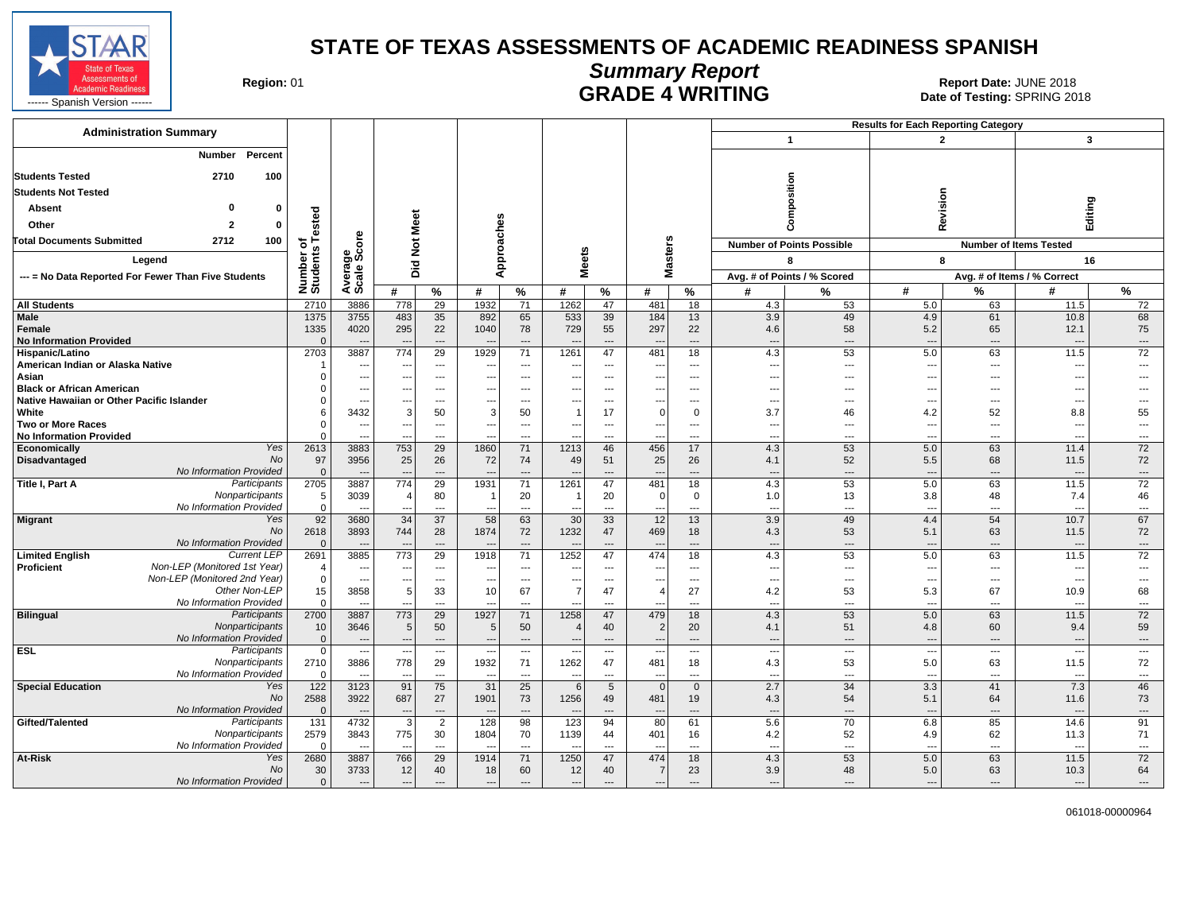

# **Summary Report**

Region: 01 **Region: 01 CALL CONSISTS OF A SET OF A REPORT DATE: JUNE 2018**<br>Date of Testing: SPRING 2018

| <b>Administration Summary</b>                               |                          |                          |                          |                          |                                  |                          |                          |                                 |                                 |                          |                                 |                                  | <b>Results for Each Reporting Category</b> |                                |                                  |                                          |
|-------------------------------------------------------------|--------------------------|--------------------------|--------------------------|--------------------------|----------------------------------|--------------------------|--------------------------|---------------------------------|---------------------------------|--------------------------|---------------------------------|----------------------------------|--------------------------------------------|--------------------------------|----------------------------------|------------------------------------------|
|                                                             |                          |                          |                          |                          |                                  |                          |                          |                                 |                                 |                          |                                 | $\overline{1}$                   |                                            | $\overline{2}$                 | 3                                |                                          |
| Percent<br>Number                                           |                          |                          |                          |                          |                                  |                          |                          |                                 |                                 |                          |                                 |                                  |                                            |                                |                                  |                                          |
| <b>Students Tested</b><br>2710<br>100                       |                          |                          |                          |                          |                                  |                          |                          |                                 |                                 |                          |                                 |                                  |                                            |                                |                                  |                                          |
| <b>Students Not Tested</b>                                  |                          |                          |                          |                          |                                  |                          |                          |                                 |                                 |                          |                                 | mposition                        |                                            |                                |                                  |                                          |
| $\Omega$                                                    |                          |                          |                          |                          |                                  |                          |                          |                                 |                                 |                          |                                 |                                  |                                            | Revision                       |                                  |                                          |
| Absent                                                      | gg                       |                          |                          |                          |                                  |                          |                          |                                 |                                 |                          |                                 |                                  |                                            |                                | Editing                          |                                          |
| Other<br>$\overline{2}$<br>Ω                                | ဖြ                       |                          | Meet                     |                          |                                  |                          |                          |                                 |                                 |                          |                                 | ዳ                                |                                            |                                |                                  |                                          |
| <b>Total Documents Submitted</b><br>2712<br>100             | ቴ                        | ore                      | $\breve{\mathbf{z}}$     |                          |                                  |                          | w                        |                                 | <b>isters</b>                   |                          |                                 | <b>Number of Points Possible</b> |                                            |                                | <b>Number of Items Tested</b>    |                                          |
| Legend                                                      | Number o<br>Students     | క్తిం                    | Did                      |                          |                                  | pproaches                | ē                        |                                 | ω                               |                          |                                 | 8                                | 8                                          |                                | 16                               |                                          |
| --- = No Data Reported For Fewer Than Five Students         |                          | Avera<br>Scale           |                          |                          |                                  | ⋖                        | Σ                        |                                 | Σ                               |                          |                                 | Avg. # of Points / % Scored      |                                            |                                | Avg. # of Items / % Correct      |                                          |
|                                                             |                          |                          | #                        | %                        | #                                | %                        | #                        | %                               | #                               | %                        | #                               | %                                | #                                          | %                              | #                                | %                                        |
| <b>All Students</b>                                         | 2710                     | 3886                     | 778                      | 29                       | 1932                             | 71                       | 1262                     | 47                              | 481                             | 18                       | 4.3                             | 53                               | 5.0                                        | 63                             | 11.5                             | 72                                       |
| <b>Male</b>                                                 | 1375                     | 3755                     | 483                      | 35                       | 892                              | 65                       | 533                      | 39                              | 184                             | 13                       | 3.9                             | 49                               | 4.9                                        | 61                             | 10.8                             | 68                                       |
| Female                                                      | 1335                     | 4020                     | 295                      | 22                       | 1040                             | 78                       | 729                      | 55                              | 297                             | 22                       | 4.6                             | 58                               | 5.2                                        | 65                             | 12.1                             | 75                                       |
| <b>No Information Provided</b>                              | $\Omega$                 |                          | $\sim$                   | ---                      |                                  | $\overline{\phantom{a}}$ |                          | ---                             |                                 | $\overline{\phantom{a}}$ | $\overline{\phantom{a}}$        | ---                              | $\qquad \qquad \cdots$                     | ---                            | $\overline{\phantom{a}}$         | $\cdots$                                 |
| Hispanic/Latino<br>American Indian or Alaska Native         | 2703                     | 3887                     | 774                      | 29                       | 1929                             | 71                       | 1261                     | 47                              | 481                             | 18                       | 4.3                             | 53                               | 5.0                                        | 63                             | 11.5                             | 72                                       |
| Asian                                                       |                          | ---<br>---               |                          | ---<br>---               |                                  | ---<br>---               | --<br>---                | ---<br>$\overline{\phantom{a}}$ |                                 | ---<br>---               | ---<br>$\overline{\phantom{a}}$ | ---<br>---                       | $\overline{\phantom{a}}$<br>$---$          | ---<br>---                     | ---<br>-−-                       | ---                                      |
| <b>Black or African American</b>                            |                          | $\overline{\phantom{a}}$ | $- - -$                  | $\overline{\phantom{a}}$ | $\overline{a}$                   | $-$                      | ---                      | $\overline{\phantom{a}}$        | ---                             | $\overline{\phantom{a}}$ | $\overline{\phantom{a}}$        | $---$                            | $---$                                      | $---$                          | ---                              | $\overline{a}$                           |
| Native Hawaiian or Other Pacific Islander                   |                          | ---                      |                          | ---                      |                                  | ---                      |                          | ---                             |                                 | ---                      | $\overline{\phantom{a}}$        | ---                              | $\qquad \qquad -\qquad$                    | ---                            | ---                              | $---$                                    |
| White                                                       |                          | 3432                     | 3                        | 50                       | 3                                | 50                       |                          | 17                              | $\Omega$                        | $\mathbf 0$              | 3.7                             | 46                               | 4.2                                        | 52                             | 8.8                              | 55                                       |
| <b>Two or More Races</b>                                    |                          | $\overline{\phantom{a}}$ | $---$                    | $---$                    | $\overline{a}$                   | $---$                    | $---$                    | $---$                           | $\sim$                          | $---$                    | $\sim$                          | $---$                            | $---$                                      | $\overline{a}$                 | ---                              | $---$                                    |
| <b>No Information Provided</b>                              |                          |                          |                          | ---                      |                                  | ---                      | $\overline{a}$           | ---                             |                                 | ---                      | $\overline{\phantom{a}}$        | ---                              | $---$                                      | ---                            | ---                              | $---$                                    |
| Yes<br>Economically                                         | 2613                     | 3883                     | 753                      | 29                       | 1860                             | 71                       | 1213                     | 46                              | 456                             | 17                       | 4.3                             | 53                               | 5.0                                        | 63                             | 11.4                             | 72                                       |
| Disadvantaged<br><b>No</b>                                  | 97                       | 3956                     | 25                       | 26                       | 72                               | 74                       | 49                       | 51                              | 25                              | 26                       | 4.1                             | 52                               | 5.5                                        | 68                             | 11.5                             | 72                                       |
| No Information Provided                                     | $\mathbf{0}$             |                          | $\overline{\phantom{a}}$ | ---                      |                                  | ---                      |                          | ---                             |                                 | $\overline{\phantom{a}}$ | $\overline{\phantom{a}}$        | $\overline{a}$                   | $\overline{a}$                             | ---                            | $\overline{\phantom{a}}$         | $\cdots$                                 |
| Title I, Part A<br>Participants<br>Nonparticipants          | 2705                     | 3887<br>3039             | 774<br>$\overline{4}$    | 29                       | 1931<br>-1                       | 71                       | 1261                     | 47                              | 481<br>$\Omega$                 | 18<br>$\mathbf 0$        | 4.3                             | 53                               | 5.0                                        | 63                             | 11.5                             | 72<br>46                                 |
| No Information Provided                                     | 5<br>$\mathbf{0}$        |                          | $\overline{a}$           | 80<br>$\overline{a}$     |                                  | 20<br>$\overline{a}$     |                          | 20<br>$\overline{a}$            |                                 | $\overline{a}$           | 1.0<br>---                      | 13<br>---                        | 3.8<br>$---$                               | 48<br>---                      | 7.4<br>$\overline{a}$            | $---$                                    |
| <b>Migrant</b><br>Yes                                       | 92                       | 3680                     | $\overline{34}$          | $\overline{37}$          | 58                               | 63                       | 30                       | 33                              | $\overline{12}$                 | 13                       | 3.9                             | 49                               | 4.4                                        | 54                             | 10.7                             | 67                                       |
| <b>No</b>                                                   | 2618                     | 3893                     | 744                      | 28                       | 1874                             | 72                       | 1232                     | 47                              | 469                             | 18                       | 4.3                             | 53                               | 5.1                                        | 63                             | 11.5                             | 72                                       |
| No Information Provided                                     | $\Omega$                 |                          |                          |                          |                                  |                          |                          |                                 |                                 | ---                      | $\overline{\phantom{a}}$        | ---                              | $\overline{\phantom{a}}$                   | ---                            | $\overline{\phantom{a}}$         | $\qquad \qquad \cdots$                   |
| Current LEP<br><b>Limited English</b>                       | 2691                     | 3885                     | 773                      | 29                       | 1918                             | 71                       | 1252                     | 47                              | 474                             | 18                       | 4.3                             | 53                               | 5.0                                        | 63                             | 11.5                             | $\overline{72}$                          |
| Non-LEP (Monitored 1st Year)<br>Proficient                  | $\overline{\mathcal{A}}$ | $\overline{a}$           | $\sim$                   | $---$                    | $\overline{\phantom{a}}$         | $---$                    | $\overline{a}$           | $---$                           | ---                             | $---$                    | $\overline{\phantom{a}}$        | $\overline{a}$                   | $---$                                      | $\overline{\phantom{a}}$       | ---                              | $\sim$                                   |
| Non-LEP (Monitored 2nd Year)                                | $\mathbf 0$              | ---                      | ---                      | $\hspace{0.05cm} \ldots$ | $\overline{\phantom{a}}$         | ---                      | ---                      | $\hspace{0.05cm} \ldots$        |                                 | $\hspace{0.05cm} \ldots$ | $\overline{\phantom{a}}$        | ---                              | $\qquad \qquad -\qquad$                    | $\qquad \qquad \cdots$         | $\overline{\phantom{a}}$         | $\qquad \qquad \cdots$                   |
| Other Non-LEP                                               | 15                       | 3858                     | 5 <sup>5</sup>           | 33                       | 10                               | 67                       | $\overline{7}$           | 47                              | 4                               | 27                       | 4.2                             | 53                               | 5.3                                        | 67                             | 10.9                             | 68                                       |
| No Information Provided<br><b>Bilingual</b><br>Participants | $\Omega$<br>2700         | $\overline{a}$<br>3887   | $- -$<br>773             | ---<br>$\overline{29}$   | $\overline{\phantom{a}}$<br>1927 | ---<br>71                | 1258                     | $\overline{\phantom{a}}$<br>47  | $\overline{\phantom{a}}$<br>479 | ---<br>18                | $\overline{\phantom{a}}$<br>4.3 | ---<br>53                        | $\overline{\phantom{a}}$<br>5.0            | ---<br>63                      | $\overline{\phantom{a}}$<br>11.5 | $\cdots$<br>72                           |
| Nonparticipants                                             | 10                       | 3646                     | 5 <sup>5</sup>           | 50                       | 5                                | 50                       | $\overline{4}$           | 40                              | $\overline{2}$                  | 20                       | 4.1                             | 51                               | 4.8                                        | 60                             | 9.4                              | 59                                       |
| No Information Provided                                     | $\mathbf{0}$             | $\overline{\phantom{a}}$ | $---$                    | $---$                    | $---$                            | $---$                    | $\overline{\phantom{a}}$ | $---$                           | $\overline{\phantom{a}}$        | $---$                    | $\overline{\phantom{a}}$        | $---$                            | $---$                                      | $---$                          | ----                             | $---$                                    |
| <b>ESL</b><br>Participants                                  | $\mathsf 0$              | ---                      |                          | $\hspace{0.05cm} \ldots$ |                                  | $\overline{\phantom{a}}$ |                          | $\hspace{0.05cm} \ldots$        |                                 | $\overline{\phantom{a}}$ | $\cdots$                        | $\overline{\phantom{a}}$         | $\cdots$                                   | $\overline{\phantom{a}}$       | $\overline{\phantom{a}}$         | $\scriptstyle\cdots$                     |
| Nonparticipants                                             | 2710                     | 3886                     | 778                      | 29                       | 1932                             | 71                       | 1262                     | 47                              | 481                             | 18                       | 4.3                             | 53                               | 5.0                                        | 63                             | 11.5                             | 72                                       |
| No Information Provided                                     | $\Omega$                 | $\overline{\phantom{a}}$ | $\sim$                   | $\overline{\phantom{a}}$ | $\overline{\phantom{a}}$         | $\overline{\phantom{a}}$ | --                       | $\overline{\phantom{a}}$        | $\sim$                          | $-$                      | $\overline{\phantom{a}}$        | $\overline{a}$                   | $\overline{a}$                             | $\overline{a}$                 | $\overline{\phantom{a}}$         | $---$                                    |
| <b>Special Education</b><br>Yes                             | 122                      | 3123                     | 91                       | 75                       | 31                               | 25                       | 6                        | $5\overline{)}$                 | $\overline{0}$                  | $\mathbf 0$              | 2.7                             | 34                               | 3.3                                        | 41                             | 7.3                              | 46                                       |
| No                                                          | 2588                     | 3922                     | 687                      | 27                       | 1901                             | 73                       | 1256                     | 49                              | 481                             | 19                       | 4.3                             | 54                               | 5.1                                        | 64                             | 11.6                             | 73                                       |
| No Information Provided                                     | $\Omega$                 | $\overline{\phantom{a}}$ | $\sim$                   | $\cdots$                 | $\overline{\phantom{a}}$         | $\cdots$                 |                          | $\overline{\phantom{a}}$        | ---                             | $\overline{\phantom{a}}$ | ---                             | ---                              | $---$                                      | ---                            | $\overline{\phantom{a}}$         | $\hspace{0.05cm} \ldots \hspace{0.05cm}$ |
| Gifted/Talented<br>Participants                             | $\overline{131}$         | 4732                     | 3                        | $\overline{2}$           | 128                              | 98                       | 123                      | 94                              | 80                              | 61                       | 5.6                             | 70                               | 6.8                                        | 85                             | 14.6                             | 91                                       |
| Nonparticipants<br>No Information Provided                  | 2579<br>$\Omega$         | 3843                     | 775                      | 30                       | 1804                             | 70                       | 1139                     | 44                              | 401                             | 16                       | 4.2                             | 52                               | 4.9                                        | 62                             | 11.3                             | 71                                       |
| At-Risk<br>Yes                                              | 2680                     | $\sim$<br>3887           | $\sim$<br>766            | $---$<br>29              | $\sim$<br>1914                   | $---$<br>71              | --<br>1250               | $---$<br>47                     | ---<br>474                      | $---$<br>18              | $\overline{\phantom{a}}$<br>4.3 | $\overline{\phantom{a}}$<br>53   | $---$<br>5.0                               | $\overline{\phantom{a}}$<br>63 | $\overline{\phantom{a}}$<br>11.5 | $---$<br>72                              |
| No                                                          | 30                       | 3733                     | 12                       | 40                       | 18                               | 60                       | 12                       | 40                              | $\overline{7}$                  | 23                       | 3.9                             | 48                               | 5.0                                        | 63                             | 10.3                             | 64                                       |
| No Information Provided                                     | $\mathbf{0}$             | $\overline{\phantom{a}}$ | $---$                    | $---$                    | $---$                            | $\overline{\phantom{a}}$ | $\overline{\phantom{a}}$ | $\hspace{1.5cm} \textbf{---}$   | $\overline{\phantom{a}}$        | $---$                    | ---                             | ---                              | $---$                                      | ---                            | $\overline{\phantom{a}}$         | $\cdots$                                 |
|                                                             |                          |                          |                          |                          |                                  |                          |                          |                                 |                                 |                          |                                 |                                  |                                            |                                |                                  |                                          |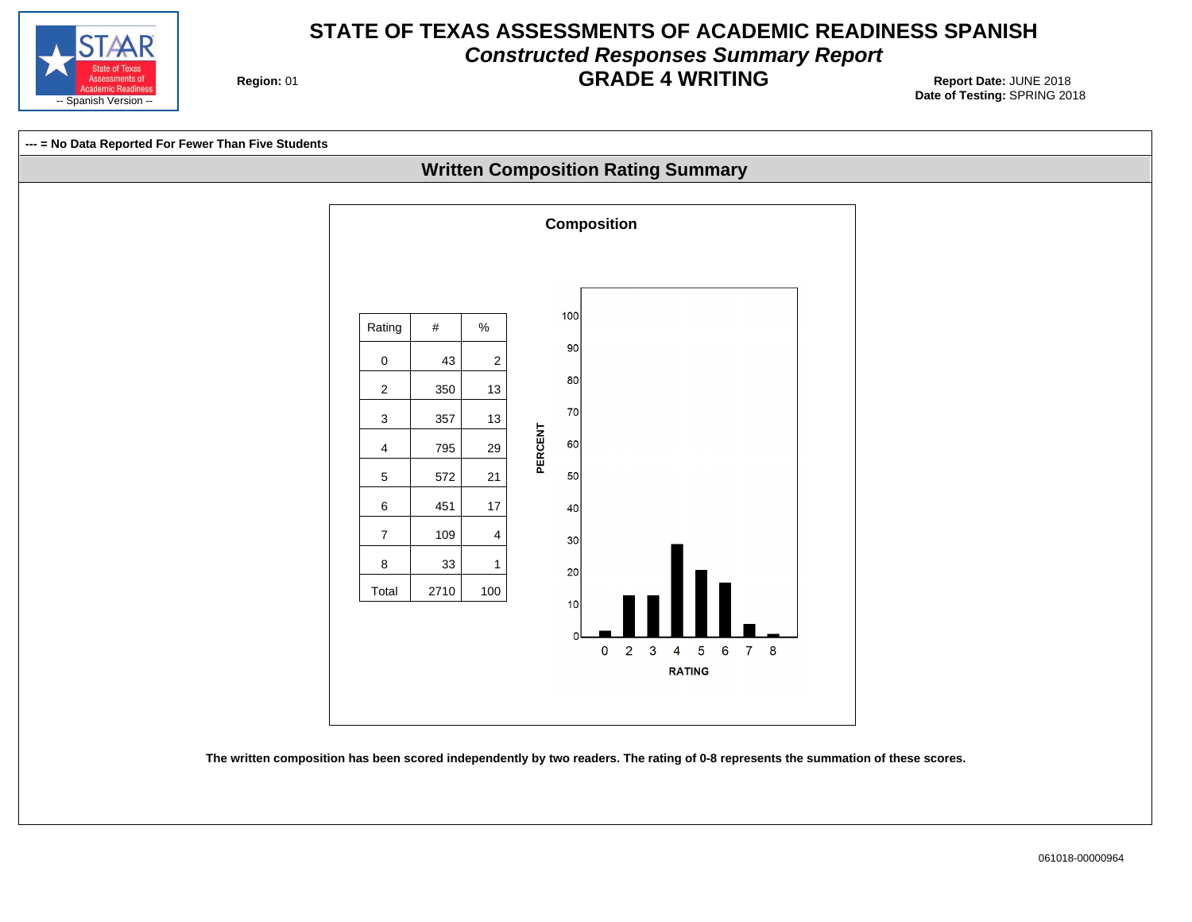

# **STATE OF TEXAS ASSESSMENTS OF ACADEMIC READINESS SPANISH Constructed Responses Summary Report GRADE 4 WRITING** Report Date: JUNE 2018

**Region: 01** 



**The written composition has been scored independently by two readers. The rating of 0-8 represents the summation of these scores.**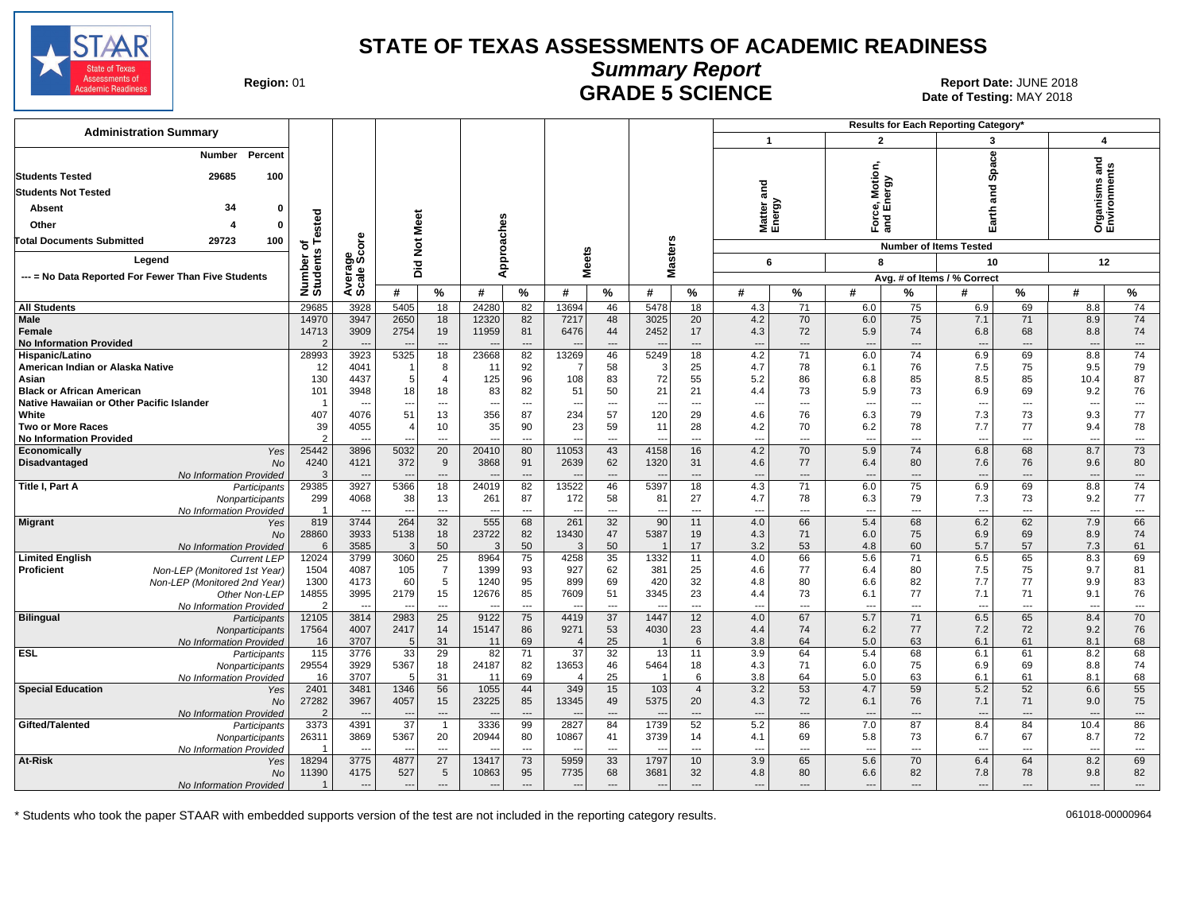

**Summary Report**

**GRADE 5 SCIENCE Date: JUNE 2018**<br>Date of Testing: MAY 2018 Date of Testing: MAY 2018

| <b>Administration Summary</b><br>$\overline{1}$<br>$\overline{2}$<br>3<br>ပ္ပ<br>Percent<br>Number<br>Spā<br>Motion,<br><b>Students Tested</b><br>29685<br>100<br>Force, Motio<br>and Energy<br>and<br>겯<br><b>Students Not Tested</b><br>σ<br>Matter a<br>Energy<br>34<br>Absent<br>0<br>운                                                                                                                  | $\boldsymbol{4}$<br>짇<br>ents<br>σ                                |
|--------------------------------------------------------------------------------------------------------------------------------------------------------------------------------------------------------------------------------------------------------------------------------------------------------------------------------------------------------------------------------------------------------------|-------------------------------------------------------------------|
|                                                                                                                                                                                                                                                                                                                                                                                                              |                                                                   |
|                                                                                                                                                                                                                                                                                                                                                                                                              |                                                                   |
|                                                                                                                                                                                                                                                                                                                                                                                                              | Organisms<br>Environme                                            |
| ౚ                                                                                                                                                                                                                                                                                                                                                                                                            |                                                                   |
| ested<br>Meet<br>Other<br>o                                                                                                                                                                                                                                                                                                                                                                                  |                                                                   |
| ge<br>Score<br><b>Total Documents Submitted</b><br>29723<br>100<br>$\frac{5}{2}$<br>ځ ج<br><b>Number of Items Tested</b>                                                                                                                                                                                                                                                                                     |                                                                   |
| Approaches<br>asters<br><b>Meets</b><br>Number o<br>Students<br>Legend<br>6<br>8<br>10<br>Did                                                                                                                                                                                                                                                                                                                | 12                                                                |
| Averag<br>Scale<br>ż<br>--- = No Data Reported For Fewer Than Five Students<br>Avg. # of Items / % Correct                                                                                                                                                                                                                                                                                                   |                                                                   |
| $\%$<br>$\%$<br>$\%$<br>%<br>%<br>#<br>%<br>#<br>#<br>#<br>#<br>#<br>#<br>%<br>#                                                                                                                                                                                                                                                                                                                             | $\%$                                                              |
| 29685<br>3928<br>5405<br>18<br>24280<br>82<br>13694<br>46<br>5478<br>75<br>69<br><b>All Students</b><br>18<br>4.3<br>71<br>6.0<br>6.9<br>8.8                                                                                                                                                                                                                                                                 | 74                                                                |
| 3947<br>2650<br>71<br>Male<br>14970<br>18<br>82<br>48<br>3025<br>20<br>4.2<br>70<br>6.0<br>75<br>8.9<br>12320<br>7217<br>7.1                                                                                                                                                                                                                                                                                 | 74                                                                |
| 2754<br>6476<br>2452<br>68<br>14713<br>3909<br>19<br>11959<br>81<br>44<br>17<br>4.3<br>72<br>5.9<br>74<br>6.8<br><b>Female</b><br><b>No Information Provided</b>                                                                                                                                                                                                                                             | 74<br>8.8                                                         |
| ---<br>---<br>---<br>---<br>$\overline{\phantom{a}}$<br>$\overline{\phantom{a}}$<br>$\overline{\phantom{a}}$<br>$\overline{\phantom{a}}$<br>---<br>$\overline{\phantom{a}}$<br>28993<br>5325<br>18<br>23668<br>82<br>13269<br>46<br>5249<br>18<br>71<br>6.0<br>74<br>6.9<br>69<br>3923<br>4.2<br>Hispanic/Latino                                                                                             | $\qquad \qquad \cdots$<br>$\overline{\phantom{a}}$<br>74<br>8.8   |
| 12<br>92<br>58<br>25<br>78<br>7.5<br>75<br>American Indian or Alaska Native<br>4041<br>8<br>4.7<br>6.1<br>76<br>11<br>3<br>-1                                                                                                                                                                                                                                                                                | 9.5<br>79                                                         |
| 130<br>4437<br>125<br>108<br>72<br>5.2<br>$\overline{4}$<br>96<br>83<br>55<br>86<br>6.8<br>85<br>8.5<br>85<br>10.4<br>Asian<br>.5                                                                                                                                                                                                                                                                            | 87                                                                |
| 21<br>73<br>69<br>101<br>3948<br>18<br>18<br>83<br>82<br>51<br>50<br>5.9<br>73<br>6.9<br><b>Black or African American</b><br>21<br>4.4                                                                                                                                                                                                                                                                       | 76<br>9.2                                                         |
| Native Hawaiian or Other Pacific Islander<br>$\overline{a}$<br>$\sim$<br>$---$<br>$\overline{a}$<br>$---$<br>---<br>$\overline{a}$<br>$\overline{a}$<br>$\overline{\phantom{a}}$<br>$\overline{a}$<br>$\sim$<br>$---$<br>$\sim$<br>--<br>$\sim$                                                                                                                                                              | $\overline{\phantom{a}}$<br>$\overline{\phantom{a}}$              |
| 407<br>51<br>356<br>234<br>57<br>120<br>4076<br>13<br>87<br>4.6<br>76<br>6.3<br>79<br>7.3<br>73<br>White<br>29                                                                                                                                                                                                                                                                                               | 77<br>9.3                                                         |
| 35<br>23<br>7.7<br>77<br>Two or More Races<br>39<br>4055<br>10<br>90<br>59<br>11<br>28<br>4.2<br>70<br>6.2<br>78<br>9.4<br>$\overline{\mathcal{A}}$                                                                                                                                                                                                                                                          | 78                                                                |
| <b>No Information Provided</b><br>$\mathcal{P}$<br>$\overline{a}$<br>$\overline{a}$<br>$\overline{a}$<br>---<br>$\overline{a}$<br>$\overline{a}$<br>---<br>$\overline{a}$<br>---<br>$\overline{a}$                                                                                                                                                                                                           | $\overline{\phantom{a}}$<br>$\overline{\phantom{a}}$              |
| 25442<br>5032<br>20<br>43<br>4158<br>4.2<br>70<br>5.9<br>74<br>6.8<br>68<br>8.7<br>3896<br>20410<br>80<br>11053<br>16<br>Economically<br>Yes                                                                                                                                                                                                                                                                 | 73                                                                |
| 4240<br>372<br>1320<br>76<br>Disadvantaged<br>4121<br>9<br>3868<br>91<br>2639<br>62<br>31<br>4.6<br>77<br>6.4<br>80<br>7.6<br><b>No</b>                                                                                                                                                                                                                                                                      | 80<br>9.6                                                         |
| No Information Provided<br>-3<br>$\overline{\phantom{a}}$<br>---<br>$\overline{\phantom{a}}$<br>$\overline{\phantom{a}}$<br>$\cdots$<br>$\cdots$<br>$\overline{\phantom{a}}$<br>$\overline{\phantom{a}}$<br>---<br>$---$<br>$---$<br>$---$<br>29385<br>3927<br>5366<br>18<br>24019<br>82<br>13522<br>46<br>5397<br>18<br>4.3<br>$\overline{71}$<br>6.0<br>75<br>6.9<br>69<br>Title I, Part A<br>Participants | $\hspace{0.05cm} \ldots$<br>$\overline{\phantom{a}}$<br>8.8<br>74 |
| 73<br>299<br>38<br>87<br>58<br>81<br>27<br>78<br>6.3<br>79<br>7.3<br>4068<br>13<br>261<br>172<br>4.7<br>Nonparticipants                                                                                                                                                                                                                                                                                      | 77<br>9.2                                                         |
| No Information Provided<br>$---$<br>$\overline{a}$<br>$\overline{a}$<br>$\sim$<br>$\overline{a}$<br>$\overline{a}$<br>$\overline{a}$<br>$\overline{a}$<br>$\overline{a}$<br>$---$<br>$\sim$<br>$\overline{\phantom{a}}$<br>$\sim$<br>$\sim$                                                                                                                                                                  | $\overline{\phantom{a}}$<br>$\hspace{0.05cm} \ldots$              |
| 32<br>555<br>6.2<br>62<br>819<br>3744<br>264<br>68<br>261<br>32<br>90<br>11<br>4.0<br>66<br>5.4<br>68<br>7.9<br><b>Migrant</b><br>Yes                                                                                                                                                                                                                                                                        | 66                                                                |
| 28860<br>3933<br>5138<br>13430<br>5387<br>18<br>23722<br>82<br>47<br>19<br>4.3<br>71<br>6.0<br>75<br>6.9<br>69<br>8.9<br>No                                                                                                                                                                                                                                                                                  | 74                                                                |
| 50<br>57<br>3585<br>50<br>50<br>17<br>3.2<br>53<br>4.8<br>60<br>5.7<br>No Information Provided<br>6<br>3<br>$\mathcal{B}$                                                                                                                                                                                                                                                                                    | 7.3<br>61                                                         |
| 12024<br>3060<br>25<br>8964<br>35<br>1332<br>66<br>5.6<br>71<br>6.5<br>65<br><b>Limited English</b><br><b>Current LEP</b><br>3799<br>75<br>4258<br>11<br>4.0                                                                                                                                                                                                                                                 | 8.3<br>69                                                         |
| $\overline{7}$<br>7.5<br>75<br>1399<br>93<br>927<br>62<br>381<br>77<br>80<br><b>Proficient</b><br>Non-LEP (Monitored 1st Year)<br>1504<br>4087<br>105<br>25<br>4.6<br>6.4                                                                                                                                                                                                                                    | 81<br>9.7                                                         |
| 60<br>899<br>420<br>32<br>82<br>7.7<br>77<br>Non-LEP (Monitored 2nd Year)<br>1300<br>4173<br>5<br>1240<br>95<br>69<br>4.8<br>80<br>6.6                                                                                                                                                                                                                                                                       | 83<br>9.9                                                         |
| 14855<br>3995<br>2179<br>15<br>12676<br>7609<br>3345<br>23<br>73<br>77<br>71<br>85<br>51<br>6.1<br>7.1<br>9.1<br>Other Non-LEP<br>4.4<br>$\overline{2}$<br>$\overline{a}$<br>$\overline{a}$<br>$\overline{a}$<br>$\overline{\phantom{a}}$<br>$\overline{a}$<br>$\overline{a}$<br>$\overline{\phantom{a}}$<br>---<br>$\overline{\phantom{a}}$<br>$\sim$<br>$\overline{a}$<br>$\overline{a}$<br><b></b>        | 76<br>$\overline{\phantom{a}}$<br>$\hspace{0.05cm} \ldots$        |
| No Information Provided<br><b>Bilingual</b><br>3814<br>2983<br>25<br>9122<br>4419<br>37<br>1447<br>12<br>4.0<br>67<br>5.7<br>6.5<br>12105<br>75<br>71<br>65<br>8.4<br><b>Participants</b>                                                                                                                                                                                                                    | 70                                                                |
| 17564<br>9271<br>4030<br>6.2<br>77<br>72<br>4007<br>2417<br>14<br>15147<br>86<br>53<br>23<br>74<br>7.2<br>Nonparticipants<br>4.4                                                                                                                                                                                                                                                                             | 76<br>9.2                                                         |
| 69<br>25<br>64<br>5.0<br>61<br>8.1<br>No Information Provided<br>16<br>3707<br>31<br>6<br>3.8<br>63<br>6.1<br>5<br>11                                                                                                                                                                                                                                                                                        | 68                                                                |
| <b>ESL</b><br>115<br>3776<br>33<br>29<br>82<br>37<br>32<br>13<br>64<br>5.4<br>68<br>6.1<br>61<br>71<br>11<br>3.9<br>Participants                                                                                                                                                                                                                                                                             | 68<br>8.2                                                         |
| 29554<br>5367<br>24187<br>13653<br>3929<br>18<br>82<br>46<br>5464<br>4.3<br>71<br>6.0<br>75<br>6.9<br>69<br>8.8<br>18<br>Nonparticipants                                                                                                                                                                                                                                                                     | 74                                                                |
| 25<br>3707<br>31<br>69<br>64<br>5.0<br>63<br>61<br>8.1<br>No Information Provided<br>16<br>-5<br>11<br>6<br>3.8<br>6.1                                                                                                                                                                                                                                                                                       | 68                                                                |
|                                                                                                                                                                                                                                                                                                                                                                                                              | 55<br>6.6                                                         |
| 349<br><b>Special Education</b><br>2401<br>3481<br>1346<br>56<br>1055<br>44<br>15<br>103<br>3.2<br>53<br>4.7<br>59<br>5.2<br>52<br>$\overline{4}$<br>Yes                                                                                                                                                                                                                                                     |                                                                   |
| 27282<br>4057<br>23225<br>5375<br>71<br>3967<br>15<br>13345<br>49<br>20<br>4.3<br>72<br>6.1<br>76<br>7.1<br>85<br><b>No</b>                                                                                                                                                                                                                                                                                  | 75<br>9.0                                                         |
| $\overline{2}$<br>No Information Provided<br>$\overline{a}$<br>$---$<br>$\overline{a}$<br>$---$<br>$\overline{a}$<br>$\overline{a}$<br>$\overline{a}$<br>$\overline{\phantom{a}}$<br>$\overline{\phantom{a}}$<br>$\overline{\phantom{a}}$<br>$---$                                                                                                                                                           | $\overline{\phantom{a}}$<br>$\overline{\phantom{a}}$              |
| Gifted/Talented<br>3373<br>4391<br>37<br>3336<br>99<br>2827<br>84<br>1739<br>52<br>7.0<br>87<br>8.4<br>84<br>5.2<br>86<br>10.4<br>Participants<br>$\overline{1}$                                                                                                                                                                                                                                             | 86                                                                |
| 5367<br>20<br>10867<br>3739<br>67<br>26311<br>3869<br>20944<br>69<br>5.8<br>73<br>6.7<br>Nonparticipants<br>80<br>41<br>14<br>4.1<br>8.7                                                                                                                                                                                                                                                                     | 72                                                                |
| No Information Provided<br>$\overline{a}$<br>$\overline{a}$<br>$\overline{a}$<br>$\overline{\phantom{a}}$<br>$\overline{a}$<br>$\overline{a}$<br>$\overline{a}$<br>$\overline{a}$<br>$\overline{a}$<br>$---$<br>$\overline{\phantom{a}}$<br>$\overline{\phantom{a}}$                                                                                                                                         | $\sim$<br>$\overline{a}$                                          |
| At-Risk<br>18294<br>3775<br>4877<br>27<br>73<br>5959<br>33<br>1797<br>6.4<br>64<br>13417<br>10<br>3.9<br>65<br>5.6<br>70<br>Yes<br>11390<br>4175<br>527<br>5<br>10863<br>7735<br>68<br>3681<br>82<br>78<br>95<br>32<br>4.8<br>80<br>6.6<br>7.8<br><b>No</b>                                                                                                                                                  | 69<br>8.2<br>82<br>9.8                                            |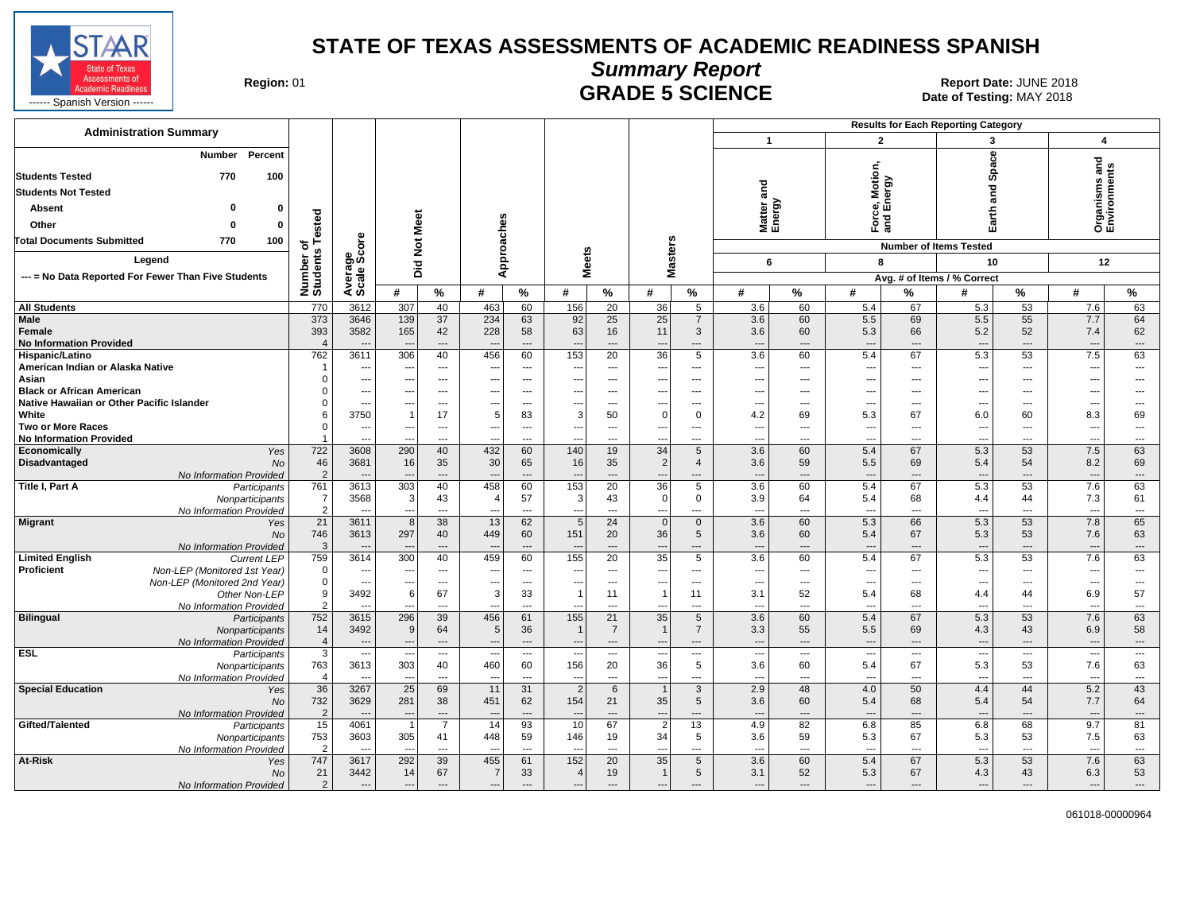

# **Summary Report**

**GRADE 5 SCIENCE Date: JUNE 2018**<br>Date of Testing: MAY 2018

| <b>Administration Summary</b>                                           |                       |                                  |                          |                              |                                 |                                |                                 |                          |                                |                          |                                 |                                |                                 |                      | <b>Results for Each Reporting Category</b> |                                |                                 |                                |
|-------------------------------------------------------------------------|-----------------------|----------------------------------|--------------------------|------------------------------|---------------------------------|--------------------------------|---------------------------------|--------------------------|--------------------------------|--------------------------|---------------------------------|--------------------------------|---------------------------------|----------------------|--------------------------------------------|--------------------------------|---------------------------------|--------------------------------|
|                                                                         |                       |                                  |                          |                              |                                 |                                |                                 |                          |                                |                          | $\overline{1}$                  |                                | $\overline{2}$                  |                      | 3                                          |                                | $\overline{\mathbf{4}}$         |                                |
| Percent<br><b>Number</b><br><b>Students Tested</b><br>770<br>100        |                       |                                  |                          |                              |                                 |                                |                                 |                          |                                |                          |                                 |                                | ce, Motion<br>I Energy          |                      | Space                                      |                                | Organisms and<br>Environments   |                                |
| <b>Students Not Tested</b>                                              |                       |                                  |                          |                              |                                 |                                |                                 |                          |                                |                          | and                             |                                |                                 |                      | 짇                                          |                                |                                 |                                |
| o<br>$\mathbf{0}$                                                       |                       |                                  |                          |                              |                                 |                                |                                 |                          |                                |                          |                                 |                                |                                 |                      | ಸ                                          |                                |                                 |                                |
| <b>Absent</b>                                                           |                       |                                  |                          |                              |                                 |                                |                                 |                          |                                |                          | Matter a<br>Energy              |                                |                                 |                      | Earth                                      |                                |                                 |                                |
| Other<br>$\Omega$<br>$\Omega$                                           | Tested                |                                  | Meet                     |                              |                                 |                                |                                 |                          |                                |                          |                                 |                                | 군<br>이                          |                      |                                            |                                |                                 |                                |
| 100<br><b>Total Documents Submitted</b><br>770                          | ъ                     | <b>ore</b>                       | $\overline{5}$           |                              |                                 |                                |                                 |                          |                                |                          |                                 |                                |                                 |                      | <b>Number of Items Tested</b>              |                                |                                 |                                |
| Legend                                                                  | Number or<br>Students | Average<br>Scale Sco             | Did                      |                              | Approaches                      |                                | <b>Meets</b>                    |                          | <b>Masters</b>                 |                          | 6                               |                                | 8                               |                      | 10                                         |                                | 12                              |                                |
| --- = No Data Reported For Fewer Than Five Students                     |                       |                                  |                          |                              |                                 |                                |                                 |                          |                                |                          |                                 |                                |                                 |                      | Avg. # of Items / % Correct                |                                |                                 |                                |
|                                                                         |                       |                                  | #                        | $\%$                         | #                               | $\%$                           | #                               | ℅                        | #                              | %                        | #                               | $\%$                           | #                               | %                    | #                                          | %                              | #                               | %                              |
| <b>All Students</b>                                                     | 770                   | 3612                             | 307                      | 40                           | 463                             | 60                             | 156                             | 20                       | 36                             | 5                        | 3.6                             | 60                             | 5.4                             | 67                   | 5.3                                        | 53                             | 7.6                             | 63                             |
| <b>Male</b>                                                             | 373                   | 3646                             | 139                      | 37                           | 234                             | 63                             | 92                              | 25                       | 25                             | 7                        | 3.6                             | 60                             | 5.5                             | 69                   | 5.5                                        | 55                             | 7.7                             | 64                             |
| Female                                                                  | 393                   | 3582                             | 165                      | 42                           | 228                             | 58                             | 63                              | 16                       | 11                             | 3                        | 3.6                             | 60                             | 5.3                             | 66                   | 5.2                                        | 52                             | 7.4                             | 62                             |
| <b>No Information Provided</b>                                          | $\overline{4}$        |                                  |                          | $---$                        | $\overline{\phantom{a}}$        | $\overline{a}$                 |                                 | $\overline{a}$           | $\overline{\phantom{a}}$       | $---$                    | ---                             | $\overline{\phantom{a}}$       | ---                             | ---                  | $\overline{a}$                             | $\overline{a}$                 | $\overline{\phantom{a}}$        | $\qquad \qquad \cdots$         |
| Hispanic/Latino                                                         | 762                   | 3611                             | 306                      | 40                           | 456                             | 60                             | 153                             | 20                       | 36                             | 5                        | 3.6                             | 60                             | 5.4                             | 67                   | 5.3                                        | 53                             | 7.5                             | 63                             |
| American Indian or Alaska Native                                        |                       | $\overline{\phantom{a}}$         | $\overline{\phantom{a}}$ | $\cdots$                     | ---                             | ---                            | $\hspace{0.05cm} \ldots$        | $\overline{\phantom{a}}$ | $\qquad \qquad \cdots$         | $\hspace{0.05cm} \ldots$ | $\overline{\phantom{a}}$        | $\overline{\phantom{a}}$       | $\overline{\phantom{a}}$        | ---                  | $\qquad \qquad \cdots$                     | $\overline{a}$                 | $\overline{\phantom{a}}$        | ---                            |
| Asian                                                                   | $\Omega$              | $\overline{\phantom{a}}$         | $\overline{\phantom{a}}$ | $\cdots$                     | ---                             | ---                            | $\overline{\phantom{a}}$        | ---                      | $\overline{\phantom{a}}$       | $\overline{\phantom{a}}$ | $\overline{\phantom{a}}$        | $\overline{\phantom{a}}$       | $\overline{\phantom{a}}$        | ---                  | ---                                        | ---                            | ---                             | ---                            |
| <b>Black or African American</b>                                        | 0<br>0                | $\overline{\phantom{a}}$         | ---                      | $---$                        | ---                             | $---$                          | ---                             | $---$                    | $\overline{\phantom{a}}$       | $\overline{a}$           | $---$                           | $\sim$                         | ---                             | ---                  | $---$                                      | $---$                          | ---                             | $---$                          |
| Native Hawaiian or Other Pacific Islander<br>White                      | 6                     | $\overline{\phantom{a}}$<br>3750 | $\overline{1}$           | $\qquad \qquad \cdots$<br>17 | ---<br>5                        | ---<br>83                      | ---<br>3                        | ---<br>50                | ---<br>$\overline{0}$          | $\sim$<br>$\mathbf{0}$   | ---                             | ---                            | $\overline{\phantom{a}}$<br>5.3 | ---                  | ---                                        | ---<br>60                      | $\overline{\phantom{a}}$        | $\qquad \qquad \cdots$         |
| <b>Two or More Races</b>                                                | $\Omega$              | $\overline{\phantom{a}}$         | $\overline{\phantom{a}}$ | $\cdots$                     | ---                             | ---                            | ---                             | $---$                    | $\overline{\phantom{a}}$       | $\overline{\phantom{a}}$ | 4.2<br>---                      | 69<br>$\sim$                   | $\overline{\phantom{a}}$        | 67<br>---            | 6.0<br>---                                 | ---                            | 8.3<br>---                      | 69<br>---                      |
| <b>No Information Provided</b>                                          |                       | $\overline{\phantom{a}}$         |                          | $\overline{\phantom{a}}$     | ---                             | ---                            | $\overline{\phantom{a}}$        | $\overline{a}$           | $\overline{\phantom{a}}$       | ---                      | ---                             | $\overline{a}$                 | ---                             | ---                  | $\overline{a}$                             | $\overline{a}$                 | ---                             | $\qquad \qquad \cdots$         |
| Economically<br>Yes                                                     | 722                   | 3608                             | 290                      | 40                           | 432                             | 60                             | 140                             | 19                       | 34                             | 5                        | 3.6                             | 60                             | 5.4                             | 67                   | 5.3                                        | 53                             | 7.5                             | 63                             |
| <b>Disadvantaged</b><br><b>No</b>                                       | 46                    | 3681                             | 16                       | 35                           | 30                              | 65                             | 16                              | 35                       | $\overline{2}$                 | $\overline{4}$           | 3.6                             | 59                             | 5.5                             | 69                   | 5.4                                        | 54                             | 8.2                             | 69                             |
| No Information Provided                                                 | 2                     |                                  |                          | $\overline{a}$               | $\sim$                          | $\overline{a}$                 |                                 | $\overline{a}$           | $\overline{a}$                 | $\overline{a}$           | $\sim$                          | $-$                            | $\sim$                          | $\overline{a}$       | $\sim$                                     | $\overline{a}$                 | $\sim$                          | $\sim$                         |
| <b>Title I, Part A</b><br>Participants                                  | 761                   | 3613                             | 303                      | 40                           | 458                             | 60                             | 153                             | $\overline{20}$          | 36                             | 5                        | 3.6                             | 60                             | 5.4                             | 67                   | 5.3                                        | 53                             | 7.6                             | 63                             |
| Nonparticipants                                                         | $\overline{7}$        | 3568                             | 3                        | 43                           | $\overline{4}$                  | 57                             | 3                               | 43                       | $\Omega$                       | $\Omega$                 | 3.9                             | 64                             | 5.4                             | 68                   | 4.4                                        | 44                             | 7.3                             | 61                             |
| No Information Provided                                                 | $\overline{2}$        |                                  | $\overline{a}$           | $\overline{a}$               | $\sim$                          | $\overline{a}$                 | $\overline{a}$                  | $\sim$                   | $\overline{a}$                 | $\overline{a}$           | $\overline{\phantom{a}}$        | $\overline{a}$                 | $\overline{a}$                  | $\sim$               | $\overline{a}$                             | $\sim$                         | $\overline{a}$                  | $\overline{a}$                 |
| <b>Migrant</b><br>Yes                                                   | 21                    | 3611                             | 8                        | 38                           | 13                              | 62                             | 5                               | 24                       | $\mathbf{0}$                   | $\mathbf{0}$             | 3.6                             | 60                             | 5.3                             | 66                   | 5.3                                        | 53                             | 7.8                             | 65                             |
| <b>No</b>                                                               | 746<br>3              | 3613                             | 297                      | 40<br>$---$                  | 449<br>$\overline{\phantom{a}}$ | 60<br>$\overline{\phantom{a}}$ | 151                             | 20<br>$\overline{a}$     | 36<br>$---$                    | 5<br>$---$               | 3.6<br>---                      | 60<br>$\overline{\phantom{a}}$ | 5.4<br>$\overline{\phantom{a}}$ | 67<br>$\overline{a}$ | 5.3<br>$\overline{a}$                      | 53<br>$\overline{\phantom{a}}$ | 7.6<br>$\overline{\phantom{a}}$ | 63<br>$\overline{a}$           |
| No Information Provided<br><b>Limited English</b><br><b>Current LEP</b> | 759                   | 3614                             | 300                      | 40                           | 459                             | 60                             | 155                             | 20                       | 35                             | 5                        | 3.6                             | 60                             | 5.4                             | 67                   | 5.3                                        | 53                             | 7.6                             | 63                             |
| <b>Proficient</b><br>Non-LEP (Monitored 1st Year)                       | $\Omega$              | $\overline{\phantom{a}}$         | $\overline{\phantom{a}}$ | $\qquad \qquad \cdots$       | ---                             | ---                            | $\qquad \qquad \cdots$          | ---                      | $\qquad \qquad \cdots$         | ---                      | ---                             | $\overline{\phantom{a}}$       | $\overline{\phantom{a}}$        | ---                  | $\overline{a}$                             | ---                            | $\overline{\phantom{a}}$        | ---                            |
| Non-LEP (Monitored 2nd Year)                                            | $\mathbf 0$           | $\overline{a}$                   | ---                      | $\cdots$                     | ---                             | $\overline{\phantom{a}}$       | $\overline{a}$                  | $\overline{\phantom{a}}$ | ---                            | ---                      | ---                             | $\sim$                         | ---                             | ---                  | $\overline{a}$                             | $\overline{a}$                 | $\overline{a}$                  | $\overline{\phantom{a}}$       |
| Other Non-LEP                                                           | 9                     | 3492                             | 6                        | 67                           | 3                               | 33                             | $\overline{1}$                  | 11                       | $\overline{1}$                 | 11                       | 3.1                             | 52                             | 5.4                             | 68                   | 4.4                                        | 44                             | 6.9                             | 57                             |
| No Information Provided                                                 | $\overline{2}$        | $\overline{\phantom{a}}$         | ---                      | $---$                        | ---                             | ---                            | ---                             | $\overline{a}$           | $\overline{\phantom{a}}$       | ---                      | ---                             | $\overline{a}$                 | ---                             | ---                  | $\overline{a}$                             | $\overline{a}$                 | ---                             | $\cdots$                       |
| <b>Bilingual</b><br>Participants                                        | 752                   | 3615                             | 296                      | 39                           | 456                             | 61                             | 155                             | 21                       | 35                             | 5                        | 3.6                             | 60                             | 5.4                             | 67                   | 5.3                                        | 53                             | 7.6                             | 63                             |
| Nonparticipants                                                         | 14                    | 3492                             | 9                        | 64                           | 5                               | 36                             | $\overline{1}$                  | $\overline{7}$           | $\overline{1}$                 | $\overline{7}$           | 3.3                             | 55                             | 5.5                             | 69                   | 4.3                                        | 43                             | 6.9                             | 58                             |
| No Information Provided                                                 | $\overline{4}$        | $\overline{\phantom{a}}$         |                          | $\cdots$                     | ---                             | $\overline{a}$                 |                                 | $\overline{\phantom{a}}$ | $\overline{\phantom{a}}$       | $---$                    | $\overline{\phantom{a}}$        | $\overline{\phantom{a}}$       | ---                             | ---                  | $\overline{a}$                             | $---$                          | $\overline{\phantom{a}}$        | $\hspace{0.05cm} \ldots$       |
| <b>ESL</b><br>Participants                                              | 3<br>763              | $\overline{\phantom{a}}$<br>3613 | 303                      | ---<br>40                    | $\overline{\phantom{a}}$<br>460 | $\overline{\phantom{a}}$       | $\overline{\phantom{a}}$<br>156 | $\overline{\phantom{a}}$ | $\overline{\phantom{a}}$<br>36 | ---<br>5                 | $\overline{\phantom{a}}$<br>3.6 | $\overline{\phantom{a}}$<br>60 | ---<br>5.4                      | ---<br>67            | $---$                                      | $\cdots$<br>53                 | $\overline{\phantom{a}}$        | $\hspace{0.05cm} \ldots$<br>63 |
| Nonparticipants<br>No Information Provided                              | $\overline{4}$        | $\overline{a}$                   | $\overline{\phantom{a}}$ | $---$                        | $\sim$                          | 60<br>$---$                    | $\overline{\phantom{a}}$        | 20<br>$---$              | $\overline{\phantom{a}}$       | $\sim$                   | $\overline{\phantom{a}}$        | $\overline{a}$                 | $\overline{a}$                  | ---                  | 5.3<br>$\overline{a}$                      | $---$                          | 7.6<br>$\overline{\phantom{a}}$ | $\hspace{0.05cm} \ldots$       |
| <b>Special Education</b><br>Yes                                         | 36                    | 3267                             | $\overline{25}$          | 69                           | 11                              | 31                             | $\overline{2}$                  | 6                        | $\overline{1}$                 | 3                        | 2.9                             | 48                             | 4.0                             | 50                   | 4.4                                        | 44                             | 5.2                             | 43                             |
| No                                                                      | 732                   | 3629                             | 281                      | 38                           | 451                             | 62                             | 154                             | 21                       | 35                             | 5                        | 3.6                             | 60                             | 5.4                             | 68                   | 5.4                                        | 54                             | 7.7                             | 64                             |
| No Information Provided                                                 | $\overline{2}$        | $\overline{\phantom{a}}$         | $\overline{\phantom{a}}$ | $---$                        | $\overline{\phantom{a}}$        | $---$                          |                                 | $---$                    | $\overline{\phantom{a}}$       | $\overline{\phantom{a}}$ | $\sim$                          | $\overline{\phantom{a}}$       | $\overline{a}$                  | ---                  | $\overline{a}$                             | $---$                          | $\overline{\phantom{a}}$        | $\overline{\phantom{a}}$       |
| Gifted/Talented<br>Participants                                         | 15                    | 4061                             |                          | $\overline{7}$               | 14                              | 93                             | 10                              | 67                       | $\overline{2}$                 | 13                       | 4.9                             | 82                             | 6.8                             | 85                   | 6.8                                        | 68                             | 9.7                             | 81                             |
| Nonparticipants                                                         | 753                   | 3603                             | 305                      | 41                           | 448                             | 59                             | 146                             | 19                       | 34                             | 5                        | 3.6                             | 59                             | 5.3                             | 67                   | 5.3                                        | 53                             | 7.5                             | 63                             |
| No Information Provided                                                 | $\overline{2}$        | $\overline{\phantom{a}}$         | $\sim$                   | $\overline{\phantom{a}}$     | $\overline{\phantom{a}}$        | ---                            | ---                             | ---                      | ---                            | $\overline{\phantom{a}}$ | $\overline{\phantom{a}}$        | ---                            | ---                             | ---                  | ---                                        | ---                            | ---                             | $\overline{\phantom{a}}$       |
| At-Risk<br>Yes                                                          | 747                   | 3617                             | 292                      | 39                           | 455                             | 61                             | 152                             | 20                       | 35                             | 5                        | 3.6                             | 60                             | 5.4                             | 67                   | 5.3                                        | 53                             | 7.6                             | 63                             |
| No                                                                      | 21                    | 3442                             | 14                       | 67                           | -7                              | 33                             | $\overline{4}$                  | 19                       | $\overline{1}$                 | 5                        | 3.1                             | 52                             | 5.3                             | 67                   | 4.3                                        | 43                             | 6.3                             | 53                             |
| No Information Provided                                                 | $\overline{2}$        | ---                              | $\overline{\phantom{a}}$ | $\cdots$                     | ---                             | ---                            | $\overline{\phantom{a}}$        | $\overline{\phantom{a}}$ | $\overline{\phantom{a}}$       | ---                      | $\overline{a}$                  | $\overline{\phantom{a}}$       | ---                             | ---                  | $\overline{a}$                             | $\cdots$                       | $\overline{\phantom{a}}$        | $\cdots$                       |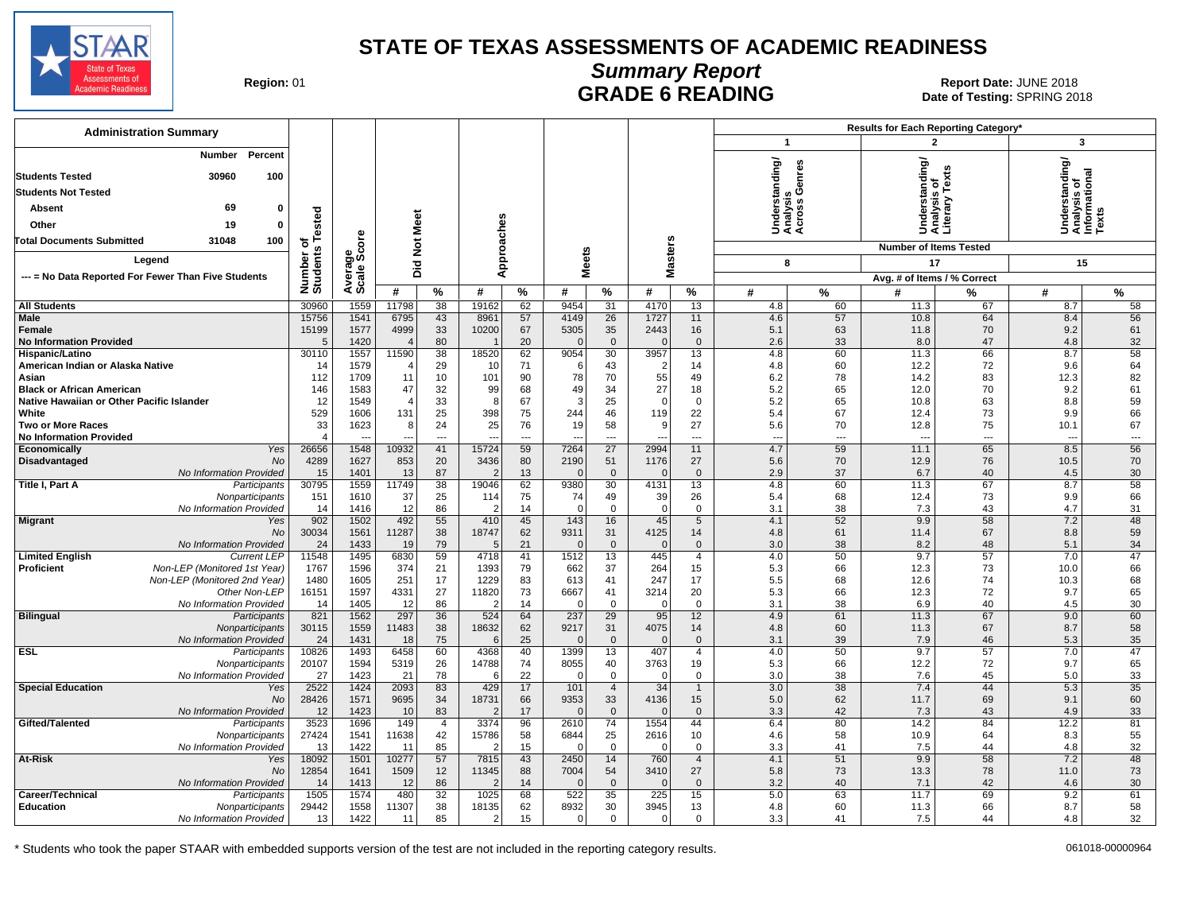

### **Summary Report** Region: 01 **Region: 01 CALL CONSISTS CONSISTENCE**<br>Date of Testing: SPRING 2018

Date of Testing: SPRING 2018

| <b>Administration Summary</b>                                                     |                         |                                  |               |                      |                |                                |                        |                        |                                  |                               |                                          |                      | Results for Each Reporting Category* |                      |                                                         |                                |
|-----------------------------------------------------------------------------------|-------------------------|----------------------------------|---------------|----------------------|----------------|--------------------------------|------------------------|------------------------|----------------------------------|-------------------------------|------------------------------------------|----------------------|--------------------------------------|----------------------|---------------------------------------------------------|--------------------------------|
|                                                                                   |                         |                                  |               |                      |                |                                |                        |                        |                                  |                               | $\mathbf{1}$                             |                      | $\overline{2}$                       |                      | 3                                                       |                                |
| Percent<br><b>Number</b>                                                          |                         |                                  |               |                      |                |                                |                        |                        |                                  |                               |                                          |                      |                                      |                      | Understanding/<br>Analysis of<br>Informational<br>Texts |                                |
| 100<br><b>Students Tested</b><br>30960                                            |                         |                                  |               |                      |                |                                |                        |                        |                                  |                               | nderstanding/<br>nalysis<br>;ross Genres |                      | rstanding                            |                      |                                                         |                                |
| <b>Students Not Tested</b>                                                        |                         |                                  |               |                      |                |                                |                        |                        |                                  |                               |                                          | ு ூ                  |                                      | řex                  |                                                         |                                |
| 69<br>Absent<br>$\mathbf{0}$                                                      |                         |                                  |               |                      |                |                                |                        |                        |                                  |                               |                                          |                      |                                      | sis<br>2             |                                                         |                                |
| 19<br>Other<br>$\mathbf{0}$                                                       |                         |                                  |               |                      |                |                                |                        |                        |                                  |                               |                                          |                      | 흥                                    | 슴<br>tera            |                                                         |                                |
| <b>Total Documents Submitted</b><br>31048<br>100                                  | of<br>s Tested          | <b>ore</b>                       |               |                      |                |                                |                        |                        |                                  |                               | र्ड ई ई                                  |                      | S£š                                  |                      | ŠËŽ                                                     |                                |
|                                                                                   |                         | န္တပ္ကိ                          |               |                      |                |                                |                        |                        |                                  |                               |                                          |                      | <b>Number of Items Tested</b>        |                      |                                                         |                                |
| Leaend                                                                            | Number of<br>Students   |                                  | Did Not Meet  |                      | Approaches     |                                |                        | <b>Meets</b>           | <b>Masters</b>                   |                               | 8                                        |                      | 17                                   |                      | 15                                                      |                                |
| --- = No Data Reported For Fewer Than Five Students                               |                         | Avera<br>Scale                   |               |                      |                |                                |                        |                        |                                  |                               |                                          |                      | Avg. # of Items / % Correct          |                      |                                                         |                                |
|                                                                                   |                         |                                  | #             | %                    | #              | %                              | #                      | %                      | #                                | $\%$                          | #                                        | $\%$                 | #                                    | %                    | #                                                       | %                              |
| <b>All Students</b>                                                               | 30960                   | 1559                             | 11798         | 38                   | 19162          | 62                             | 9454                   | 31                     | 4170                             | 13                            | 4.8                                      | 60                   | 11.3                                 | 67                   | 8.7                                                     | 58                             |
| Male<br>Female                                                                    | 15756<br>15199          | 1541<br>1577                     | 6795<br>4999  | 43<br>33             | 8961<br>10200  | 57<br>67                       | 4149<br>5305           | 26<br>35               | 1727<br>2443                     | 11<br>16                      | 4.6<br>5.1                               | 57<br>63             | 10.8<br>11.8                         | 64<br>70             | 8.4<br>9.2                                              | 56<br>61                       |
| <b>No Information Provided</b>                                                    | 5                       | 1420                             |               | 80                   |                | 20                             |                        | $\mathbf 0$            | $\Omega$                         | $\mathbf 0$                   | 2.6                                      | 33                   | 8.0                                  | 47                   | 4.8                                                     | 32                             |
| Hispanic/Latino                                                                   | 30110                   | 1557                             | 11590         | 38                   | 18520          | 62                             | 9054                   | 30                     | 3957                             | 13                            | 4.8                                      | 60                   | 11.3                                 | 66                   | 8.7                                                     | 58                             |
| American Indian or Alaska Native                                                  | 14                      | 1579                             |               | 29                   | 10             | 71                             | -6                     | 43                     | $\overline{2}$                   | 14                            | 4.8                                      | 60                   | 12.2                                 | 72                   | 9.6                                                     | 64                             |
| Asian<br><b>Black or African American</b>                                         | 112<br>146              | 1709<br>1583                     | 11<br>47      | 10<br>32             | 101<br>99      | 90<br>68                       | 78<br>49               | 70<br>34               | 55<br>27                         | 49<br>18                      | 6.2<br>5.2                               | 78<br>65             | 14.2<br>12.0                         | 83<br>70             | 12.3<br>9.2                                             | 82<br>61                       |
| Native Hawaiian or Other Pacific Islander                                         | 12                      | 1549                             |               | 33                   | -8             | 67                             | 3                      | 25                     | $\Omega$                         | $\mathbf 0$                   | 5.2                                      | 65                   | 10.8                                 | 63                   | 8.8                                                     | 59                             |
| White                                                                             | 529                     | 1606                             | 131           | 25                   | 398            | 75                             | 244                    | 46                     | 119                              | 22                            | 5.4                                      | 67                   | 12.4                                 | 73                   | 9.9                                                     | 66                             |
| <b>Two or More Races</b>                                                          | 33                      | 1623                             | 8             | 24                   | 25             | 76                             | 19                     | 58                     | 9                                | 27                            | 5.6                                      | 70                   | 12.8                                 | 75                   | 10.1                                                    | 67                             |
| <b>No Information Provided</b><br>Yes<br>Economically                             | $\overline{4}$<br>26656 | $\overline{\phantom{a}}$<br>1548 | 10932         | $\overline{a}$<br>41 | ---<br>15724   | $\overline{\phantom{a}}$<br>59 | $\overline{a}$<br>7264 | ---<br>$\overline{27}$ | $\overline{\phantom{a}}$<br>2994 | $\overline{a}$<br>11          | $\overline{\phantom{a}}$<br>4.7          | $\overline{a}$<br>59 | $\overline{a}$<br>11.1               | $\overline{a}$<br>65 | $\overline{a}$<br>8.5                                   | $\overline{\phantom{a}}$<br>56 |
| Disadvantaged<br>No                                                               | 4289                    | 1627                             | 853           | 20                   | 3436           | 80                             | 2190                   | 51                     | 1176                             | 27                            | 5.6                                      | 70                   | 12.9                                 | 76                   | 10.5                                                    | 70                             |
| No Information Provided                                                           | 15                      | 1401                             | 13            | 87                   |                | 13                             | $\Omega$               | $\mathbf{0}$           | $\overline{0}$                   | $\mathbf{0}$                  | 2.9                                      | 37                   | 6.7                                  | 40                   | 4.5                                                     | 30                             |
| Title I, Part A<br>Participants                                                   | 30795                   | 1559                             | 11749         | 38                   | 19046          | 62                             | 9380                   | 30                     | 4131                             | 13                            | 4.8                                      | 60                   | 11.3                                 | 67                   | 8.7                                                     | 58                             |
| Nonparticipants                                                                   | 151                     | 1610                             | 37            | 25<br>86             | 114            | 75                             | 74<br>$\Omega$         | 49                     | 39<br>$\Omega$                   | 26<br>$\Omega$                | 5.4                                      | 68                   | 12.4                                 | 73                   | 9.9                                                     | 66                             |
| No Information Provided<br><b>Migrant</b><br>Yes                                  | 14<br>902               | 1416<br>1502                     | 12<br>492     | 55                   | 410            | 14<br>45                       | 143                    | $\mathbf 0$<br>16      | 45                               | 5                             | 3.1<br>4.1                               | 38<br>52             | 7.3<br>9.9                           | 43<br>58             | 4.7<br>7.2                                              | 31<br>48                       |
| <b>No</b>                                                                         | 30034                   | 1561                             | 11287         | 38                   | 18747          | 62                             | 9311                   | 31                     | 4125                             | 14                            | 4.8                                      | 61                   | 11.4                                 | 67                   | 8.8                                                     | 59                             |
| No Information Provided                                                           | 24                      | 1433                             | 19            | 79                   | $\mathbf{f}$   | 21                             | $\Omega$               | $\mathbf{0}$           | $\Omega$                         | $\Omega$                      | 3.0                                      | 38                   | 8.2                                  | 48                   | 5.1                                                     | 34                             |
| <b>Limited English</b><br><b>Current LEP</b>                                      | 11548                   | 1495                             | 6830          | 59                   | 4718           | 41                             | 1512                   | 13                     | 445                              | $\overline{4}$                | 4.0                                      | 50                   | 9.7                                  | 57                   | 7.0                                                     | $\overline{47}$                |
| Non-LEP (Monitored 1st Year)<br><b>Proficient</b><br>Non-LEP (Monitored 2nd Year) | 1767<br>1480            | 1596<br>1605                     | 374<br>251    | 21<br>17             | 1393<br>1229   | 79<br>83                       | 662<br>613             | 37<br>41               | 264<br>247                       | 15<br>17                      | 5.3<br>5.5                               | 66<br>68             | 12.3<br>12.6                         | 73<br>74             | 10.0<br>10.3                                            | 66<br>68                       |
| Other Non-LEP                                                                     | 16151                   | 1597                             | 4331          | 27                   | 11820          | 73                             | 6667                   | 41                     | 3214                             | 20                            | 5.3                                      | 66                   | 12.3                                 | 72                   | 9.7                                                     | 65                             |
| No Information Provided                                                           | 14                      | 1405                             | 12            | 86                   | - 2            | 14                             | $\Omega$               | $\mathbf{0}$           | $\overline{0}$                   | $\mathbf 0$                   | 3.1                                      | 38                   | 6.9                                  | 40                   | 4.5                                                     | 30                             |
| <b>Bilingual</b><br>Participants                                                  | 821                     | 1562                             | 297           | 36                   | 524            | 64                             | 237                    | 29                     | 95                               | 12                            | 4.9                                      | 61                   | 11.3                                 | 67                   | 9.0                                                     | 60                             |
| Nonparticipants<br>No Information Provided                                        | 30115<br>24             | 1559<br>1431                     | 11483<br>18   | 38<br>75             | 18632<br>-6    | 62<br>25                       | 9217<br>$\Omega$       | 31<br>$\mathbf{0}$     | 4075<br>$\Omega$                 | 14<br>$\Omega$                | 4.8<br>3.1                               | 60<br>39             | 11.3<br>7.9                          | 67<br>46             | 8.7<br>5.3                                              | 58<br>35                       |
| <b>ESL</b><br>Participants                                                        | 10826                   | 1493                             | 6458          | 60                   | 4368           | 40                             | 1399                   | 13                     | 407                              | 4                             | 4.0                                      | 50                   | 9.7                                  | 57                   | 7.0                                                     | 47                             |
| Nonparticipants                                                                   | 20107                   | 1594                             | 5319          | 26                   | 14788          | 74                             | 8055                   | 40                     | 3763                             | 19                            | 5.3                                      | 66                   | 12.2                                 | 72                   | 9.7                                                     | 65                             |
| No Information Provided                                                           | 27                      | 1423                             | 21            | 78                   | -6             | 22                             | $\Omega$               | $\mathbf 0$            | $\mathbf 0$                      | $\mathbf 0$                   | 3.0                                      | 38                   | 7.6                                  | 45                   | 5.0                                                     | 33                             |
| <b>Special Education</b><br>Yes<br>No                                             | 2522<br>28426           | 1424<br>1571                     | 2093<br>9695  | 83<br>34             | 429<br>18731   | 17<br>66                       | 101<br>9353            | $\overline{4}$<br>33   | 34<br>4136                       | $\mathbf{1}$<br>15            | 3.0<br>5.0                               | 38<br>62             | 7.4<br>11.7                          | 44<br>69             | 5.3<br>9.1                                              | 35<br>60                       |
| No Information Provided                                                           | 12                      | 1423                             | 10            | 83                   | 2              | 17                             | $\Omega$               | $\mathbf 0$            | $\Omega$                         | $\mathbf{0}$                  | 3.3                                      | 42                   | 7.3                                  | 43                   | 4.9                                                     | 33                             |
| Gifted/Talented<br>Participants                                                   | 3523                    | 1696                             | 149           | $\overline{4}$       | 3374           | 96                             | 2610                   | 74                     | 1554                             | 44                            | 6.4                                      | 80                   | 14.2                                 | 84                   | 12.2                                                    | 81                             |
| Nonparticipants                                                                   | 27424                   | 1541                             | 11638         | 42                   | 15786          | 58                             | 6844                   | 25                     | 2616                             | 10 <sup>1</sup>               | 4.6                                      | 58                   | 10.9                                 | 64                   | 8.3                                                     | 55                             |
| No Information Provided                                                           | 13                      | 1422<br>1501                     | 11            | 85<br>57             |                | 15                             | $\Omega$               | $\mathbf 0$<br>14      | $\Omega$                         | $\mathbf 0$<br>$\overline{4}$ | 3.3<br>4.1                               | 41<br>51             | 7.5<br>9.9                           | 44<br>58             | 4.8<br>7.2                                              | 32<br>48                       |
| At-Risk<br>Yes<br><b>No</b>                                                       | 18092<br>12854          | 1641                             | 10277<br>1509 | 12                   | 7815<br>11345  | 43<br>88                       | 2450<br>7004           | 54                     | 760<br>3410                      | 27                            | 5.8                                      | 73                   | 13.3                                 | 78                   | 11.0                                                    | 73                             |
| No Information Provided                                                           | 14                      | 1413                             | 12            | 86                   | -2             | 14                             | $\Omega$               | $\Omega$               | $\Omega$                         | $\Omega$                      | 3.2                                      | 40                   | 7.1                                  | 42                   | 4.6                                                     | 30                             |
| Career/Technical<br>Participants                                                  | 1505                    | 1574                             | 480           | 32                   | 1025           | 68                             | 522                    | 35                     | 225                              | 15                            | 5.0                                      | 63                   | 11.7                                 | 69                   | 9.2                                                     | 61                             |
| <b>Education</b><br>Nonparticipants                                               | 29442                   | 1558                             | 11307         | 38                   | 18135          | 62                             | 8932                   | 30                     | 3945                             | 13                            | 4.8                                      | 60                   | 11.3                                 | 66                   | 8.7                                                     | 58                             |
| No Information Provided                                                           | 13                      | 1422                             | 11            | 85                   | $\overline{2}$ | 15                             | $\Omega$               | $\mathbf{0}$           | $\Omega$                         | $\Omega$                      | 3.3                                      | 41                   | 7.5                                  | 44                   | 4.8                                                     | 32                             |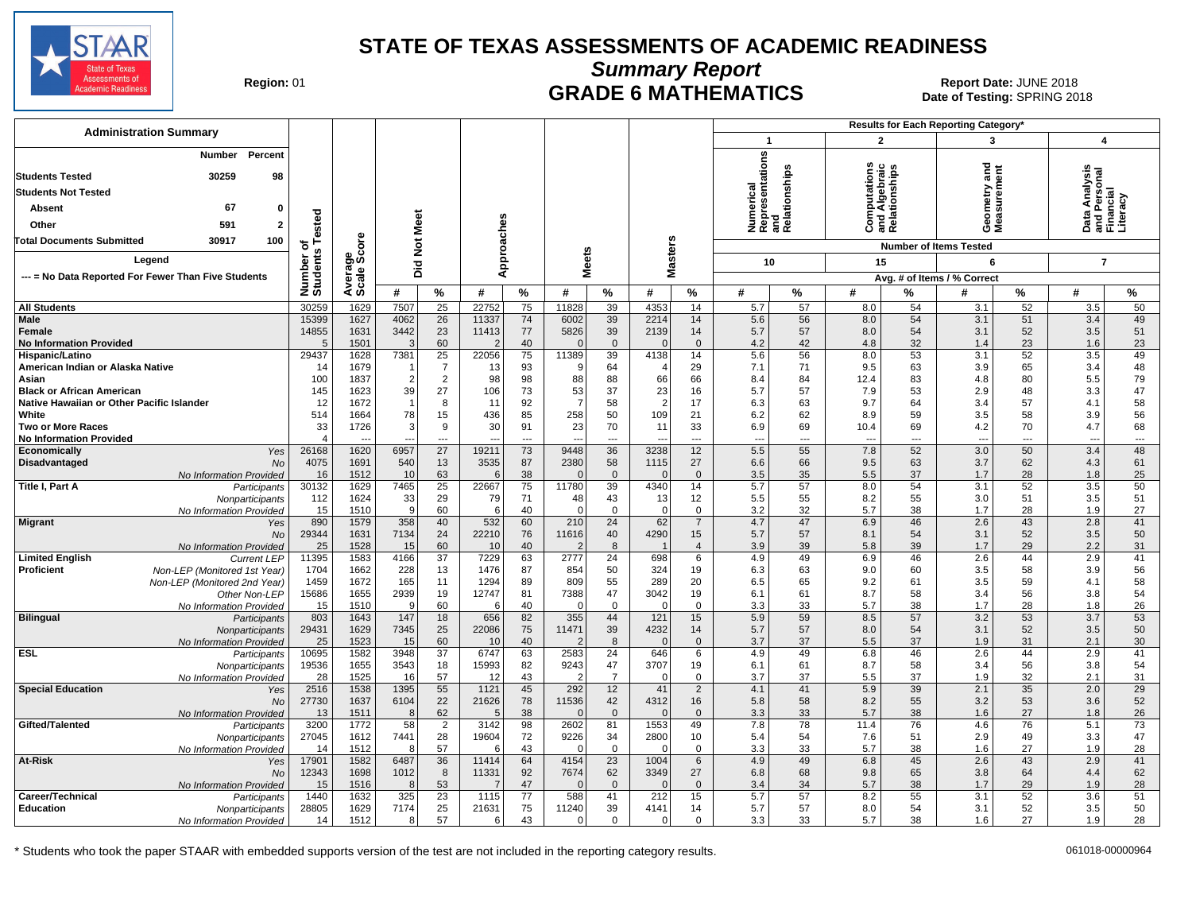

**Summary Report**

Region: 01 **Region: 01 CRADE 6 MATHEMATICS Date: JUNE 2018 Report Date: JUNE 2018** Date of Testing: SPRING 2018

| <b>Administration Summary</b>                                                                                                              |                    |              |                 |                      |                |           |                  |                      |                                  |                                |                                                      |           |                                                       |                                | Results for Each Reporting Category* |                                |                                             |                       |
|--------------------------------------------------------------------------------------------------------------------------------------------|--------------------|--------------|-----------------|----------------------|----------------|-----------|------------------|----------------------|----------------------------------|--------------------------------|------------------------------------------------------|-----------|-------------------------------------------------------|--------------------------------|--------------------------------------|--------------------------------|---------------------------------------------|-----------------------|
|                                                                                                                                            |                    |              |                 |                      |                |           |                  |                      |                                  |                                | $\mathbf 1$                                          |           | $\overline{2}$                                        |                                | 3                                    |                                | $\boldsymbol{4}$                            |                       |
| Number Percent<br>30259<br>98<br><b>Students Tested</b><br><b>Students Not Tested</b><br>67<br>Absent<br>0<br>591<br>$\mathbf{2}$<br>Other | ested              |              | <b>Not Meet</b> |                      | Approaches     |           |                  |                      |                                  |                                | Numerical<br>Representations<br>and<br>Relationships |           | <b>Computations</b><br>and Algebraic<br>Relationships |                                | ਠ<br>Ĕ<br>ieometry<br>leasurem<br>oΣ | 高                              | a Analysis<br>Personal<br>nncial<br>ó<br>高正 |                       |
| <b>Total Documents Submitted</b><br>30917<br>100                                                                                           | ৳                  | δe           |                 |                      |                |           |                  |                      |                                  |                                |                                                      |           |                                                       |                                | <b>Number of Items Tested</b>        |                                |                                             |                       |
| Legend                                                                                                                                     | w                  | န္မွဳ့မွဳ    |                 |                      |                |           | <b>Meets</b>     |                      | <b>Masters</b>                   |                                | 10                                                   |           | 15                                                    |                                | 6                                    |                                | $\overline{7}$                              |                       |
| --- = No Data Reported For Fewer Than Five Students                                                                                        |                    |              | Did             |                      |                |           |                  |                      |                                  |                                |                                                      |           |                                                       |                                | Avg. # of Items / % Correct          |                                |                                             |                       |
|                                                                                                                                            | Number<br>Students | Avera        | #               | %                    | #              | $\%$      | #                | $\frac{9}{6}$        | #                                | $\%$                           | #                                                    | %         | #                                                     | %                              | #                                    | %                              | #                                           | $\frac{9}{6}$         |
| <b>All Students</b>                                                                                                                        | 30259              | 1629         | 7507            | $\overline{25}$      | 22752          | 75        | 11828            | 39                   | 4353                             | 14                             | 5.7                                                  | 57        | 8.0                                                   | 54                             | 3.1                                  | 52                             | 3.5                                         | 50                    |
| Male                                                                                                                                       | 15399              | 1627         | 4062            | 26                   | 11337          | 74        | 6002             | 39                   | 2214                             | 14                             | 5.6                                                  | 56        | 8.0                                                   | 54                             | 3.1                                  | 51                             | 3.4                                         | 49                    |
| Female                                                                                                                                     | 14855              | 1631         | 3442            | 23                   | 11413          | 77        | 5826             | 39                   | 2139                             | 14                             | 5.7                                                  | 57        | 8.0                                                   | 54                             | 3.1                                  | 52                             | 3.5                                         | 51                    |
| <b>No Information Provided</b>                                                                                                             | 5                  | 1501         | 3               | 60                   | $\overline{2}$ | 40        | $\Omega$         | $\Omega$             | $\Omega$                         | $\mathbf 0$                    | 4.2                                                  | 42        | 4.8                                                   | 32                             | 1.4                                  | 23                             | 1.6                                         | 23                    |
| Hispanic/Latino<br>American Indian or Alaska Native                                                                                        | 29437<br>14        | 1628<br>1679 | 7381            | 25<br>$\overline{7}$ | 22056<br>13    | 75<br>93  | 11389<br>9       | 39<br>64             | 4138<br>$\overline{\mathcal{L}}$ | 14<br>29                       | 5.6<br>7.1                                           | 56<br>71  | 8.0<br>9.5                                            | 53<br>63                       | 3.1<br>3.9                           | 52<br>65                       | 3.5<br>3.4                                  | 49<br>48              |
| Asian                                                                                                                                      | 100                | 1837         | $\overline{2}$  | 2                    | 98             | 98        | 88               | 88                   | 66                               | 66                             | 8.4                                                  | 84        | 12.4                                                  | 83                             | 4.8                                  | 80                             | 5.5                                         | 79                    |
| <b>Black or African American</b>                                                                                                           | 145                | 1623         | 39              | 27                   | 106            | 73        | 53               | 37                   | 23                               | 16                             | 5.7                                                  | 57        | 7.9                                                   | 53                             | 2.9                                  | 48                             | 3.3                                         | 47                    |
| Native Hawaiian or Other Pacific Islander                                                                                                  | 12                 | 1672         |                 | 8                    | 11             | 92        | $\overline{7}$   | 58                   | $\overline{2}$                   | 17                             | 6.3                                                  | 63        | 9.7                                                   | 64                             | 3.4                                  | 57                             | 4.1                                         | 58                    |
| White                                                                                                                                      | 514                | 1664         | 78              | 15                   | 436            | 85        | 258              | 50                   | 109                              | 21                             | 6.2                                                  | 62        | 8.9                                                   | 59                             | 3.5                                  | 58                             | 3.9                                         | 56                    |
| <b>Two or More Races</b><br><b>No Information Provided</b>                                                                                 | 33<br>$\Delta$     | 1726         | 3               | 9<br>---             | 30             | 91<br>--- | 23               | 70<br>---            | 11                               | 33<br>---                      | 6.9                                                  | 69<br>--- | 10.4<br>---                                           | 69<br>$\overline{\phantom{a}}$ | 4.2<br>$\overline{a}$                | 70<br>$\overline{\phantom{a}}$ | 4.7<br>---                                  | 68<br>---             |
| Economically<br>Yes                                                                                                                        | 26168              | 1620         | 6957            | 27                   | 19211          | 73        | 9448             | 36                   | 3238                             | 12                             | 5.5                                                  | 55        | 7.8                                                   | 52                             | 3.0                                  | 50                             | 3.4                                         | 48                    |
| Disadvantaged<br><b>No</b>                                                                                                                 | 4075               | 1691         | 540             | 13                   | 3535           | 87        | 2380             | 58                   | 1115                             | 27                             | 6.6                                                  | 66        | 9.5                                                   | 63                             | 3.7                                  | 62                             | 4.3                                         | 61                    |
| No Information Provided                                                                                                                    | 16                 | 1512         | 10              | 63                   | 6              | 38        |                  | $\overline{0}$       | $\Omega$                         | $\overline{0}$                 | 3.5                                                  | 35        | 5.5                                                   | 37                             | 1.7                                  | 28                             | 1.8                                         | 25                    |
| Title I, Part A<br>Participants<br>Nonparticipants                                                                                         | 30132<br>112       | 1629<br>1624 | 7465<br>33      | 25<br>29             | 22667<br>79    | 75<br>71  | 11780<br>48      | 39<br>43             | 4340<br>13                       | 14<br>12                       | 5.7<br>5.5                                           | 57<br>55  | 8.0<br>8.2                                            | 54<br>55                       | 3.1<br>3.0                           | 52<br>51                       | 3.5<br>3.5                                  | 50<br>51              |
| No Information Provided                                                                                                                    | 15                 | 1510         | 9               | 60                   | 6              | 40        | $\Omega$         | $\Omega$             | $\Omega$                         | $\overline{0}$                 | 3.2                                                  | 32        | 5.7                                                   | 38                             | 1.7                                  | 28                             | 1.9                                         | 27                    |
| <b>Migrant</b><br>Yes                                                                                                                      | 890                | 1579         | 358             | 40                   | 532            | 60        | 210              | $\overline{24}$      | 62                               | $\overline{7}$                 | 4.7                                                  | 47        | 6.9                                                   | 46                             | 2.6                                  | 43                             | 2.8                                         | 41                    |
| <b>No</b>                                                                                                                                  | 29344              | 1631         | 7134            | 24                   | 22210          | 76        | 11616            | 40                   | 4290                             | 15                             | 5.7                                                  | 57        | 8.1                                                   | 54                             | 3.1                                  | 52                             | 3.5                                         | 50                    |
| No Information Provided<br><b>Limited English</b><br><b>Current LEP</b>                                                                    | 25<br>11395        | 1528<br>1583 | 15<br>4166      | 60<br>37             | 10<br>7229     | 40<br>63  | 2777             | 8<br>24              | 698                              | $\overline{4}$<br>6            | 3.9<br>4.9                                           | 39<br>49  | 5.8<br>6.9                                            | 39<br>46                       | 1.7<br>2.6                           | 29<br>44                       | 2.2<br>2.9                                  | 31<br>41              |
| Proficient<br>Non-LEP (Monitored 1st Year)                                                                                                 | 1704               | 1662         | 228             | 13                   | 1476           | 87        | 854              | 50                   | 324                              | 19                             | 6.3                                                  | 63        | 9.0                                                   | 60                             | 3.5                                  | 58                             | 3.9                                         | 56                    |
| Non-LEP (Monitored 2nd Year)                                                                                                               | 1459               | 1672         | 165             | 11                   | 1294           | 89        | 809              | 55                   | 289                              | 20                             | 6.5                                                  | 65        | 9.2                                                   | 61                             | 3.5                                  | 59                             | 4.1                                         | 58                    |
| Other Non-LEP                                                                                                                              | 15686              | 1655         | 2939            | 19                   | 12747          | 81        | 7388             | 47                   | 3042                             | 19                             | 6.1                                                  | 61        | 8.7                                                   | 58                             | 3.4                                  | 56                             | 3.8                                         | 54                    |
| No Information Provided                                                                                                                    | 15                 | 1510         | 9               | 60                   | 6              | 40        | O                | $\Omega$             | $\Omega$                         | $\mathbf 0$                    | 3.3                                                  | 33        | 5.7                                                   | 38                             | 1.7                                  | 28                             | 1.8                                         | 26                    |
| <b>Bilingual</b><br>Participants<br>Nonparticipants                                                                                        | 803<br>29431       | 1643<br>1629 | 147<br>7345     | 18<br>25             | 656<br>22086   | 82<br>75  | 355<br>11471     | 44<br>39             | 121<br>4232                      | 15<br>14                       | 5.9<br>5.7                                           | 59<br>57  | 8.5<br>8.0                                            | 57<br>54                       | 3.2<br>3.1                           | 53<br>52                       | 3.7<br>3.5                                  | 53<br>50              |
| <b>No Information Provided</b>                                                                                                             | 25                 | 1523         | 15              | 60                   | 10             | 40        |                  | 8                    | $\Omega$                         | $\overline{0}$                 | 3.7                                                  | 37        | 5.5                                                   | 37                             | 1.9                                  | 31                             | 2.1                                         | 30                    |
| <b>ESL</b><br>Participants                                                                                                                 | 10695              | 1582         | 3948            | $\overline{37}$      | 6747           | 63        | 2583             | 24                   | 646                              | 6                              | 4.9                                                  | 49        | 6.8                                                   | 46                             | 2.6                                  | 44                             | 2.9                                         | 41                    |
| Nonparticipants                                                                                                                            | 19536              | 1655         | 3543            | 18                   | 15993          | 82        | 9243             | 47                   | 3707                             | 19                             | 6.1                                                  | 61        | 8.7                                                   | 58                             | 3.4                                  | 56                             | 3.8                                         | 54                    |
| No Information Provided<br><b>Special Education</b>                                                                                        | 28<br>2516         | 1525<br>1538 | 16<br>1395      | 57<br>55             | 12<br>1121     | 43<br>45  | 292              | $\overline{7}$<br>12 | $\Omega$<br>41                   | $\mathbf 0$<br>$\overline{2}$  | 3.7<br>4.1                                           | 37<br>41  | 5.5<br>5.9                                            | 37<br>39                       | 1.9<br>2.1                           | 32<br>35                       | 2.1<br>2.0                                  | 31<br>$\overline{29}$ |
| Yes<br><b>No</b>                                                                                                                           | 27730              | 1637         | 6104            | 22                   | 21626          | 78        | 11536            | 42                   | 4312                             | 16                             | 5.8                                                  | 58        | 8.2                                                   | 55                             | 3.2                                  | 53                             | 3.6                                         | 52                    |
| <b>No Information Provided</b>                                                                                                             | 13                 | 1511         | 8               | 62                   | 5              | 38        | ſ                | $\mathbf{0}$         | $\Omega$                         | $\overline{0}$                 | 3.3                                                  | 33        | 5.7                                                   | 38                             | 1.6                                  | 27                             | 1.8                                         | 26                    |
| Gifted/Talented<br>Participants                                                                                                            | 3200               | 1772         | 58              | $\overline{2}$       | 3142           | 98        | 2602             | 81                   | 1553                             | 49                             | 7.8                                                  | 78        | 11.4                                                  | 76                             | 4.6                                  | 76                             | 5.1                                         | 73                    |
| Nonparticipants                                                                                                                            | 27045              | 1612         | 7441            | 28                   | 19604          | 72        | 9226             | 34                   | 2800                             | 10                             | 5.4                                                  | 54        | 7.6                                                   | 51                             | 2.9                                  | 49                             | 3.3                                         | 47                    |
| No Information Provided<br>At-Risk                                                                                                         | 14<br>17901        | 1512<br>1582 | 8<br>6487       | 57<br>36             | 6<br>11414     | 43<br>64  | $\Omega$<br>4154 | $\mathbf 0$<br>23    | $\Omega$<br>1004                 | $\mathbf 0$<br>$6\phantom{1}6$ | 3.3<br>4.9                                           | 33<br>49  | 5.7<br>6.8                                            | 38<br>45                       | 1.6<br>2.6                           | 27<br>43                       | 1.9<br>2.9                                  | 28<br>41              |
| Yes<br>No                                                                                                                                  | 12343              | 1698         | 1012            | 8                    | 11331          | 92        | 7674             | 62                   | 3349                             | 27                             | 6.8                                                  | 68        | 9.8                                                   | 65                             | 3.8                                  | 64                             | 4.4                                         | 62                    |
| No Information Provided                                                                                                                    | 15                 | 1516         | 8               | 53                   | 7              | 47        | ſ                | $\Omega$             | $\Omega$                         | $\overline{0}$                 | 3.4                                                  | 34        | 5.7                                                   | 38                             | 1.7                                  | 29                             | 1.9                                         | 28                    |
| Career/Technical<br>Participants                                                                                                           | 1440               | 1632         | 325             | $\overline{23}$      | 1115           | 77        | 588              | 41                   | 212                              | 15                             | 5.7                                                  | 57        | 8.2                                                   | 55                             | 3.1                                  | 52                             | 3.6                                         | 51                    |
| <b>Education</b><br>Nonparticipants                                                                                                        | 28805              | 1629         | 7174            | 25                   | 21631          | 75        | 11240            | 39                   | 4141                             | 14                             | 5.7                                                  | 57        | 8.0                                                   | 54                             | 3.1                                  | 52                             | 3.5                                         | 50                    |
| No Information Provided                                                                                                                    | 14                 | 1512         | 8               | 57                   | 6              | 43        | $\Omega$         | $\Omega$             | $\Omega$                         | $\mathbf 0$                    | 3.3                                                  | 33        | 5.7                                                   | 38                             | 1.6                                  | 27                             | 1.9                                         | 28                    |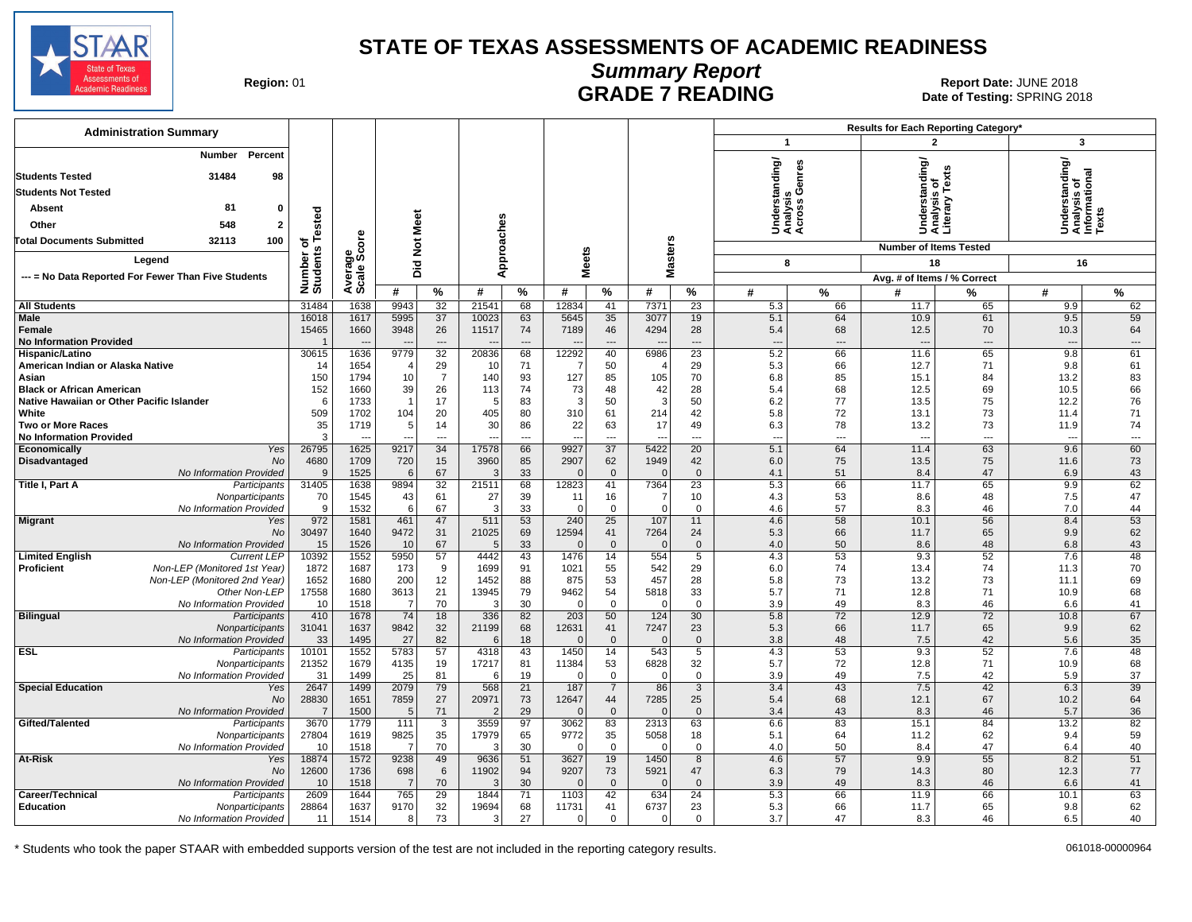

# **Summary Report**

Region: 01 **Region: 01 CALL CONSISTS TO POST PREADING Report Date: JUNE 2018**<br>Date of Testing: SPRING 20 Date of Testing: SPRING 2018

| <b>Administration Summary</b>                                           |                         |                |                |                              |                      |                                |                      |                      |                      |                    |                                          |                | Results for Each Reporting Category* |                                |                                            |                               |
|-------------------------------------------------------------------------|-------------------------|----------------|----------------|------------------------------|----------------------|--------------------------------|----------------------|----------------------|----------------------|--------------------|------------------------------------------|----------------|--------------------------------------|--------------------------------|--------------------------------------------|-------------------------------|
|                                                                         |                         |                |                |                              |                      |                                |                      |                      |                      |                    | $\mathbf{1}$                             |                | $\overline{2}$                       |                                | 3                                          |                               |
| Percent<br><b>Number</b><br>31484<br>98<br><b>Students Tested</b>       |                         |                |                |                              |                      |                                |                      |                      |                      |                    | nderstanding/<br>nalysis<br>;ross Genres |                | standing                             |                                | nderstanding/<br>nalysis of<br>formational |                               |
| <b>Students Not Tested</b>                                              |                         |                |                |                              |                      |                                |                      |                      |                      |                    |                                          | ್ತೂ ಲೆ         | sis                                  | 2                              |                                            |                               |
| 81<br>Absent<br>$\mathbf{0}$                                            | of<br>s Tested          |                |                |                              |                      |                                |                      |                      |                      |                    |                                          |                | 슮<br>흥                               | era                            |                                            | xts                           |
| 548<br>Other<br>$\overline{2}$                                          |                         |                |                |                              |                      |                                |                      |                      |                      |                    | र्ड ई ई                                  |                | S&Š                                  |                                | ŠËŽ                                        |                               |
| <b>Total Documents Submitted</b><br>32113<br>100                        |                         | <b>ore</b>     |                |                              |                      |                                |                      |                      |                      |                    |                                          |                |                                      |                                |                                            |                               |
| Legend                                                                  |                         | န္တပ္ကိ        |                |                              | pproaches            |                                |                      |                      |                      |                    |                                          |                | <b>Number of Items Tested</b>        |                                |                                            |                               |
|                                                                         |                         |                | Did Not Meet   |                              | ⋖                    |                                |                      | <b>Meets</b>         | <b>Masters</b>       |                    | 8                                        |                | 18                                   |                                | 16                                         |                               |
| --- = No Data Reported For Fewer Than Five Students                     | Number of<br>Students   | Avera<br>Scale |                |                              |                      |                                |                      |                      |                      |                    |                                          |                | Avg. # of Items / % Correct          |                                |                                            |                               |
|                                                                         |                         |                | #              | %                            | #                    | %                              | #                    | %                    | #                    | %                  | #                                        | %              | #                                    | %                              | #                                          | ℅                             |
| <b>All Students</b><br>Male                                             | 31484<br>16018          | 1638<br>1617   | 9943<br>5995   | 32<br>37                     | 21541<br>10023       | 68<br>63                       | 12834<br>5645        | 41<br>35             | 7371<br>3077         | 23<br>19           | 5.3<br>5.1                               | 66<br>64       | 11.7<br>10.9                         | 65<br>61                       | 9.9<br>9.5                                 | 62<br>59                      |
| <b>Female</b><br><b>No Information Provided</b>                         | 15465                   | 1660           | 3948           | 26<br>$\qquad \qquad \cdots$ | 11517                | 74<br>$\overline{\phantom{a}}$ | 7189                 | 46<br>$\overline{a}$ | 4294                 | 28<br>---          | 5.4<br>$\overline{\phantom{a}}$          | 68<br>$\cdots$ | 12.5<br>$\overline{a}$               | 70<br>$\cdots$                 | 10.3<br>$\overline{\phantom{a}}$           | 64<br>$\hspace{1.5cm} \ldots$ |
| Hispanic/Latino                                                         | 30615                   | 1636           | 9779           | $\overline{32}$              | 20836                | 68                             | 12292                | 40                   | 6986                 | $\overline{23}$    | 5.2                                      | 66             | 11.6                                 | 65                             | 9.8                                        | 61                            |
| American Indian or Alaska Native                                        | 14                      | 1654           |                | 29                           | 10                   | 71                             |                      | 50                   | $\sqrt{2}$           | 29                 | 5.3                                      | 66             | 12.7                                 | 71                             | 9.8                                        | 61                            |
| Asian<br><b>Black or African American</b>                               | 150<br>152              | 1794<br>1660   | 10<br>39       | $\overline{7}$<br>26         | 140<br>113           | 93<br>74                       | 127<br>73            | 85<br>48             | 105<br>42            | 70<br>28           | 6.8<br>5.4                               | 85<br>68       | 15.1<br>12.5                         | 84<br>69                       | 13.2<br>10.5                               | 83<br>66                      |
| Native Hawaiian or Other Pacific Islander                               | 6                       | 1733           | $\overline{1}$ | 17                           | $\sqrt{2}$           | 83                             | 3                    | 50                   | 3                    | 50                 | 6.2                                      | 77             | 13.5                                 | 75                             | 12.2                                       | 76                            |
| White                                                                   | 509                     | 1702           | 104            | 20                           | 405                  | 80                             | 310                  | 61                   | 214                  | 42                 | 5.8                                      | 72             | 13.1                                 | 73                             | 11.4                                       | 71                            |
| <b>Two or More Races</b><br><b>No Information Provided</b>              | 35<br>3                 | 1719<br>--     | 5              | 14<br>$---$                  | 30<br>$\overline{a}$ | 86<br>$\sim$                   | 22<br>$\overline{a}$ | 63<br>$\overline{a}$ | 17<br>$\overline{a}$ | 49<br>$---$        | 6.3<br>$\overline{a}$                    | 78<br>$---$    | 13.2<br>$\overline{a}$               | 73<br>$\overline{\phantom{a}}$ | 11.9<br>$\sim$                             | 74<br>$\overline{a}$          |
| Economically<br>Yes                                                     | 26795                   | 1625           | 9217           | 34                           | 17578                | 66                             | 9927                 | $\overline{37}$      | 5422                 | 20                 | 5.1                                      | 64             | 11.4                                 | 63                             | 9.6                                        | 60                            |
| Disadvantaged<br>No                                                     | 4680                    | 1709           | 720            | 15                           | 3960                 | 85                             | 2907<br>$\Omega$     | 62                   | 1949<br>$\Omega$     | 42                 | 6.0                                      | 75             | 13.5                                 | 75                             | 11.6                                       | 73                            |
| No Information Provided<br>Title I, Part A<br>Participants              | 9<br>31405              | 1525<br>1638   | 6<br>9894      | 67<br>32                     | 21511                | 33<br>68                       | 12823                | $\mathbf{0}$<br>41   | 7364                 | $\mathbf{0}$<br>23 | 4.1<br>5.3                               | 51<br>66       | 8.4<br>11.7                          | 47<br>65                       | 6.9<br>9.9                                 | 43<br>62                      |
| Nonparticipants                                                         | 70                      | 1545           | 43             | 61                           | 27                   | 39                             | 11                   | 16                   | -7                   | 10                 | 4.3                                      | 53             | 8.6                                  | 48                             | 7.5                                        | 47                            |
| No Information Provided                                                 | 9                       | 1532           | 6              | 67                           | Ŀ                    | 33                             | $\Omega$             | $\overline{0}$       | $\Omega$             | $\Omega$           | 4.6                                      | 57             | 8.3                                  | 46                             | 7.0                                        | 44                            |
| <b>Migrant</b><br>Yes                                                   | 972                     | 1581           | 461            | 47                           | 511                  | 53                             | 240                  | 25                   | 107                  | 11                 | 4.6                                      | 58             | 10.1                                 | 56                             | 8.4                                        | 53                            |
| No                                                                      | 30497                   | 1640           | 9472           | 31                           | 21025<br>÷           | 69                             | 12594<br>$\Omega$    | 41                   | 7264<br>$\Omega$     | 24                 | 5.3                                      | 66             | 11.7                                 | 65                             | 9.9                                        | 62                            |
| No Information Provided<br><b>Current LEP</b><br><b>Limited English</b> | 15<br>10392             | 1526<br>1552   | 10<br>5950     | 67<br>57                     | 4442                 | 33<br>43                       | 1476                 | $\mathbf 0$<br>14    | 554                  | $\mathbf 0$<br>5   | 4.0<br>4.3                               | 50<br>53       | 8.6<br>9.3                           | 48<br>52                       | 6.8<br>7.6                                 | 43<br>48                      |
| <b>Proficient</b><br>Non-LEP (Monitored 1st Year)                       | 1872                    | 1687           | 173            | 9                            | 1699                 | 91                             | 1021                 | 55                   | 542                  | 29                 | 6.0                                      | 74             | 13.4                                 | 74                             | 11.3                                       | 70                            |
| Non-LEP (Monitored 2nd Year)                                            | 1652                    | 1680           | 200            | 12                           | 1452                 | 88                             | 875                  | 53                   | 457                  | 28                 | 5.8                                      | 73             | 13.2                                 | 73                             | 11.1                                       | 69                            |
| Other Non-LEP                                                           | 17558                   | 1680           | 3613           | 21                           | 13945                | 79                             | 9462                 | 54                   | 5818                 | 33                 | 5.7                                      | 71             | 12.8                                 | 71                             | 10.9                                       | 68                            |
| No Information Provided                                                 | 10                      | 1518           | $\overline{7}$ | 70                           | - 3                  | 30                             | $\Omega$             | $\mathbf{0}$         | $\Omega$             | $\Omega$           | 3.9                                      | 49             | 8.3                                  | 46                             | 6.6                                        | 41                            |
| <b>Bilingual</b><br>Participants<br>Nonparticipants                     | 410<br>31041            | 1678<br>1637   | 74<br>9842     | 18<br>32                     | 336<br>21199         | 82<br>68                       | 203<br>12631         | 50<br>41             | 124<br>7247          | 30<br>23           | 5.8<br>5.3                               | 72<br>66       | 12.9<br>11.7                         | 72<br>65                       | 10.8<br>9.9                                | 67<br>62                      |
| No Information Provided                                                 | 33                      | 1495           | 27             | 82                           | -6                   | 18                             | $\Omega$             | $\mathbf 0$          | $\Omega$             | $\mathbf{0}$       | 3.8                                      | 48             | 7.5                                  | 42                             | 5.6                                        | 35                            |
| <b>ESL</b><br>Participants                                              | 10101                   | 1552           | 5783           | 57                           | 4318                 | 43                             | 1450                 | 14                   | 543                  | 5                  | 4.3                                      | 53             | 9.3                                  | 52                             | 7.6                                        | 48                            |
| Nonparticipants                                                         | 21352                   | 1679           | 4135           | 19                           | 17217                | 81                             | 11384                | 53                   | 6828                 | 32                 | 5.7                                      | 72             | 12.8                                 | 71                             | 10.9                                       | 68                            |
| No Information Provided                                                 | 31                      | 1499           | 25             | 81                           | -6                   | 19                             | $\Omega$             | $\overline{0}$       | $\Omega$             | $\mathbf 0$        | 3.9                                      | 49             | 7.5                                  | 42                             | 5.9                                        | 37                            |
| <b>Special Education</b><br>Yes                                         | 2647                    | 1499           | 2079           | 79                           | 568                  | 21                             | 187                  | $\overline{7}$       | 86                   | 3                  | 3.4                                      | 43             | 7.5                                  | 42                             | 6.3                                        | 39                            |
| No<br>No Information Provided                                           | 28830<br>$\overline{7}$ | 1651<br>1500   | 7859<br>5      | 27<br>71                     | 20971                | 73<br>29                       | 12647<br>C           | 44<br>$\mathbf{0}$   | 7285<br>$\Omega$     | 25<br>$\mathbf{0}$ | 5.4<br>3.4                               | 68<br>43       | 12.1<br>8.3                          | 67<br>46                       | 10.2<br>5.7                                | 64<br>36                      |
| Gifted/Talented<br>Participants                                         | 3670                    | 1779           | 111            | $\overline{3}$               | 3559                 | 97                             | 3062                 | 83                   | 2313                 | 63                 | 6.6                                      | 83             | 15.1                                 | 84                             | 13.2                                       | 82                            |
| Nonparticipants                                                         | 27804                   | 1619           | 9825           | 35                           | 17979                | 65                             | 9772                 | 35                   | 5058                 | 18                 | 5.1                                      | 64             | 11.2                                 | 62                             | 9.4                                        | 59                            |
| No Information Provided                                                 | 10                      | 1518           | -7             | 70                           | ÷                    | 30                             | $\Omega$             | $\overline{0}$       | $\Omega$             | $\mathbf 0$        | 4.0                                      | 50             | 8.4                                  | 47                             | 6.4                                        | 40                            |
| At-Risk<br>Yes                                                          | 18874                   | 1572           | 9238           | 49                           | 9636                 | 51                             | 3627                 | 19                   | 1450                 | 8                  | 4.6                                      | 57             | 9.9                                  | 55                             | 8.2                                        | 51                            |
| No                                                                      | 12600                   | 1736           | 698            | 6                            | 11902                | 94                             | 9207                 | 73                   | 5921                 | 47                 | 6.3                                      | 79             | 14.3                                 | 80                             | 12.3                                       | 77                            |
| No Information Provided                                                 | 10                      | 1518           | $\overline{7}$ | 70                           | ÷.                   | 30                             | $\cap$               | $\Omega$             | $\Omega$             | $\Omega$<br>24     | 3.9                                      | 49             | 8.3                                  | 46                             | 6.6                                        | 41                            |
| Career/Technical<br>Participants<br><b>Education</b><br>Nonparticipants | 2609<br>28864           | 1644<br>1637   | 765<br>9170    | 29<br>32                     | 1844<br>19694        | 71<br>68                       | 1103<br>11731        | 42<br>41             | 634<br>6737          | 23                 | 5.3<br>5.3                               | 66<br>66       | 11.9<br>11.7                         | 66<br>65                       | 10.1<br>9.8                                | 63<br>62                      |
| No Information Provided                                                 | 11                      | 1514           | 8              | 73                           | 3                    | 27                             | $\Omega$             | $\mathbf{0}$         | $\Omega$             | $\Omega$           | 3.7                                      | 47             | 8.3                                  | 46                             | 6.5                                        | 40                            |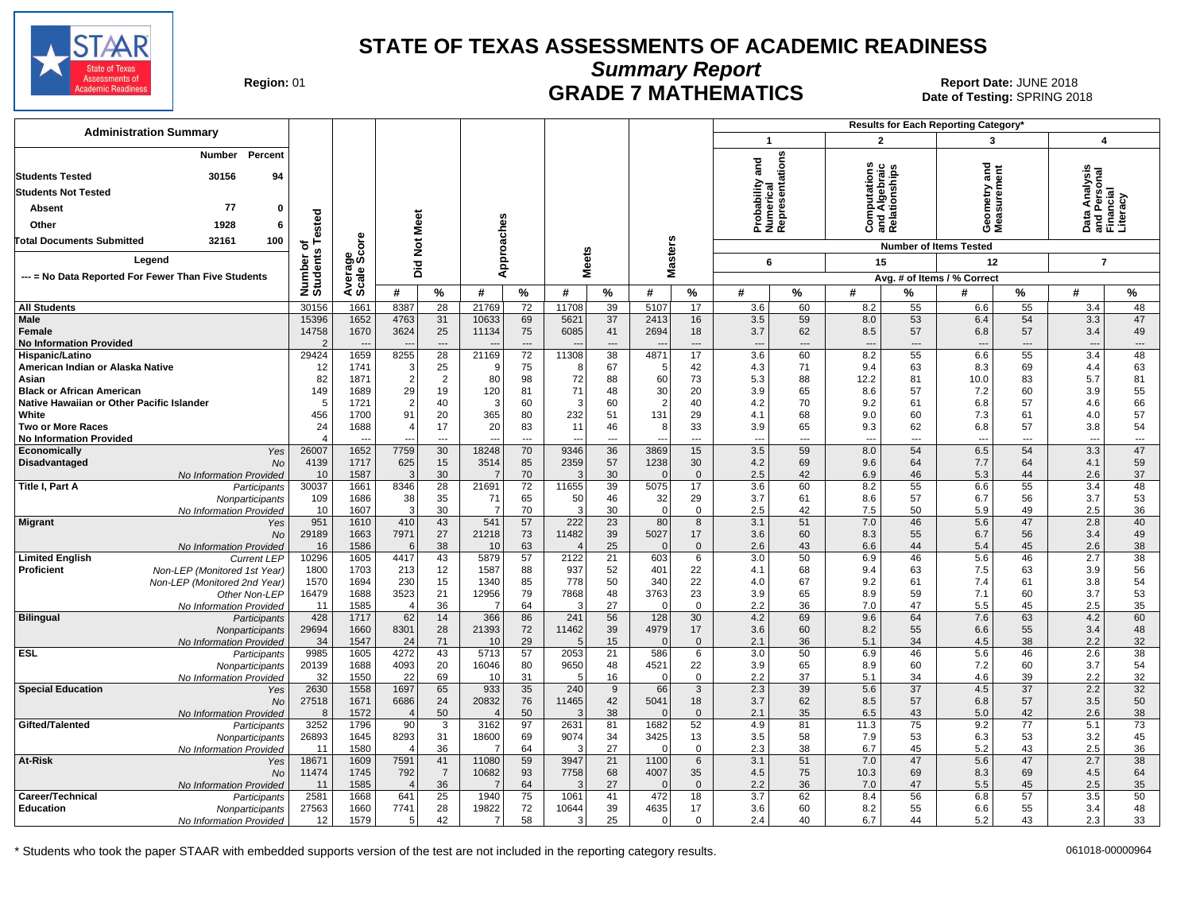

**Summary Report**

Region: 01 **Region: 01 Date: JUNE 2018**<br>Date of Testing: SPRING 20 Date of Testing: SPRING 2018

| <b>Administration Summary</b>                                                              |                                 |                                |                        |                            |                      |                      |                |                      |                   |                                      |                       |                  |                                                |                       | Results for Each Reporting Category*   |                       |                                        |                                      |
|--------------------------------------------------------------------------------------------|---------------------------------|--------------------------------|------------------------|----------------------------|----------------------|----------------------|----------------|----------------------|-------------------|--------------------------------------|-----------------------|------------------|------------------------------------------------|-----------------------|----------------------------------------|-----------------------|----------------------------------------|--------------------------------------|
|                                                                                            |                                 |                                |                        |                            |                      |                      |                |                      |                   |                                      | $\mathbf 1$           |                  | $\overline{2}$                                 |                       | 3                                      |                       | $\boldsymbol{4}$                       |                                      |
| Percent<br>Number<br>30156<br><b>Students Tested</b><br>94                                 |                                 |                                |                        |                            |                      |                      |                |                      |                   |                                      | and                   | entations        | Computations<br>Ind Algebraic<br>Relationships |                       | ਠ<br>Ĕ                                 | ā                     |                                        |                                      |
| <b>Students Not Tested</b>                                                                 |                                 |                                |                        |                            |                      |                      |                |                      |                   |                                      | පි                    |                  |                                                |                       |                                        |                       | nalysi                                 |                                      |
| 77<br>Absent<br>$\Omega$                                                                   |                                 |                                |                        |                            |                      |                      |                |                      |                   |                                      | bability              | umerie<br>eprese |                                                |                       | ieometry<br>leasurem                   |                       |                                        | ē                                    |
| 1928<br>Other<br>6                                                                         | ested                           |                                | Meet                   |                            |                      |                      |                |                      |                   |                                      | 5                     |                  |                                                |                       |                                        |                       |                                        |                                      |
| Total Documents Submitted<br>32161<br>100                                                  |                                 | δő                             |                        |                            |                      |                      |                |                      |                   |                                      | āzě                   |                  | ن ≌ ھ                                          |                       | oΣ                                     |                       | ◠<br>ᄛᄔ                                |                                      |
|                                                                                            | 하<br><b>S</b>                   |                                | $\frac{5}{2}$          |                            |                      |                      |                |                      |                   |                                      |                       |                  |                                                |                       | <b>Number of Items Tested</b>          |                       |                                        |                                      |
| Legend                                                                                     |                                 | န္တပ္ကိ                        | Did                    |                            | Approaches           |                      | <b>Meets</b>   |                      | <b>Masters</b>    |                                      | 6                     |                  | 15                                             |                       | 12                                     |                       | $\overline{7}$                         |                                      |
| --- = No Data Reported For Fewer Than Five Students                                        | Number<br>Students              | Avera<br>Scale                 |                        |                            |                      |                      |                |                      |                   |                                      |                       |                  |                                                |                       | Avg. # of Items / % Correct            |                       |                                        |                                      |
|                                                                                            |                                 |                                | #                      | $\%$                       | #                    | $\frac{0}{0}$        | #              | %                    | #                 | $\%$                                 | #                     | %                | #                                              | ℅                     | #                                      | %                     | #                                      | $\frac{9}{6}$                        |
| <b>All Students</b>                                                                        | 30156                           | 1661                           | 8387                   | 28                         | 21769                | 72                   | 11708          | 39                   | 5107              | 17                                   | 3.6                   | 60               | 8.2                                            | 55                    | 6.6                                    | 55                    | 3.4                                    | 48                                   |
| <b>Male</b><br>Female<br><b>No Information Provided</b>                                    | 15396<br>14758<br>$\mathcal{P}$ | 1652<br>1670<br>$\overline{a}$ | 4763<br>3624<br>- -    | 31<br>25<br>$\overline{a}$ | 10633<br>11134       | 69<br>75<br>$---$    | 5621<br>6085   | 37<br>41<br>---      | 2413<br>2694      | 16<br>18<br>$\overline{\phantom{a}}$ | 3.5<br>3.7<br>$\sim$  | 59<br>62<br>---  | 8.0<br>8.5<br>$\overline{\phantom{a}}$         | 53<br>57<br>$---$     | 6.4<br>6.8<br>$\overline{\phantom{a}}$ | 54<br>57<br>$---$     | 3.3<br>3.4<br>$\overline{\phantom{a}}$ | 47<br>49<br>$\overline{\phantom{a}}$ |
| Hispanic/Latino                                                                            | 29424                           | 1659                           | 8255                   | $\overline{28}$            | 21169                | 72                   | 11308          | 38                   | 4871              | 17                                   | 3.6                   | 60               | 8.2                                            | 55                    | 6.6                                    | 55                    | 3.4                                    | 48                                   |
| American Indian or Alaska Native                                                           | 12<br>82                        | 1741<br>1871                   | 3<br>$\overline{2}$    | 25<br>$\overline{2}$       | 9<br>80              | 75<br>98             | 8<br>72        | 67<br>88             | -5                | 42                                   | 4.3                   | 71<br>88         | 9.4<br>12.2                                    | 63<br>81              | 8.3<br>10.0                            | 69<br>83              | 4.4<br>5.7                             | 63<br>81                             |
| Asian<br><b>Black or African American</b>                                                  | 149                             | 1689                           | 29                     | 19                         | 120                  | 81                   | 71             | 48                   | 60<br>30          | 73<br>20                             | 5.3<br>3.9            | 65               | 8.6                                            | 57                    | 7.2                                    | 60                    | 3.9                                    | 55                                   |
| Native Hawaiian or Other Pacific Islander                                                  | 5                               | 1721                           | $\overline{2}$         | 40                         | 3                    | 60                   | 3              | 60                   | $\overline{2}$    | 40                                   | 4.2                   | 70               | 9.2                                            | 61                    | 6.8                                    | 57                    | 4.6                                    | 66                                   |
| White                                                                                      | 456                             | 1700                           | 91                     | 20                         | 365                  | 80                   | 232            | 51                   | 131               | 29                                   | 4.1                   | 68               | 9.0                                            | 60                    | 7.3                                    | 61                    | 4.0                                    | 57                                   |
| <b>Two or More Races</b>                                                                   | 24                              | 1688                           | $\overline{4}$         | 17                         | 20                   | 83                   | 11             | 46                   | 8                 | 33                                   | 3.9                   | 65               | 9.3                                            | 62                    | 6.8                                    | 57                    | 3.8<br>$\sim$                          | 54                                   |
| <b>No Information Provided</b><br>Economically<br>Yes                                      | Δ<br>26007                      | 1652                           | 7759                   | ---<br>30                  | 18248                | $\overline{a}$<br>70 | 9346           | ---<br>36            | 3869              | ---<br>15                            | $\overline{a}$<br>3.5 | ---<br>59        | $\overline{\phantom{a}}$<br>8.0                | $\overline{a}$<br>54  | $\overline{a}$<br>6.5                  | $\overline{a}$<br>54  | 3.3                                    | $\overline{\phantom{a}}$<br>47       |
| Disadvantaged<br><b>No</b>                                                                 | 4139                            | 1717                           | 625                    | 15                         | 3514                 | 85                   | 2359           | 57                   | 1238              | 30                                   | 4.2                   | 69               | 9.6                                            | 64                    | 7.7                                    | 64                    | 4.1                                    | 59                                   |
| No Information Provided                                                                    | 10                              | 1587                           | 3                      | 30                         | $\overline{7}$       | 70                   | 3              | 30                   | $\Omega$          | $\mathbf{0}$                         | 2.5                   | 42               | 6.9                                            | 46                    | 5.3                                    | 44                    | 2.6                                    | 37                                   |
| Title I, Part A<br>Participants                                                            | 30037                           | 1661                           | 8346<br>38             | 28                         | 21691                | 72                   | 11655          | 39                   | 5075              | 17                                   | 3.6                   | 60               | 8.2                                            | 55                    | 6.6                                    | 55<br>56              | 3.4                                    | 48                                   |
| Nonparticipants<br>No Information Provided                                                 | 109<br>10                       | 1686<br>1607                   | 3                      | 35<br>30                   | 71<br>$\overline{7}$ | 65<br>70             | 50<br>3        | 46<br>30             | 32<br>$\mathbf 0$ | 29<br>$\mathsf 0$                    | 3.7<br>2.5            | 61<br>42         | 8.6<br>7.5                                     | 57<br>50              | 6.7<br>5.9                             | 49                    | 3.7<br>2.5                             | 53<br>36                             |
| <b>Migrant</b><br>Yes                                                                      | 951                             | 1610                           | 410                    | 43                         | 541                  | 57                   | 222            | $\overline{23}$      | 80                | 8                                    | 3.1                   | 51               | $7.0$                                          | 46                    | 5.6                                    | 47                    | 2.8                                    | 40                                   |
| <b>No</b>                                                                                  | 29189                           | 1663                           | 7971                   | 27                         | 21218                | 73                   | 11482          | 39                   | 5027              | 17                                   | 3.6                   | 60               | 8.3                                            | 55                    | 6.7                                    | 56                    | 3.4                                    | 49                                   |
| No Information Provided                                                                    | 16                              | 1586                           | 6                      | 38                         | 10                   | 63                   | $\overline{4}$ | 25                   | $\mathbf{0}$      | $\mathbf 0$                          | 2.6                   | 43               | 6.6                                            | 44                    | 5.4                                    | 45                    | 2.6                                    | 38                                   |
| <b>Limited English</b><br><b>Current LEP</b><br>Proficient<br>Non-LEP (Monitored 1st Year) | 10296<br>1800                   | 1605<br>1703                   | 4417<br>213            | 43<br>12                   | 5879<br>1587         | 57<br>88             | 2122<br>937    | 21<br>52             | 603<br>401        | 6<br>22                              | 3.0<br>4.1            | 50<br>68         | 6.9<br>9.4                                     | 46<br>63              | 5.6<br>7.5                             | 46<br>63              | 2.7<br>3.9                             | 38<br>56                             |
| Non-LEP (Monitored 2nd Year)                                                               | 1570                            | 1694                           | 230                    | 15                         | 1340                 | 85                   | 778            | 50                   | 340               | 22                                   | 4.0                   | 67               | 9.2                                            | 61                    | 7.4                                    | 61                    | 3.8                                    | 54                                   |
| Other Non-LEP                                                                              | 16479                           | 1688                           | 3523                   | 21                         | 12956                | 79                   | 7868           | 48                   | 3763              | 23                                   | 3.9                   | 65               | 8.9                                            | 59                    | 7.1                                    | 60                    | 3.7                                    | 53                                   |
| No Information Provided                                                                    | 11                              | 1585                           | $\overline{4}$         | 36                         | $\overline{7}$       | 64                   | 3              | 27                   | $\Omega$          | $\mathbf 0$                          | 2.2                   | 36               | 7.0                                            | 47                    | 5.5                                    | 45                    | 2.5                                    | 35                                   |
| <b>Bilingual</b><br>Participants<br>Nonparticipants                                        | 428<br>29694                    | 1717<br>1660                   | 62<br>8301             | 14<br>28                   | 366<br>21393         | 86<br>72             | 241<br>11462   | 56<br>39             | 128<br>4979       | 30<br>17                             | 4.2<br>3.6            | 69<br>60         | 9.6<br>8.2                                     | 64<br>55              | 7.6<br>6.6                             | 63<br>55              | 4.2<br>3.4                             | 60<br>48                             |
| No Information Provided                                                                    | 34                              | 1547                           | 24                     | 71                         | 10                   | 29                   | 5              | 15                   | $\Omega$          | $\mathbf{0}$                         | 2.1                   | 36               | 5.1                                            | 34                    | 4.5                                    | 38                    | 2.2                                    | 32                                   |
| <b>ESL</b><br>Participants                                                                 | 9985                            | 1605                           | 4272                   | 43                         | 5713                 | 57                   | 2053           | 21                   | 586               | 6                                    | 3.0                   | 50               | 6.9                                            | 46                    | 5.6                                    | 46                    | 2.6                                    | 38                                   |
| Nonparticipants                                                                            | 20139                           | 1688                           | 4093                   | 20                         | 16046                | 80                   | 9650           | 48                   | 4521              | 22                                   | 3.9                   | 65               | 8.9                                            | 60                    | 7.2                                    | 60                    | 3.7                                    | 54                                   |
| No Information Provided<br><b>Special Education</b>                                        | 32<br>2630                      | 1550<br>1558                   | 22<br>1697             | 69<br>65                   | 10<br>933            | 31<br>35             | 5<br>240       | 16<br>$\overline{9}$ | $\Omega$<br>66    | $\mathbf 0$<br>$\overline{3}$        | 2.2<br>2.3            | 37<br>39         | 5.1<br>5.6                                     | 34<br>$\overline{37}$ | 4.6<br>4.5                             | 39<br>$\overline{37}$ | 2.2<br>2.2                             | 32<br>32                             |
| Yes<br><b>No</b>                                                                           | 27518                           | 1671                           | 6686                   | 24                         | 20832                | 76                   | 11465          | 42                   | 5041              | 18                                   | 3.7                   | 62               | 8.5                                            | 57                    | 6.8                                    | 57                    | 3.5                                    | 50                                   |
| No Information Provided                                                                    | 8                               | 1572                           | $\overline{4}$         | 50                         |                      | 50                   | 3              | 38                   | $\Omega$          | $\mathbf{0}$                         | 2.1                   | 35               | 6.5                                            | 43                    | 5.0                                    | 42                    | 2.6                                    | 38                                   |
| Gifted/Talented<br>Participants                                                            | 3252                            | 1796                           | 90                     | 3                          | 3162                 | 97                   | 2631           | 81                   | 1682              | 52                                   | 4.9                   | 81               | 11.3                                           | 75                    | 9.2                                    | 77                    | 5.1                                    | 73                                   |
| Nonparticipants                                                                            | 26893                           | 1645                           | 8293                   | 31                         | 18600                | 69                   | 9074           | 34                   | 3425              | 13                                   | 3.5                   | 58               | 7.9                                            | 53                    | 6.3                                    | 53                    | 3.2                                    | 45                                   |
| No Information Provided<br>At-Risk<br>Yes                                                  | 11<br>18671                     | 1580<br>1609                   | $\overline{4}$<br>7591 | 36<br>41                   | 7<br>11080           | 64<br>59             | 3<br>3947      | 27<br>21             | $\Omega$<br>1100  | $\mathsf 0$<br>6                     | 2.3<br>3.1            | 38<br>51         | 6.7<br>7.0                                     | 45<br>47              | 5.2<br>5.6                             | 43<br>47              | 2.5<br>2.7                             | 36<br>38                             |
| <b>No</b>                                                                                  | 11474                           | 1745                           | 792                    | $\overline{7}$             | 10682                | 93                   | 7758           | 68                   | 4007              | 35                                   | 4.5                   | 75               | 10.3                                           | 69                    | 8.3                                    | 69                    | 4.5                                    | 64                                   |
| No Information Provided                                                                    | 11                              | 1585                           | $\overline{4}$         | 36                         | 7                    | 64                   | 3              | 27                   | $\Omega$          | $\overline{0}$                       | 2.2                   | 36               | 7.0                                            | 47                    | 5.5                                    | 45                    | 2.5                                    | 35                                   |
| Career/Technical<br>Participants                                                           | 2581                            | 1668                           | 641                    | $\overline{25}$            | 1940                 | 75                   | 1061           | 41                   | 472               | 18                                   | 3.7                   | 62               | 8.4                                            | 56                    | 6.8                                    | 57                    | 3.5                                    | 50                                   |
| <b>Education</b><br>Nonparticipants<br>No Information Provided                             | 27563<br>12                     | 1660<br>1579                   | 7741<br>5              | 28<br>42                   | 19822<br>7           | 72<br>58             | 10644<br>3     | 39<br>25             | 4635<br>$\Omega$  | 17<br>$\mathbf{0}$                   | 3.6<br>2.4            | 60<br>40         | 8.2<br>6.7                                     | 55<br>44              | 6.6<br>5.2                             | 55<br>43              | 3.4<br>2.3                             | 48<br>33                             |
|                                                                                            |                                 |                                |                        |                            |                      |                      |                |                      |                   |                                      |                       |                  |                                                |                       |                                        |                       |                                        |                                      |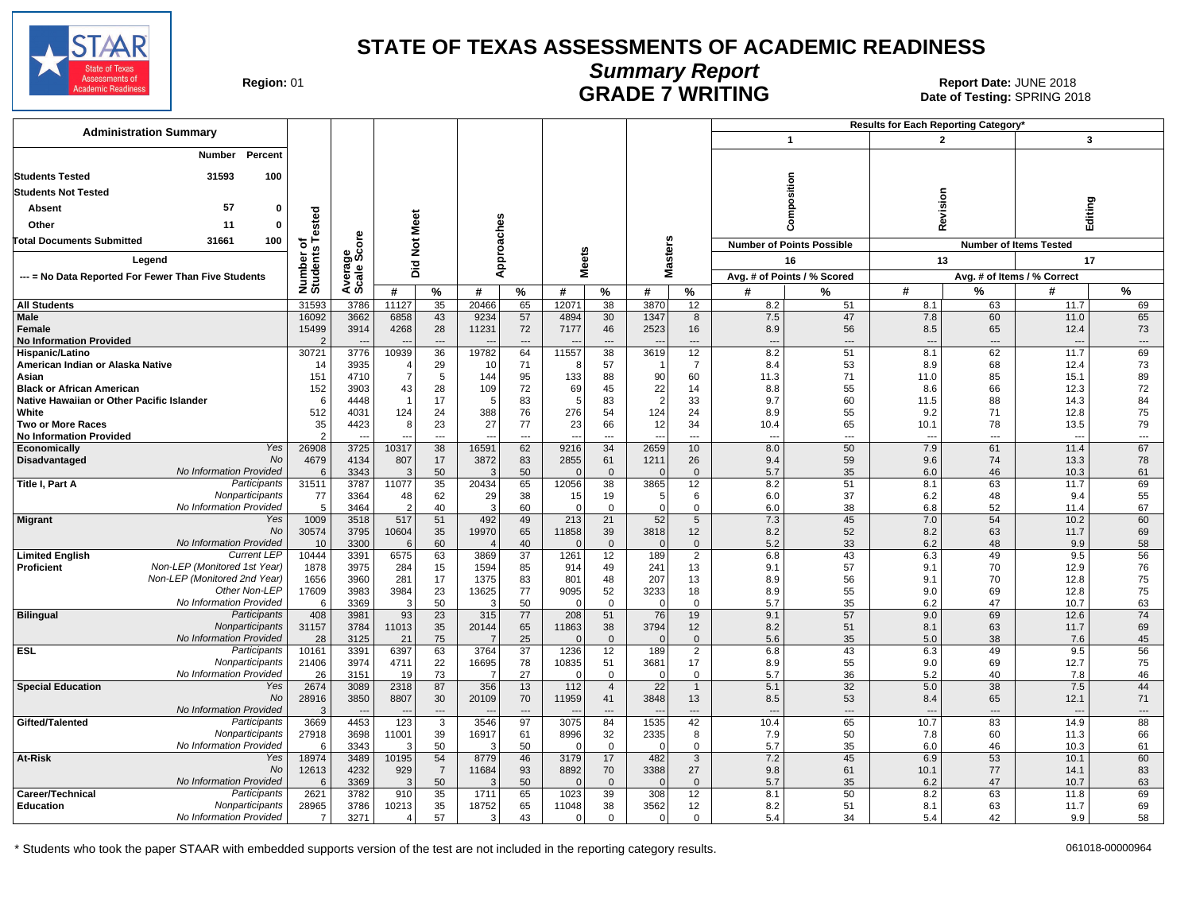

# **Summary Report**

Region: 01 **Region: 01 CALL CONSISTS OF A REGION CONSISTENCE 2018**<br>Date of Testing: SPRING 2018 Date of Testing: SPRING 2018

| <b>Administration Summary</b>                                  |                         |              |                         |                |            |                          |                         |                          |                  |                                |                                 |                                  | <b>Results for Each Reporting Category</b> |                                |                                  |           |
|----------------------------------------------------------------|-------------------------|--------------|-------------------------|----------------|------------|--------------------------|-------------------------|--------------------------|------------------|--------------------------------|---------------------------------|----------------------------------|--------------------------------------------|--------------------------------|----------------------------------|-----------|
|                                                                |                         |              |                         |                |            |                          |                         |                          |                  |                                |                                 | $\mathbf{1}$                     | $\overline{2}$                             |                                | 3                                |           |
| Percent<br>Number                                              |                         |              |                         |                |            |                          |                         |                          |                  |                                |                                 |                                  |                                            |                                |                                  |           |
| <b>Students Tested</b><br>31593<br>100                         |                         |              |                         |                |            |                          |                         |                          |                  |                                |                                 |                                  |                                            |                                |                                  |           |
| <b>Students Not Tested</b>                                     |                         |              |                         |                |            |                          |                         |                          |                  |                                |                                 | Composition                      |                                            |                                |                                  |           |
| 57<br>0                                                        |                         |              |                         |                |            |                          |                         |                          |                  |                                |                                 |                                  | Revision                                   |                                | Editing                          |           |
| Absent                                                         | ested                   |              | Meet                    |                |            |                          |                         |                          |                  |                                |                                 |                                  |                                            |                                |                                  |           |
| Other<br>11<br>o                                               |                         |              |                         |                |            |                          |                         |                          |                  |                                |                                 |                                  |                                            |                                |                                  |           |
| 100<br><b>Total Documents Submitted</b><br>31661               | ৳                       | ö            | $\frac{5}{2}$           |                |            |                          |                         |                          |                  |                                |                                 | <b>Number of Points Possible</b> |                                            |                                | <b>Number of Items Tested</b>    |           |
| Legend                                                         | Number o<br>Students    | క్టిట్       |                         |                |            | pproaches                | <b>Meets</b>            |                          |                  | <b>Masters</b>                 |                                 | 16                               | 13                                         |                                | 17                               |           |
| --- = No Data Reported For Fewer Than Five Students            |                         | Avera        | Ъä                      |                |            | ∢                        |                         |                          |                  |                                |                                 | Avg. # of Points / % Scored      |                                            |                                | Avg. # of Items / % Correct      |           |
|                                                                |                         |              | #                       | %              | #          | %                        | #                       | %                        | #                | %                              | #                               | $\frac{9}{6}$                    | #                                          | %                              | #                                | $\%$      |
| <b>All Students</b>                                            | 31593                   | 3786         | 11127                   | 35             | 20466      | 65                       | 12071                   | 38                       | 3870             | 12                             | 8.2                             | 51                               | 8.1                                        | 63                             | 11.7                             | 69        |
| <b>Male</b>                                                    | 16092                   | 3662         | 6858                    | 43             | 9234       | 57                       | 4894                    | 30                       | 1347             | 8                              | 7.5                             | 47                               | 7.8                                        | 60                             | 11.0                             | 65        |
| <b>Female</b>                                                  | 15499<br>$\overline{2}$ | 3914         | 4268                    | 28<br>---      | 11231      | 72<br>---                | 7177                    | 46                       | 2523             | 16<br>$\overline{\phantom{a}}$ | 8.9                             | 56<br>$\overline{a}$             | 8.5<br>$\overline{a}$                      | 65<br>$\overline{\phantom{a}}$ | 12.4<br>$\overline{\phantom{a}}$ | 73        |
| <b>No Information Provided</b><br>Hispanic/Latino              | 30721                   | 3776         | 10939                   | 36             | 19782      | 64                       | 11557                   | 38                       | 3619             | 12                             | $\overline{\phantom{a}}$<br>8.2 | 51                               | 8.1                                        | 62                             | 11.7                             | ---<br>69 |
| American Indian or Alaska Native                               | 14                      | 3935         | $\overline{4}$          | 29             | 10         | 71                       | -8                      | 57                       |                  | $\overline{7}$                 | 8.4                             | 53                               | 8.9                                        | 68                             | 12.4                             | 73        |
| Asian                                                          | 151                     | 4710         | $\overline{7}$          | 5              | 144        | 95                       | 133                     | 88                       | 90               | 60                             | 11.3                            | 71                               | 11.0                                       | 85                             | 15.1                             | 89        |
| <b>Black or African American</b>                               | 152                     | 3903         | 43                      | 28             | 109        | 72                       | 69                      | 45                       | 22               | 14                             | 8.8                             | 55                               | 8.6                                        | 66                             | 12.3                             | 72        |
| Native Hawaiian or Other Pacific Islander<br>White             | 6                       | 4448<br>4031 | 124                     | 17<br>24       |            | 83<br>76                 | 5<br>276                | 83<br>54                 | 2                | 33<br>24                       | 9.7<br>8.9                      | 60                               | 11.5<br>9.2                                | 88<br>71                       | 14.3<br>12.8                     | 84<br>75  |
| <b>Two or More Races</b>                                       | 512<br>35               | 4423         | 8                       | 23             | 388<br>27  | 77                       | 23                      | 66                       | 124<br>12        | 34                             | 10.4                            | 55<br>65                         | 10.1                                       | 78                             | 13.5                             | 79        |
| <b>No Information Provided</b>                                 | $\overline{2}$          |              |                         | $\overline{a}$ |            | $\overline{a}$           | $\overline{a}$          | $\overline{a}$           |                  | $\overline{\phantom{a}}$       | $\sim$                          | $\overline{a}$                   | $\sim$                                     | $\overline{\phantom{a}}$       | $\overline{a}$                   | $\cdots$  |
| Yes<br><b>Economically</b>                                     | 26908                   | 3725         | 10317                   | 38             | 16591      | 62                       | 9216                    | 34                       | 2659             | 10                             | 8.0                             | 50                               | 7.9                                        | 61                             | 11.4                             | 67        |
| <b>No</b><br>Disadvantaged                                     | 4679                    | 4134         | 807                     | 17             | 3872       | 83                       | 2855                    | 61                       | 1211             | 26                             | 9.4                             | 59                               | 9.6                                        | 74                             | 13.3                             | 78        |
| No Information Provided<br>Title I, Part A<br>Participants     | 6<br>31511              | 3343<br>3787 | 3<br>11077              | 50<br>35       | 3<br>20434 | 50<br>65                 | $\Omega$<br>12056       | $\Omega$<br>38           | 3865             | $\mathbf{0}$<br>12             | 5.7<br>8.2                      | 35<br>51                         | 6.0<br>8.1                                 | 46<br>63                       | 10.3<br>11.7                     | 61<br>69  |
| Nonparticipants                                                | 77                      | 3364         | 48                      | 62             | 29         | 38                       | 15                      | 19                       | 5                | 6                              | 6.0                             | 37                               | 6.2                                        | 48                             | 9.4                              | 55        |
| No Information Provided                                        | 5                       | 3464         | $\overline{2}$          | 40             | 3          | 60                       | $\overline{0}$          | $\Omega$                 | $\Omega$         | $\mathbf 0$                    | 6.0                             | 38                               | 6.8                                        | 52                             | 11.4                             | 67        |
| Yes<br><b>Migrant</b>                                          | 1009                    | 3518         | 517                     | 51             | 492        | 49                       | 213                     | 21                       | 52               | $5\phantom{.0}$                | 7.3                             | 45                               | 7.0                                        | 54                             | 10.2                             | 60        |
| No<br><b>No Information Provided</b>                           | 30574<br>10             | 3795<br>3300 | 10604<br>6              | 35<br>60       | 19970      | 65<br>40                 | 11858<br>$\Omega$       | 39<br>$\Omega$           | 3818             | 12<br>$\mathbf{0}$             | 8.2<br>5.2                      | 52<br>33                         | 8.2<br>6.2                                 | 63<br>48                       | 11.7<br>9.9                      | 69<br>58  |
| <b>Limited English</b><br><b>Current LEP</b>                   | 10444                   | 3391         | 6575                    | 63             | 3869       | 37                       | 1261                    | 12                       | 189              | 2                              | 6.8                             | 43                               | 6.3                                        | 49                             | 9.5                              | 56        |
| Non-LEP (Monitored 1st Year)<br><b>Proficient</b>              | 1878                    | 3975         | 284                     | 15             | 1594       | 85                       | 914                     | 49                       | 241              | 13                             | 9.1                             | 57                               | 9.1                                        | 70                             | 12.9                             | 76        |
| Non-LEP (Monitored 2nd Year)                                   | 1656                    | 3960         | 281                     | 17             | 1375       | 83                       | 801                     | 48                       | 207              | 13                             | 8.9                             | 56                               | 9.1                                        | 70                             | 12.8                             | 75        |
| Other Non-LEP                                                  | 17609                   | 3983         | 3984                    | 23             | 13625      | 77                       | 9095                    | 52                       | 3233             | 18                             | 8.9                             | 55                               | 9.0                                        | 69                             | 12.8                             | 75        |
| No Information Provided<br><b>Bilingual</b><br>Participants    | 6<br>408                | 3369<br>3981 | $\mathbf{3}$<br>93      | 50<br>23       | 3<br>315   | 50<br>77                 | $\overline{0}$<br>208   | $\mathbf 0$<br>51        | $\Omega$<br>76   | $\mathbf 0$<br>19              | 5.7<br>9.1                      | 35<br>57                         | 6.2<br>9.0                                 | 47<br>69                       | 10.7<br>12.6                     | 63<br>74  |
| Nonparticipants                                                | 31157                   | 3784         | 11013                   | 35             | 20144      | 65                       | 11863                   | 38                       | 3794             | 12                             | 8.2                             | 51                               | 8.1                                        | 63                             | 11.7                             | 69        |
| No Information Provided                                        | 28                      | 3125         | 21                      | 75             |            | 25                       | $\Omega$                | $\Omega$                 |                  | $\mathbf{0}$                   | 5.6                             | 35                               | 5.0                                        | 38                             | 7.6                              | 45        |
| ESL<br>Participants                                            | 10161                   | 3391         | 6397                    | 63             | 3764       | 37                       | 1236                    | 12                       | 189              | $\overline{2}$                 | 6.8                             | 43                               | 6.3                                        | 49                             | 9.5                              | 56        |
| Nonparticipants<br>No Information Provided                     | 21406<br>26             | 3974<br>3151 | 4711<br>19              | 22<br>73       | 16695      | 78<br>27                 | 10835<br>$\mathbf 0$    | 51<br>$\mathbf 0$        | 3681<br>$\Omega$ | 17<br>$\mathbf 0$              | 8.9<br>5.7                      | 55<br>36                         | 9.0<br>5.2                                 | 69<br>40                       | 12.7<br>7.8                      | 75<br>46  |
| <b>Special Education</b><br>Yes                                | 2674                    | 3089         | 2318                    | 87             | 356        | 13                       | $112$                   | $\overline{4}$           | 22               | $\overline{1}$                 | 5.1                             | 32                               | 5.0                                        | 38                             | 7.5                              | 44        |
| No                                                             | 28916                   | 3850         | 8807                    | 30             | 20109      | 70                       | 11959                   | 41                       | 3848             | 13                             | 8.5                             | 53                               | 8.4                                        | 65                             | 12.1                             | 71        |
| No Information Provided                                        | 3                       |              | $\sim$                  | $\cdots$       |            | $\overline{\phantom{a}}$ |                         | $\overline{\phantom{a}}$ |                  | $\cdots$                       | ---                             | $\overline{\phantom{a}}$         | $\overline{a}$                             | $---$                          | $\overline{\phantom{a}}$         | ---       |
| Gifted/Talented<br>Participants                                | 3669                    | 4453         | 123                     | 3              | 3546       | 97                       | 3075                    | 84                       | 1535             | 42                             | 10.4                            | 65                               | 10.7                                       | 83                             | 14.9                             | 88        |
| Nonparticipants<br>No Information Provided                     | 27918<br>6              | 3698<br>3343 | 11001<br>$\overline{3}$ | 39<br>50       | 16917      | 61<br>50                 | 8996<br>$\overline{0}$  | 32<br>$\Omega$           | 2335<br>$\Omega$ | 8<br>0                         | 7.9<br>5.7                      | 50<br>35                         | 7.8<br>6.0                                 | 60<br>46                       | 11.3<br>10.3                     | 66<br>61  |
| At-Risk<br>Yes                                                 | 18974                   | 3489         | 10195                   | 54             | 8779       | 46                       | 3179                    | 17                       | 482              | $\mathbf{3}$                   | 7.2                             | 45                               | 6.9                                        | 53                             | 10.1                             | 60        |
| No                                                             | 12613                   | 4232         | 929                     | $\overline{7}$ | 11684      | 93                       | 8892                    | 70                       | 3388             | 27                             | 9.8                             | 61                               | 10.1                                       | 77                             | 14.1                             | 83        |
| No Information Provided                                        | 6                       | 3369         | 3                       | 50             | 3          | 50                       | $\Omega$                | $\Omega$                 |                  | $\mathbf 0$                    | 5.7                             | 35                               | 6.2                                        | 47                             | 10.7                             | 63        |
| Career/Technical<br>Participants                               | 2621                    | 3782         | 910                     | 35             | 1711       | 65                       | 1023                    | 39                       | 308              | 12                             | 8.1                             | 50                               | 8.2                                        | 63                             | 11.8                             | 69        |
| <b>Education</b><br>Nonparticipants<br>No Information Provided | 28965<br>7              | 3786<br>3271 | 10213<br>$\overline{4}$ | 35<br>57       | 18752<br>3 | 65<br>43                 | 11048<br>$\overline{0}$ | 38<br>$\Omega$           | 3562<br>$\Omega$ | 12<br>$\mathbf 0$              | 8.2<br>5.4                      | 51<br>34                         | 8.1<br>5.4                                 | 63<br>42                       | 11.7<br>9.9                      | 69<br>58  |
|                                                                |                         |              |                         |                |            |                          |                         |                          |                  |                                |                                 |                                  |                                            |                                |                                  |           |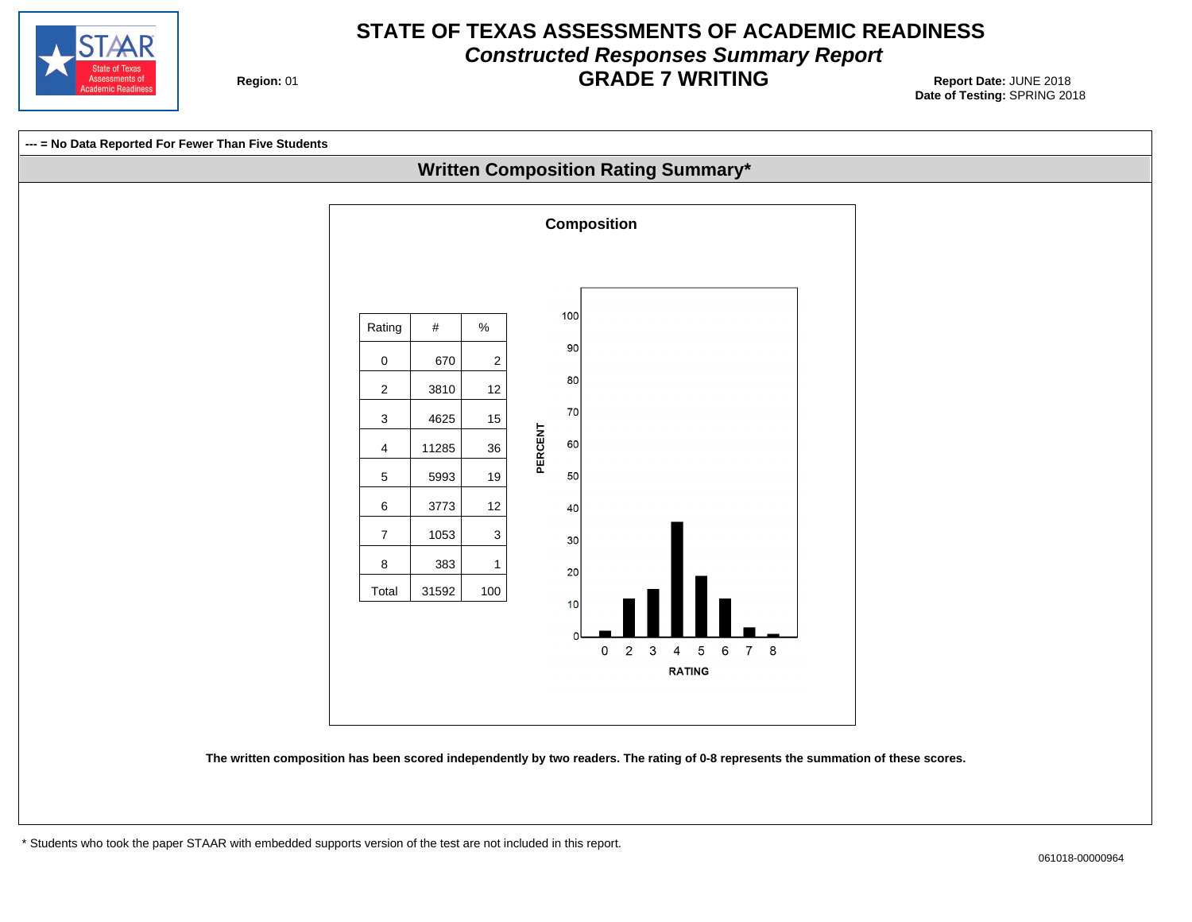

# **STATE OF TEXAS ASSESSMENTS OF ACADEMIC READINESS Constructed Responses Summary Report GRADE 7 WRITING** Report Date: JUNE 2018

**Region: 01** 

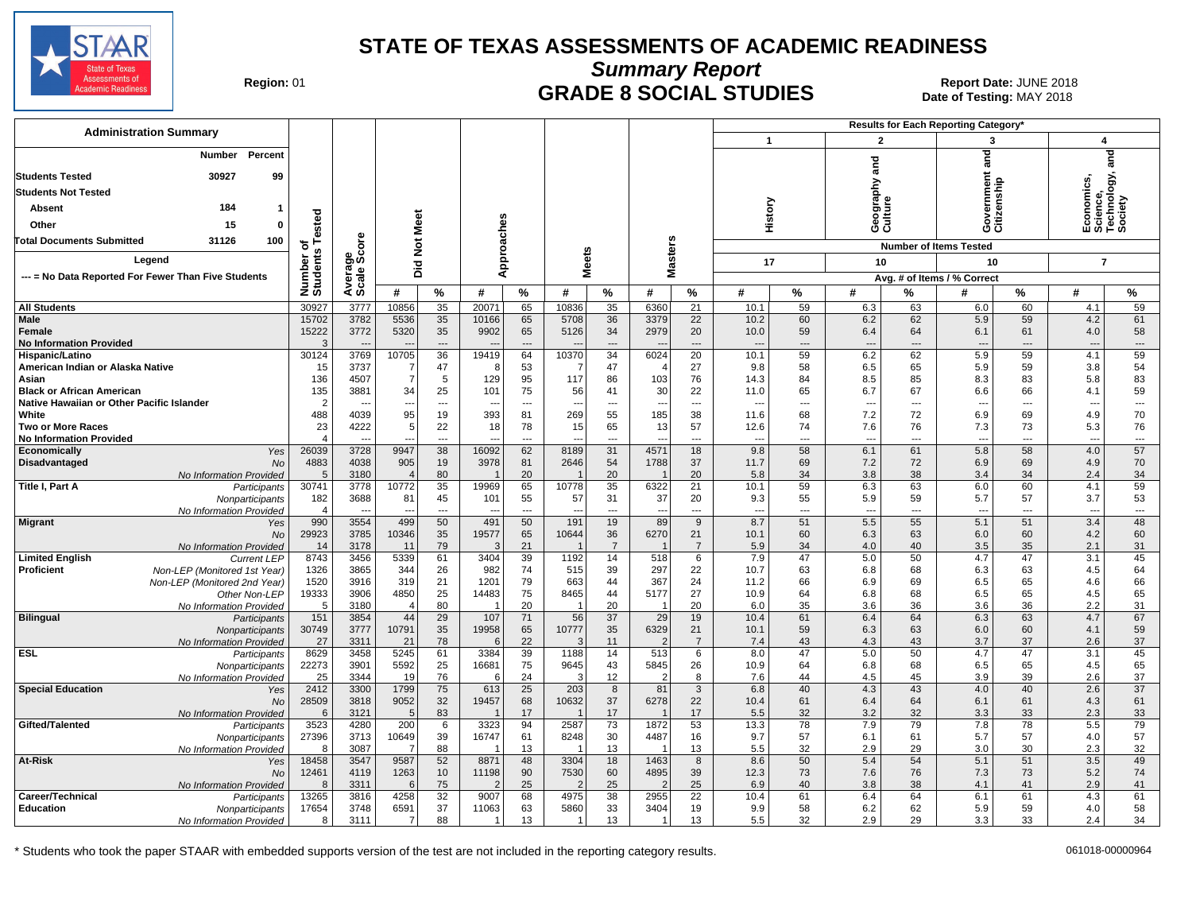

**Summary Report**

Region: 01 **Region: 01 CRADE 8 SOCIAL STUDIES Report Date: JUNE 2018 Report Date: JUNE 2018** Date of Testing: MAY 2018

| <b>Administration Summary</b>                                              |                       |                                  |                       |                          |             |                      |                        |                       |                          |                          |                          |                          |                                 |                | Results for Each Reporting Category' |                 |                                 |                                |
|----------------------------------------------------------------------------|-----------------------|----------------------------------|-----------------------|--------------------------|-------------|----------------------|------------------------|-----------------------|--------------------------|--------------------------|--------------------------|--------------------------|---------------------------------|----------------|--------------------------------------|-----------------|---------------------------------|--------------------------------|
|                                                                            |                       |                                  |                       |                          |             |                      |                        |                       |                          |                          | $\mathbf{1}$             |                          | $\overline{2}$                  |                | 3                                    |                 | 4                               |                                |
| Percent<br>Number                                                          |                       |                                  |                       |                          |             |                      |                        |                       |                          |                          |                          |                          |                                 |                | and                                  |                 |                                 | and                            |
| <b>Students Tested</b><br>30927<br>99                                      |                       |                                  |                       |                          |             |                      |                        |                       |                          |                          |                          |                          | and                             |                |                                      |                 |                                 |                                |
| <b>Students Not Tested</b>                                                 |                       |                                  |                       |                          |             |                      |                        |                       |                          |                          |                          |                          |                                 |                | nment<br>Iship                       |                 |                                 | logy,                          |
| 184                                                                        |                       |                                  |                       |                          |             |                      |                        |                       |                          |                          |                          |                          | ieography:<br>:ulture           |                | arıə                                 |                 | nomics,<br>icience,<br>echnolo  |                                |
| <b>Absent</b>                                                              |                       |                                  | Meet                  |                          |             |                      |                        |                       |                          |                          | History                  |                          |                                 |                | overn<br>itizen:                     |                 |                                 |                                |
| 15<br>Other<br>$\Omega$                                                    | ested                 |                                  |                       |                          |             |                      |                        |                       |                          |                          |                          |                          | ဖပ                              |                | ပ ပ                                  |                 | ய் ம் ⊫ ம்                      |                                |
| <b>Total Documents Submitted</b><br>31126<br>100                           | ö<br>w                | <b>ore</b>                       | $\frac{5}{2}$         |                          | pproaches   |                      |                        |                       | <b>Masters</b>           |                          |                          |                          |                                 |                | <b>Number of Items Tested</b>        |                 |                                 |                                |
| Leaend                                                                     |                       | န္မွဳ့မွဳ                        |                       |                          |             |                      | leets                  |                       |                          |                          | 17                       |                          | 10                              |                | 10                                   |                 | $\overline{7}$                  |                                |
| --- = No Data Reported For Fewer Than Five Students                        | Number<br>Students    | Avera                            | <b>Did</b>            |                          | ⋖           |                      | Σ                      |                       |                          |                          |                          |                          |                                 |                | Avg. # of Items / % Correct          |                 |                                 |                                |
|                                                                            |                       |                                  | #                     | %                        | #           | $\%$                 | #                      | $\%$                  | #                        | $\%$                     | #                        | %                        | #                               | %              | #                                    | %               | #                               | %                              |
| <b>All Students</b>                                                        | 30927                 | 3777                             | 10856                 | 35                       | 20071       | 65                   | 10836                  | 35                    | 6360                     | $\overline{21}$          | 10.1                     | 59                       | 6.3                             | 63             | 6.0                                  | 60              | 4.1                             | 59                             |
| Male                                                                       | 15702                 | 3782                             | 5536                  | 35                       | 10166       | 65                   | 5708                   | 36                    | 3379                     | 22                       | 10.2                     | 60                       | 6.2                             | 62             | 5.9                                  | 59              | 4.2                             | 61                             |
| Female                                                                     | 15222                 | 3772                             | 5320                  | 35                       | 9902        | 65                   | 5126                   | 34                    | 2979                     | 20                       | 10.0                     | 59                       | 6.4                             | 64             | 6.1                                  | 61              | 4.0                             | 58                             |
| <b>No Information Provided</b>                                             | 3                     | $\overline{a}$                   |                       | $\overline{\phantom{a}}$ |             | $---$                |                        | ---                   |                          | $\overline{\phantom{a}}$ | $\overline{a}$           | $\overline{\phantom{a}}$ | $\overline{\phantom{a}}$        | ---            | $\overline{\phantom{a}}$             | $\overline{a}$  | $---$                           | $\cdots$                       |
| Hispanic/Latino<br>American Indian or Alaska Native                        | 30124<br>15           | 3769<br>3737                     | 10705<br>7            | 36<br>47                 | 19419<br>8  | 64<br>53             | 10370<br>-7            | 34<br>47              | 6024<br>$\overline{4}$   | 20<br>27                 | 10.1<br>9.8              | 59<br>58                 | 6.2<br>6.5                      | 62<br>65       | 5.9<br>5.9                           | 59<br>59        | 4.1<br>3.8                      | 59<br>54                       |
| Asian                                                                      | 136                   | 4507                             | $\overline{7}$        | 5                        | 129         | 95                   | 117                    | 86                    | 103                      | 76                       | 14.3                     | 84                       | 8.5                             | 85             | 8.3                                  | 83              | 5.8                             | 83                             |
| <b>Black or African American</b>                                           | 135                   | 3881                             | 34                    | 25                       | 101         | 75                   | 56                     | 41                    | 30                       | 22                       | 11.0                     | 65                       | 6.7                             | 67             | 6.6                                  | 66              | 4.1                             | 59                             |
| Native Hawaiian or Other Pacific Islander                                  | $\overline{2}$        | $\overline{\phantom{a}}$         | --                    | $---$                    |             | ---                  | --                     | $\overline{a}$        | $\overline{\phantom{a}}$ | $\overline{\phantom{a}}$ | $\overline{\phantom{a}}$ | ---                      | ---                             | $\overline{a}$ | $\overline{\phantom{a}}$             | ---             | ---                             | $\hspace{0.05cm} \ldots$       |
| White                                                                      | 488                   | 4039                             | 95                    | 19                       | 393         | 81                   | 269                    | 55                    | 185                      | 38                       | 11.6                     | 68                       | 7.2                             | 72             | 6.9                                  | 69              | 4.9                             | 70                             |
| <b>Two or More Races</b><br><b>No Information Provided</b>                 | 23<br>$\overline{4}$  | 4222<br>$\overline{\phantom{a}}$ | 5                     | 22<br>---                | 18          | 78<br>---            | 15                     | 65<br>---             | 13                       | 57<br>---                | 12.6<br>---              | 74<br>---                | 7.6<br>---                      | 76<br>---      | 7.3<br>$\overline{\phantom{a}}$      | 73<br>---       | 5.3<br>$\overline{\phantom{a}}$ | 76<br>$\qquad \qquad \cdots$   |
| Yes<br>Economically                                                        | 26039                 | 3728                             | 9947                  | 38                       | 16092       | 62                   | 8189                   | 31                    | 4571                     | 18                       | 9.8                      | 58                       | 6.1                             | 61             | 5.8                                  | 58              | 4.0                             | 57                             |
| Disadvantaged<br><b>No</b>                                                 | 4883                  | 4038                             | 905                   | 19                       | 3978        | 81                   | 2646                   | 54                    | 1788                     | 37                       | 11.7                     | 69                       | 7.2                             | 72             | 6.9                                  | 69              | 4.9                             | 70                             |
| No Information Provided                                                    | 5                     | 3180                             | $\overline{4}$        | 80                       |             | 20                   |                        | 20                    |                          | 20                       | 5.8                      | 34                       | 3.8                             | 38             | 3.4                                  | 34              | 2.4                             | 34                             |
| <b>Title I, Part A</b><br>Participants                                     | 30741                 | 3778                             | 10772                 | $\overline{35}$          | 19969       | 65                   | 10778                  | $\overline{35}$       | 6322                     | 21                       | 10.1                     | 59                       | 6.3                             | 63             | 6.0                                  | $\overline{60}$ | 4.1                             | 59                             |
| Nonparticipants                                                            | 182<br>$\overline{4}$ | 3688                             | 81                    | 45<br>$\overline{a}$     | 101         | 55<br>$\overline{a}$ | 57                     | 31<br>---             | 37                       | 20<br>$\overline{a}$     | 9.3<br>---               | 55<br>---                | 5.9<br>$\overline{\phantom{a}}$ | 59<br>---      | 5.7<br>$\overline{a}$                | 57<br>---       | 3.7<br>$\overline{a}$           | 53<br>$\overline{\phantom{a}}$ |
| No Information Provided<br>Migrant<br>Yes                                  | 990                   | 3554                             | 499                   | 50                       | 491         | 50                   | 191                    | 19                    | 89                       | 9                        | 8.7                      | 51                       | 5.5                             | 55             | 5.1                                  | 51              | 3.4                             | 48                             |
| <b>No</b>                                                                  | 29923                 | 3785                             | 10346                 | 35                       | 19577       | 65                   | 10644                  | 36                    | 6270                     | 21                       | 10.1                     | 60                       | 6.3                             | 63             | 6.0                                  | 60              | 4.2                             | 60                             |
| No Information Provided                                                    | 14                    | 3178                             | 11                    | 79                       | 3           | 21                   |                        | $\overline{7}$        |                          | $\overline{7}$           | 5.9                      | 34                       | 4.0                             | 40             | 3.5                                  | 35              | 2.1                             | 31                             |
| <b>Limited English</b><br><b>Current LEP</b>                               | 8743                  | 3456                             | 5339                  | 61                       | 3404        | 39                   | 1192                   | 14                    | 518                      | 6                        | 7.9                      | 47                       | 5.0                             | 50             | 4.7                                  | 47              | 3.1                             | 45                             |
| Proficient<br>Non-LEP (Monitored 1st Year)<br>Non-LEP (Monitored 2nd Year) | 1326<br>1520          | 3865<br>3916                     | 344<br>319            | 26<br>21                 | 982<br>1201 | 74<br>79             | 515<br>663             | 39<br>44              | 297<br>367               | 22<br>24                 | 10.7<br>11.2             | 63<br>66                 | 6.8<br>6.9                      | 68<br>69       | 6.3<br>6.5                           | 63<br>65        | 4.5<br>4.6                      | 64<br>66                       |
| Other Non-LEP                                                              | 19333                 | 3906                             | 4850                  | 25                       | 14483       | 75                   | 8465                   | 44                    | 5177                     | 27                       | 10.9                     | 64                       | 6.8                             | 68             | 6.5                                  | 65              | 4.5                             | 65                             |
| No Information Provided                                                    | 5                     | 3180                             | $\overline{4}$        | 80                       |             | 20                   |                        | 20                    | $\overline{1}$           | 20                       | 6.0                      | 35                       | 3.6                             | 36             | 3.6                                  | 36              | 2.2                             | 31                             |
| <b>Bilingual</b><br>Participants                                           | 151                   | 3854                             | 44                    | 29                       | 107         | 71                   | 56                     | 37                    | 29                       | 19                       | 10.4                     | 61                       | 6.4                             | 64             | 6.3                                  | 63              | 4.7                             | 67                             |
| Nonparticipants                                                            | 30749                 | 3777                             | 10791                 | 35                       | 19958       | 65                   | 10777                  | 35                    | 6329<br>$\mathcal{P}$    | 21                       | 10.1                     | 59                       | 6.3                             | 63             | 6.0                                  | 60              | 4.1                             | 59                             |
| No Information Provided<br><b>ESL</b><br>Participants                      | 27<br>8629            | 3311<br>3458                     | 21<br>5245            | 78<br>61                 | 3384        | 22<br>39             | 3<br>1188              | 11<br>14              | 513                      | $\overline{7}$<br>6      | 7.4<br>8.0               | 43<br>47                 | 4.3<br>5.0                      | 43<br>50       | 3.7<br>4.7                           | 37<br>47        | 2.6<br>3.1                      | 37<br>45                       |
| Nonparticipants                                                            | 22273                 | 3901                             | 5592                  | 25                       | 16681       | 75                   | 9645                   | 43                    | 5845                     | 26                       | 10.9                     | 64                       | 6.8                             | 68             | 6.5                                  | 65              | 4.5                             | 65                             |
| No Information Provided                                                    | 25                    | 3344                             | 19                    | 76                       | 6           | 24                   | 3                      | 12                    | $\overline{2}$           | 8                        | 7.6                      | 44                       | 4.5                             | 45             | 3.9                                  | 39              | 2.6                             | 37                             |
| <b>Special Education</b><br>Yes                                            | 2412                  | 3300                             | 1799                  | 75                       | 613         | 25                   | 203                    | 8                     | 81                       | 3                        | 6.8                      | 40                       | 4.3                             | 43             | 4.0                                  | 40              | 2.6                             | $\overline{37}$                |
| No                                                                         | 28509                 | 3818                             | 9052                  | 32                       | 19457       | 68                   | 10632                  | 37                    | 6278                     | 22                       | 10.4                     | 61                       | 6.4                             | 64             | 6.1                                  | 61              | 4.3                             | 61                             |
| No Information Provided<br>Gifted/Talented<br>Participants                 | 6<br>3523             | 3121<br>4280                     | 5 <sup>1</sup><br>200 | 83<br>6                  | 3323        | 17<br>94             | 2587                   | 17<br>$\overline{73}$ | 1872                     | 17<br>53                 | 5.5<br>13.3              | 32<br>78                 | 3.2<br>7.9                      | 32<br>79       | 3.3<br>7.8                           | 33<br>78        | 2.3<br>5.5                      | 33<br>79                       |
| Nonparticipants                                                            | 27396                 | 3713                             | 10649                 | 39                       | 16747       | 61                   | 8248                   | 30                    | 4487                     | 16                       | 9.7                      | 57                       | 6.1                             | 61             | 5.7                                  | 57              | 4.0                             | 57                             |
| No Information Provided                                                    | -8                    | 3087                             | 7                     | 88                       |             | 13                   |                        | 13                    |                          | 13                       | 5.5                      | 32                       | 2.9                             | 29             | 3.0                                  | 30              | 2.3                             | 32                             |
| At-Risk<br>Yes                                                             | 18458                 | 3547                             | 9587                  | 52                       | 8871        | 48                   | 3304                   | 18                    | 1463                     | 8                        | 8.6                      | 50                       | 5.4                             | 54             | 5.1                                  | 51              | 3.5                             | 49                             |
| No                                                                         | 12461                 | 4119                             | 1263                  | 10                       | 11198       | 90                   | 7530                   | 60                    | 4895                     | 39                       | 12.3                     | 73                       | 7.6                             | 76             | 7.3                                  | 73              | 5.2                             | 74                             |
| No Information Provided                                                    | 8<br>13265            | 3311<br>3816                     | 6<br>4258             | 75<br>32                 | 2<br>9007   | 25<br>68             | $\overline{2}$<br>4975 | 25<br>38              | $\overline{2}$<br>2955   | 25<br>22                 | 6.9<br>10.4              | 40<br>61                 | 3.8<br>6.4                      | 38<br>64       | 4.1<br>6.1                           | 41<br>61        | 2.9<br>4.3                      | 41<br>61                       |
| Career/Technical<br>Participants<br><b>Education</b><br>Nonparticipants    | 17654                 | 3748                             | 6591                  | 37                       | 11063       | 63                   | 5860                   | 33                    | 3404                     | 19                       | 9.9                      | 58                       | 6.2                             | 62             | 5.9                                  | 59              | 4.0                             | 58                             |
| No Information Provided                                                    | 8                     | 3111                             | 7                     | 88                       | -1          | 13                   | 1                      | 13                    | 1                        | 13                       | 5.5                      | 32                       | 2.9                             | 29             | 3.3                                  | 33              | 2.4                             | 34                             |
|                                                                            |                       |                                  |                       |                          |             |                      |                        |                       |                          |                          |                          |                          |                                 |                |                                      |                 |                                 |                                |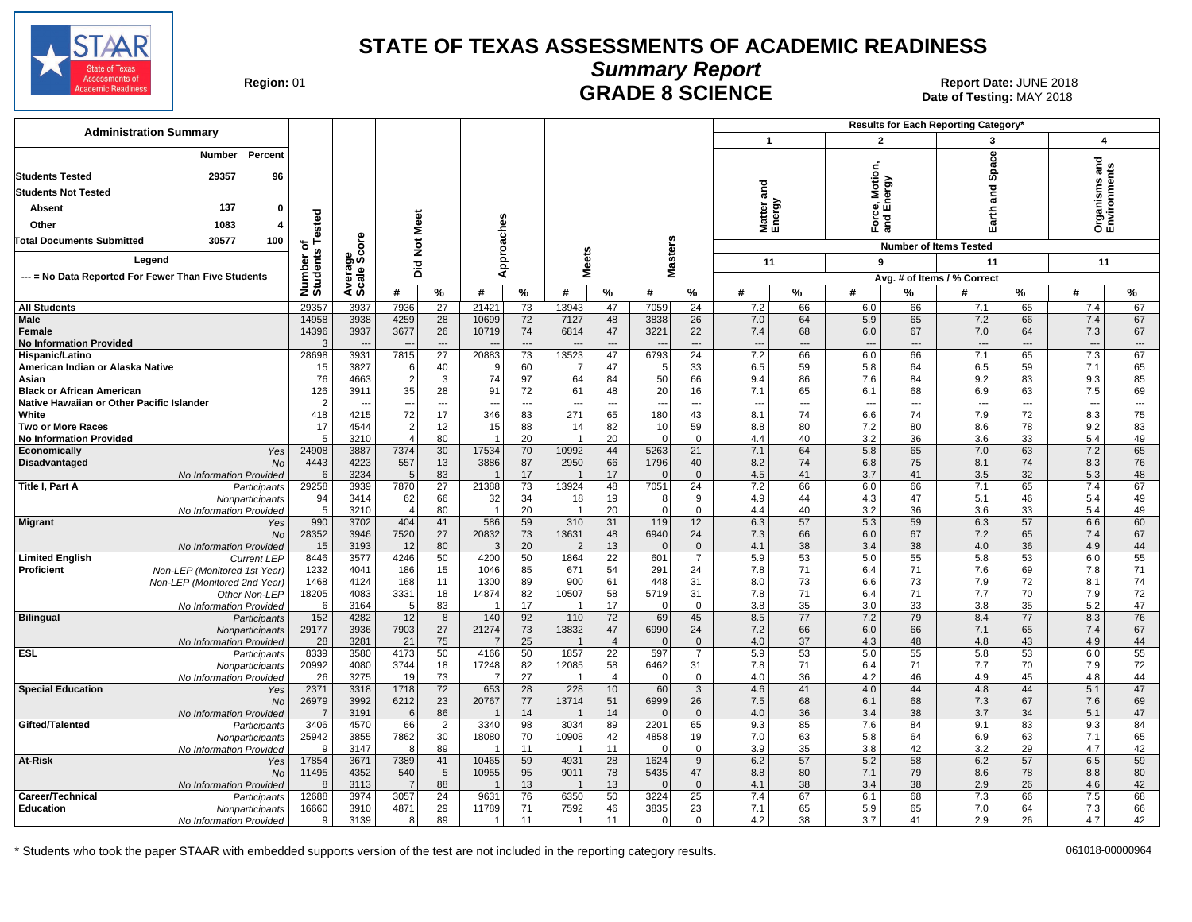

**Summary Report**

**GRADE 8 SCIENCE Date: JUNE 2018**<br>Date of Testing: MAY 2018 Date of Testing: MAY 2018

| <b>Administration Summary</b>                                                              |                      |                |                          |                          |                |                       |                          |                       |                  |                                 |                  |                      |                          |             | Results for Each Reporting Category' |                          |                                   |                                |
|--------------------------------------------------------------------------------------------|----------------------|----------------|--------------------------|--------------------------|----------------|-----------------------|--------------------------|-----------------------|------------------|---------------------------------|------------------|----------------------|--------------------------|-------------|--------------------------------------|--------------------------|-----------------------------------|--------------------------------|
|                                                                                            |                      |                |                          |                          |                |                       |                          |                       |                  |                                 | $\mathbf{1}$     |                      | $\overline{2}$           |             | 3                                    |                          | 4                                 |                                |
| Percent<br>Number<br>29357<br><b>Students Tested</b><br>96                                 |                      |                |                          |                          |                |                       |                          |                       |                  |                                 |                  |                      | Motion                   |             | Space                                |                          | 겯<br>Organisms an<br>Environments |                                |
| <b>Students Not Tested</b>                                                                 |                      |                |                          |                          |                |                       |                          |                       |                  |                                 | and              |                      |                          | vergy       | and                                  |                          |                                   |                                |
| 137<br><b>Absent</b><br>O                                                                  |                      |                |                          |                          |                |                       |                          |                       |                  |                                 |                  |                      | စွဲစ်                    |             |                                      |                          |                                   |                                |
| 1083<br>Other                                                                              | ested                |                | Meet                     |                          |                |                       |                          |                       |                  |                                 | Matter<br>Energy |                      | ৯                        | and         | arth                                 |                          |                                   |                                |
|                                                                                            |                      |                |                          |                          |                |                       |                          |                       |                  |                                 |                  |                      |                          |             |                                      |                          |                                   |                                |
| 30577<br><b>Fotal Documents Submitted</b><br>100                                           | Ö                    | e<br>6         | ă                        |                          |                |                       |                          |                       |                  |                                 |                  |                      |                          |             | <b>Number of Items Tested</b>        |                          |                                   |                                |
| Legend                                                                                     | Number o<br>Students | န္မွဳ့မွဳ      | ŏid                      |                          | pproaches      |                       | <b>Meets</b>             |                       | <b>Masters</b>   |                                 | 11               |                      | 9                        |             | 11                                   |                          | 11                                |                                |
| --- = No Data Reported For Fewer Than Five Students                                        |                      | Averag         |                          |                          | ⋖              |                       |                          |                       |                  |                                 |                  |                      |                          |             | Avg. # of Items / % Correct          |                          |                                   |                                |
|                                                                                            |                      |                | #                        | $\%$                     | #              | $\%$                  | #                        | $\%$                  | #                | $\%$                            | #                | %                    | #                        | %           | #                                    | $\%$                     | #                                 | %                              |
| <b>All Students</b>                                                                        | 29357                | 3937           | 7936                     | $\overline{27}$          | 21421          | 73                    | 13943                    | 47                    | 7059             | 24                              | 7.2              | 66                   | 6.0                      | 66          | 7.1                                  | 65                       | 7.4                               | 67                             |
| Male                                                                                       | 14958                | 3938           | 4259                     | 28                       | 10699          | 72                    | 7127                     | 48                    | 3838             | 26                              | 7.0              | 64                   | 5.9                      | 65          | 7.2                                  | 66                       | 7.4                               | 67                             |
| Female                                                                                     | 14396<br>3           | 3937           | 3677                     | 26<br>$---$              | 10719          | 74<br>$---$           | 6814                     | 47                    | 3221             | 22<br>---                       | 7.4              | 68<br>$\overline{a}$ | 6.0                      | 67          | 7.0                                  | 64                       | 7.3                               | 67                             |
| <b>No Information Provided</b><br>Hispanic/Latino                                          | 28698                | $\sim$<br>3931 | <b>.</b><br>7815         | 27                       | 20883          | 73                    | 13523                    | ---<br>47             | 6793             | 24                              | ---<br>7.2       | 66                   | $---$<br>6.0             | $---$<br>66 | $---$<br>7.1                         | $---$<br>65              | $\overline{\phantom{a}}$<br>7.3   | $\overline{\phantom{a}}$<br>67 |
| American Indian or Alaska Native                                                           | 15                   | 3827           | 6                        | 40                       | -9             | 60                    | -7                       | 47                    | 5                | 33                              | 6.5              | 59                   | 5.8                      | 64          | 6.5                                  | 59                       | 7.1                               | 65                             |
| Asian                                                                                      | 76                   | 4663           | $\overline{2}$           | 3                        | 74             | 97                    | 64                       | 84                    | 50               | 66                              | 9.4              | 86                   | 7.6                      | 84          | 9.2                                  | 83                       | 9.3                               | 85                             |
| <b>Black or African American</b>                                                           | 126                  | 3911           | 35                       | 28                       | 91             | 72                    | 61                       | 48                    | 20               | 16                              | 7.1              | 65                   | 6.1                      | 68          | 6.9                                  | 63                       | 7.5                               | 69                             |
| Native Hawaiian or Other Pacific Islander                                                  | $\overline{2}$       |                | $\overline{\phantom{a}}$ | $\overline{\phantom{a}}$ |                | ---                   | $\overline{\phantom{a}}$ | ---                   | ---              | ---                             | --               | ---                  | $\overline{\phantom{a}}$ | ---         | $\overline{\phantom{a}}$             | $\overline{\phantom{a}}$ | $\overline{\phantom{a}}$          | $\sim$                         |
| White<br><b>Two or More Races</b>                                                          | 418<br>17            | 4215<br>4544   | 72                       | 17<br>12                 | 346<br>15      | 83<br>88              | 271<br>14                | 65<br>82              | 180<br>10        | 43<br>59                        | 8.1<br>8.8       | 74<br>80             | 6.6<br>7.2               | 74<br>80    | 7.9<br>8.6                           | 72<br>78                 | 8.3<br>9.2                        | 75<br>83                       |
| <b>No Information Provided</b>                                                             | .5                   | 3210           |                          | 80                       |                | 20                    |                          | 20                    | $\Omega$         | $\mathbf 0$                     | 4.4              | 40                   | 3.2                      | 36          | 3.6                                  | 33                       | 5.4                               | 49                             |
| Economicallv<br>Yes                                                                        | 24908                | 3887           | 7374                     | 30                       | 17534          | 70                    | 10992                    | 44                    | 5263             | 21                              | 7.1              | 64                   | 5.8                      | 65          | 7.0                                  | 63                       | 7.2                               | 65                             |
| Disadvantaged<br><b>No</b>                                                                 | 4443                 | 4223           | 557                      | 13                       | 3886           | 87                    | 2950                     | 66                    | 1796             | 40                              | 8.2              | 74                   | 6.8                      | 75          | 8.1                                  | 74                       | 8.3                               | 76                             |
| No Information Provided                                                                    | 6<br>29258           | 3234<br>3939   | .5<br>7870               | 83<br>$\overline{27}$    | 21388          | 17<br>73              | 13924                    | 17<br>48              | $\Omega$<br>7051 | $\mathbf{0}$<br>$\overline{24}$ | 4.5<br>7.2       | 41<br>66             | 3.7<br>6.0               | 41<br>66    | 3.5<br>7.1                           | 32<br>65                 | 5.3<br>7.4                        | 48<br>67                       |
| Title I, Part A<br>Participants<br>Nonparticipants                                         | 94                   | 3414           | 62                       | 66                       | 32             | 34                    | 18                       | 19                    | 8                | 9                               | 4.9              | 44                   | 4.3                      | 47          | 5.1                                  | 46                       | 5.4                               | 49                             |
| No Information Provided                                                                    | 5                    | 3210           | -4                       | 80                       | $\overline{1}$ | 20                    | -1                       | 20                    | $\mathbf 0$      | $\mathbf{0}$                    | 4.4              | 40                   | 3.2                      | 36          | 3.6                                  | 33                       | 5.4                               | 49                             |
| <b>Migrant</b><br>Yes                                                                      | 990                  | 3702           | 404                      | 41                       | 586            | 59                    | 310                      | 31                    | 119              | 12                              | 6.3              | 57                   | 5.3                      | 59          | 6.3                                  | 57                       | 6.6                               | 60                             |
| <b>No</b>                                                                                  | 28352                | 3946           | 7520                     | 27                       | 20832          | 73                    | 13631                    | 48                    | 6940             | 24                              | 7.3              | 66                   | 6.0                      | 67          | 7.2                                  | 65                       | 7.4                               | 67                             |
| No Information Provided                                                                    | 15<br>8446           | 3193<br>3577   | 12<br>4246               | 80<br>50                 | 3<br>4200      | 20<br>50              | $\overline{2}$           | 13<br>$\overline{22}$ | $\Omega$         | $\mathbf{0}$<br>$\overline{7}$  | 4.1<br>5.9       | 38<br>53             | 3.4                      | 38<br>55    | 4.0<br>5.8                           | 36                       | 4.9<br>6.0                        | 44<br>55                       |
| <b>Limited English</b><br><b>Current LEP</b><br>Proficient<br>Non-LEP (Monitored 1st Year) | 1232                 | 4041           | 186                      | 15                       | 1046           | 85                    | 1864<br>671              | 54                    | 601<br>291       | 24                              | 7.8              | 71                   | 5.0<br>6.4               | 71          | 7.6                                  | 53<br>69                 | 7.8                               | 71                             |
| Non-LEP (Monitored 2nd Year)                                                               | 1468                 | 4124           | 168                      | 11                       | 1300           | 89                    | 900                      | 61                    | 448              | 31                              | 8.0              | 73                   | 6.6                      | 73          | 7.9                                  | 72                       | 8.1                               | 74                             |
| Other Non-LEP                                                                              | 18205                | 4083           | 3331                     | 18                       | 14874          | 82                    | 10507                    | 58                    | 5719             | 31                              | 7.8              | 71                   | 6.4                      | 71          | 7.7                                  | 70                       | 7.9                               | 72                             |
| No Information Provided                                                                    | 6                    | 3164           | 5                        | 83                       |                | 17                    |                          | 17                    | 0                | $\mathbf 0$                     | 3.8              | 35                   | 3.0                      | 33          | 3.8                                  | 35                       | 5.2                               | 47                             |
| <b>Bilingual</b><br>Participants                                                           | 152<br>29177         | 4282           | 12<br>7903               | 8<br>27                  | 140<br>21274   | 92<br>73              | 110<br>13832             | 72<br>47              | 69<br>6990       | 45                              | 8.5<br>7.2       | 77<br>66             | 7.2                      | 79<br>66    | 8.4                                  | 77<br>65                 | 8.3                               | 76<br>67                       |
| Nonparticipants<br>No Information Provided                                                 | 28                   | 3936<br>3281   | 21                       | 75                       |                | 25                    |                          | $\overline{4}$        | $\Omega$         | 24<br>$\mathbf{0}$              | 4.0              | 37                   | 6.0<br>4.3               | 48          | 7.1<br>4.8                           | 43                       | 7.4<br>4.9                        | 44                             |
| ESL.<br>Participants                                                                       | 8339                 | 3580           | 4173                     | 50                       | 4166           | 50                    | 1857                     | $\overline{22}$       | 597              | $\overline{7}$                  | 5.9              | 53                   | 5.0                      | 55          | 5.8                                  | 53                       | 6.0                               | 55                             |
| Nonparticipants                                                                            | 20992                | 4080           | 3744                     | 18                       | 17248          | 82                    | 12085                    | 58                    | 6462             | 31                              | 7.8              | 71                   | 6.4                      | 71          | 7.7                                  | 70                       | 7.9                               | 72                             |
| No Information Provided                                                                    | 26                   | 3275           | 19                       | 73                       |                | 27                    |                          | $\overline{4}$        | $\mathbf 0$      | $\mathsf 0$                     | 4.0              | 36                   | 4.2                      | 46          | 4.9                                  | 45                       | 4.8                               | 44                             |
| <b>Special Education</b><br>Yes                                                            | 2371<br>26979        | 3318<br>3992   | 1718<br>6212             | 72<br>23                 | 653<br>20767   | $\overline{28}$<br>77 | 228<br>13714             | 10<br>51              | 60<br>6999       | $\overline{3}$<br>26            | 4.6<br>7.5       | 41<br>68             | 4.0<br>6.1               | 44<br>68    | 4.8<br>7.3                           | 44<br>67                 | 5.1<br>7.6                        | 47<br>69                       |
| <b>No</b><br>No Information Provided                                                       | $\overline{7}$       | 3191           | $6\overline{6}$          | 86                       |                | 14                    |                          | 14                    | $\Omega$         | $\mathbf{0}$                    | 4.0              | 36                   | 3.4                      | 38          | 3.7                                  | 34                       | 5.1                               | 47                             |
| Gifted/Talented<br>Participants                                                            | 3406                 | 4570           | 66                       | $\overline{2}$           | 3340           | 98                    | 3034                     | 89                    | 2201             | 65                              | 9.3              | 85                   | 7.6                      | 84          | 9.1                                  | 83                       | 9.3                               | 84                             |
| Nonparticipants                                                                            | 25942                | 3855           | 7862                     | 30                       | 18080          | 70                    | 10908                    | 42                    | 4858             | 19                              | 7.0              | 63                   | 5.8                      | 64          | 6.9                                  | 63                       | 7.1                               | 65                             |
| No Information Provided                                                                    | <sub>9</sub>         | 3147           | 8                        | 89                       |                | 11                    |                          | 11                    | $\mathbf 0$      | $\mathbf 0$                     | 3.9              | 35                   | 3.8                      | 42          | 3.2                                  | 29                       | 4.7                               | 42                             |
| At-Risk<br>Yes                                                                             | 17854                | 3671           | 7389                     | 41                       | 10465          | 59                    | 4931                     | 28                    | 1624             | 9                               | 6.2              | 57                   | 5.2                      | 58<br>79    | 6.2                                  | 57<br>78                 | 6.5                               | 59<br>80                       |
| <b>No</b><br>No Information Provided                                                       | 11495<br>8           | 4352<br>3113   | 540<br>7                 | 5<br>88                  | 10955          | 95<br>13              | 9011                     | 78<br>13              | 5435<br>$\Omega$ | 47<br>$\mathbf{0}$              | 8.8<br>4.1       | 80<br>38             | 7.1<br>3.4               | 38          | 8.6<br>2.9                           | 26                       | 8.8<br>4.6                        | 42                             |
| Career/Technical<br>Participants                                                           | 12688                | 3974           | 3057                     | 24                       | 9631           | 76                    | 6350                     | 50                    | 3224             | $\overline{25}$                 | 7.4              | 67                   | 6.1                      | 68          | 7.3                                  | 66                       | 7.5                               | 68                             |
| <b>Education</b><br>Nonparticipants                                                        | 16660                | 3910           | 4871                     | 29                       | 11789          | 71                    | 7592                     | 46                    | 3835             | 23                              | 7.1              | 65                   | 5.9                      | 65          | 7.0                                  | 64                       | 7.3                               | 66                             |
| No Information Provided                                                                    | -9                   | 3139           | 8                        | 89                       |                | 11                    | 1                        | 11                    | 0                | $\mathbf{0}$                    | 4.2              | 38                   | 3.7                      | 41          | 2.9                                  | 26                       | 4.7                               | 42                             |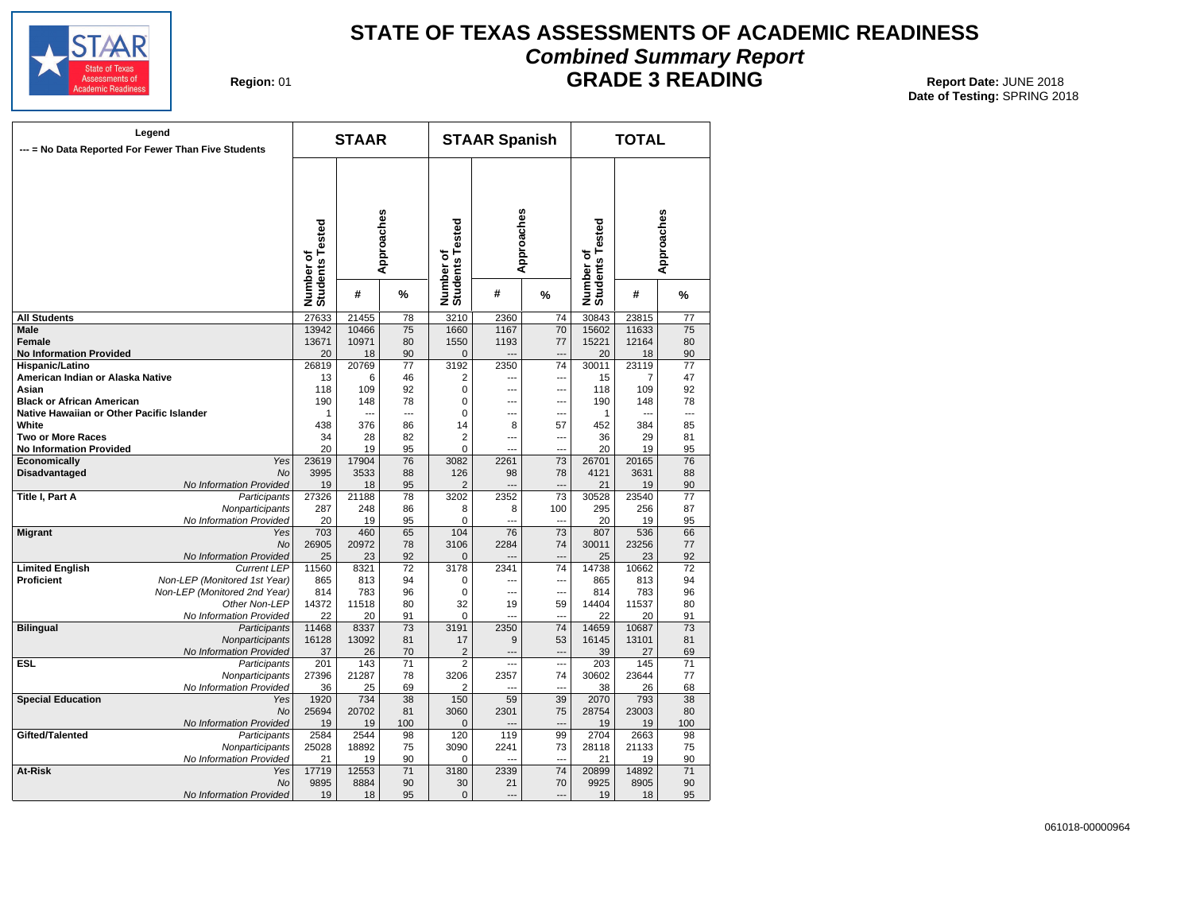

# **STATE OF TEXAS ASSESSMENTS OF ACADEMIC READINESS Combined Summary Report**

**Region: 01** 

**GRADE 3 READING** Report Date: JUNE 2018

|                                           | Legend<br>--- = No Data Reported For Fewer Than Five Students |                              | <b>STAAR</b>  |                 |                              | <b>STAAR Spanish</b> |                 |                              | <b>TOTAL</b>  |                 |
|-------------------------------------------|---------------------------------------------------------------|------------------------------|---------------|-----------------|------------------------------|----------------------|-----------------|------------------------------|---------------|-----------------|
|                                           |                                                               | Number of<br>Students Tested |               | Approaches      | Number of<br>Students Tested |                      | Approaches      | Number of<br>Students Tested |               | Approaches      |
|                                           |                                                               |                              | #             | %               |                              | #                    | %               |                              | #             | %               |
| <b>All Students</b>                       |                                                               | 27633                        | 21455         | 78              | 3210                         | 2360                 | 74              | 30843                        | 23815         | $\overline{77}$ |
| <b>Male</b>                               |                                                               | 13942                        | 10466         | 75              | 1660                         | 1167                 | 70              | 15602                        | 11633         | 75              |
| Female                                    |                                                               | 13671                        | 10971         | 80              | 1550                         | 1193                 | 77              | 15221                        | 12164         | 80              |
| <b>No Information Provided</b>            |                                                               | 20                           | 18            | 90              | $\mathbf 0$                  | $\overline{a}$       | ---             | 20                           | 18            | 90              |
| Hispanic/Latino                           |                                                               | 26819                        | 20769         | 77              | 3192                         | 2350                 | 74              | 30011                        | 23119         | 77              |
| American Indian or Alaska Native          |                                                               | 13                           | 6             | 46              | 2                            | ---                  | ---             | 15                           | 7             | 47              |
| Asian                                     |                                                               | 118                          | 109           | 92              | 0                            | ---                  | ---             | 118                          | 109           | 92              |
| <b>Black or African American</b>          |                                                               | 190                          | 148           | 78              | $\Omega$                     | ---                  | ---             | 190                          | 148           | 78              |
| Native Hawaiian or Other Pacific Islander |                                                               | $\mathbf{1}$                 | $\sim$        | $\sim$          | 0                            | ---                  | ---             | $\mathbf{1}$                 | $\sim$        | $\sim$          |
| White                                     |                                                               | 438                          | 376           | 86              | 14                           | 8                    | 57              | 452                          | 384           | 85              |
| <b>Two or More Races</b>                  |                                                               | 34                           | 28            | 82              | $\overline{2}$               | ---                  | ---             | 36                           | 29            | 81              |
| <b>No Information Provided</b>            |                                                               | 20                           | 19            | 95              | $\mathbf 0$                  |                      |                 | 20                           | 19            | 95              |
| Economically                              | Yes<br>No                                                     | 23619<br>3995                | 17904<br>3533 | 76<br>88        | 3082<br>126                  | 2261<br>98           | 73<br>78        | 26701<br>4121                | 20165<br>3631 | 76<br>88        |
| Disadvantaged                             | No Information Provided                                       | 19                           | 18            | 95              | $\overline{2}$               |                      | ---             | 21                           | 19            | 90              |
| Title I, Part A                           | Participants                                                  | 27326                        | 21188         | 78              | 3202                         | 2352                 | 73              | 30528                        | 23540         | 77              |
|                                           | Nonparticipants                                               | 287                          | 248           | 86              | 8                            | 8                    | 100             | 295                          | 256           | 87              |
|                                           | No Information Provided                                       | 20                           | 19            | 95              | 0                            | ---                  | ---             | 20                           | 19            | 95              |
| <b>Migrant</b>                            | Yes                                                           | 703                          | 460           | 65              | 104                          | 76                   | 73              | 807                          | 536           | 66              |
|                                           | <b>No</b>                                                     | 26905                        | 20972         | 78              | 3106                         | 2284                 | 74              | 30011                        | 23256         | 77              |
|                                           | No Information Provided                                       | 25                           | 23            | 92              | $\Omega$                     | $\overline{a}$       | ---             | 25                           | 23            | 92              |
| <b>Limited English</b>                    | <b>Current LEP</b>                                            | 11560                        | 8321          | 72              | 3178                         | 2341                 | 74              | 14738                        | 10662         | 72              |
| <b>Proficient</b>                         | Non-LEP (Monitored 1st Year)                                  | 865                          | 813           | 94              | 0                            | ---                  | ---             | 865                          | 813           | 94              |
|                                           | Non-LEP (Monitored 2nd Year)                                  | 814                          | 783           | 96              | 0                            | ---                  | ---             | 814                          | 783           | 96              |
|                                           | Other Non-LEP                                                 | 14372                        | 11518         | 80              | 32                           | 19                   | 59              | 14404                        | 11537         | 80              |
|                                           | No Information Provided                                       | 22                           | 20            | 91              | 0                            |                      | ---             | 22                           | 20            | 91              |
| <b>Bilingual</b>                          | Participants                                                  | 11468                        | 8337          | 73              | 3191                         | 2350                 | $\overline{74}$ | 14659                        | 10687         | 73              |
|                                           | Nonparticipants                                               | 16128                        | 13092         | 81              | 17                           | 9                    | 53              | 16145                        | 13101         | 81              |
|                                           | No Information Provided                                       | 37                           | 26            | 70              | $\overline{2}$               | -−                   | ---             | 39                           | 27            | 69              |
| <b>ESL</b>                                | Participants                                                  | 201                          | 143           | $\overline{71}$ | $\overline{2}$               | $\overline{a}$       | ---             | 203                          | 145           | 71              |
|                                           | Nonparticipants                                               | 27396                        | 21287         | 78              | 3206                         | 2357                 | 74              | 30602                        | 23644         | 77              |
|                                           | No Information Provided                                       | 36                           | 25            | 69              | $\overline{2}$               | ---                  |                 | 38                           | 26            | 68              |
| <b>Special Education</b>                  | Yes                                                           | 1920                         | 734           | 38              | 150                          | 59                   | 39              | 2070                         | 793           | 38              |
|                                           | <b>No</b>                                                     | 25694                        | 20702         | 81              | 3060                         | 2301                 | 75              | 28754                        | 23003         | 80              |
| Gifted/Talented                           | No Information Provided                                       | 19<br>2584                   | 19<br>2544    | 100<br>98       | $\mathbf{0}$<br>120          | 119                  | 99              | 19<br>2704                   | 19<br>2663    | 100<br>98       |
|                                           | Participants                                                  |                              | 18892         | 75              | 3090                         | 2241                 | 73              | 28118                        | 21133         | 75              |
|                                           | Nonparticipants<br>No Information Provided                    | 25028                        |               | 90              | 0                            | ---                  | ---             |                              | 19            | 90              |
| At-Risk                                   | Yes                                                           | 21<br>17719                  | 19<br>12553   | 71              | 3180                         | 2339                 | 74              | 21<br>20899                  | 14892         | 71              |
|                                           | <b>No</b>                                                     | 9895                         | 8884          | 90              | 30                           | 21                   | 70              | 9925                         | 8905          | 90              |
|                                           | No Information Provided                                       | 19                           | 18            | 95              | $\mathbf{0}$                 | $\overline{a}$       | ---             | 19                           | 18            | 95              |
|                                           |                                                               |                              |               |                 |                              |                      |                 |                              |               |                 |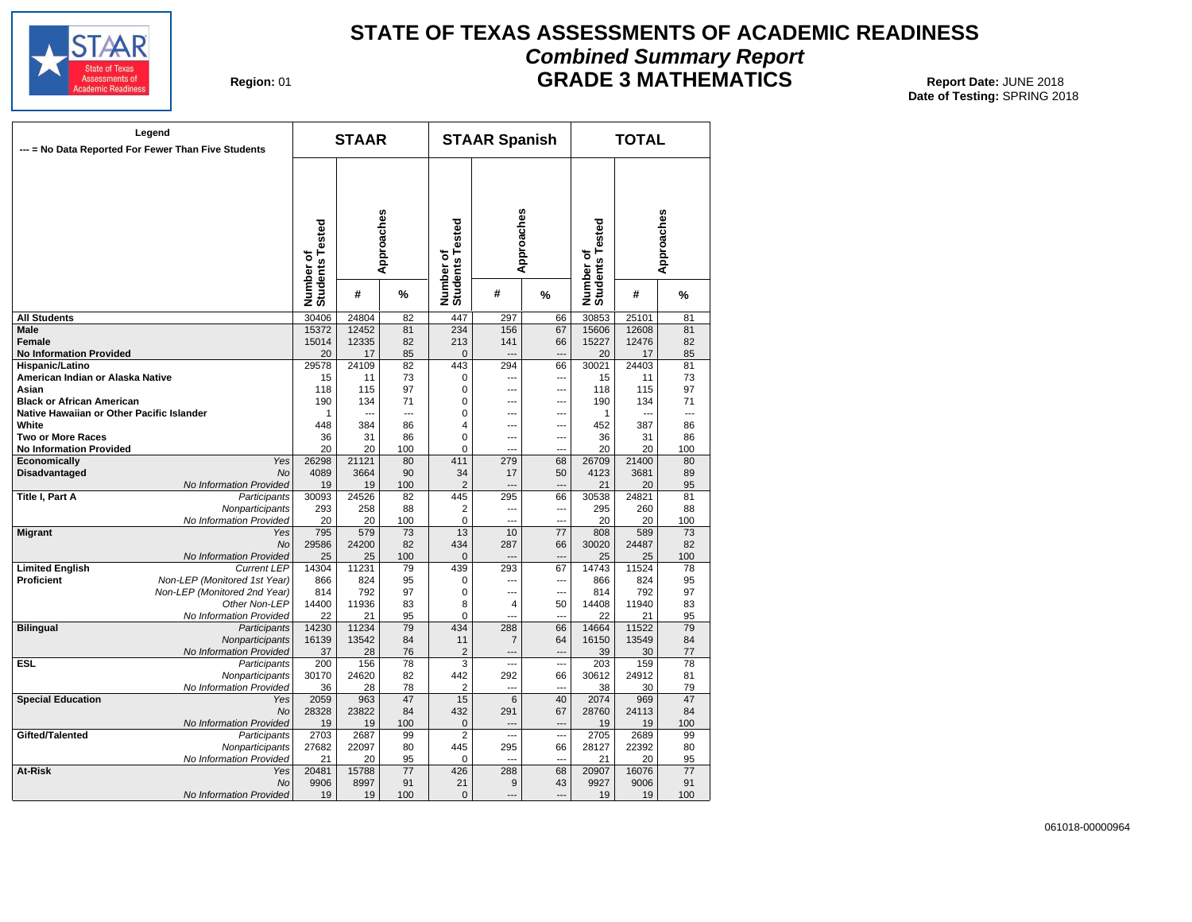

# **STATE OF TEXAS ASSESSMENTS OF ACADEMIC READINESS Combined Summary Report GRADE 3 MATHEMATICS** Report Date: JUNE 2018

**Region: 01** 

| --- = No Data Reported For Fewer Than Five Students | Legend                       |                              | <b>STAAR</b>   |            |                              | <b>STAAR Spanish</b> |                |                              | <b>TOTAL</b>   |            |
|-----------------------------------------------------|------------------------------|------------------------------|----------------|------------|------------------------------|----------------------|----------------|------------------------------|----------------|------------|
|                                                     |                              | Number of<br>Students Tested |                | Approaches | Number of<br>Students Tested | Approaches           |                | Number of<br>Students Tested |                | Approaches |
|                                                     |                              |                              | #              | %          |                              | #                    | %              |                              | #              | %          |
| <b>All Students</b>                                 |                              | 30406                        | 24804          | 82         | 447                          | 297                  | 66             | 30853                        | 25101          | 81         |
| Male                                                |                              | 15372                        | 12452          | 81         | 234                          | 156                  | 67             | 15606                        | 12608          | 81         |
| Female                                              |                              | 15014                        | 12335          | 82         | 213                          | 141                  | 66             | 15227                        | 12476          | 82         |
| <b>No Information Provided</b>                      |                              | 20                           | 17             | 85         | $\mathbf{0}$                 | $\overline{a}$       | $\overline{a}$ | 20                           | 17             | 85         |
| Hispanic/Latino                                     |                              | 29578                        | 24109          | 82         | 443                          | 294                  | 66             | 30021                        | 24403          | 81         |
| American Indian or Alaska Native                    |                              | 15                           | 11             | 73         | 0                            | ---                  | ---            | 15                           | 11             | 73         |
| Asian                                               |                              | 118                          | 115            | 97         | $\Omega$                     | $\overline{a}$       | ---            | 118                          | 115            | 97         |
| <b>Black or African American</b>                    |                              | 190                          | 134            | 71         | 0                            | $\overline{a}$       | ---            | 190                          | 134            | 71         |
| Native Hawaiian or Other Pacific Islander           |                              | 1                            | $\overline{a}$ | ---        | 0                            | ---                  | ---            | -1                           | $\overline{a}$ | ---        |
| White                                               |                              | 448                          | 384            | 86         | 4                            | ---                  | ---            | 452                          | 387            | 86         |
| Two or More Races                                   |                              | 36                           | 31             | 86         | 0                            | ---                  | ---            | 36                           | 31             | 86         |
| <b>No Information Provided</b>                      |                              | 20                           | 20             | 100        | 0                            | $---$                | ---            | 20                           | 20             | 100        |
| Economically                                        | Yes                          | 26298                        | 21121          | 80         | 411                          | 279                  | 68             | 26709                        | 21400          | 80         |
| Disadvantaged                                       | <b>No</b>                    | 4089                         | 3664           | 90         | 34                           | 17                   | 50             | 4123                         | 3681           | 89         |
|                                                     | No Information Provided      | 19                           | 19             | 100        | $\overline{2}$               | $\overline{a}$       | ---            | 21                           | 20             | 95         |
| Title I, Part A                                     | Participants                 | 30093                        | 24526          | 82         | 445                          | 295                  | 66             | 30538                        | 24821          | 81         |
|                                                     |                              | 293                          | 258            | 88         |                              | $\overline{a}$       |                | 295                          | 260            | 88         |
|                                                     | Nonparticipants              | 20                           |                |            | 2<br>$\Omega$                | ---                  | ---<br>---     | 20                           |                |            |
|                                                     | No Information Provided      |                              | 20             | 100        |                              |                      |                |                              | 20             | 100        |
| <b>Migrant</b>                                      | Yes                          | 795                          | 579            | 73         | 13                           | 10                   | 77             | 808                          | 589            | 73         |
|                                                     | No                           | 29586                        | 24200          | 82         | 434                          | 287                  | 66             | 30020                        | 24487          | 82         |
|                                                     | No Information Provided      | 25                           | 25             | 100        | $\mathbf 0$                  | ---                  |                | 25                           | 25             | 100        |
| <b>Limited English</b>                              | <b>Current LEP</b>           | 14304                        | 11231          | 79         | 439                          | 293                  | 67             | 14743                        | 11524          | 78         |
| Proficient                                          | Non-LEP (Monitored 1st Year) | 866                          | 824            | 95         | 0                            | $\overline{a}$       | ---            | 866                          | 824            | 95         |
|                                                     | Non-LEP (Monitored 2nd Year) | 814                          | 792            | 97         | $\mathbf 0$                  | ---                  | ---            | 814                          | 792            | 97         |
|                                                     | Other Non-LEP                | 14400                        | 11936          | 83         | 8                            | $\overline{4}$       | 50             | 14408                        | 11940          | 83         |
|                                                     | No Information Provided      | 22                           | 21             | 95         | 0                            | $\overline{a}$       | ---            | 22                           | 21             | 95         |
| <b>Bilingual</b>                                    | Participants                 | 14230                        | 11234          | 79         | 434                          | 288                  | 66             | 14664                        | 11522          | 79         |
|                                                     | Nonparticipants              | 16139                        | 13542          | 84         | 11                           | $\overline{7}$       | 64             | 16150                        | 13549          | 84         |
|                                                     | No Information Provided      | 37                           | 28             | 76         | $\overline{2}$               | ---                  | ---            | 39                           | 30             | 77         |
| ESL                                                 | Participants                 | 200                          | 156            | 78         | 3                            | ---                  | ---            | 203                          | 159            | 78         |
|                                                     | Nonparticipants              | 30170                        | 24620          | 82         | 442                          | 292                  | 66             | 30612                        | 24912          | 81         |
|                                                     | No Information Provided      | 36                           | 28             | 78         | 2                            | ---                  | ---            | 38                           | 30             | 79         |
| <b>Special Education</b>                            | Yes                          | 2059                         | 963            | 47         | 15                           | 6                    | 40             | 2074                         | 969            | 47         |
|                                                     | No                           | 28328                        | 23822          | 84         | 432                          | 291                  | 67             | 28760                        | 24113          | 84         |
|                                                     | No Information Provided      | 19                           | 19             | 100        | 0                            | $\sim$               | $\overline{a}$ | 19                           | 19             | 100        |
| Gifted/Talented                                     | Participants                 | 2703                         | 2687           | 99         | 2                            | ---                  | ---            | 2705                         | 2689           | 99         |
|                                                     | Nonparticipants              | 27682                        | 22097          | 80         | 445                          | 295                  | 66             | 28127                        | 22392          | 80         |
|                                                     | No Information Provided      | 21                           | 20             | 95         | 0                            | $\sim$               | $\overline{a}$ | 21                           | 20             | 95         |
| At-Risk                                             | Yes                          | 20481                        | 15788          | 77         | 426                          | 288                  | 68             | 20907                        | 16076          | 77         |
|                                                     | <b>No</b>                    | 9906                         | 8997           | 91         | 21                           | 9                    | 43             | 9927                         | 9006           | 91         |
|                                                     | No Information Provided      | 19                           | 19             | 100        | $\Omega$                     | ---                  | ---            | 19                           | 19             | 100        |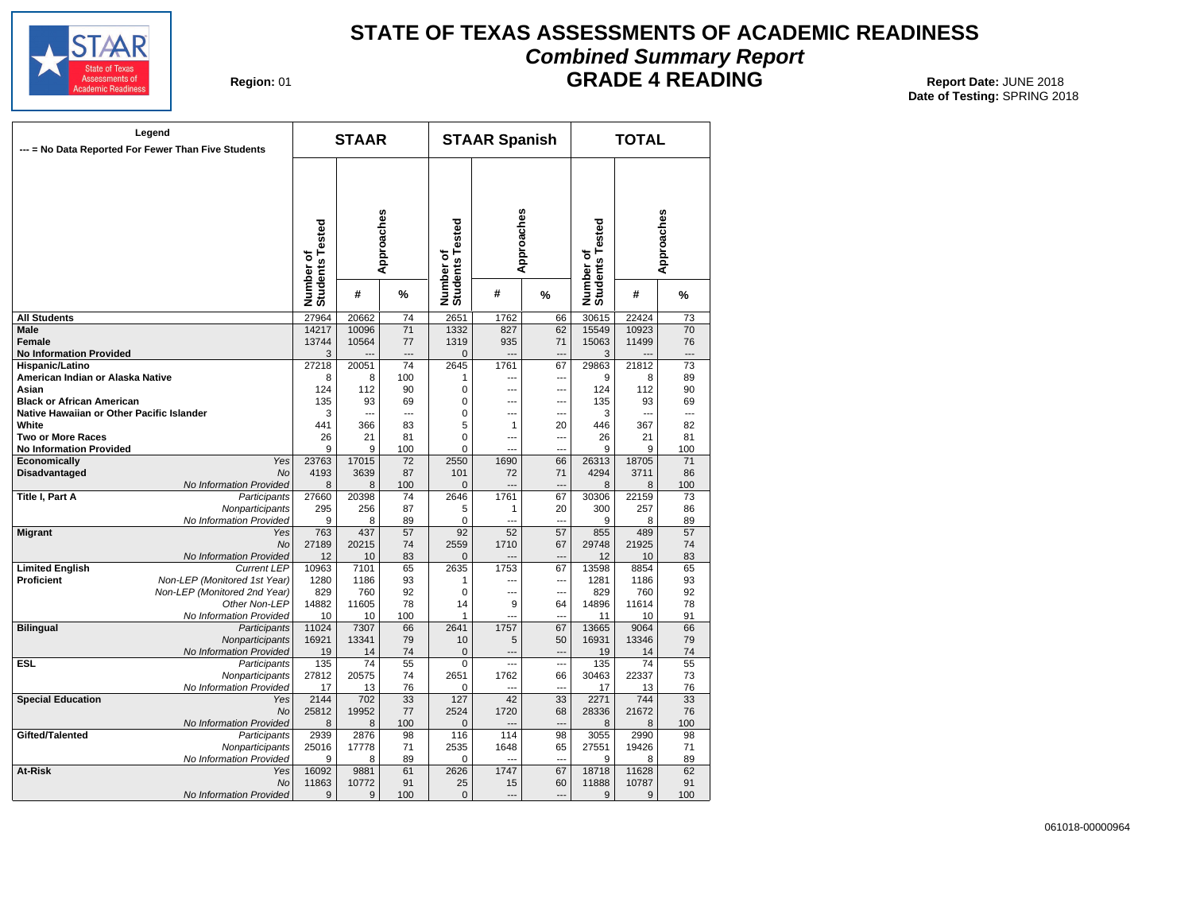

# **STATE OF TEXAS ASSESSMENTS OF ACADEMIC READINESS Combined Summary Report**

**Region: 01** 

# **GRADE 4 READING** Report Date: JUNE 2018

|                                           | Legend<br>--- = No Data Reported For Fewer Than Five Students |                              | <b>STAAR</b> |                 |                                   | <b>STAAR Spanish</b> |                          |                              | <b>TOTAL</b> |                 |
|-------------------------------------------|---------------------------------------------------------------|------------------------------|--------------|-----------------|-----------------------------------|----------------------|--------------------------|------------------------------|--------------|-----------------|
|                                           |                                                               | Number of<br>Students Tested |              | Approaches      | sted<br>Number of<br>Students Tes |                      | Approaches               | Number of<br>Students Tested |              | Approaches      |
|                                           |                                                               |                              | #            | %               |                                   | #                    | %                        |                              | #            | %               |
| <b>All Students</b>                       |                                                               | 27964                        | 20662        | $\overline{74}$ | 2651                              | 1762                 | 66                       | 30615                        | 22424        | $\overline{73}$ |
| <b>Male</b>                               |                                                               | 14217                        | 10096        | $\overline{71}$ | 1332                              | 827                  | 62                       | 15549                        | 10923        | 70              |
| <b>Female</b>                             |                                                               | 13744                        | 10564        | 77              | 1319                              | 935                  | 71                       | 15063                        | 11499        | 76              |
| <b>No Information Provided</b>            |                                                               | 3                            |              |                 | $\mathbf{0}$                      | $\sim$               | $\sim$                   | 3                            |              |                 |
| Hispanic/Latino                           |                                                               | 27218                        | 20051        | 74              | 2645                              | 1761                 | 67                       | 29863                        | 21812        | 73              |
| American Indian or Alaska Native          |                                                               | 8                            | 8            | 100             | 1                                 | ---                  | ---                      | 9                            | 8            | 89              |
| Asian                                     |                                                               | 124                          | 112          | 90              | 0                                 | ---                  | ---                      | 124                          | 112          | 90              |
| <b>Black or African American</b>          |                                                               | 135                          | 93           | 69              | 0                                 | $\overline{a}$       | $\overline{a}$           | 135                          | 93           | 69              |
| Native Hawaiian or Other Pacific Islander |                                                               | 3                            | ---          | $\overline{a}$  | $\mathbf 0$                       | ---                  | ---                      | 3                            | ---          | ---             |
| White                                     |                                                               | 441                          | 366          | 83              | 5                                 | $\mathbf{1}$         | 20                       | 446                          | 367          | 82              |
| <b>Two or More Races</b>                  |                                                               | 26                           | 21           | 81              | $\mathbf 0$                       | ---                  | ---                      | 26                           | 21           | 81              |
| <b>No Information Provided</b>            |                                                               | 9                            | 9            | 100             | 0                                 |                      | ---                      | 9                            | 9            | 100             |
| Economically                              | Yes                                                           | 23763                        | 17015        | 72              | 2550                              | 1690                 | 66                       | 26313                        | 18705        | 71              |
| <b>Disadvantaged</b>                      | <b>No</b>                                                     | 4193                         | 3639         | 87              | 101                               | 72                   | 71<br>$\overline{a}$     | 4294                         | 3711         | 86              |
| Title I, Part A                           | No Information Provided<br>Participants                       | 8<br>27660                   | 8<br>20398   | 100<br>74       | $\Omega$<br>2646                  | 1761                 | 67                       | 8<br>30306                   | 8<br>22159   | 100<br>73       |
|                                           | Nonparticipants                                               | 295                          | 256          | 87              | 5                                 | 1                    | 20                       | 300                          | 257          | 86              |
|                                           | No Information Provided                                       | 9                            | 8            | 89              | $\mathbf 0$                       | $\overline{a}$       | $\overline{a}$           | 9                            | 8            | 89              |
| <b>Migrant</b>                            | Yes                                                           | 763                          | 437          | 57              | $\overline{92}$                   | 52                   | 57                       | 855                          | 489          | 57              |
|                                           | <b>No</b>                                                     | 27189                        | 20215        | 74              | 2559                              | 1710                 | 67                       | 29748                        | 21925        | 74              |
|                                           | No Information Provided                                       | 12                           | 10           | 83              | $\mathbf{0}$                      | $\overline{a}$       | $\overline{a}$           | 12                           | 10           | 83              |
| <b>Limited English</b>                    | <b>Current LEP</b>                                            | 10963                        | 7101         | 65              | 2635                              | 1753                 | 67                       | 13598                        | 8854         | 65              |
| <b>Proficient</b>                         | Non-LEP (Monitored 1st Year)                                  | 1280                         | 1186         | 93              | 1                                 | ---                  | ---                      | 1281                         | 1186         | 93              |
|                                           | Non-LEP (Monitored 2nd Year)                                  | 829                          | 760          | 92              | $\Omega$                          | ---                  | $\overline{a}$           | 829                          | 760          | 92              |
|                                           | Other Non-LEP                                                 | 14882                        | 11605        | 78              | 14                                | 9                    | 64                       | 14896                        | 11614        | 78              |
|                                           | No Information Provided                                       | 10                           | 10           | 100             | 1                                 | $\overline{a}$       | $\overline{a}$           | 11                           | 10           | 91              |
| <b>Bilingual</b>                          | Participants                                                  | 11024                        | 7307         | 66              | 2641                              | 1757                 | 67                       | 13665                        | 9064         | 66              |
|                                           | Nonparticipants                                               | 16921                        | 13341        | 79              | 10                                | 5                    | 50                       | 16931                        | 13346        | 79              |
|                                           | No Information Provided                                       | 19                           | 14           | 74              | $\pmb{0}$                         | $\overline{a}$       | $\overline{\phantom{a}}$ | 19                           | 14           | 74              |
| <b>ESL</b>                                | Participants                                                  | 135                          | 74           | 55              | $\mathbf 0$                       | $\overline{a}$       | $\overline{\phantom{a}}$ | 135                          | 74           | 55              |
|                                           | Nonparticipants                                               | 27812                        | 20575        | 74              | 2651                              | 1762                 | 66                       | 30463                        | 22337        | 73              |
|                                           | No Information Provided                                       | 17                           | 13           | 76              | $\mathbf 0$                       | $\overline{a}$       | $\overline{a}$           | 17                           | 13           | 76              |
| <b>Special Education</b>                  | Yes                                                           | 2144                         | 702          | 33              | 127                               | 42                   | 33                       | 2271                         | 744          | 33              |
|                                           | <b>No</b>                                                     | 25812                        | 19952        | 77              | 2524                              | 1720                 | 68                       | 28336                        | 21672        | 76              |
|                                           | No Information Provided                                       | 8                            | 8            | 100             | $\mathbf 0$                       |                      | $\sim$                   | 8                            | 8            | 100             |
| Gifted/Talented                           | Participants                                                  | 2939                         | 2876         | 98              | 116                               | 114                  | 98                       | 3055                         | 2990         | 98              |
|                                           | Nonparticipants                                               | 25016                        | 17778        | 71              | 2535                              | 1648                 | 65                       | 27551                        | 19426        | 71              |
|                                           | No Information Provided                                       | 9                            | 8            | 89              | 0                                 |                      | ÷.,                      | 9                            | 8            | 89              |
| At-Risk                                   | Yes                                                           | 16092                        | 9881         | 61              | 2626                              | 1747                 | 67                       | 18718                        | 11628        | 62              |
|                                           | <b>No</b>                                                     | 11863                        | 10772        | 91              | 25                                | 15                   | 60                       | 11888                        | 10787        | 91              |
|                                           | No Information Provided                                       | 9                            | 9            | 100             | $\mathbf{0}$                      | $---$                | $\sim$                   | 9                            | 9            | 100             |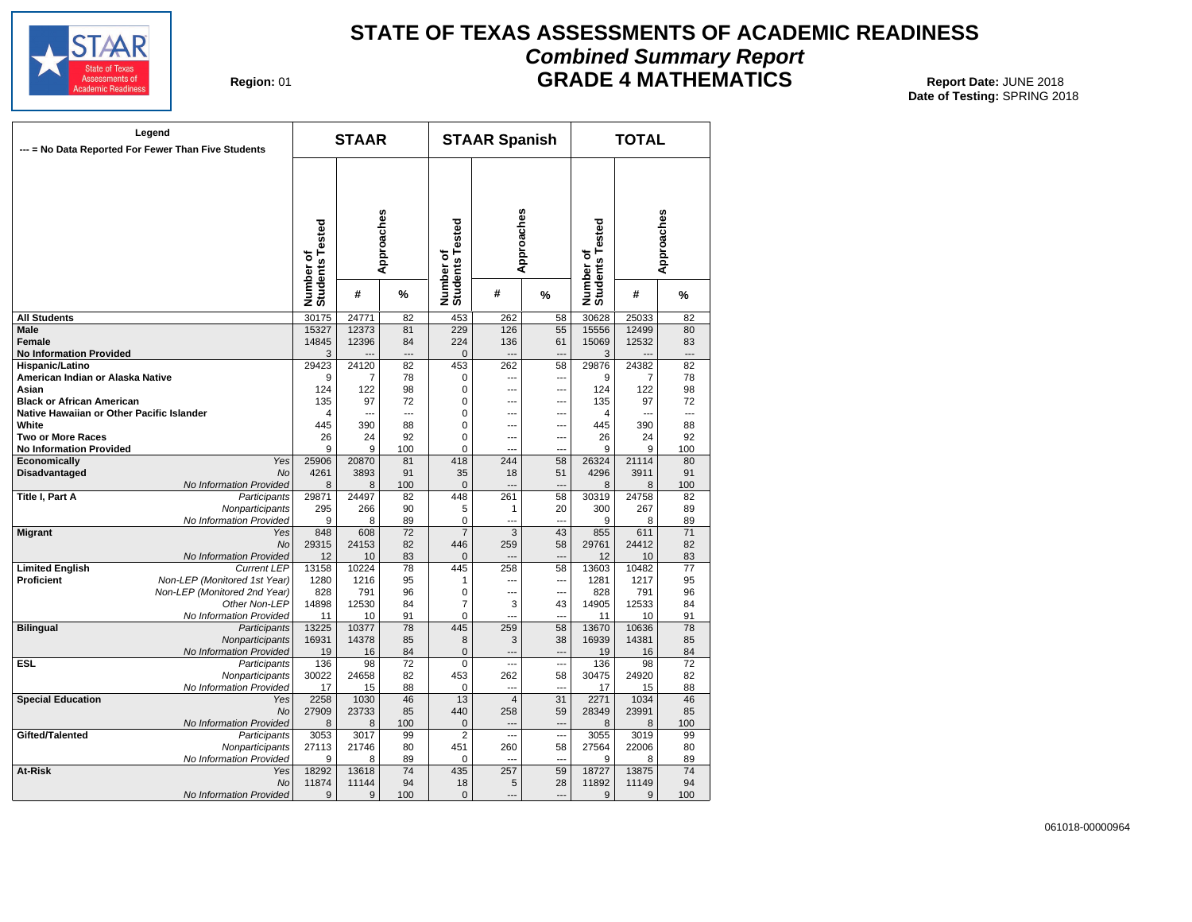

# **STATE OF TEXAS ASSESSMENTS OF ACADEMIC READINESS Combined Summary Report GRADE 4 MATHEMATICS** Report Date: JUNE 2018

**Region: 01** 

|                                           | Legend<br>--- = No Data Reported For Fewer Than Five Students |                              | <b>STAAR</b> |                |                              | <b>STAAR Spanish</b>  |                       |                              | <b>TOTAL</b>   |            |
|-------------------------------------------|---------------------------------------------------------------|------------------------------|--------------|----------------|------------------------------|-----------------------|-----------------------|------------------------------|----------------|------------|
|                                           |                                                               | Number of<br>Students Tested |              | Approaches     | Number of<br>Students Tested | Approaches            |                       | Number of<br>Students Tested |                | Approaches |
|                                           |                                                               |                              | #            | %              |                              | #                     | %                     |                              | #              | %          |
| <b>All Students</b>                       |                                                               | 30175                        | 24771        | 82             | 453                          | 262                   | 58                    | 30628                        | 25033          | 82         |
| Male                                      |                                                               | 15327                        | 12373        | 81             | 229                          | 126                   | 55                    | 15556                        | 12499          | 80         |
| Female<br><b>No Information Provided</b>  |                                                               | 14845<br>3                   | 12396        | 84<br>---      | 224<br>0                     | 136<br>---            | 61<br>---             | 15069<br>3                   | 12532          | 83<br>---  |
| Hispanic/Latino                           |                                                               | 29423                        | 24120        | 82             | 453                          | 262                   | 58                    | 29876                        | 24382          | 82         |
| American Indian or Alaska Native          |                                                               | 9                            | 7            | 78             | 0                            | ---                   | ---                   | 9                            | 7              | 78         |
| Asian                                     |                                                               | 124                          | 122          | 98             | 0                            | ---                   | ---                   | 124                          | 122            | 98         |
| <b>Black or African American</b>          |                                                               | 135                          | 97           | 72             | 0                            | ---                   | ---                   | 135                          | 97             | 72         |
| Native Hawaiian or Other Pacific Islander |                                                               | 4                            | ---          | $\overline{a}$ | 0                            | $---$                 | ---                   | 4                            | $\overline{a}$ | ---        |
| White                                     |                                                               | 445                          | 390          | 88             | 0                            | ---                   | ---                   | 445                          | 390            | 88         |
| Two or More Races                         |                                                               | 26                           | 24           | 92             | 0                            | ---                   | ---                   | 26                           | 24             | 92         |
| <b>No Information Provided</b>            |                                                               | 9                            | 9            | 100            | 0                            | $\overline{a}$        | ---                   | 9                            | 9              | 100        |
| Economically                              | Yes                                                           | 25906                        | 20870        | 81             | 418                          | 244                   | 58                    | 26324                        | 21114          | 80         |
| Disadvantaged                             | <b>No</b>                                                     | 4261                         | 3893         | 91             | 35                           | 18                    | 51                    | 4296                         | 3911           | 91         |
|                                           | No Information Provided                                       | 8                            | 8            | 100            | $\mathbf 0$                  |                       |                       | 8                            | 8              | 100        |
| Title I, Part A                           | Participants                                                  | 29871                        | 24497        | 82             | 448                          | 261                   | 58                    | 30319                        | 24758          | 82         |
|                                           | Nonparticipants                                               | 295                          | 266          | 90             | 5                            | $\mathbf{1}$          | 20                    | 300                          | 267            | 89         |
|                                           | No Information Provided                                       | 9                            | 8            | 89             | 0                            | ---                   | ---                   | 9                            | 8              | 89         |
| <b>Migrant</b>                            | Yes                                                           | 848                          | 608          | 72             | $\overline{7}$               | 3                     | 43                    | 855                          | 611            | 71         |
|                                           | <b>No</b>                                                     | 29315                        | 24153        | 82             | 446                          | 259                   | 58                    | 29761                        | 24412          | 82         |
|                                           | No Information Provided                                       | 12                           | 10           | 83             | $\mathbf 0$                  | ---                   | ---                   | 12                           | 10             | 83         |
| <b>Limited English</b>                    | <b>Current LEP</b>                                            | 13158                        | 10224        | 78             | 445                          | 258                   | 58                    | 13603                        | 10482          | 77         |
| Proficient                                | Non-LEP (Monitored 1st Year)                                  | 1280                         | 1216         | 95             | 1                            | ---                   | ---                   | 1281                         | 1217           | 95         |
|                                           | Non-LEP (Monitored 2nd Year)                                  | 828                          | 791          | 96             | 0                            | ---                   | ---                   | 828                          | 791            | 96         |
|                                           | Other Non-LEP                                                 | 14898                        | 12530        | 84             | $\overline{7}$               | 3                     | 43                    | 14905                        | 12533          | 84         |
|                                           | No Information Provided                                       | 11                           | 10           | 91             | 0                            | ---                   | ---                   | 11                           | 10             | 91         |
| <b>Bilingual</b>                          | Participants                                                  | 13225                        | 10377        | 78             | 445                          | 259                   | 58                    | 13670                        | 10636          | 78         |
|                                           | Nonparticipants                                               | 16931                        | 14378        | 85             | 8                            | 3                     | 38                    | 16939                        | 14381          | 85         |
|                                           | No Information Provided                                       | 19                           | 16           | 84             | 0                            | ---<br>$\overline{a}$ | ---<br>$\overline{a}$ | 19                           | 16             | 84         |
| ESL                                       | Participants                                                  | 136                          | 98           | 72             | $\mathbf 0$                  |                       |                       | 136                          | 98             | 72         |
|                                           | Nonparticipants                                               | 30022                        | 24658        | 82<br>88       | 453<br>0                     | 262<br>---            | 58<br>---             | 30475<br>17                  | 24920          | 82<br>88   |
| <b>Special Education</b>                  | No Information Provided<br>Yes                                | 17<br>2258                   | 15<br>1030   | 46             | 13                           | $\overline{4}$        | 31                    | 2271                         | 15<br>1034     | 46         |
|                                           | <b>No</b>                                                     | 27909                        | 23733        | 85             | 440                          | 258                   | 59                    | 28349                        | 23991          | 85         |
|                                           | No Information Provided                                       | 8                            | 8            | 100            | $\mathbf 0$                  | $\sim$                | $\sim$                | 8                            | 8              | 100        |
| Gifted/Talented                           | Participants                                                  | 3053                         | 3017         | 99             | $\overline{2}$               | ---                   | ---                   | 3055                         | 3019           | 99         |
|                                           | Nonparticipants                                               | 27113                        | 21746        | 80             | 451                          | 260                   | 58                    | 27564                        | 22006          | 80         |
|                                           | No Information Provided                                       | 9                            | 8            | 89             | 0                            | $\sim$                | $\overline{a}$        | 9                            | 8              | 89         |
| At-Risk                                   | Yes                                                           | 18292                        | 13618        | 74             | 435                          | 257                   | 59                    | 18727                        | 13875          | 74         |
|                                           | <b>No</b>                                                     | 11874                        | 11144        | 94             | 18                           | 5                     | 28                    | 11892                        | 11149          | 94         |
|                                           | No Information Provided                                       | 9                            | 9            | 100            | $\Omega$                     | ---                   | ---                   | 9                            | 9              | 100        |
|                                           |                                                               |                              |              |                |                              |                       |                       |                              |                |            |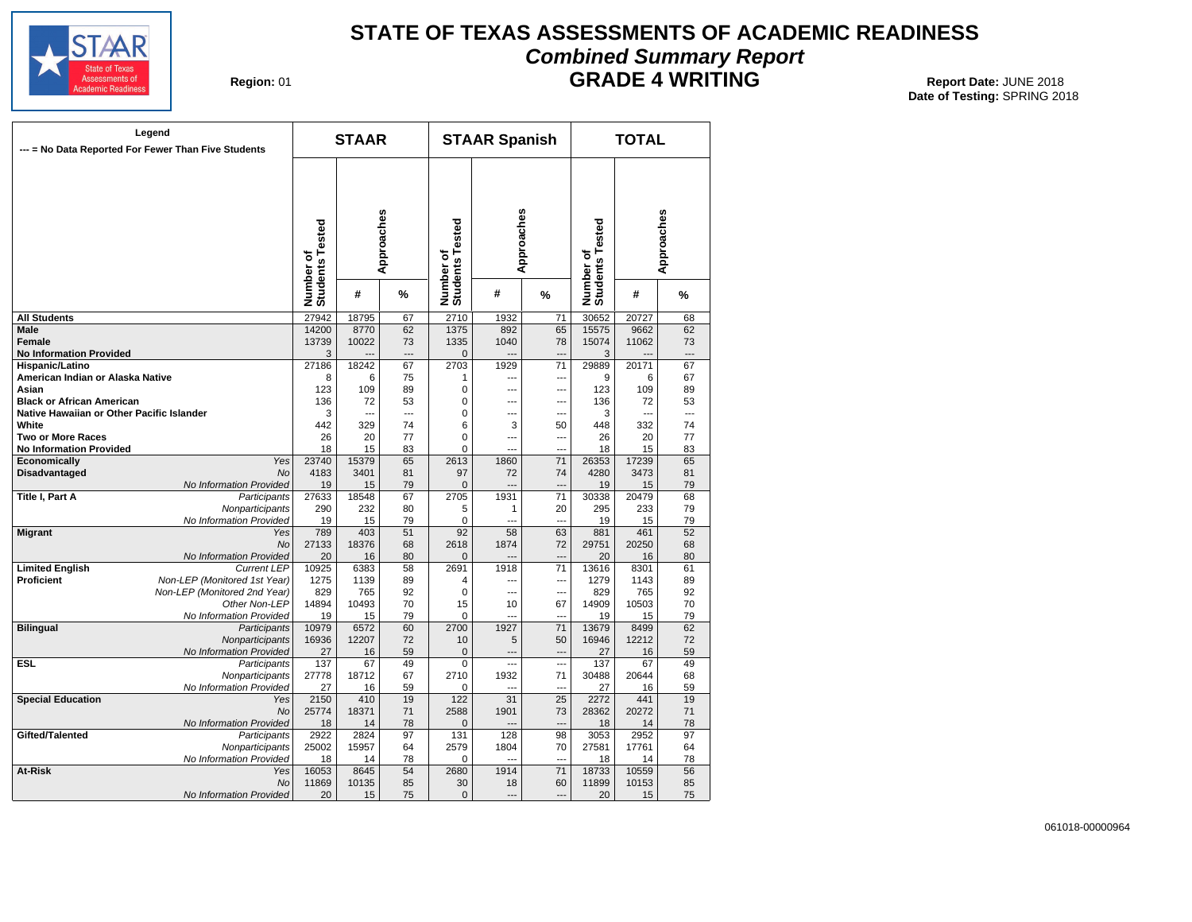

# **STATE OF TEXAS ASSESSMENTS OF ACADEMIC READINESS Combined Summary Report GRADE 4 WRITING** 01 **Report Date:** JUNE 2018

**Region: 01** 

| --- = No Data Reported For Fewer Than Five Students | Legend                       |                              | <b>STAAR</b> |                 |                              | <b>STAAR Spanish</b> |                 |                              | <b>TOTAL</b> |                 |
|-----------------------------------------------------|------------------------------|------------------------------|--------------|-----------------|------------------------------|----------------------|-----------------|------------------------------|--------------|-----------------|
|                                                     |                              | Number of<br>Students Tested |              | Approaches      | Number of<br>Students Tested | Approaches           |                 | Number of<br>Students Tested |              | Approaches      |
|                                                     |                              |                              | #            | %               |                              | #                    | %               |                              | #            | %               |
| <b>All Students</b>                                 |                              | 27942                        | 18795        | 67              | 2710                         | 1932                 | 71              | 30652                        | 20727        | 68              |
| Male                                                |                              | 14200                        | 8770         | 62              | 1375                         | 892                  | 65              | 15575                        | 9662         | 62              |
| <b>Female</b>                                       |                              | 13739                        | 10022        | 73              | 1335                         | 1040                 | 78              | 15074                        | 11062        | 73              |
| <b>No Information Provided</b>                      |                              | 3                            |              | $---$           | $\mathbf{0}$                 | -−                   |                 | 3                            |              | ---             |
| Hispanic/Latino                                     |                              | 27186                        | 18242        | 67              | 2703                         | 1929                 | $\overline{71}$ | 29889                        | 20171        | 67              |
| American Indian or Alaska Native                    |                              | 8                            | 6            | 75              | 1                            | $\overline{a}$       | ---             | 9                            | 6            | 67              |
| Asian                                               |                              | 123                          | 109          | 89              | 0                            | $\overline{a}$       | ---             | 123                          | 109          | 89              |
| <b>Black or African American</b>                    |                              | 136                          | 72           | 53              | 0                            | ---                  | ---             | 136                          | 72           | 53              |
| Native Hawaiian or Other Pacific Islander           |                              | 3                            |              | $\overline{a}$  | $\Omega$                     | $\overline{a}$       | ---             | 3                            | ---          | ---             |
| White                                               |                              | 442                          | 329          | 74              | 6                            | 3                    | 50              | 448                          | 332          | 74              |
| <b>Two or More Races</b>                            |                              | 26                           | 20           | 77              | 0                            | $\overline{a}$       | $\overline{a}$  | 26                           | 20           | 77              |
| <b>No Information Provided</b>                      |                              | 18                           | 15           | 83              | 0                            | $\overline{a}$       | ---             | 18                           | 15           | 83              |
| Economically                                        | Yes                          | 23740                        | 15379        | 65              | 2613                         | 1860                 | $\overline{71}$ | 26353                        | 17239        | 65              |
| <b>Disadvantaged</b>                                | <b>No</b>                    | 4183                         | 3401         | 81              | 97                           | 72                   | 74              | 4280                         | 3473         | 81              |
|                                                     | No Information Provided      | 19                           | 15           | 79              | $\mathbf 0$                  | $\sim$               | $\overline{a}$  | 19                           | 15           | 79              |
|                                                     |                              |                              |              |                 | 2705                         | 1931                 | $\overline{71}$ | 30338                        |              |                 |
| Title I, Part A                                     | Participants                 | 27633                        | 18548        | 67<br>80        |                              |                      | 20              |                              | 20479        | 68<br>79        |
|                                                     | Nonparticipants              | 290                          | 232          |                 | 5<br>$\Omega$                | 1<br>---             | ---             | 295                          | 233          |                 |
|                                                     | No Information Provided      | 19                           | 15           | 79              |                              |                      |                 | 19                           | 15           | 79              |
| <b>Migrant</b>                                      | Yes                          | 789                          | 403          | 51              | $\overline{92}$              | 58                   | 63              | 881                          | 461          | 52              |
|                                                     | <b>No</b>                    | 27133                        | 18376        | 68              | 2618                         | 1874                 | 72              | 29751                        | 20250        | 68              |
|                                                     | No Information Provided      | 20                           | 16           | 80              | 0                            |                      |                 | 20                           | 16           | 80              |
| <b>Limited English</b>                              | <b>Current LEP</b>           | 10925                        | 6383         | 58              | 2691                         | 1918                 | 71              | 13616                        | 8301         | 61              |
| <b>Proficient</b>                                   | Non-LEP (Monitored 1st Year) | 1275                         | 1139         | 89              | 4                            | $\overline{a}$       | $\overline{a}$  | 1279                         | 1143         | 89              |
|                                                     | Non-LEP (Monitored 2nd Year) | 829                          | 765          | 92              | $\Omega$                     | $\sim$               | ---             | 829                          | 765          | 92              |
|                                                     | Other Non-LEP                | 14894                        | 10493        | 70              | 15                           | 10                   | 67              | 14909                        | 10503        | 70              |
|                                                     | No Information Provided      | 19                           | 15           | 79              | 0                            | ---                  |                 | 19                           | 15           | 79              |
| <b>Bilingual</b>                                    | Participants                 | 10979                        | 6572         | 60              | 2700                         | 1927                 | 71              | 13679                        | 8499         | 62              |
|                                                     | Nonparticipants              | 16936                        | 12207        | 72              | 10                           | 5                    | 50              | 16946                        | 12212        | 72              |
|                                                     | No Information Provided      | 27                           | 16           | 59              | $\mathbf 0$                  | ---                  | ---             | 27                           | 16           | 59              |
| <b>ESL</b>                                          | Participants                 | 137                          | 67           | 49              | $\Omega$                     | $\overline{a}$       | $\overline{a}$  | 137                          | 67           | 49              |
|                                                     | Nonparticipants              | 27778                        | 18712        | 67              | 2710                         | 1932                 | 71              | 30488                        | 20644        | 68              |
|                                                     | No Information Provided      | 27                           | 16           | 59              | 0                            | $\sim$               | ---             | 27                           | 16           | 59              |
| <b>Special Education</b>                            | Yes                          | 2150                         | 410          | 19              | 122                          | 31                   | 25              | 2272                         | 441          | 19              |
|                                                     | <b>No</b>                    | 25774                        | 18371        | 71              | 2588                         | 1901                 | 73              | 28362                        | 20272        | 71              |
|                                                     | No Information Provided      | 18                           | 14           | 78              | $\Omega$                     |                      | $\overline{a}$  | 18                           | 14           | 78              |
| Gifted/Talented                                     | Participants                 | 2922                         | 2824         | $\overline{97}$ | 131                          | 128                  | 98              | 3053                         | 2952         | $\overline{97}$ |
|                                                     | Nonparticipants              | 25002                        | 15957        | 64              | 2579                         | 1804                 | 70              | 27581                        | 17761        | 64              |
|                                                     | No Information Provided      | 18                           | 14           | 78              | 0                            | $\overline{a}$       | ---             | 18                           | 14           | 78              |
| At-Risk                                             | Yes                          | 16053                        | 8645         | 54              | 2680                         | 1914                 | $\overline{71}$ | 18733                        | 10559        | 56              |
|                                                     | <b>No</b>                    | 11869                        | 10135        | 85              | 30                           | 18                   | 60              | 11899                        | 10153        | 85              |
|                                                     | No Information Provided      | 20                           | 15           | 75              | $\mathbf 0$                  | $\overline{a}$       | $\overline{a}$  | 20                           | 15           | 75              |